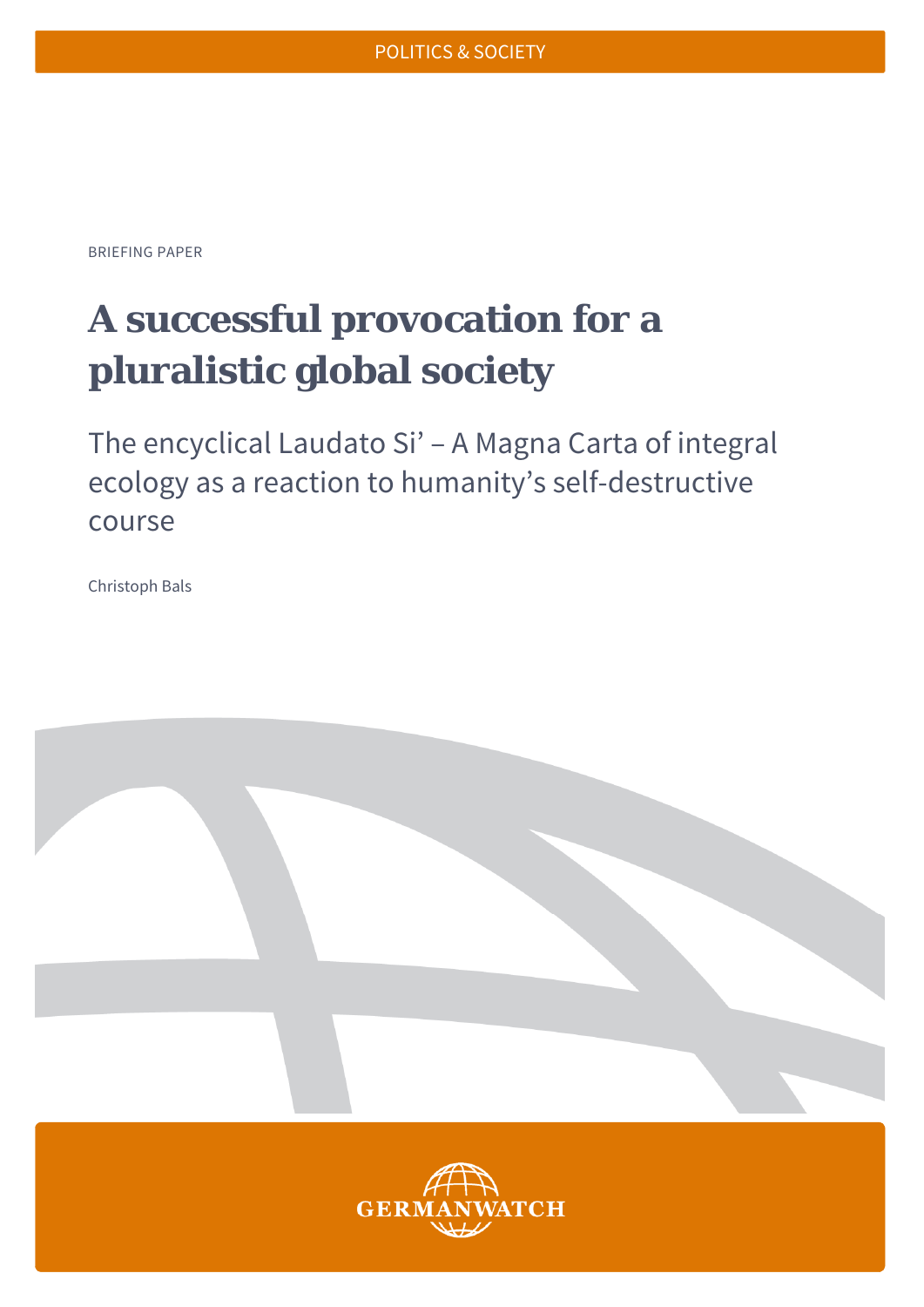BRIEFING PAPER

# **A successful provocation for a pluralistic global society**

The encyclical Laudato Si' – A Magna Carta of integral ecology as a reaction to humanity's self-destructive course

Christoph Bals

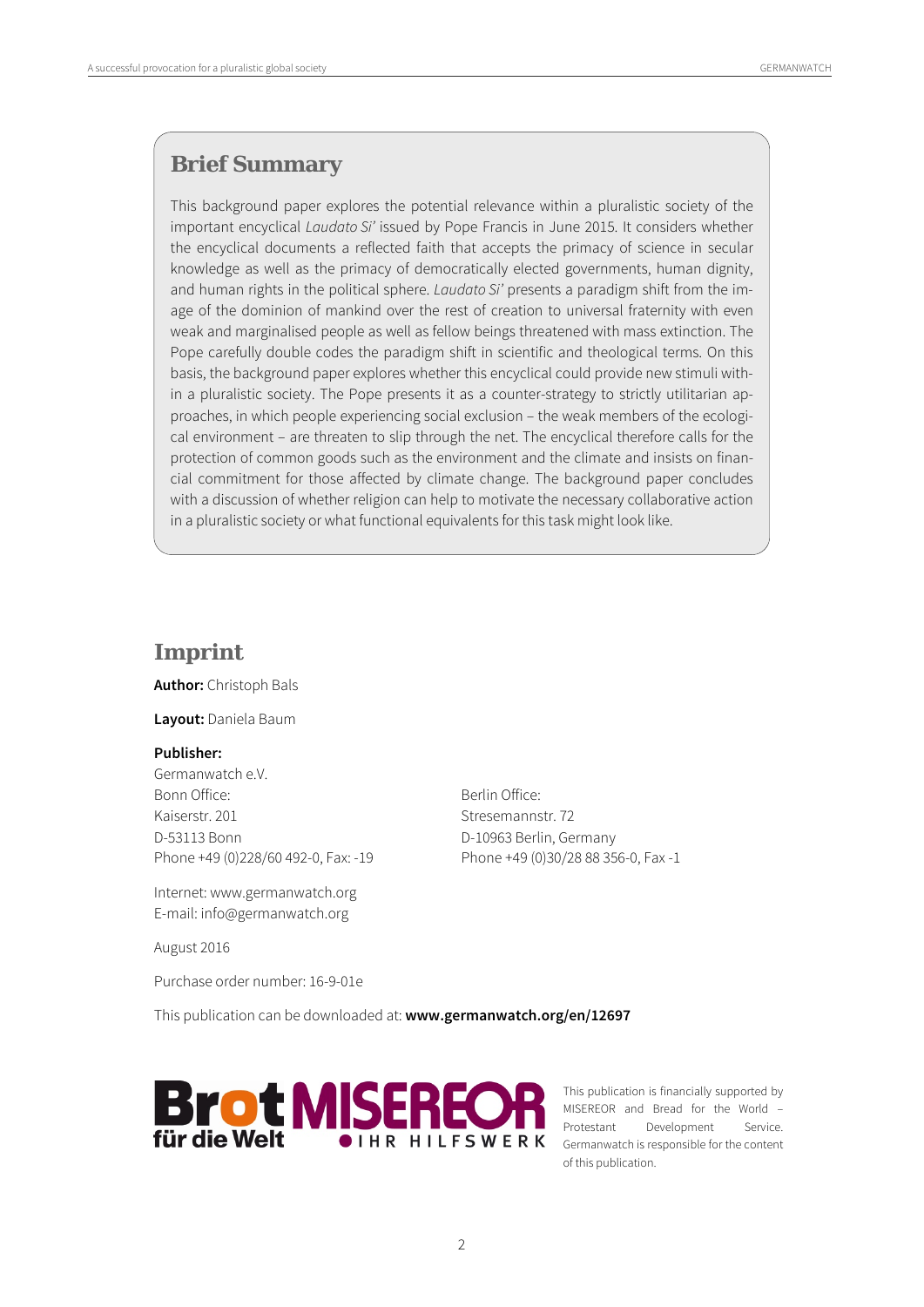# **Brief Summary**

This background paper explores the potential relevance within a pluralistic society of the important encyclical Laudato Si' issued by Pope Francis in June 2015. It considers whether the encyclical documents a reflected faith that accepts the primacy of science in secular knowledge as well as the primacy of democratically elected governments, human dignity, and human rights in the political sphere. Laudato Si' presents a paradigm shift from the image of the dominion of mankind over the rest of creation to universal fraternity with even weak and marginalised people as well as fellow beings threatened with mass extinction. The Pope carefully double codes the paradigm shift in scientific and theological terms. On this basis, the background paper explores whether this encyclical could provide new stimuli within a pluralistic society. The Pope presents it as a counter-strategy to strictly utilitarian approaches, in which people experiencing social exclusion – the weak members of the ecological environment – are threaten to slip through the net. The encyclical therefore calls for the protection of common goods such as the environment and the climate and insists on financial commitment for those affected by climate change. The background paper concludes with a discussion of whether religion can help to motivate the necessary collaborative action in a pluralistic society or what functional equivalents for this task might look like.

### **Imprint**

**Author:** Christoph Bals

**Layout:** Daniela Baum

#### **Publisher:**

Germanwatch e.V. Bonn Office: Bonn Office: Kaiserstr. 201 Stresemannstr. 72 D-53113 Bonn D-10963 Berlin, Germany Phone +49 (0)228/60 492-0, Fax: -19 Phone +49 (0)30/28 88 356-0, Fax -1

Internet: www.germanwatch.org E-mail: info@germanwatch.org

August 2016

Purchase order number: 16-9-01e

This publication can be downloaded at: **www.germanwatch.org/en/12697** 



This publication is financially supported by MISEREOR and Bread for the World – Protestant Development Service. Germanwatch is responsible for the content of this publication.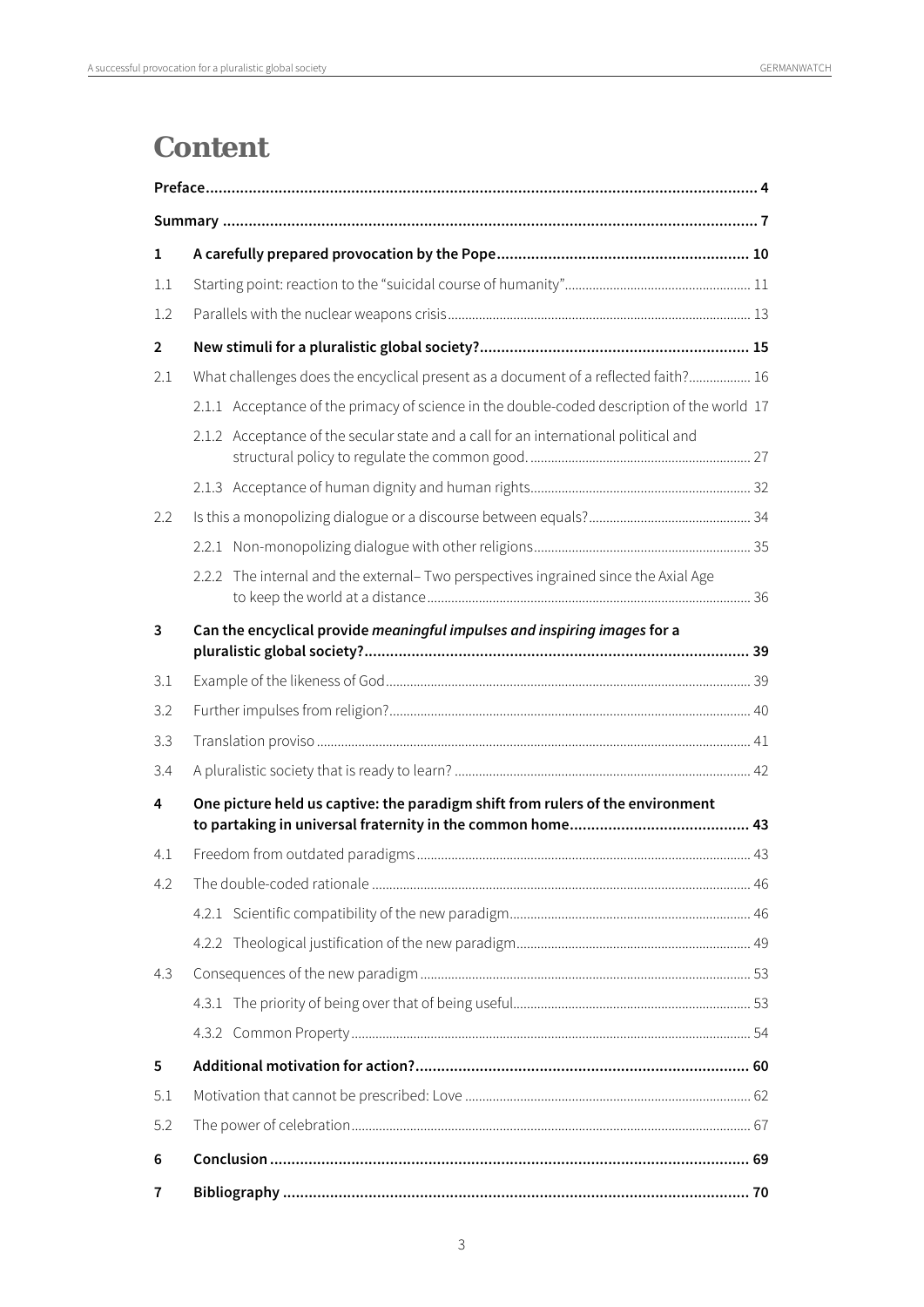# **Content**

| 1              |                                                                                            |  |
|----------------|--------------------------------------------------------------------------------------------|--|
| 1.1            |                                                                                            |  |
| 1.2            |                                                                                            |  |
| $\overline{2}$ |                                                                                            |  |
| 2.1            | What challenges does the encyclical present as a document of a reflected faith? 16         |  |
|                | 2.1.1 Acceptance of the primacy of science in the double-coded description of the world 17 |  |
|                | 2.1.2 Acceptance of the secular state and a call for an international political and        |  |
|                |                                                                                            |  |
| 2.2            |                                                                                            |  |
|                |                                                                                            |  |
|                | 2.2.2 The internal and the external- Two perspectives ingrained since the Axial Age        |  |
| 3              | Can the encyclical provide meaningful impulses and inspiring images for a                  |  |
| 3.1            |                                                                                            |  |
| 3.2            |                                                                                            |  |
| 3.3            |                                                                                            |  |
| 3.4            |                                                                                            |  |
| 4              | One picture held us captive: the paradigm shift from rulers of the environment             |  |
| 4.1            |                                                                                            |  |
| 4.2            |                                                                                            |  |
|                |                                                                                            |  |
|                |                                                                                            |  |
| 4.3            |                                                                                            |  |
|                |                                                                                            |  |
|                |                                                                                            |  |
| 5              |                                                                                            |  |
| 5.1            |                                                                                            |  |
| 5.2            |                                                                                            |  |
| 6              |                                                                                            |  |
| 7              |                                                                                            |  |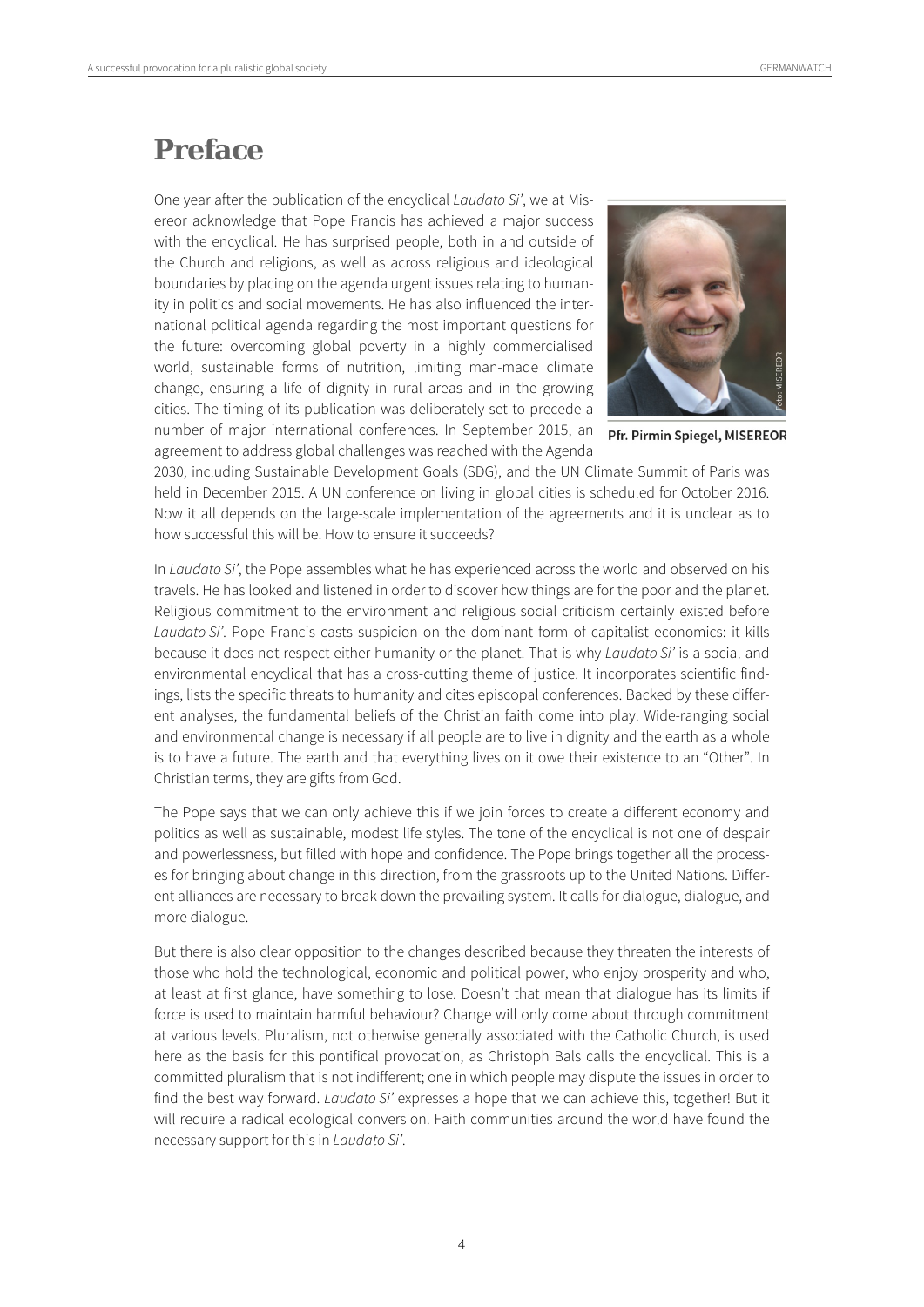# **Preface**

One year after the publication of the encyclical Laudato Si', we at Misereor acknowledge that Pope Francis has achieved a major success with the encyclical. He has surprised people, both in and outside of the Church and religions, as well as across religious and ideological boundaries by placing on the agenda urgent issues relating to humanity in politics and social movements. He has also influenced the international political agenda regarding the most important questions for the future: overcoming global poverty in a highly commercialised world, sustainable forms of nutrition, limiting man-made climate change, ensuring a life of dignity in rural areas and in the growing cities. The timing of its publication was deliberately set to precede a number of major international conferences. In September 2015, an agreement to address global challenges was reached with the Agenda



Pfr. Pirmin Spiegel, MISEREOR

2030, including Sustainable Development Goals (SDG), and the UN Climate Summit of Paris was held in December 2015. A UN conference on living in global cities is scheduled for October 2016. Now it all depends on the large-scale implementation of the agreements and it is unclear as to how successful this will be. How to ensure it succeeds?

In Laudato Si', the Pope assembles what he has experienced across the world and observed on his travels. He has looked and listened in order to discover how things are for the poor and the planet. Religious commitment to the environment and religious social criticism certainly existed before Laudato Si'. Pope Francis casts suspicion on the dominant form of capitalist economics: it kills because it does not respect either humanity or the planet. That is why Laudato Si' is a social and environmental encyclical that has a cross-cutting theme of justice. It incorporates scientific findings, lists the specific threats to humanity and cites episcopal conferences. Backed by these different analyses, the fundamental beliefs of the Christian faith come into play. Wide-ranging social and environmental change is necessary if all people are to live in dignity and the earth as a whole is to have a future. The earth and that everything lives on it owe their existence to an "Other". In Christian terms, they are gifts from God.

The Pope says that we can only achieve this if we join forces to create a different economy and politics as well as sustainable, modest life styles. The tone of the encyclical is not one of despair and powerlessness, but filled with hope and confidence. The Pope brings together all the processes for bringing about change in this direction, from the grassroots up to the United Nations. Different alliances are necessary to break down the prevailing system. It calls for dialogue, dialogue, and more dialogue.

But there is also clear opposition to the changes described because they threaten the interests of those who hold the technological, economic and political power, who enjoy prosperity and who, at least at first glance, have something to lose. Doesn't that mean that dialogue has its limits if force is used to maintain harmful behaviour? Change will only come about through commitment at various levels. Pluralism, not otherwise generally associated with the Catholic Church, is used here as the basis for this pontifical provocation, as Christoph Bals calls the encyclical. This is a committed pluralism that is not indifferent; one in which people may dispute the issues in order to find the best way forward. Laudato Si' expresses a hope that we can achieve this, together! But it will require a radical ecological conversion. Faith communities around the world have found the necessary support for this in Laudato Si'.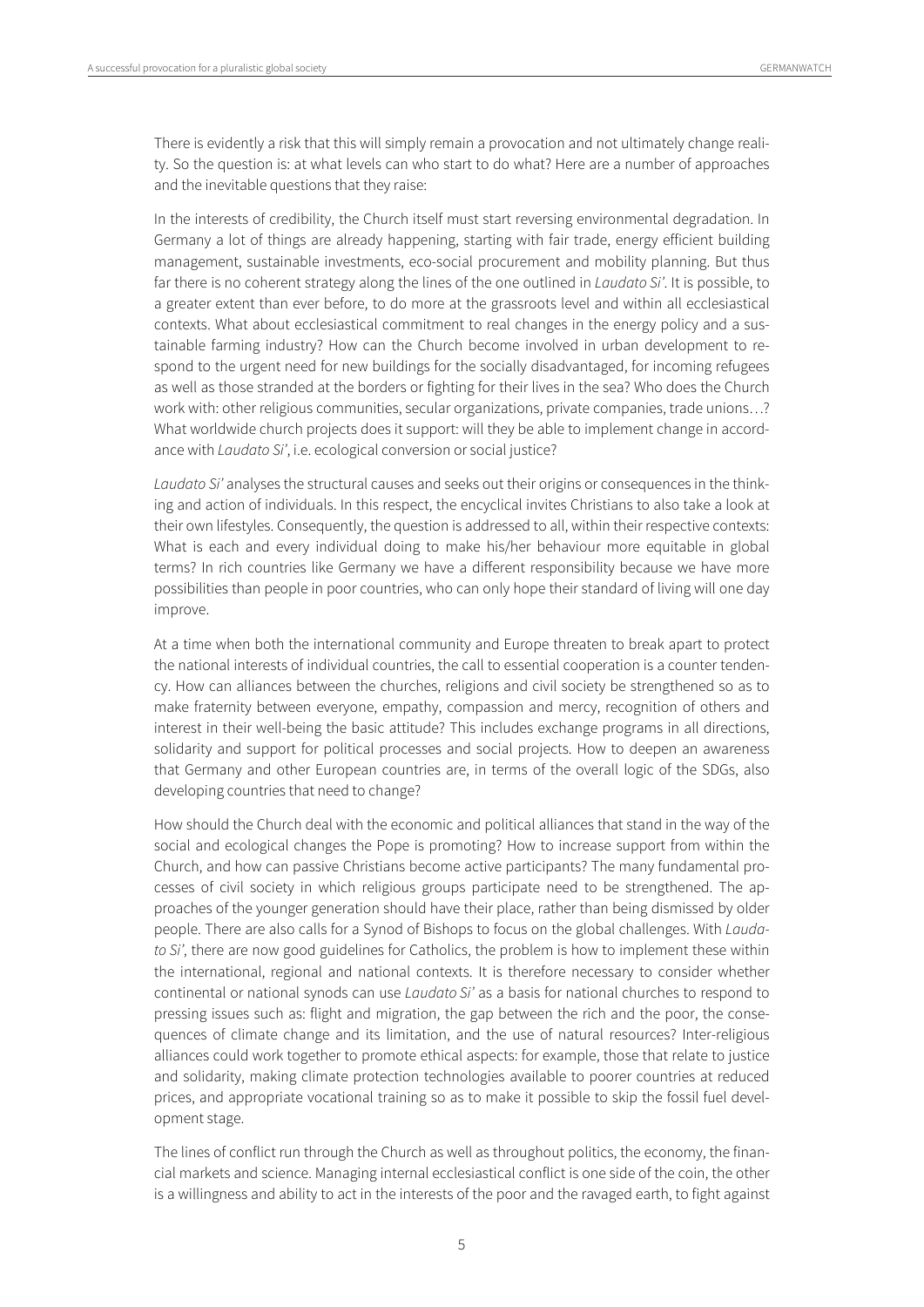There is evidently a risk that this will simply remain a provocation and not ultimately change reality. So the question is: at what levels can who start to do what? Here are a number of approaches and the inevitable questions that they raise:

In the interests of credibility, the Church itself must start reversing environmental degradation. In Germany a lot of things are already happening, starting with fair trade, energy efficient building management, sustainable investments, eco-social procurement and mobility planning. But thus far there is no coherent strategy along the lines of the one outlined in *Laudato Si'*. It is possible, to a greater extent than ever before, to do more at the grassroots level and within all ecclesiastical contexts. What about ecclesiastical commitment to real changes in the energy policy and a sustainable farming industry? How can the Church become involved in urban development to respond to the urgent need for new buildings for the socially disadvantaged, for incoming refugees as well as those stranded at the borders or fighting for their lives in the sea? Who does the Church work with: other religious communities, secular organizations, private companies, trade unions…? What worldwide church projects does it support: will they be able to implement change in accordance with Laudato Si', i.e. ecological conversion or social justice?

Laudato Si' analyses the structural causes and seeks out their origins or consequences in the thinking and action of individuals. In this respect, the encyclical invites Christians to also take a look at their own lifestyles. Consequently, the question is addressed to all, within their respective contexts: What is each and every individual doing to make his/her behaviour more equitable in global terms? In rich countries like Germany we have a different responsibility because we have more possibilities than people in poor countries, who can only hope their standard of living will one day improve.

At a time when both the international community and Europe threaten to break apart to protect the national interests of individual countries, the call to essential cooperation is a counter tendency. How can alliances between the churches, religions and civil society be strengthened so as to make fraternity between everyone, empathy, compassion and mercy, recognition of others and interest in their well-being the basic attitude? This includes exchange programs in all directions, solidarity and support for political processes and social projects. How to deepen an awareness that Germany and other European countries are, in terms of the overall logic of the SDGs, also developing countries that need to change?

How should the Church deal with the economic and political alliances that stand in the way of the social and ecological changes the Pope is promoting? How to increase support from within the Church, and how can passive Christians become active participants? The many fundamental processes of civil society in which religious groups participate need to be strengthened. The approaches of the younger generation should have their place, rather than being dismissed by older people. There are also calls for a Synod of Bishops to focus on the global challenges. With Laudato Si', there are now good guidelines for Catholics, the problem is how to implement these within the international, regional and national contexts. It is therefore necessary to consider whether continental or national synods can use Laudato Si' as a basis for national churches to respond to pressing issues such as: flight and migration, the gap between the rich and the poor, the consequences of climate change and its limitation, and the use of natural resources? Inter-religious alliances could work together to promote ethical aspects: for example, those that relate to justice and solidarity, making climate protection technologies available to poorer countries at reduced prices, and appropriate vocational training so as to make it possible to skip the fossil fuel development stage.

The lines of conflict run through the Church as well as throughout politics, the economy, the financial markets and science. Managing internal ecclesiastical conflict is one side of the coin, the other is a willingness and ability to act in the interests of the poor and the ravaged earth, to fight against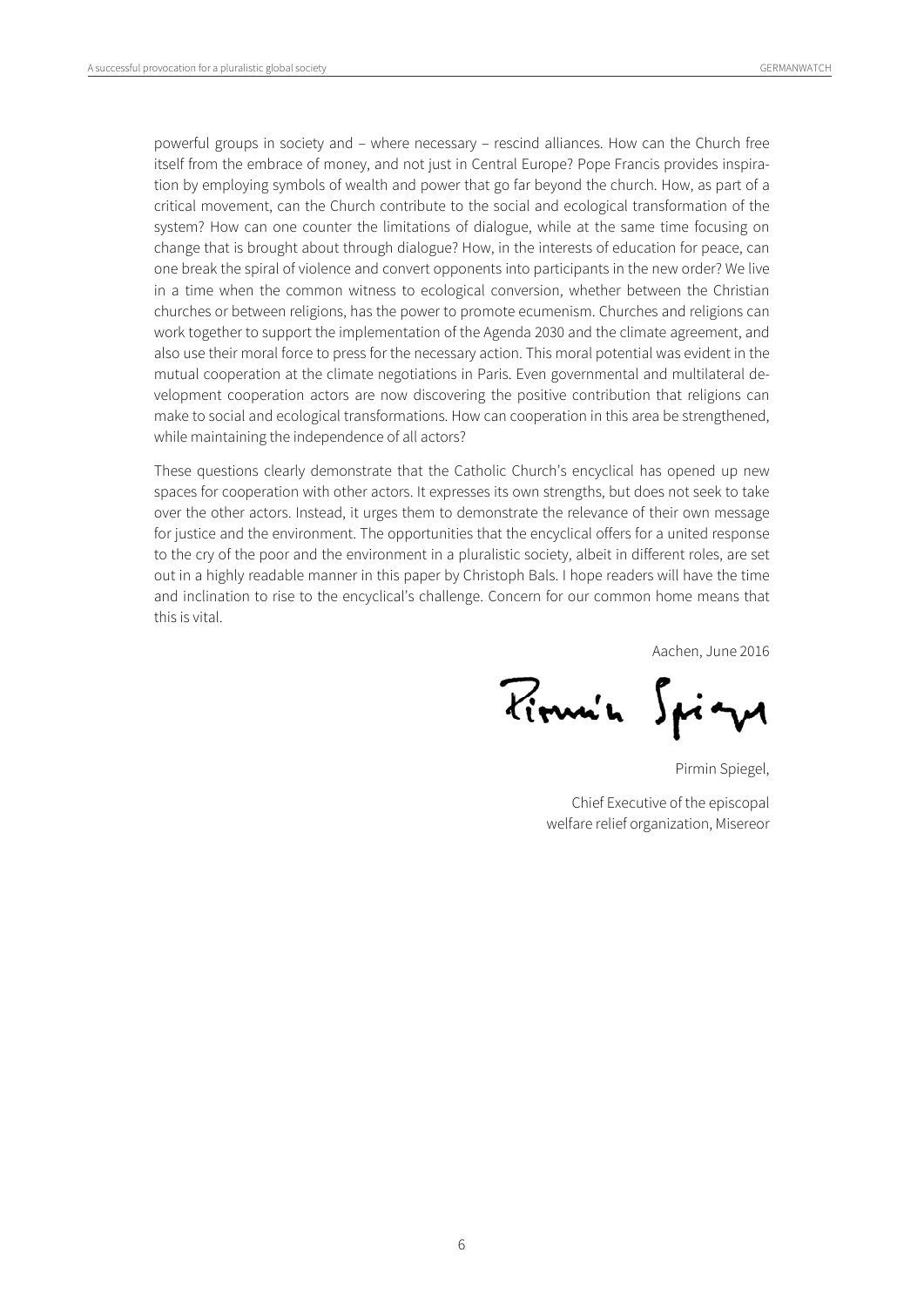powerful groups in society and – where necessary – rescind alliances. How can the Church free itself from the embrace of money, and not just in Central Europe? Pope Francis provides inspiration by employing symbols of wealth and power that go far beyond the church. How, as part of a critical movement, can the Church contribute to the social and ecological transformation of the system? How can one counter the limitations of dialogue, while at the same time focusing on change that is brought about through dialogue? How, in the interests of education for peace, can one break the spiral of violence and convert opponents into participants in the new order? We live in a time when the common witness to ecological conversion, whether between the Christian churches or between religions, has the power to promote ecumenism. Churches and religions can work together to support the implementation of the Agenda 2030 and the climate agreement, and also use their moral force to press for the necessary action. This moral potential was evident in the mutual cooperation at the climate negotiations in Paris. Even governmental and multilateral development cooperation actors are now discovering the positive contribution that religions can make to social and ecological transformations. How can cooperation in this area be strengthened, while maintaining the independence of all actors?

These questions clearly demonstrate that the Catholic Church's encyclical has opened up new spaces for cooperation with other actors. It expresses its own strengths, but does not seek to take over the other actors. Instead, it urges them to demonstrate the relevance of their own message for justice and the environment. The opportunities that the encyclical offers for a united response to the cry of the poor and the environment in a pluralistic society, albeit in different roles, are set out in a highly readable manner in this paper by Christoph Bals. I hope readers will have the time and inclination to rise to the encyclical's challenge. Concern for our common home means that this is vital.

Aachen, June 2016

Pirmin Spign

Pirmin Spiegel,

Chief Executive of the episcopal welfare relief organization, Misereor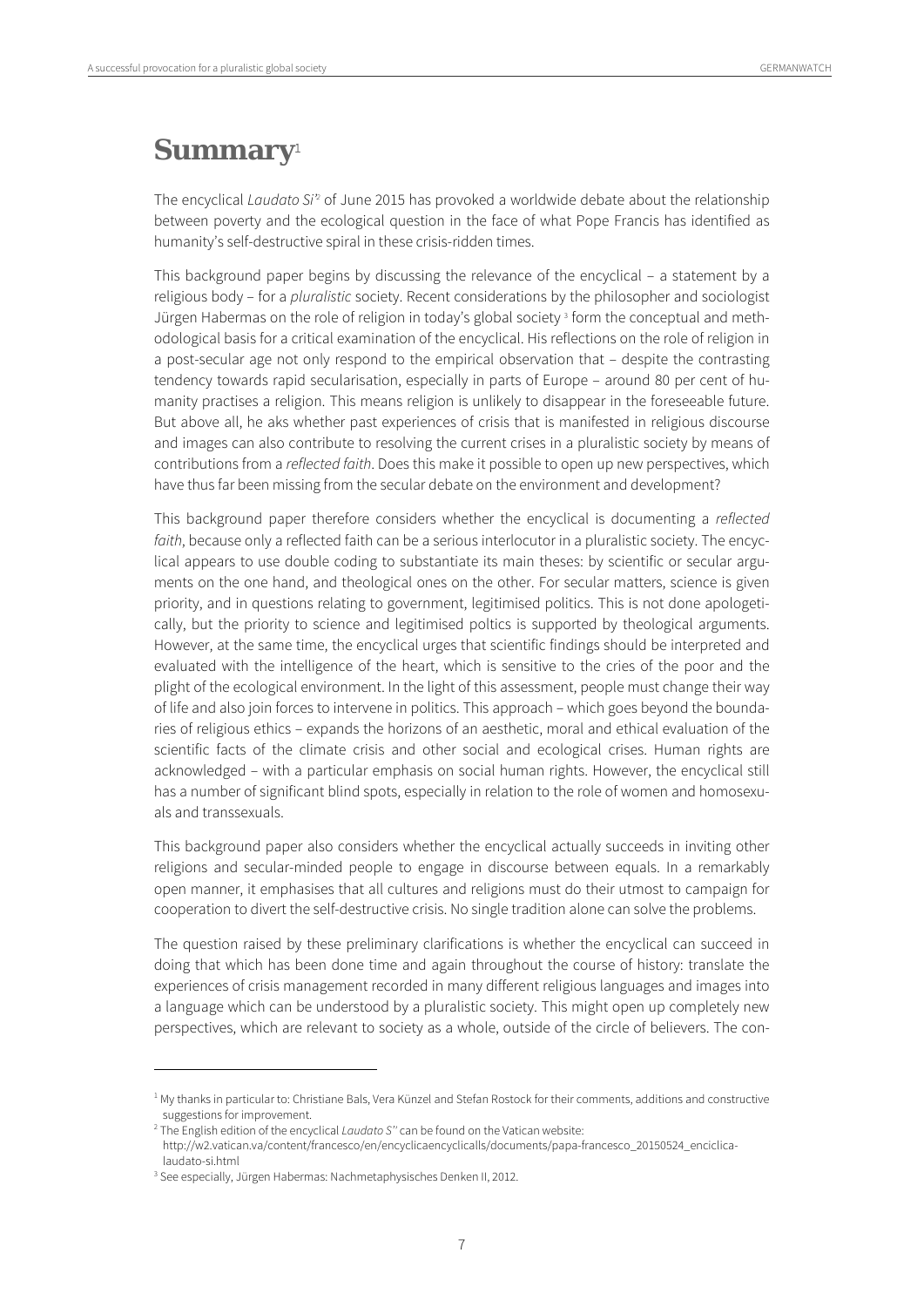# **Summary**<sup>1</sup>

The encyclical *Laudato Si*<sup>2</sup> of June 2015 has provoked a worldwide debate about the relationship between poverty and the ecological question in the face of what Pope Francis has identified as humanity's self-destructive spiral in these crisis-ridden times.

This background paper begins by discussing the relevance of the encyclical – a statement by a religious body – for a pluralistic society. Recent considerations by the philosopher and sociologist Jürgen Habermas on the role of religion in today's global society 3 form the conceptual and methodological basis for a critical examination of the encyclical. His reflections on the role of religion in a post-secular age not only respond to the empirical observation that – despite the contrasting tendency towards rapid secularisation, especially in parts of Europe – around 80 per cent of humanity practises a religion. This means religion is unlikely to disappear in the foreseeable future. But above all, he aks whether past experiences of crisis that is manifested in religious discourse and images can also contribute to resolving the current crises in a pluralistic society by means of contributions from a *reflected faith*. Does this make it possible to open up new perspectives, which have thus far been missing from the secular debate on the environment and development?

This background paper therefore considers whether the encyclical is documenting a reflected faith, because only a reflected faith can be a serious interlocutor in a pluralistic society. The encyclical appears to use double coding to substantiate its main theses: by scientific or secular arguments on the one hand, and theological ones on the other. For secular matters, science is given priority, and in questions relating to government, legitimised politics. This is not done apologetically, but the priority to science and legitimised poltics is supported by theological arguments. However, at the same time, the encyclical urges that scientific findings should be interpreted and evaluated with the intelligence of the heart, which is sensitive to the cries of the poor and the plight of the ecological environment. In the light of this assessment, people must change their way of life and also join forces to intervene in politics. This approach – which goes beyond the boundaries of religious ethics – expands the horizons of an aesthetic, moral and ethical evaluation of the scientific facts of the climate crisis and other social and ecological crises. Human rights are acknowledged – with a particular emphasis on social human rights. However, the encyclical still has a number of significant blind spots, especially in relation to the role of women and homosexuals and transsexuals.

This background paper also considers whether the encyclical actually succeeds in inviting other religions and secular-minded people to engage in discourse between equals. In a remarkably open manner, it emphasises that all cultures and religions must do their utmost to campaign for cooperation to divert the self-destructive crisis. No single tradition alone can solve the problems.

The question raised by these preliminary clarifications is whether the encyclical can succeed in doing that which has been done time and again throughout the course of history: translate the experiences of crisis management recorded in many different religious languages and images into a language which can be understood by a pluralistic society. This might open up completely new perspectives, which are relevant to society as a whole, outside of the circle of believers. The con-

<sup>&</sup>lt;sup>1</sup> My thanks in particular to: Christiane Bals, Vera Künzel and Stefan Rostock for their comments, additions and constructive suggestions for improvement.

<sup>&</sup>lt;sup>2</sup> The English edition of the encyclical Laudato S" can be found on the Vatican website:

http://w2.vatican.va/content/francesco/en/encyclicaencyclicalls/documents/papa-francesco\_20150524\_enciclicalaudato-si.html

<sup>&</sup>lt;sup>3</sup> See especially, Jürgen Habermas: Nachmetaphysisches Denken II, 2012.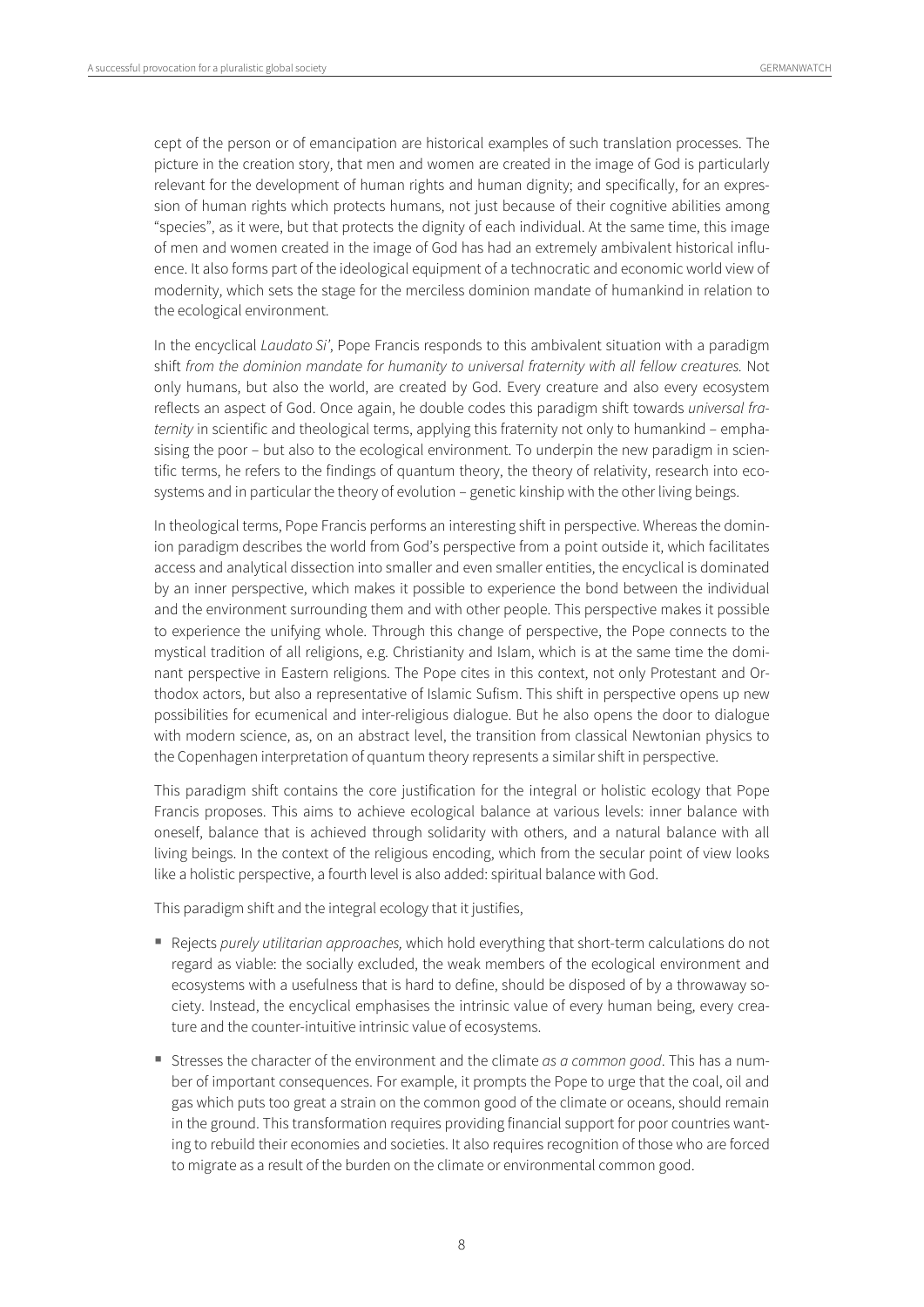cept of the person or of emancipation are historical examples of such translation processes. The picture in the creation story, that men and women are created in the image of God is particularly relevant for the development of human rights and human dignity; and specifically, for an expression of human rights which protects humans, not just because of their cognitive abilities among "species", as it were, but that protects the dignity of each individual. At the same time, this image of men and women created in the image of God has had an extremely ambivalent historical influence. It also forms part of the ideological equipment of a technocratic and economic world view of modernity, which sets the stage for the merciless dominion mandate of humankind in relation to the ecological environment.

In the encyclical Laudato Si', Pope Francis responds to this ambivalent situation with a paradigm shift from the dominion mandate for humanity to universal fraternity with all fellow creatures. Not only humans, but also the world, are created by God. Every creature and also every ecosystem reflects an aspect of God. Once again, he double codes this paradigm shift towards universal fraternity in scientific and theological terms, applying this fraternity not only to humankind – emphasising the poor – but also to the ecological environment. To underpin the new paradigm in scientific terms, he refers to the findings of quantum theory, the theory of relativity, research into ecosystems and in particular the theory of evolution – genetic kinship with the other living beings.

In theological terms, Pope Francis performs an interesting shift in perspective. Whereas the dominion paradigm describes the world from God's perspective from a point outside it, which facilitates access and analytical dissection into smaller and even smaller entities, the encyclical is dominated by an inner perspective, which makes it possible to experience the bond between the individual and the environment surrounding them and with other people. This perspective makes it possible to experience the unifying whole. Through this change of perspective, the Pope connects to the mystical tradition of all religions, e.g. Christianity and Islam, which is at the same time the dominant perspective in Eastern religions. The Pope cites in this context, not only Protestant and Orthodox actors, but also a representative of Islamic Sufism. This shift in perspective opens up new possibilities for ecumenical and inter-religious dialogue. But he also opens the door to dialogue with modern science, as, on an abstract level, the transition from classical Newtonian physics to the Copenhagen interpretation of quantum theory represents a similar shift in perspective.

This paradigm shift contains the core justification for the integral or holistic ecology that Pope Francis proposes. This aims to achieve ecological balance at various levels: inner balance with oneself, balance that is achieved through solidarity with others, and a natural balance with all living beings. In the context of the religious encoding, which from the secular point of view looks like a holistic perspective, a fourth level is also added: spiritual balance with God.

This paradigm shift and the integral ecology that it justifies,

- Rejects purely utilitarian approaches, which hold everything that short-term calculations do not regard as viable: the socially excluded, the weak members of the ecological environment and ecosystems with a usefulness that is hard to define, should be disposed of by a throwaway society. Instead, the encyclical emphasises the intrinsic value of every human being, every creature and the counter-intuitive intrinsic value of ecosystems.
- Stresses the character of the environment and the climate as a common good. This has a number of important consequences. For example, it prompts the Pope to urge that the coal, oil and gas which puts too great a strain on the common good of the climate or oceans, should remain in the ground. This transformation requires providing financial support for poor countries wanting to rebuild their economies and societies. It also requires recognition of those who are forced to migrate as a result of the burden on the climate or environmental common good.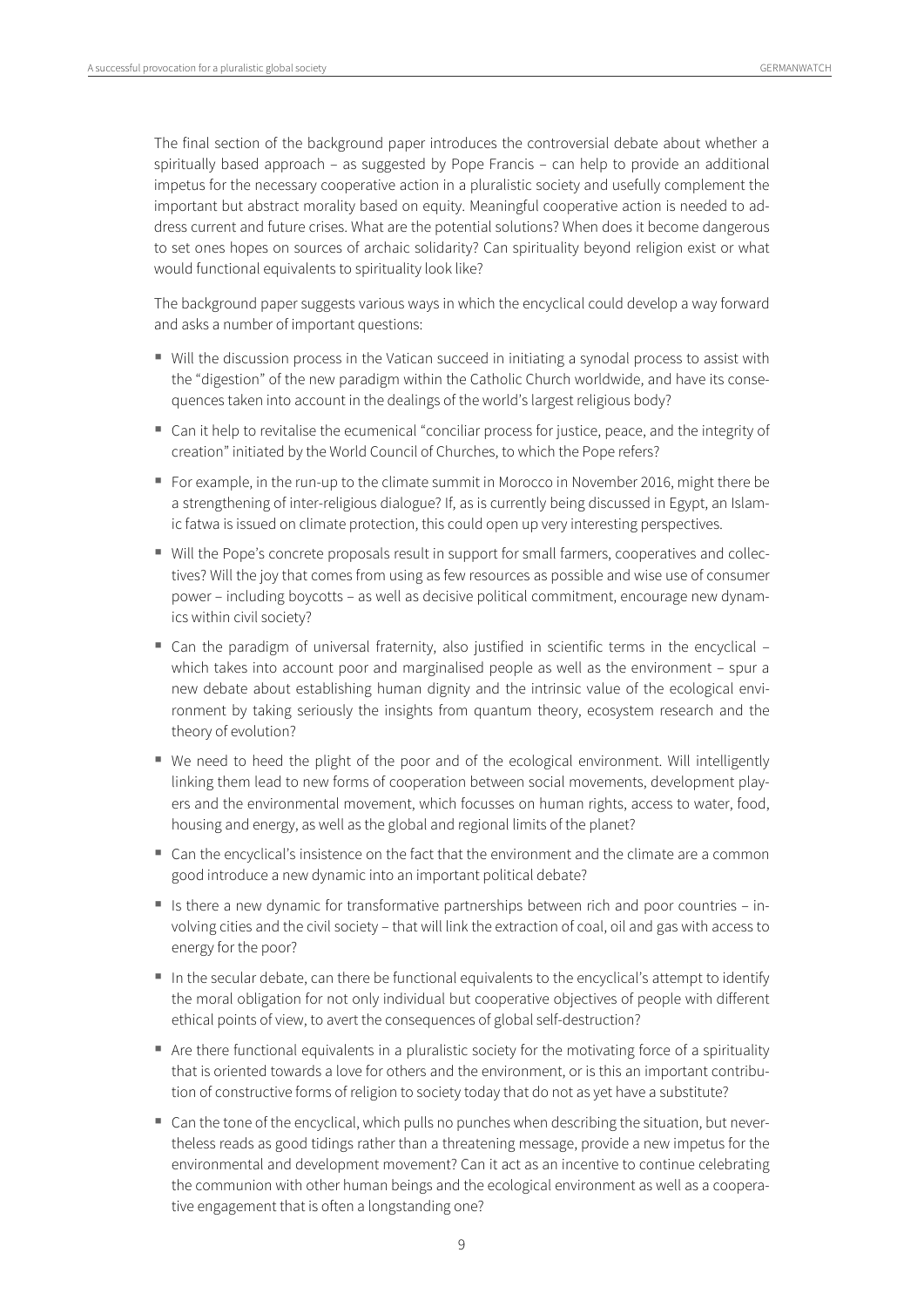The final section of the background paper introduces the controversial debate about whether a spiritually based approach – as suggested by Pope Francis – can help to provide an additional impetus for the necessary cooperative action in a pluralistic society and usefully complement the important but abstract morality based on equity. Meaningful cooperative action is needed to address current and future crises. What are the potential solutions? When does it become dangerous to set ones hopes on sources of archaic solidarity? Can spirituality beyond religion exist or what would functional equivalents to spirituality look like?

The background paper suggests various ways in which the encyclical could develop a way forward and asks a number of important questions:

- Will the discussion process in the Vatican succeed in initiating a synodal process to assist with the "digestion" of the new paradigm within the Catholic Church worldwide, and have its consequences taken into account in the dealings of the world's largest religious body?
- Can it help to revitalise the ecumenical "conciliar process for justice, peace, and the integrity of creation" initiated by the World Council of Churches, to which the Pope refers?
- For example, in the run-up to the climate summit in Morocco in November 2016, might there be a strengthening of inter-religious dialogue? If, as is currently being discussed in Egypt, an Islamic fatwa is issued on climate protection, this could open up very interesting perspectives.
- Will the Pope's concrete proposals result in support for small farmers, cooperatives and collectives? Will the joy that comes from using as few resources as possible and wise use of consumer power – including boycotts – as well as decisive political commitment, encourage new dynamics within civil society?
- Can the paradigm of universal fraternity, also justified in scientific terms in the encyclical which takes into account poor and marginalised people as well as the environment – spur a new debate about establishing human dignity and the intrinsic value of the ecological environment by taking seriously the insights from quantum theory, ecosystem research and the theory of evolution?
- We need to heed the plight of the poor and of the ecological environment. Will intelligently linking them lead to new forms of cooperation between social movements, development players and the environmental movement, which focusses on human rights, access to water, food, housing and energy, as well as the global and regional limits of the planet?
- Can the encyclical's insistence on the fact that the environment and the climate are a common good introduce a new dynamic into an important political debate?
- $\blacksquare$  Is there a new dynamic for transformative partnerships between rich and poor countries involving cities and the civil society – that will link the extraction of coal, oil and gas with access to energy for the poor?
- In the secular debate, can there be functional equivalents to the encyclical's attempt to identify the moral obligation for not only individual but cooperative objectives of people with different ethical points of view, to avert the consequences of global self-destruction?
- Are there functional equivalents in a pluralistic society for the motivating force of a spirituality that is oriented towards a love for others and the environment, or is this an important contribution of constructive forms of religion to society today that do not as yet have a substitute?
- Can the tone of the encyclical, which pulls no punches when describing the situation, but nevertheless reads as good tidings rather than a threatening message, provide a new impetus for the environmental and development movement? Can it act as an incentive to continue celebrating the communion with other human beings and the ecological environment as well as a cooperative engagement that is often a longstanding one?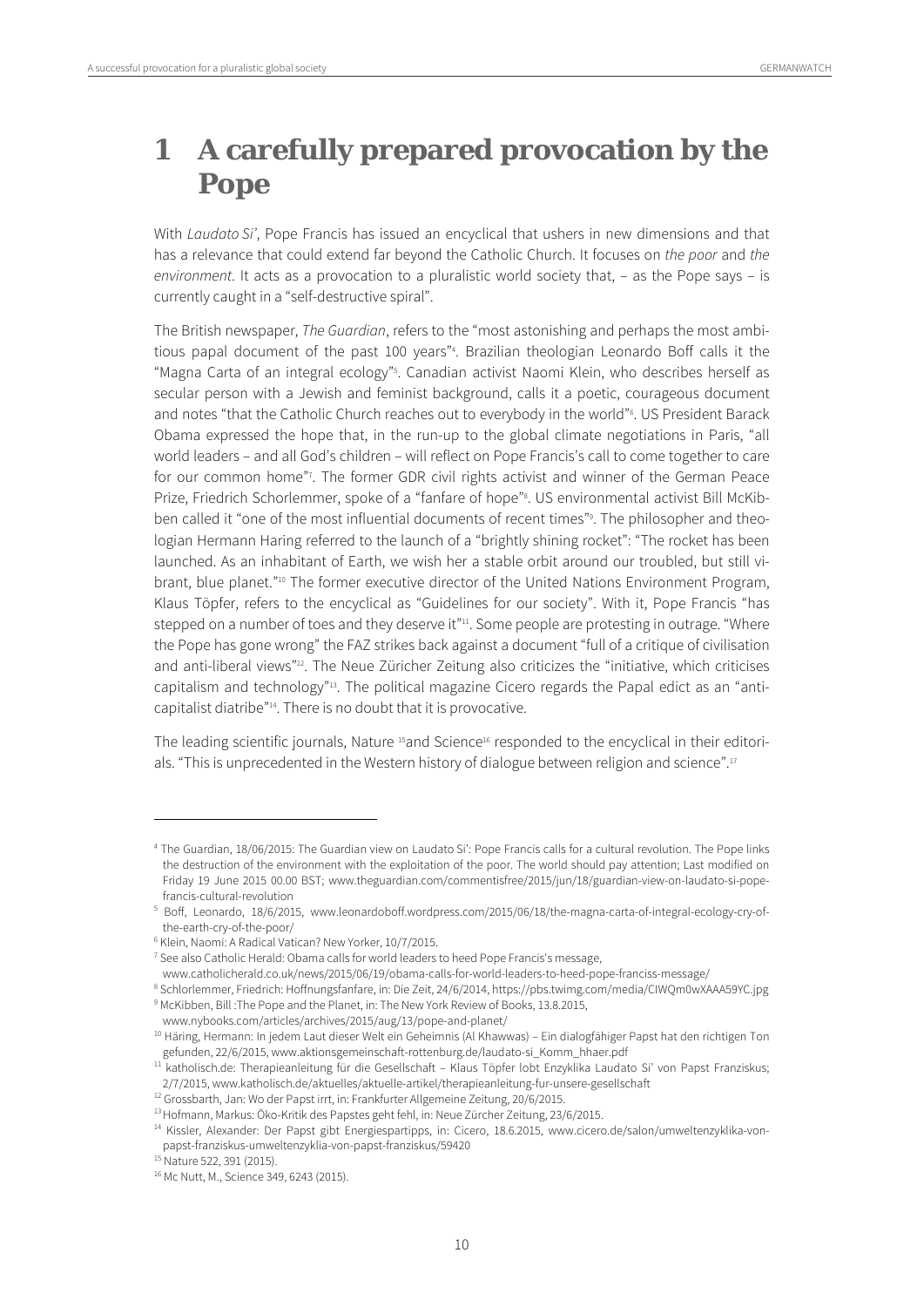# **1 A carefully prepared provocation by the Pope**

With Laudato Si', Pope Francis has issued an encyclical that ushers in new dimensions and that has a relevance that could extend far beyond the Catholic Church. It focuses on the poor and the environment. It acts as a provocation to a pluralistic world society that, – as the Pope says – is currently caught in a "self-destructive spiral".

The British newspaper, The Guardian, refers to the "most astonishing and perhaps the most ambitious papal document of the past 100 years"4 . Brazilian theologian Leonardo Boff calls it the "Magna Carta of an integral ecology"5 . Canadian activist Naomi Klein, who describes herself as secular person with a Jewish and feminist background, calls it a poetic, courageous document and notes "that the Catholic Church reaches out to everybody in the world"6 . US President Barack Obama expressed the hope that, in the run-up to the global climate negotiations in Paris, "all world leaders – and all God's children – will reflect on Pope Francis's call to come together to care for our common home"7 . The former GDR civil rights activist and winner of the German Peace Prize, Friedrich Schorlemmer, spoke of a "fanfare of hope"8 . US environmental activist Bill McKibben called it "one of the most influential documents of recent times"9 . The philosopher and theologian Hermann Haring referred to the launch of a "brightly shining rocket": "The rocket has been launched. As an inhabitant of Earth, we wish her a stable orbit around our troubled, but still vibrant, blue planet."10 The former executive director of the United Nations Environment Program, Klaus Töpfer, refers to the encyclical as "Guidelines for our society". With it, Pope Francis "has stepped on a number of toes and they deserve it"<sup>11</sup>. Some people are protesting in outrage. "Where the Pope has gone wrong" the FAZ strikes back against a document "full of a critique of civilisation and anti-liberal views"<sup>12</sup>. The Neue Züricher Zeitung also criticizes the "initiative, which criticises capitalism and technology"<sup>13</sup>. The political magazine Cicero regards the Papal edict as an "anticapitalist diatribe"14. There is no doubt that it is provocative.

The leading scientific journals, Nature <sup>15</sup>and Science<sup>16</sup> responded to the encyclical in their editorials. "This is unprecedented in the Western history of dialogue between religion and science".17

<sup>4</sup> The Guardian, 18/06/2015: The Guardian view on Laudato Si': Pope Francis calls for a cultural revolution. The Pope links the destruction of the environment with the exploitation of the poor. The world should pay attention; Last modified on Friday 19 June 2015 00.00 BST; www.theguardian.com/commentisfree/2015/jun/18/guardian-view-on-laudato-si-popefrancis-cultural-revolution

<sup>5</sup> Boff, Leonardo, 18/6/2015, www.leonardoboff.wordpress.com/2015/06/18/the-magna-carta-of-integral-ecology-cry-ofthe-earth-cry-of-the-poor/

<sup>6</sup> Klein, Naomi: A Radical Vatican? New Yorker, 10/7/2015.

<sup>&</sup>lt;sup>7</sup> See also Catholic Herald: Obama calls for world leaders to heed Pope Francis's message,

www.catholicherald.co.uk/news/2015/06/19/obama-calls-for-world-leaders-to-heed-pope-franciss-message/ 8

<sup>&</sup>lt;sup>8</sup> Schlorlemmer, Friedrich: Hoffnungsfanfare, in: Die Zeit, 24/6/2014, https://pbs.twimg.com/media/CIWQm0wXAAA59YC.jpg <sup>9</sup> McKibben, Bill :The Pope and the Planet, in: The New York Review of Books, 13.8.2015,

www.nybooks.com/articles/archives/2015/aug/13/pope-and-planet/<br><sup>10</sup> Häring, Hermann: In jedem Laut dieser Welt ein Geheimnis (Al Khawwas) – Ein dialogfähiger Papst hat den richtigen Ton

gefunden, 22/6/2015, www.aktionsgemeinschaft-rottenburg.de/laudato-si\_Komm\_hhaer.pdf 11 katholisch.de: Therapieanleitung für die Gesellschaft – Klaus Töpfer lobt Enzyklika Laudato Si' von Papst Franziskus;

<sup>2/7/2015,</sup> www.katholisch.de/aktuelles/aktuelle-artikel/therapieanleitung-fur-unsere-gesellschaft<br><sup>12</sup> Grossbarth, Jan: Wo der Papst irrt, in: Frankfurter Allgemeine Zeitung, 20/6/2015.<br><sup>13</sup> Hofmann, Markus: Öko-Kritik des papst-franziskus-umweltenzyklia-von-papst-franziskus/59420 15 Nature 522, 391 (2015).

<sup>16</sup> Mc Nutt, M., Science 349, 6243 (2015).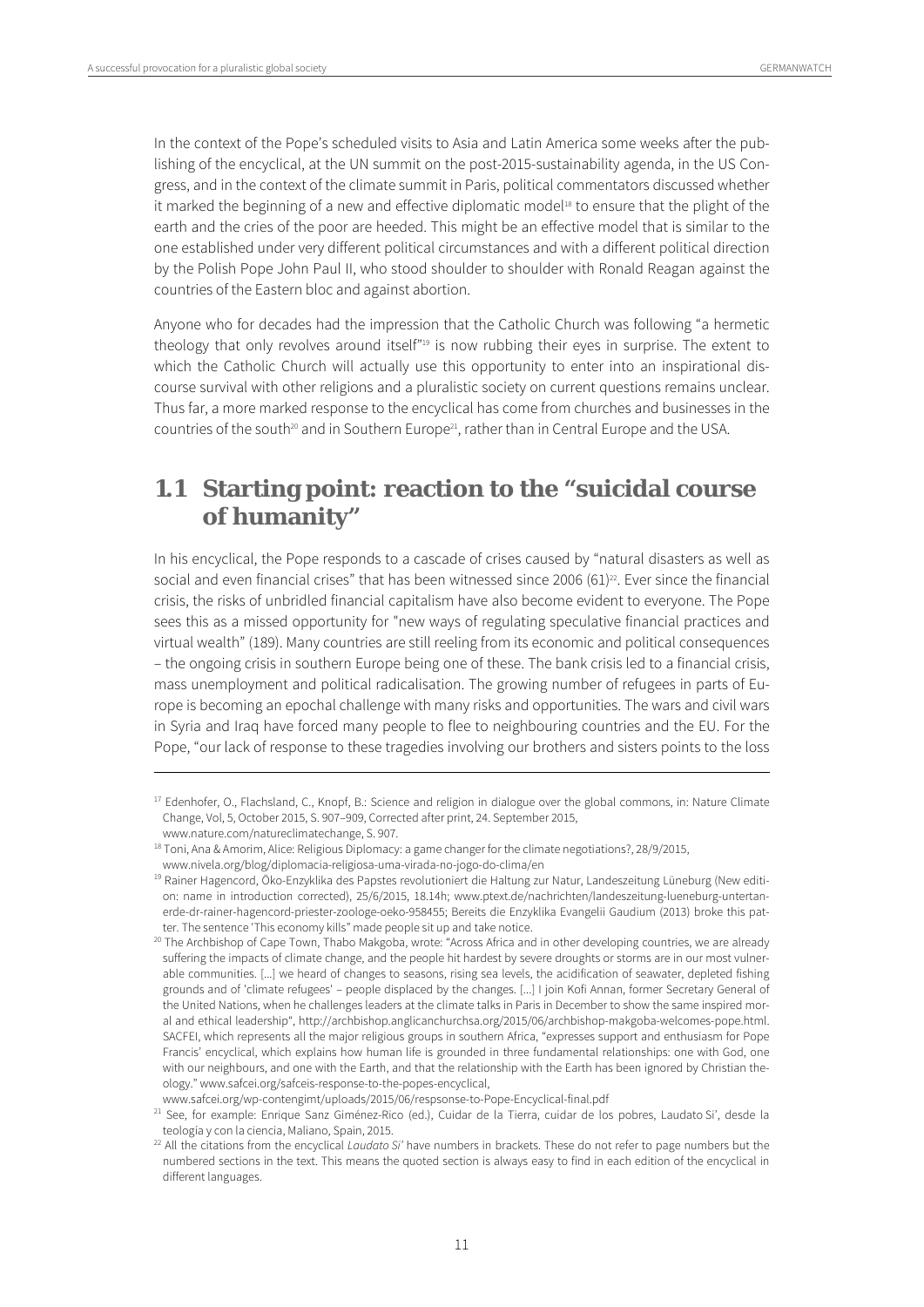In the context of the Pope's scheduled visits to Asia and Latin America some weeks after the publishing of the encyclical, at the UN summit on the post-2015-sustainability agenda, in the US Congress, and in the context of the climate summit in Paris, political commentators discussed whether it marked the beginning of a new and effective diplomatic model<sup>18</sup> to ensure that the plight of the earth and the cries of the poor are heeded. This might be an effective model that is similar to the one established under very different political circumstances and with a different political direction by the Polish Pope John Paul II, who stood shoulder to shoulder with Ronald Reagan against the countries of the Eastern bloc and against abortion.

Anyone who for decades had the impression that the Catholic Church was following "a hermetic theology that only revolves around itself"<sup>19</sup> is now rubbing their eyes in surprise. The extent to which the Catholic Church will actually use this opportunity to enter into an inspirational discourse survival with other religions and a pluralistic society on current questions remains unclear. Thus far, a more marked response to the encyclical has come from churches and businesses in the countries of the south<sup>20</sup> and in Southern Europe<sup>21</sup>, rather than in Central Europe and the USA.

# **1.1 Starting point: reaction to the "suicidal course of humanity"**

In his encyclical, the Pope responds to a cascade of crises caused by "natural disasters as well as social and even financial crises" that has been witnessed since 2006 (61) $^{22}$ . Ever since the financial crisis, the risks of unbridled financial capitalism have also become evident to everyone. The Pope sees this as a missed opportunity for "new ways of regulating speculative financial practices and virtual wealth" (189). Many countries are still reeling from its economic and political consequences – the ongoing crisis in southern Europe being one of these. The bank crisis led to a financial crisis, mass unemployment and political radicalisation. The growing number of refugees in parts of Europe is becoming an epochal challenge with many risks and opportunities. The wars and civil wars in Syria and Iraq have forced many people to flee to neighbouring countries and the EU. For the Pope, "our lack of response to these tragedies involving our brothers and sisters points to the loss

<u>.</u>

 $17$  Edenhofer, O., Flachsland, C., Knopf, B.: Science and religion in dialogue over the global commons, in: Nature Climate Change, Vol, 5, October 2015, S. 907–909, Corrected after print, 24. September 2015,

www.nature.com/natureclimatechange, S. 907.

<sup>&</sup>lt;sup>18</sup> Toni, Ana & Amorim, Alice: Religious Diplomacy: a game changer for the climate negotiations?, 28/9/2015,

www.nivela.org/blog/diplomacia-religiosa-uma-virada-no-jogo-do-clima/en<br><sup>19</sup> Rainer Hagencord, Öko-Enzyklika des Papstes revolutioniert die Haltung zur Natur, Landeszeitung Lüneburg (New edition: name in introduction corrected), 25/6/2015, 18.14h; www.ptext.de/nachrichten/landeszeitung-lueneburg-untertanerde-dr-rainer-hagencord-priester-zoologe-oeko-958455; Bereits die Enzyklika Evangelii Gaudium (2013) broke this patter. The sentence 'This economy kills" made people sit up and take notice.

<sup>&</sup>lt;sup>20</sup> The Archbishop of Cape Town, Thabo Makgoba, wrote: "Across Africa and in other developing countries, we are already suffering the impacts of climate change, and the people hit hardest by severe droughts or storms are in our most vulnerable communities. [...] we heard of changes to seasons, rising sea levels, the acidification of seawater, depleted fishing grounds and of 'climate refugees' – people displaced by the changes. [...] I join Kofi Annan, former Secretary General of the United Nations, when he challenges leaders at the climate talks in Paris in December to show the same inspired moral and ethical leadership", http://archbishop.anglicanchurchsa.org/2015/06/archbishop-makgoba-welcomes-pope.html. SACFEI, which represents all the major religious groups in southern Africa, "expresses support and enthusiasm for Pope Francis' encyclical, which explains how human life is grounded in three fundamental relationships: one with God, one with our neighbours, and one with the Earth, and that the relationship with the Earth has been ignored by Christian theology." www.safcei.org/safceis-response-to-the-popes-encyclical,

www.safcei.org/wp-contengimt/uploads/2015/06/respsonse-to-Pope-Encyclical-final.pdf<br><sup>21</sup> See, for example: Enrique Sanz Giménez-Rico (ed.), Cuidar de la Tierra, cuidar de los pobres, Laudato Si', desde la

teología y con la ciencia, Maliano, Spain, 2015.<br><sup>22</sup> All the citations from the encyclical *Laudato Si'* have numbers in brackets. These do not refer to page numbers but the numbered sections in the text. This means the quoted section is always easy to find in each edition of the encyclical in different languages.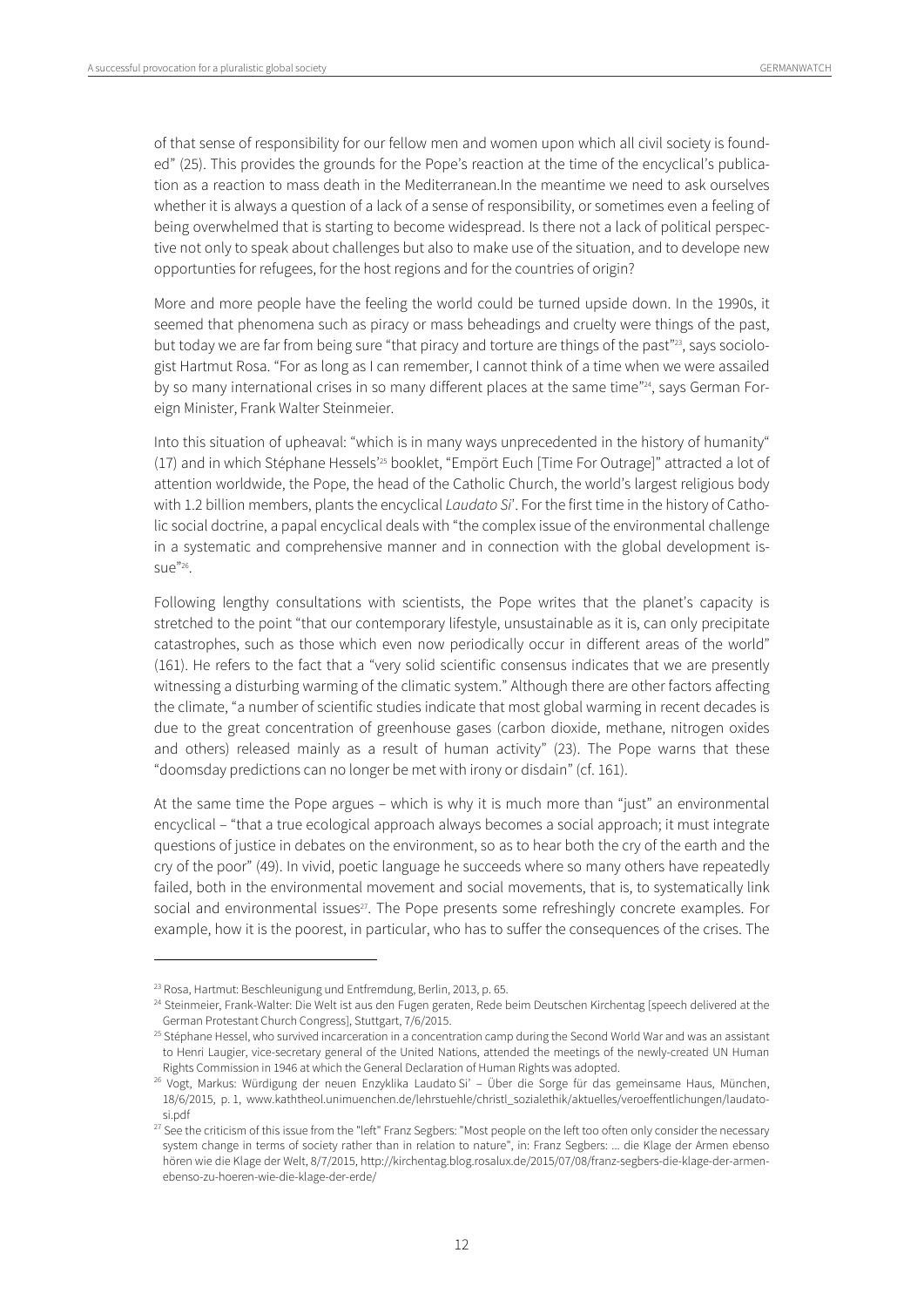of that sense of responsibility for our fellow men and women upon which all civil society is founded" (25). This provides the grounds for the Pope's reaction at the time of the encyclical's publication as a reaction to mass death in the Mediterranean.In the meantime we need to ask ourselves whether it is always a question of a lack of a sense of responsibility, or sometimes even a feeling of being overwhelmed that is starting to become widespread. Is there not a lack of political perspective not only to speak about challenges but also to make use of the situation, and to develope new opportunties for refugees, for the host regions and for the countries of origin?

More and more people have the feeling the world could be turned upside down. In the 1990s, it seemed that phenomena such as piracy or mass beheadings and cruelty were things of the past, but today we are far from being sure "that piracy and torture are things of the past"<sup>23</sup>, says sociologist Hartmut Rosa. "For as long as I can remember, I cannot think of a time when we were assailed by so many international crises in so many different places at the same time"24, says German Foreign Minister, Frank Walter Steinmeier.

Into this situation of upheaval: "which is in many ways unprecedented in the history of humanity" (17) and in which Stéphane Hessels'25 booklet, "Empört Euch [Time For Outrage]" attracted a lot of attention worldwide, the Pope, the head of the Catholic Church, the world's largest religious body with 1.2 billion members, plants the encyclical Laudato Si'. For the first time in the history of Catholic social doctrine, a papal encyclical deals with "the complex issue of the environmental challenge in a systematic and comprehensive manner and in connection with the global development is- $SIIP^{"26}$ 

Following lengthy consultations with scientists, the Pope writes that the planet's capacity is stretched to the point "that our contemporary lifestyle, unsustainable as it is, can only precipitate catastrophes, such as those which even now periodically occur in different areas of the world" (161). He refers to the fact that a "very solid scientific consensus indicates that we are presently witnessing a disturbing warming of the climatic system." Although there are other factors affecting the climate, "a number of scientific studies indicate that most global warming in recent decades is due to the great concentration of greenhouse gases (carbon dioxide, methane, nitrogen oxides and others) released mainly as a result of human activity" (23). The Pope warns that these "doomsday predictions can no longer be met with irony or disdain" (cf. 161).

At the same time the Pope argues – which is why it is much more than "just" an environmental encyclical – "that a true ecological approach always becomes a social approach; it must integrate questions of justice in debates on the environment, so as to hear both the cry of the earth and the cry of the poor" (49). In vivid, poetic language he succeeds where so many others have repeatedly failed, both in the environmental movement and social movements, that is, to systematically link social and environmental issues<sup>27</sup>. The Pope presents some refreshingly concrete examples. For example, how it is the poorest, in particular, who has to suffer the consequences of the crises. The

<sup>&</sup>lt;sup>23</sup> Rosa, Hartmut: Beschleunigung und Entfremdung, Berlin, 2013, p. 65.<br><sup>24</sup> Steinmeier, Frank-Walter: Die Welt ist aus den Fugen geraten, Rede beim Deutschen Kirchentag [speech delivered at the German Protestant Church Congress], Stuttgart, 7/6/2015.<br><sup>25</sup> Stéphane Hessel, who survived incarceration in a concentration camp during the Second World War and was an assistant

to Henri Laugier, vice-secretary general of the United Nations, attended the meetings of the newly-created UN Human Rights Commission in 1946 at which the General Declaration of Human Rights was adopted.<br><sup>26</sup> Vogt, Markus: Würdigung der neuen Enzyklika Laudato Si' – Über die Sorge für das gemeinsame Haus, München,

<sup>18/6/2015,</sup> p. 1, www.kaththeol.unimuenchen.de/lehrstuehle/christl\_sozialethik/aktuelles/veroeffentlichungen/laudatosi.pdf

<sup>&</sup>lt;sup>27</sup> See the criticism of this issue from the "left" Franz Segbers: "Most people on the left too often only consider the necessary system change in terms of society rather than in relation to nature", in: Franz Segbers: ... die Klage der Armen ebenso hören wie die Klage der Welt, 8/7/2015, http://kirchentag.blog.rosalux.de/2015/07/08/franz-segbers-die-klage-der-armenebenso-zu-hoeren-wie-die-klage-der-erde/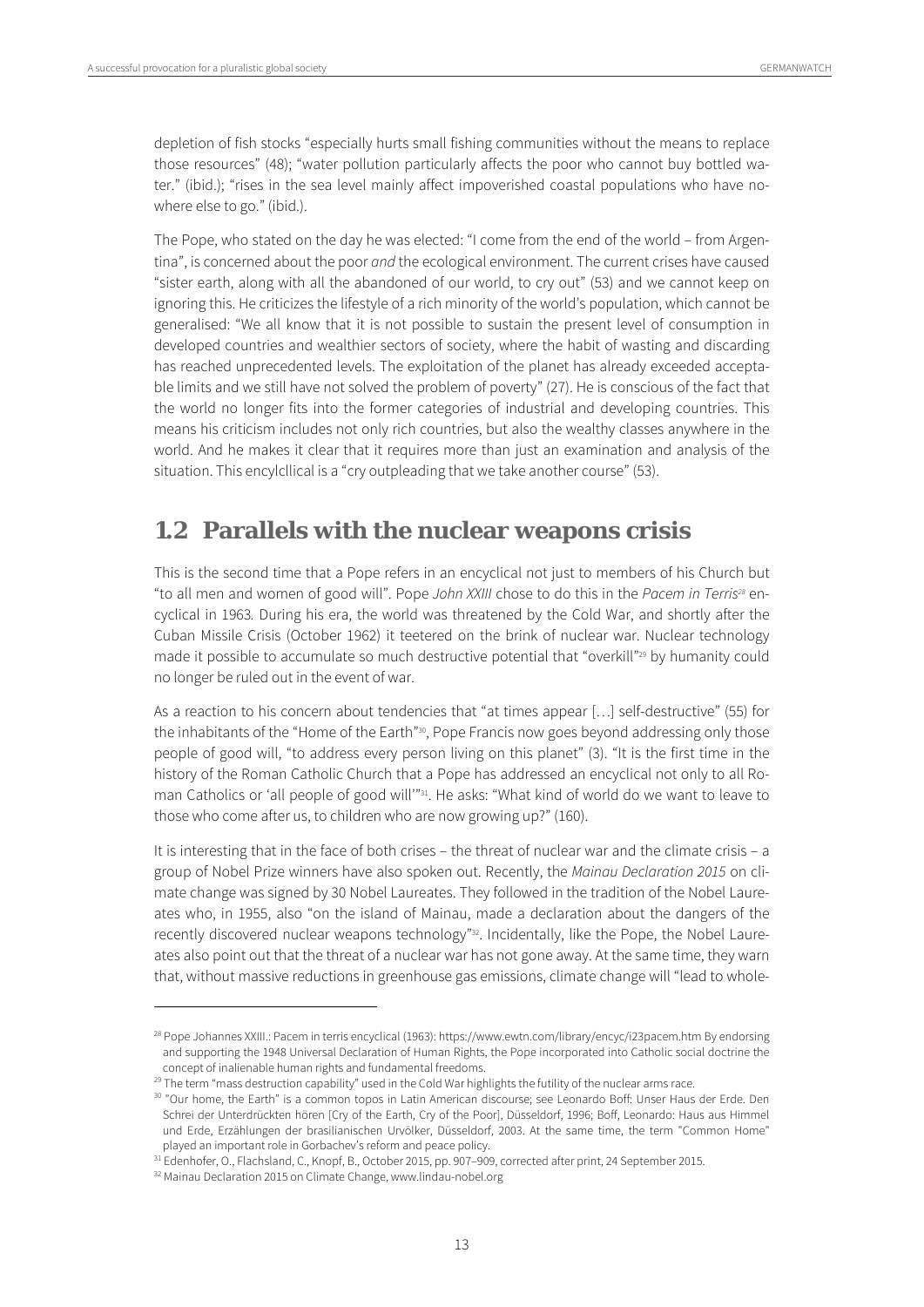depletion of fish stocks "especially hurts small fishing communities without the means to replace those resources" (48); "water pollution particularly affects the poor who cannot buy bottled water." (ibid.); "rises in the sea level mainly affect impoverished coastal populations who have nowhere else to go." (ibid.).

The Pope, who stated on the day he was elected: "I come from the end of the world – from Argentina", is concerned about the poor and the ecological environment. The current crises have caused "sister earth, along with all the abandoned of our world, to cry out" (53) and we cannot keep on ignoring this. He criticizes the lifestyle of a rich minority of the world's population, which cannot be generalised: "We all know that it is not possible to sustain the present level of consumption in developed countries and wealthier sectors of society, where the habit of wasting and discarding has reached unprecedented levels. The exploitation of the planet has already exceeded acceptable limits and we still have not solved the problem of poverty" (27). He is conscious of the fact that the world no longer fits into the former categories of industrial and developing countries. This means his criticism includes not only rich countries, but also the wealthy classes anywhere in the world. And he makes it clear that it requires more than just an examination and analysis of the situation. This encylcllical is a "cry outpleading that we take another course" (53).

# **1.2 Parallels with the nuclear weapons crisis**

This is the second time that a Pope refers in an encyclical not just to members of his Church but "to all men and women of good will". Pope John XXIII chose to do this in the Pacem in Terris<sup>28</sup> encyclical in 1963. During his era, the world was threatened by the Cold War, and shortly after the Cuban Missile Crisis (October 1962) it teetered on the brink of nuclear war. Nuclear technology made it possible to accumulate so much destructive potential that "overkill"<sup>29</sup> by humanity could no longer be ruled out in the event of war.

As a reaction to his concern about tendencies that "at times appear […] self-destructive" (55) for the inhabitants of the "Home of the Earth"<sup>30</sup>, Pope Francis now goes beyond addressing only those people of good will, "to address every person living on this planet" (3). "It is the first time in the history of the Roman Catholic Church that a Pope has addressed an encyclical not only to all Roman Catholics or 'all people of good will'"31. He asks: "What kind of world do we want to leave to those who come after us, to children who are now growing up?" (160).

It is interesting that in the face of both crises – the threat of nuclear war and the climate crisis – a group of Nobel Prize winners have also spoken out. Recently, the Mainau Declaration 2015 on climate change was signed by 30 Nobel Laureates. They followed in the tradition of the Nobel Laureates who, in 1955, also "on the island of Mainau, made a declaration about the dangers of the recently discovered nuclear weapons technology"<sup>32</sup>. Incidentally, like the Pope, the Nobel Laureates also point out that the threat of a nuclear war has not gone away. At the same time, they warn that, without massive reductions in greenhouse gas emissions, climate change will "lead to whole-

<sup>28</sup> Pope Johannes XXIII.: Pacem in terris encyclical (1963): https://www.ewtn.com/library/encyc/i23pacem.htm By endorsing and supporting the 1948 Universal Declaration of Human Rights, the Pope incorporated into Catholic social doctrine the concept of inalienable human rights and fundamental freedoms.

<sup>&</sup>lt;sup>29</sup> The term "mass destruction capability" used in the Cold War highlights the futility of the nuclear arms race.

<sup>&</sup>lt;sup>30</sup> "Our home, the Earth" is a common topos in Latin American discourse; see Leonardo Boff: Unser Haus der Erde. Den Schrei der Unterdrückten hören [Cry of the Earth, Cry of the Poor], Düsseldorf, 1996; Boff, Leonardo: Haus aus Himmel und Erde, Erzählungen der brasilianischen Urvölker, Düsseldorf, 2003. At the same time, the term "Common Home" played an important role in Gorbachev's reform and peace policy.

<sup>&</sup>lt;sup>31</sup> Edenhofer, O., Flachsland, C., Knopf, B., October 2015, pp. 907-909, corrected after print, 24 September 2015.

<sup>&</sup>lt;sup>32</sup> Mainau Declaration 2015 on Climate Change, www.lindau-nobel.org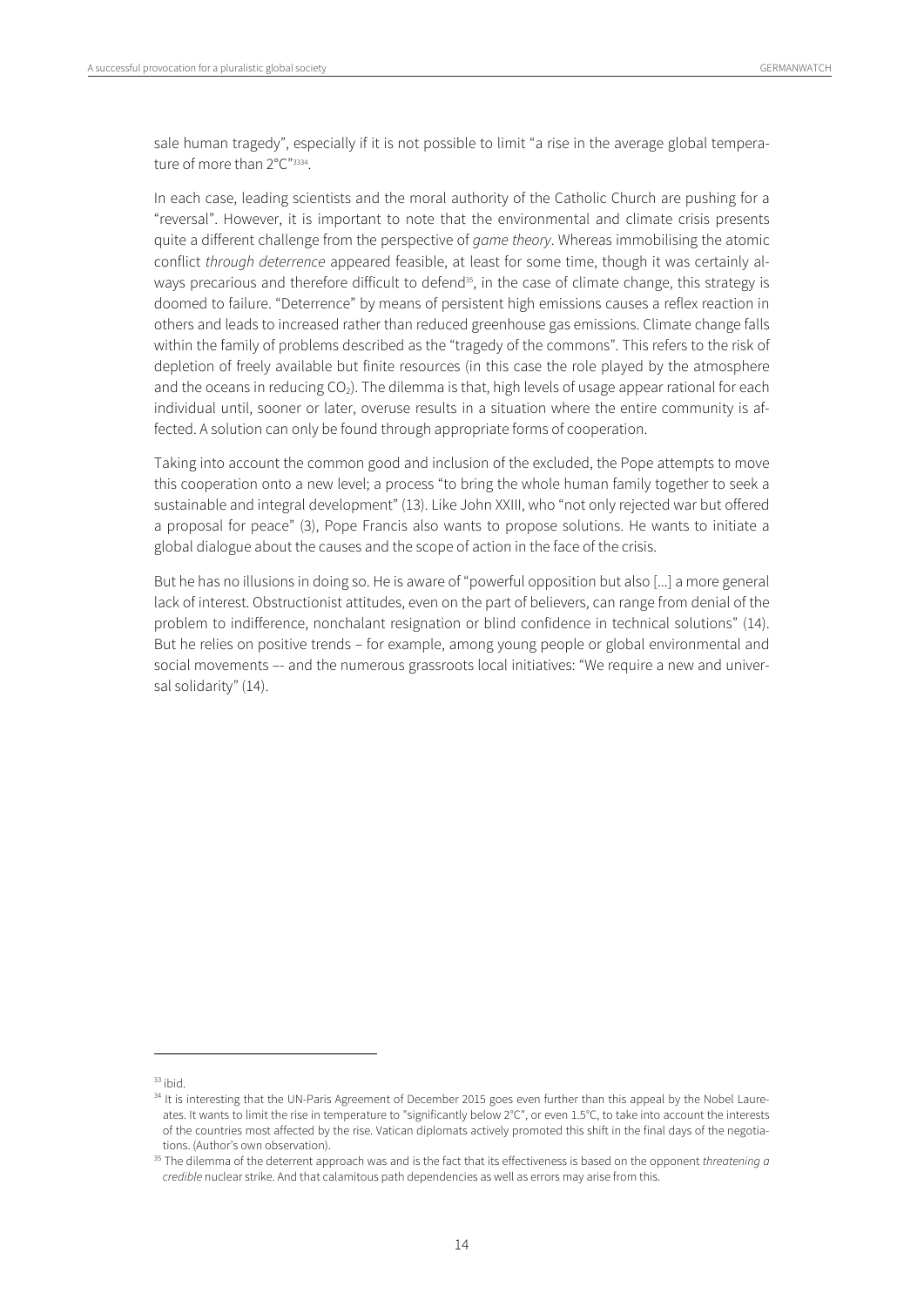sale human tragedy", especially if it is not possible to limit "a rise in the average global temperature of more than 2°C"<sup>3334</sup>.

In each case, leading scientists and the moral authority of the Catholic Church are pushing for a "reversal". However, it is important to note that the environmental and climate crisis presents quite a different challenge from the perspective of *game theory*. Whereas immobilising the atomic conflict through deterrence appeared feasible, at least for some time, though it was certainly always precarious and therefore difficult to defend<sup>35</sup>, in the case of climate change, this strategy is doomed to failure. "Deterrence" by means of persistent high emissions causes a reflex reaction in others and leads to increased rather than reduced greenhouse gas emissions. Climate change falls within the family of problems described as the "tragedy of the commons". This refers to the risk of depletion of freely available but finite resources (in this case the role played by the atmosphere and the oceans in reducing  $CO<sub>2</sub>$ ). The dilemma is that, high levels of usage appear rational for each individual until, sooner or later, overuse results in a situation where the entire community is affected. A solution can only be found through appropriate forms of cooperation.

Taking into account the common good and inclusion of the excluded, the Pope attempts to move this cooperation onto a new level; a process "to bring the whole human family together to seek a sustainable and integral development" (13). Like John XXIII, who "not only rejected war but offered a proposal for peace" (3), Pope Francis also wants to propose solutions. He wants to initiate a global dialogue about the causes and the scope of action in the face of the crisis.

But he has no illusions in doing so. He is aware of "powerful opposition but also [...] a more general lack of interest. Obstructionist attitudes, even on the part of believers, can range from denial of the problem to indifference, nonchalant resignation or blind confidence in technical solutions" (14). But he relies on positive trends – for example, among young people or global environmental and social movements -- and the numerous grassroots local initiatives: "We require a new and universal solidarity" (14).

 $33$  ibid.

<sup>&</sup>lt;sup>34</sup> It is interesting that the UN-Paris Agreement of December 2015 goes even further than this appeal by the Nobel Laureates. It wants to limit the rise in temperature to "significantly below 2°C", or even 1.5°C, to take into account the interests of the countries most affected by the rise. Vatican diplomats actively promoted this shift in the final days of the negotiations. (Author's own observation).

<sup>&</sup>lt;sup>35</sup> The dilemma of the deterrent approach was and is the fact that its effectiveness is based on the opponent threatening a credible nuclear strike. And that calamitous path dependencies as well as errors may arise from this.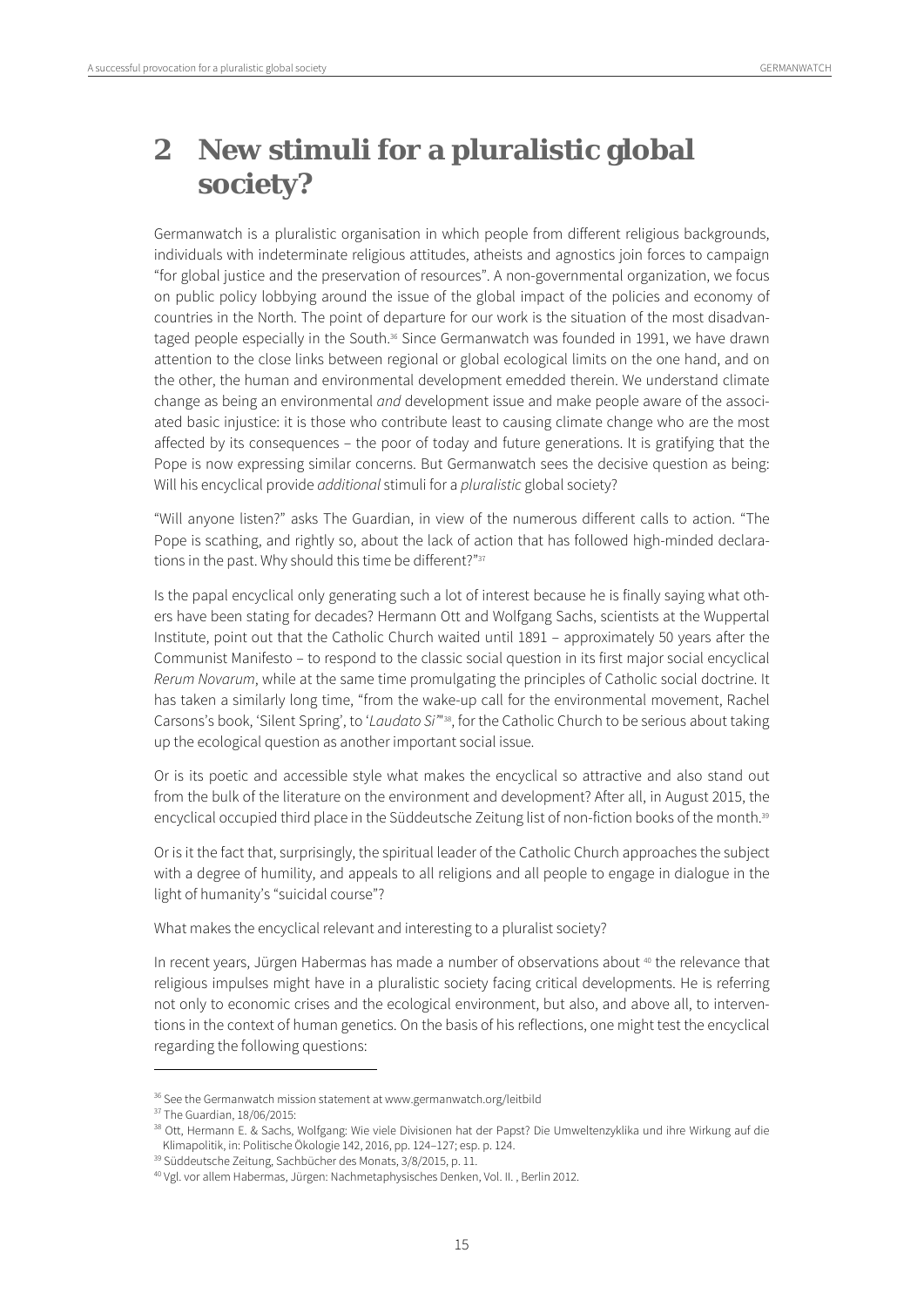# **2 New stimuli for a pluralistic global society?**

Germanwatch is a pluralistic organisation in which people from different religious backgrounds, individuals with indeterminate religious attitudes, atheists and agnostics join forces to campaign "for global justice and the preservation of resources". A non-governmental organization, we focus on public policy lobbying around the issue of the global impact of the policies and economy of countries in the North. The point of departure for our work is the situation of the most disadvantaged people especially in the South.<sup>36</sup> Since Germanwatch was founded in 1991, we have drawn attention to the close links between regional or global ecological limits on the one hand, and on the other, the human and environmental development emedded therein. We understand climate change as being an environmental and development issue and make people aware of the associated basic injustice: it is those who contribute least to causing climate change who are the most affected by its consequences – the poor of today and future generations. It is gratifying that the Pope is now expressing similar concerns. But Germanwatch sees the decisive question as being: Will his encyclical provide *additional* stimuli for a *pluralistic* global society?

"Will anyone listen?" asks The Guardian, in view of the numerous different calls to action. "The Pope is scathing, and rightly so, about the lack of action that has followed high-minded declarations in the past. Why should this time be different?"<sup>37</sup>

Is the papal encyclical only generating such a lot of interest because he is finally saying what others have been stating for decades? Hermann Ott and Wolfgang Sachs, scientists at the Wuppertal Institute, point out that the Catholic Church waited until 1891 – approximately 50 years after the Communist Manifesto – to respond to the classic social question in its first major social encyclical Rerum Novarum, while at the same time promulgating the principles of Catholic social doctrine. It has taken a similarly long time, "from the wake-up call for the environmental movement, Rachel Carsons's book, 'Silent Spring', to 'Laudato Si'"<sup>38</sup>, for the Catholic Church to be serious about taking up the ecological question as another important social issue.

Or is its poetic and accessible style what makes the encyclical so attractive and also stand out from the bulk of the literature on the environment and development? After all, in August 2015, the encyclical occupied third place in the Süddeutsche Zeitung list of non-fiction books of the month.<sup>39</sup>

Or is it the fact that, surprisingly, the spiritual leader of the Catholic Church approaches the subject with a degree of humility, and appeals to all religions and all people to engage in dialogue in the light of humanity's "suicidal course"?

What makes the encyclical relevant and interesting to a pluralist society?

In recent years, Jürgen Habermas has made a number of observations about <sup>40</sup> the relevance that religious impulses might have in a pluralistic society facing critical developments. He is referring not only to economic crises and the ecological environment, but also, and above all, to interventions in the context of human genetics. On the basis of his reflections, one might test the encyclical regarding the following questions:

<sup>&</sup>lt;sup>36</sup> See the Germanwatch mission statement at www.germanwatch.org/leitbild

<sup>37</sup> The Guardian, 18/06/2015:

<sup>38</sup> Ott, Hermann E. & Sachs, Wolfgang: Wie viele Divisionen hat der Papst? Die Umweltenzyklika und ihre Wirkung auf die Klimapolitik, in: Politische Ökologie 142, 2016, pp. 124–127; esp. p. 124.<br><sup>39</sup> Süddeutsche Zeitung, Sachbücher des Monats, 3/8/2015, p. 11.<br><sup>40</sup> Vgl. vor allem Habermas, Jürgen: Nachmetaphysisches Denken, Vol. II. , Berli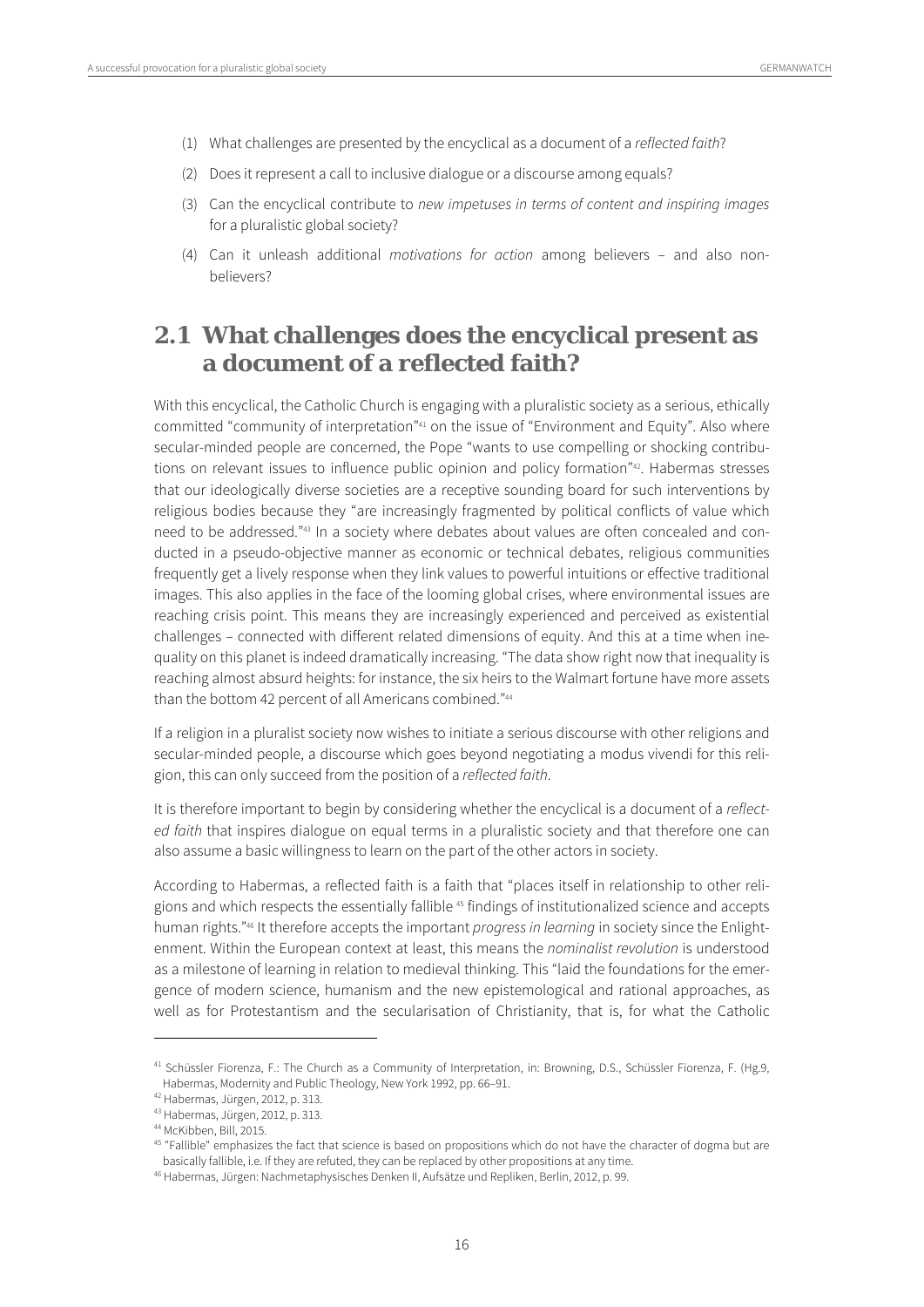- (1) What challenges are presented by the encyclical as a document of a reflected faith?
- (2) Does it represent a call to inclusive dialogue or a discourse among equals?
- (3) Can the encyclical contribute to new impetuses in terms of content and inspiring images for a pluralistic global society?
- (4) Can it unleash additional motivations for action among believers and also nonbelievers?

# **2.1 What challenges does the encyclical present as a document of a reflected faith?**

With this encyclical, the Catholic Church is engaging with a pluralistic society as a serious, ethically committed "community of interpretation"41 on the issue of "Environment and Equity". Also where secular-minded people are concerned, the Pope "wants to use compelling or shocking contributions on relevant issues to influence public opinion and policy formation<sup>"42</sup>. Habermas stresses that our ideologically diverse societies are a receptive sounding board for such interventions by religious bodies because they "are increasingly fragmented by political conflicts of value which need to be addressed."43 In a society where debates about values are often concealed and conducted in a pseudo-objective manner as economic or technical debates, religious communities frequently get a lively response when they link values to powerful intuitions or effective traditional images. This also applies in the face of the looming global crises, where environmental issues are reaching crisis point. This means they are increasingly experienced and perceived as existential challenges – connected with different related dimensions of equity. And this at a time when inequality on this planet is indeed dramatically increasing. "The data show right now that inequality is reaching almost absurd heights: for instance, the six heirs to the Walmart fortune have more assets than the bottom 42 percent of all Americans combined."44

If a religion in a pluralist society now wishes to initiate a serious discourse with other religions and secular-minded people, a discourse which goes beyond negotiating a modus vivendi for this religion, this can only succeed from the position of a reflected faith.

It is therefore important to begin by considering whether the encyclical is a document of a reflected faith that inspires dialogue on equal terms in a pluralistic society and that therefore one can also assume a basic willingness to learn on the part of the other actors in society.

According to Habermas, a reflected faith is a faith that "places itself in relationship to other religions and which respects the essentially fallible 45 findings of institutionalized science and accepts human rights."<sup>46</sup> It therefore accepts the important *progress in learning* in society since the Enlightenment. Within the European context at least, this means the nominalist revolution is understood as a milestone of learning in relation to medieval thinking. This "laid the foundations for the emergence of modern science, humanism and the new epistemological and rational approaches, as well as for Protestantism and the secularisation of Christianity, that is, for what the Catholic

<sup>&</sup>lt;sup>41</sup> Schüssler Fiorenza, F.: The Church as a Community of Interpretation, in: Browning, D.S., Schüssler Fiorenza, F. (Hg.9, Habermas, Modernity and Public Theology, New York 1992, pp. 66–91.

<sup>42</sup> Habermas, Jürgen, 2012, p. 313.

<sup>43</sup> Habermas, Jürgen, 2012, p. 313.

<sup>44</sup> McKibben, Bill, 2015.

<sup>&</sup>lt;sup>45</sup> "Fallible" emphasizes the fact that science is based on propositions which do not have the character of dogma but are basically fallible, i.e. If they are refuted, they can be replaced by other propositions at any time.

<sup>46</sup> Habermas, Jürgen: Nachmetaphysisches Denken II, Aufsätze und Repliken, Berlin, 2012, p. 99.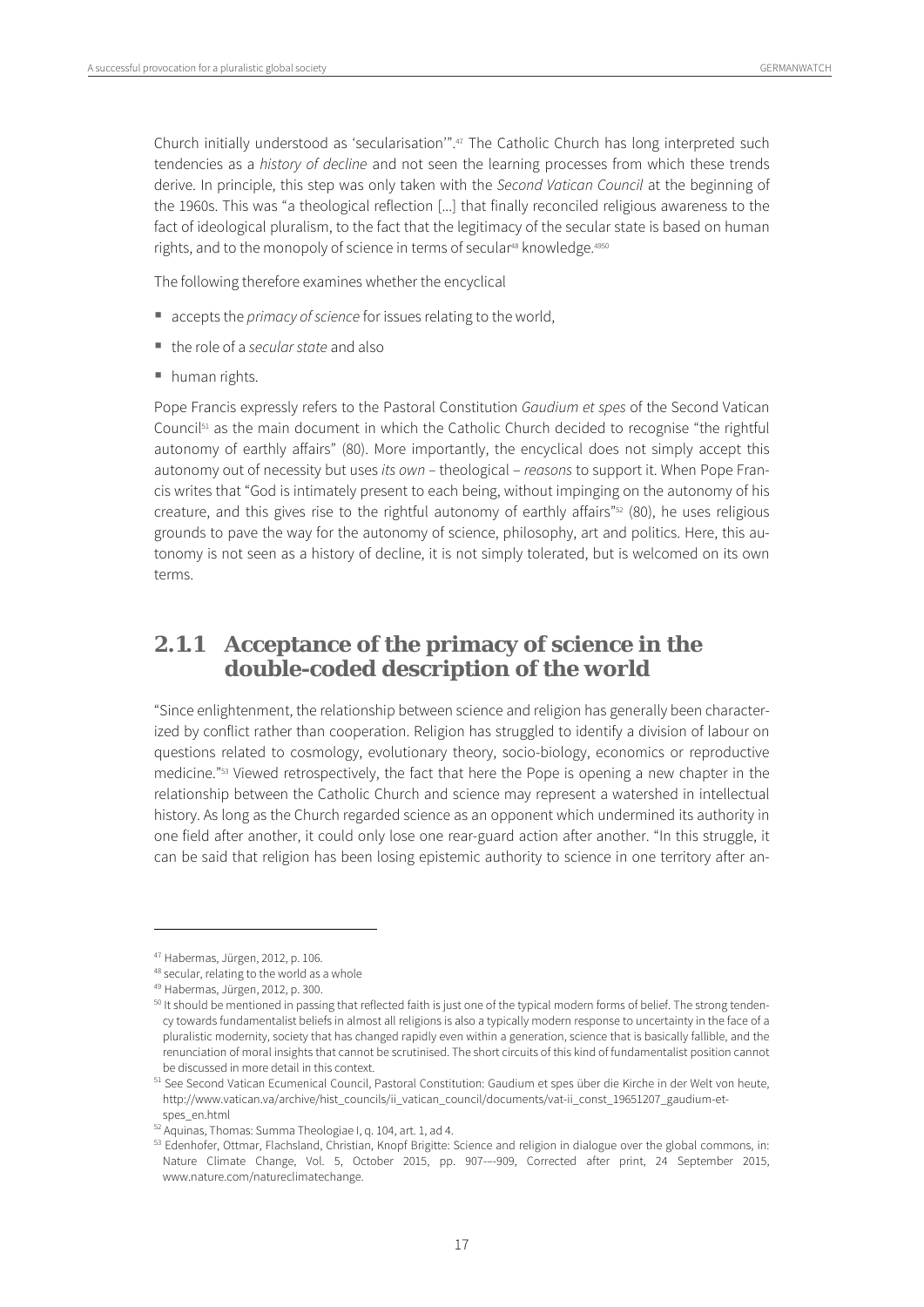Church initially understood as 'secularisation'".47 The Catholic Church has long interpreted such tendencies as a history of decline and not seen the learning processes from which these trends derive. In principle, this step was only taken with the Second Vatican Council at the beginning of the 1960s. This was "a theological reflection [...] that finally reconciled religious awareness to the fact of ideological pluralism, to the fact that the legitimacy of the secular state is based on human rights, and to the monopoly of science in terms of secular<sup>48</sup> knowledge.<sup>4950</sup>

The following therefore examines whether the encyclical

- accepts the *primacy of science* for issues relating to the world,
- $\blacksquare$  the role of a secular state and also
- human rights.

Pope Francis expressly refers to the Pastoral Constitution Gaudium et spes of the Second Vatican Council $51$  as the main document in which the Catholic Church decided to recognise "the rightful autonomy of earthly affairs" (80). More importantly, the encyclical does not simply accept this autonomy out of necessity but uses its own – theological – reasons to support it. When Pope Francis writes that "God is intimately present to each being, without impinging on the autonomy of his creature, and this gives rise to the rightful autonomy of earthly affairs" $52$  (80), he uses religious grounds to pave the way for the autonomy of science, philosophy, art and politics. Here, this autonomy is not seen as a history of decline, it is not simply tolerated, but is welcomed on its own terms.

# **2.1.1 Acceptance of the primacy of science in the double-coded description of the world**

"Since enlightenment, the relationship between science and religion has generally been characterized by conflict rather than cooperation. Religion has struggled to identify a division of labour on questions related to cosmology, evolutionary theory, socio-biology, economics or reproductive medicine."53 Viewed retrospectively, the fact that here the Pope is opening a new chapter in the relationship between the Catholic Church and science may represent a watershed in intellectual history. As long as the Church regarded science as an opponent which undermined its authority in one field after another, it could only lose one rear-guard action after another. "In this struggle, it can be said that religion has been losing epistemic authority to science in one territory after an-

<sup>47</sup> Habermas, Jürgen, 2012, p. 106.

<sup>48</sup> secular, relating to the world as a whole

<sup>49</sup> Habermas, Jürgen, 2012, p. 300.

 $50$  It should be mentioned in passing that reflected faith is just one of the typical modern forms of belief. The strong tendency towards fundamentalist beliefs in almost all religions is also a typically modern response to uncertainty in the face of a pluralistic modernity, society that has changed rapidly even within a generation, science that is basically fallible, and the renunciation of moral insights that cannot be scrutinised. The short circuits of this kind of fundamentalist position cannot be discussed in more detail in this context.

<sup>51</sup> See Second Vatican Ecumenical Council, Pastoral Constitution: Gaudium et spes über die Kirche in der Welt von heute, http://www.vatican.va/archive/hist\_councils/ii\_vatican\_council/documents/vat-ii\_const\_19651207\_gaudium-etspes\_en.html<br><sup>52</sup> Aquinas, Thomas: Summa Theologiae I, q. 104, art. 1, ad 4.

<sup>&</sup>lt;sup>53</sup> Edenhofer, Ottmar, Flachsland, Christian, Knopf Brigitte: Science and religion in dialogue over the global commons, in: Nature Climate Change, Vol. 5, October 2015, pp. 907-–-909, Corrected after print, 24 September 2015, www.nature.com/natureclimatechange.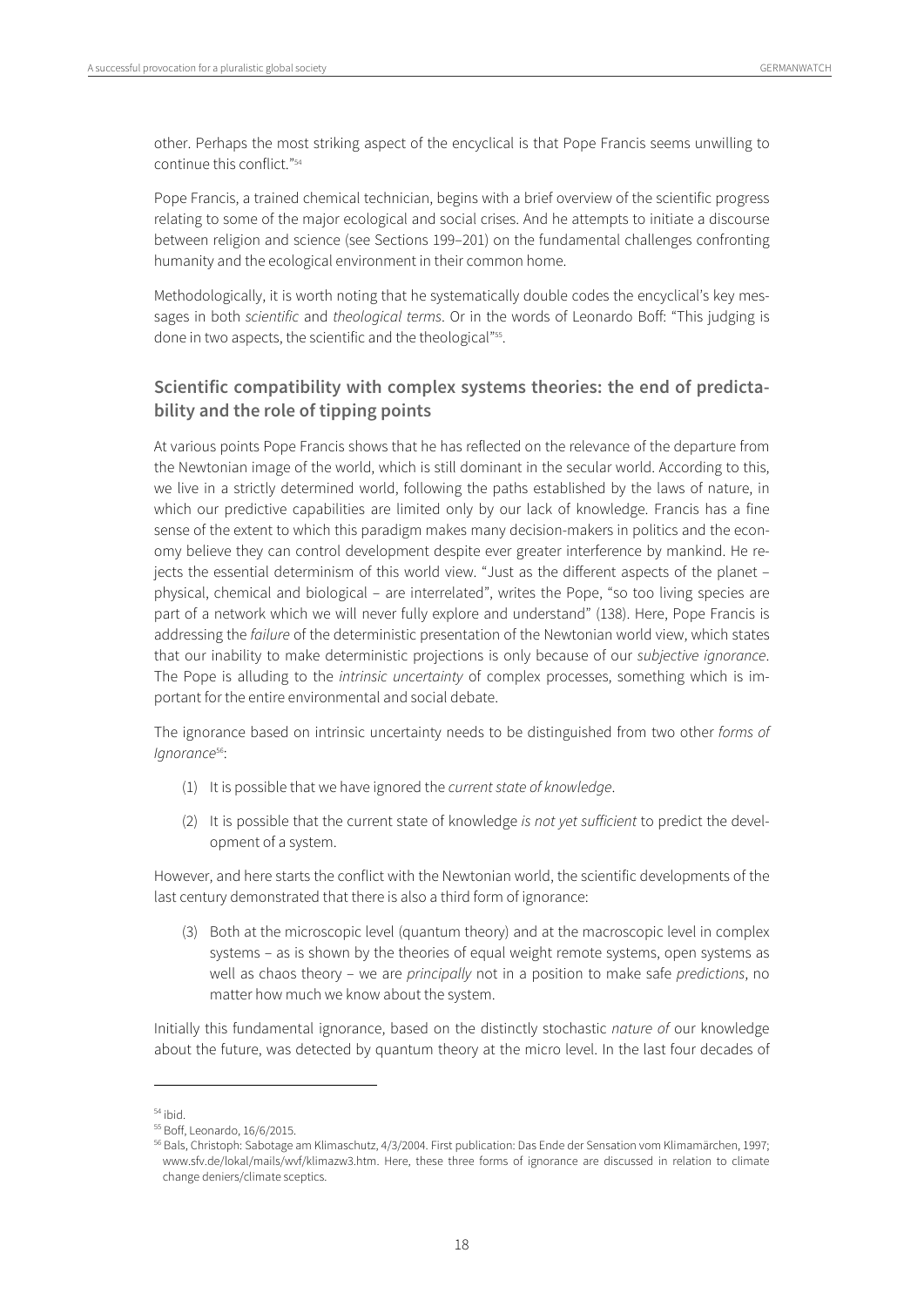other. Perhaps the most striking aspect of the encyclical is that Pope Francis seems unwilling to continue this conflict."54

Pope Francis, a trained chemical technician, begins with a brief overview of the scientific progress relating to some of the major ecological and social crises. And he attempts to initiate a discourse between religion and science (see Sections 199–201) on the fundamental challenges confronting humanity and the ecological environment in their common home.

Methodologically, it is worth noting that he systematically double codes the encyclical's key messages in both scientific and theological terms. Or in the words of Leonardo Boff: "This judging is done in two aspects, the scientific and the theological"<sup>55</sup>.

#### **Scientific compatibility with complex systems theories: the end of predictability and the role of tipping points**

At various points Pope Francis shows that he has reflected on the relevance of the departure from the Newtonian image of the world, which is still dominant in the secular world. According to this, we live in a strictly determined world, following the paths established by the laws of nature, in which our predictive capabilities are limited only by our lack of knowledge. Francis has a fine sense of the extent to which this paradigm makes many decision-makers in politics and the economy believe they can control development despite ever greater interference by mankind. He rejects the essential determinism of this world view. "Just as the different aspects of the planet – physical, chemical and biological – are interrelated", writes the Pope, "so too living species are part of a network which we will never fully explore and understand" (138). Here, Pope Francis is addressing the failure of the deterministic presentation of the Newtonian world view, which states that our inability to make deterministic projections is only because of our subjective ignorance. The Pope is alluding to the *intrinsic uncertainty* of complex processes, something which is important for the entire environmental and social debate.

The ignorance based on intrinsic uncertainty needs to be distinguished from two other forms of lanorance<sup>56</sup>:

- (1) It is possible that we have ignored the current state of knowledge.
- (2) It is possible that the current state of knowledge is not yet sufficient to predict the development of a system.

However, and here starts the conflict with the Newtonian world, the scientific developments of the last century demonstrated that there is also a third form of ignorance:

(3) Both at the microscopic level (quantum theory) and at the macroscopic level in complex systems – as is shown by the theories of equal weight remote systems, open systems as well as chaos theory – we are *principally* not in a position to make safe *predictions*, no matter how much we know about the system.

Initially this fundamental ignorance, based on the distinctly stochastic nature of our knowledge about the future, was detected by quantum theory at the micro level. In the last four decades of

 $55$  ibid.<br> $55$  Boff, Leonardo, 16/6/2015.

<sup>56</sup> Bals, Christoph: Sabotage am Klimaschutz, 4/3/2004. First publication: Das Ende der Sensation vom Klimamärchen, 1997; www.sfv.de/lokal/mails/wvf/klimazw3.htm. Here, these three forms of ignorance are discussed in relation to climate change deniers/climate sceptics.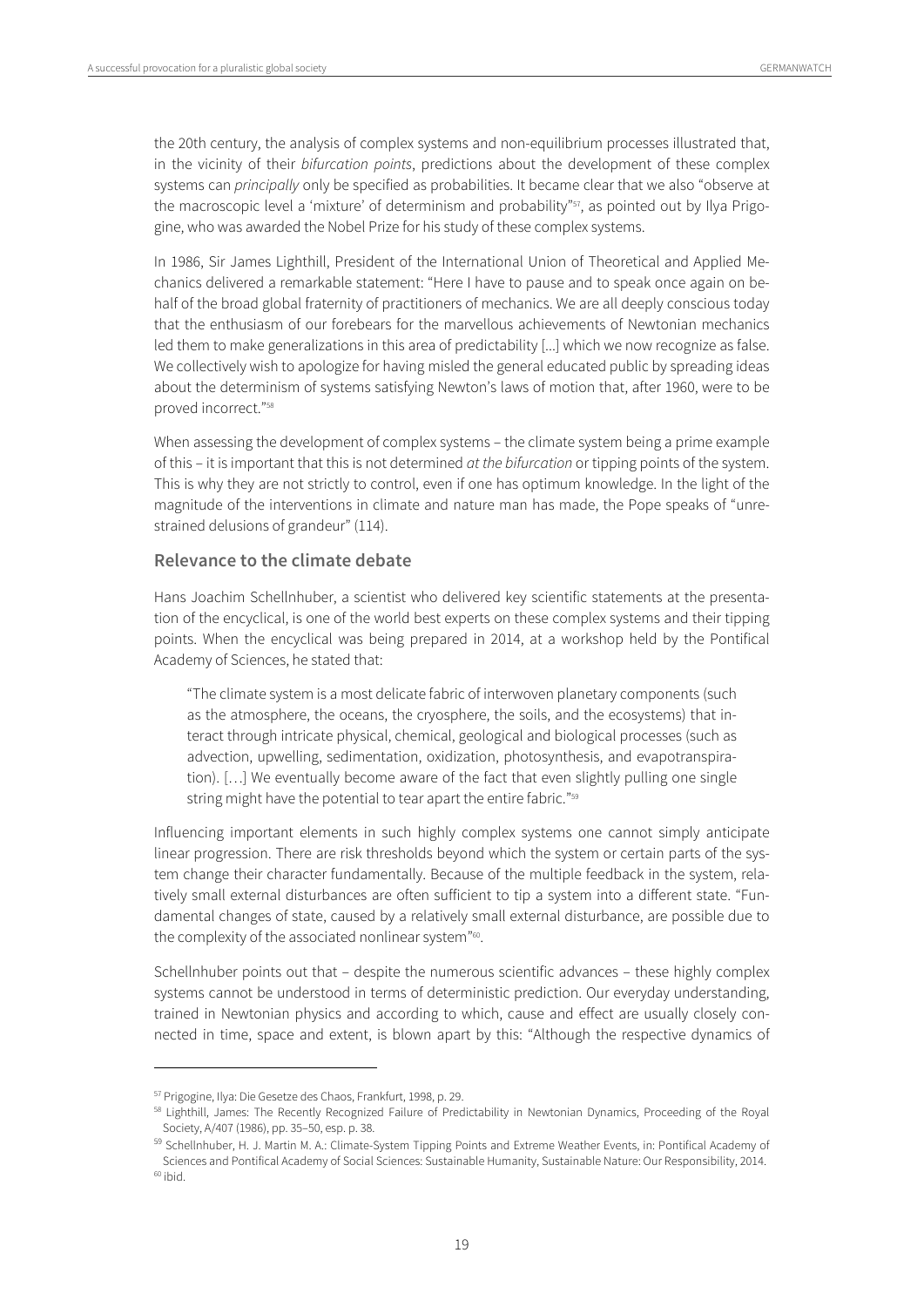the 20th century, the analysis of complex systems and non-equilibrium processes illustrated that, in the vicinity of their bifurcation points, predictions about the development of these complex systems can principally only be specified as probabilities. It became clear that we also "observe at the macroscopic level a 'mixture' of determinism and probability"<sup>57</sup>, as pointed out by Ilya Prigogine, who was awarded the Nobel Prize for his study of these complex systems.

In 1986, Sir James Lighthill, President of the International Union of Theoretical and Applied Mechanics delivered a remarkable statement: "Here I have to pause and to speak once again on behalf of the broad global fraternity of practitioners of mechanics. We are all deeply conscious today that the enthusiasm of our forebears for the marvellous achievements of Newtonian mechanics led them to make generalizations in this area of predictability [...] which we now recognize as false. We collectively wish to apologize for having misled the general educated public by spreading ideas about the determinism of systems satisfying Newton's laws of motion that, after 1960, were to be proved incorrect."58

When assessing the development of complex systems – the climate system being a prime example of this – it is important that this is not determined at the bifurcation or tipping points of the system. This is why they are not strictly to control, even if one has optimum knowledge. In the light of the magnitude of the interventions in climate and nature man has made, the Pope speaks of "unrestrained delusions of grandeur" (114).

#### **Relevance to the climate debate**

Hans Joachim Schellnhuber, a scientist who delivered key scientific statements at the presentation of the encyclical, is one of the world best experts on these complex systems and their tipping points. When the encyclical was being prepared in 2014, at a workshop held by the Pontifical Academy of Sciences, he stated that:

"The climate system is a most delicate fabric of interwoven planetary components (such as the atmosphere, the oceans, the cryosphere, the soils, and the ecosystems) that interact through intricate physical, chemical, geological and biological processes (such as advection, upwelling, sedimentation, oxidization, photosynthesis, and evapotranspiration). […] We eventually become aware of the fact that even slightly pulling one single string might have the potential to tear apart the entire fabric."<sup>59</sup>

Influencing important elements in such highly complex systems one cannot simply anticipate linear progression. There are risk thresholds beyond which the system or certain parts of the system change their character fundamentally. Because of the multiple feedback in the system, relatively small external disturbances are often sufficient to tip a system into a different state. "Fundamental changes of state, caused by a relatively small external disturbance, are possible due to the complexity of the associated nonlinear system"<sup>60</sup>.

Schellnhuber points out that – despite the numerous scientific advances – these highly complex systems cannot be understood in terms of deterministic prediction. Our everyday understanding, trained in Newtonian physics and according to which, cause and effect are usually closely connected in time, space and extent, is blown apart by this: "Although the respective dynamics of

<sup>&</sup>lt;sup>57</sup> Prigogine, Ilya: Die Gesetze des Chaos, Frankfurt, 1998, p. 29.<br><sup>58</sup> Lighthill, James: The Recently Recognized Failure of Predictability in Newtonian Dynamics, Proceeding of the Royal Society, A/407 (1986), pp. 35–50, esp. p. 38.

<sup>59</sup> Schellnhuber, H. J. Martin M. A.: Climate-System Tipping Points and Extreme Weather Events, in: Pontifical Academy of Sciences and Pontifical Academy of Social Sciences: Sustainable Humanity, Sustainable Nature: Our Responsibility, 2014. <sup>60</sup> ibid.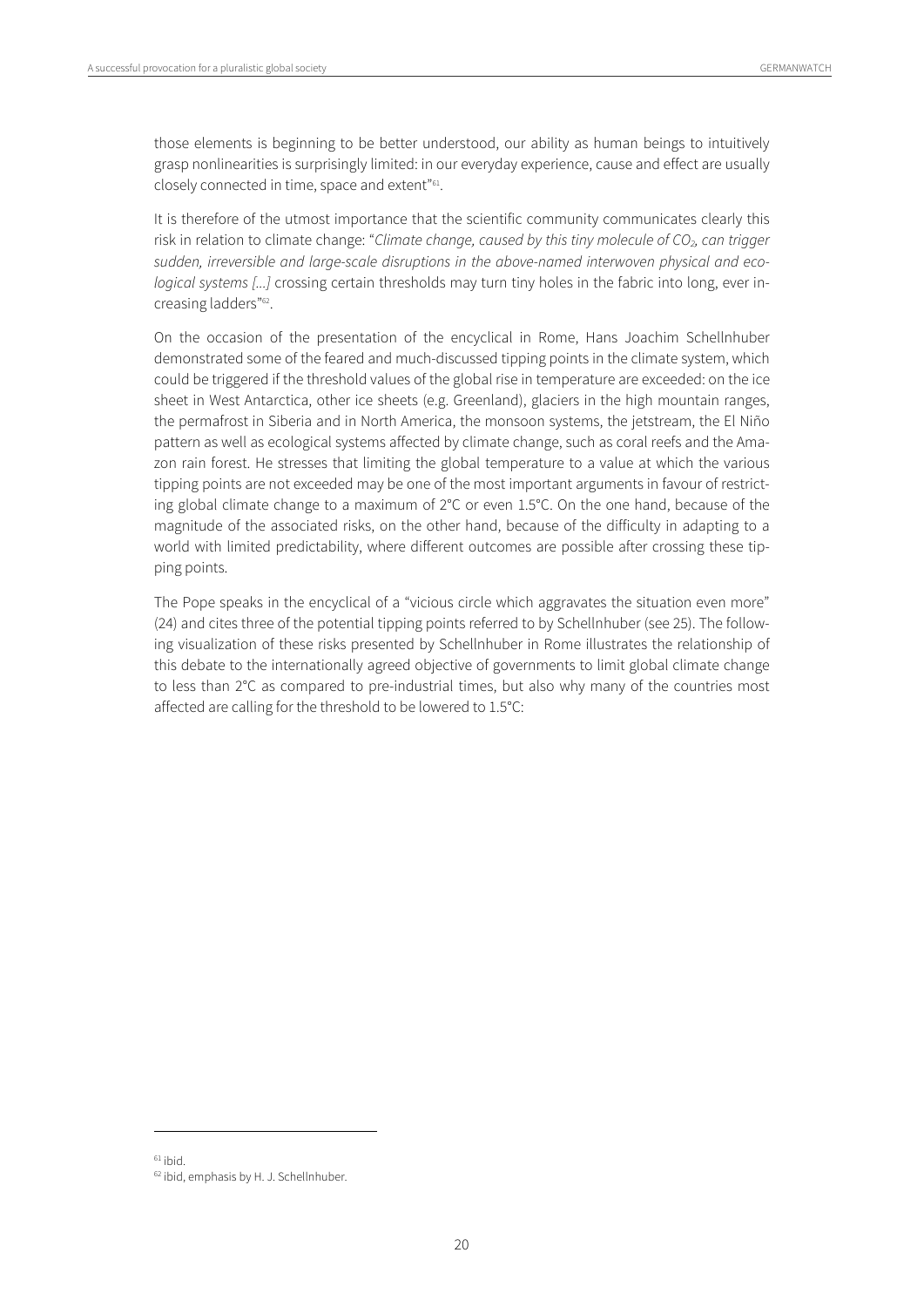those elements is beginning to be better understood, our ability as human beings to intuitively grasp nonlinearities is surprisingly limited: in our everyday experience, cause and effect are usually closely connected in time, space and extent"<sup>61</sup>.

It is therefore of the utmost importance that the scientific community communicates clearly this risk in relation to climate change: "Climate change, caused by this tiny molecule of CO<sub>2</sub>, can trigger sudden, irreversible and large-scale disruptions in the above-named interwoven physical and ecological systems [...] crossing certain thresholds may turn tiny holes in the fabric into long, ever increasing ladders"<sup>62</sup>.

On the occasion of the presentation of the encyclical in Rome, Hans Joachim Schellnhuber demonstrated some of the feared and much-discussed tipping points in the climate system, which could be triggered if the threshold values of the global rise in temperature are exceeded: on the ice sheet in West Antarctica, other ice sheets (e.g. Greenland), glaciers in the high mountain ranges, the permafrost in Siberia and in North America, the monsoon systems, the jetstream, the El Niño pattern as well as ecological systems affected by climate change, such as coral reefs and the Amazon rain forest. He stresses that limiting the global temperature to a value at which the various tipping points are not exceeded may be one of the most important arguments in favour of restricting global climate change to a maximum of 2°C or even 1.5°C. On the one hand, because of the magnitude of the associated risks, on the other hand, because of the difficulty in adapting to a world with limited predictability, where different outcomes are possible after crossing these tipping points.

The Pope speaks in the encyclical of a "vicious circle which aggravates the situation even more" (24) and cites three of the potential tipping points referred to by Schellnhuber (see 25). The following visualization of these risks presented by Schellnhuber in Rome illustrates the relationship of this debate to the internationally agreed objective of governments to limit global climate change to less than 2°C as compared to pre-industrial times, but also why many of the countries most affected are calling for the threshold to be lowered to 1.5°C:

 $61$  ibid.

<sup>62</sup> ibid, emphasis by H. J. Schellnhuber.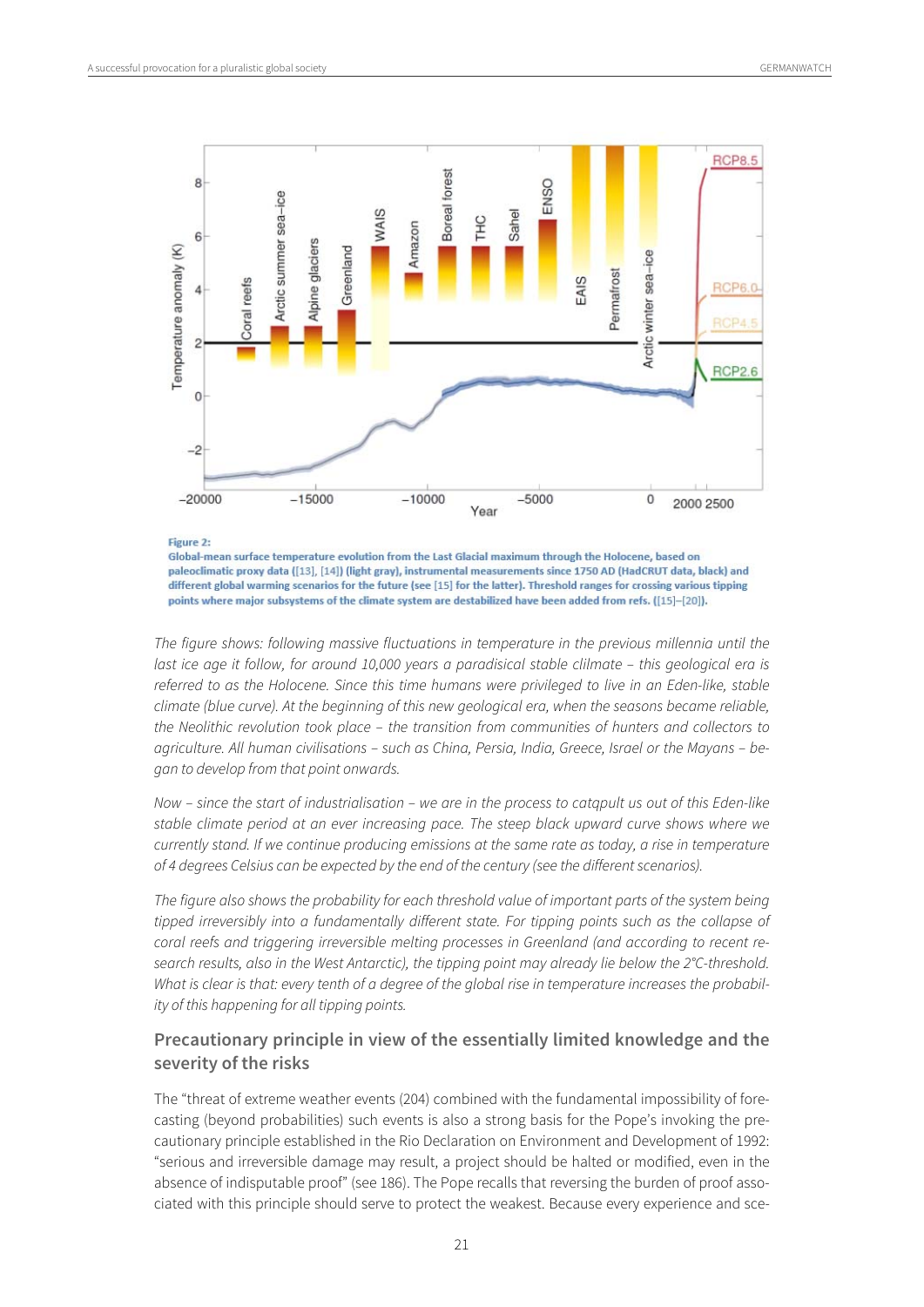

Figure 2:

Global-mean surface temperature evolution from the Last Glacial maximum through the Holocene, based on paleoclimatic proxy data ([13], [14]) (light gray), instrumental measurements since 1750 AD (HadCRUT data, black) and different global warming scenarios for the future (see [15] for the latter). Threshold ranges for crossing various tipping points where major subsystems of the climate system are destabilized have been added from refs. ([15]-[20]).

The figure shows: following massive fluctuations in temperature in the previous millennia until the last ice age it follow, for around 10,000 years a paradisical stable clilmate – this geological era is referred to as the Holocene. Since this time humans were privileged to live in an Eden-like, stable climate (blue curve). At the beginning of this new geological era, when the seasons became reliable, the Neolithic revolution took place – the transition from communities of hunters and collectors to agriculture. All human civilisations – such as China, Persia, India, Greece, Israel or the Mayans – began to develop from that point onwards.

Now – since the start of industrialisation – we are in the process to catqpult us out of this Eden-like stable climate period at an ever increasing pace. The steep black upward curve shows where we currently stand. If we continue producing emissions at the same rate as today, a rise in temperature of 4 degrees Celsius can be expected by the end of the century (see the different scenarios).

The figure also shows the probability for each threshold value of important parts of the system being tipped irreversibly into a fundamentally different state. For tipping points such as the collapse of coral reefs and triggering irreversible melting processes in Greenland (and according to recent research results, also in the West Antarctic), the tipping point may already lie below the 2°C-threshold. What is clear is that: every tenth of a degree of the global rise in temperature increases the probability of this happening for all tipping points.

#### **Precautionary principle in view of the essentially limited knowledge and the severity of the risks**

The "threat of extreme weather events (204) combined with the fundamental impossibility of forecasting (beyond probabilities) such events is also a strong basis for the Pope's invoking the precautionary principle established in the Rio Declaration on Environment and Development of 1992: "serious and irreversible damage may result, a project should be halted or modified, even in the absence of indisputable proof" (see 186). The Pope recalls that reversing the burden of proof associated with this principle should serve to protect the weakest. Because every experience and sce-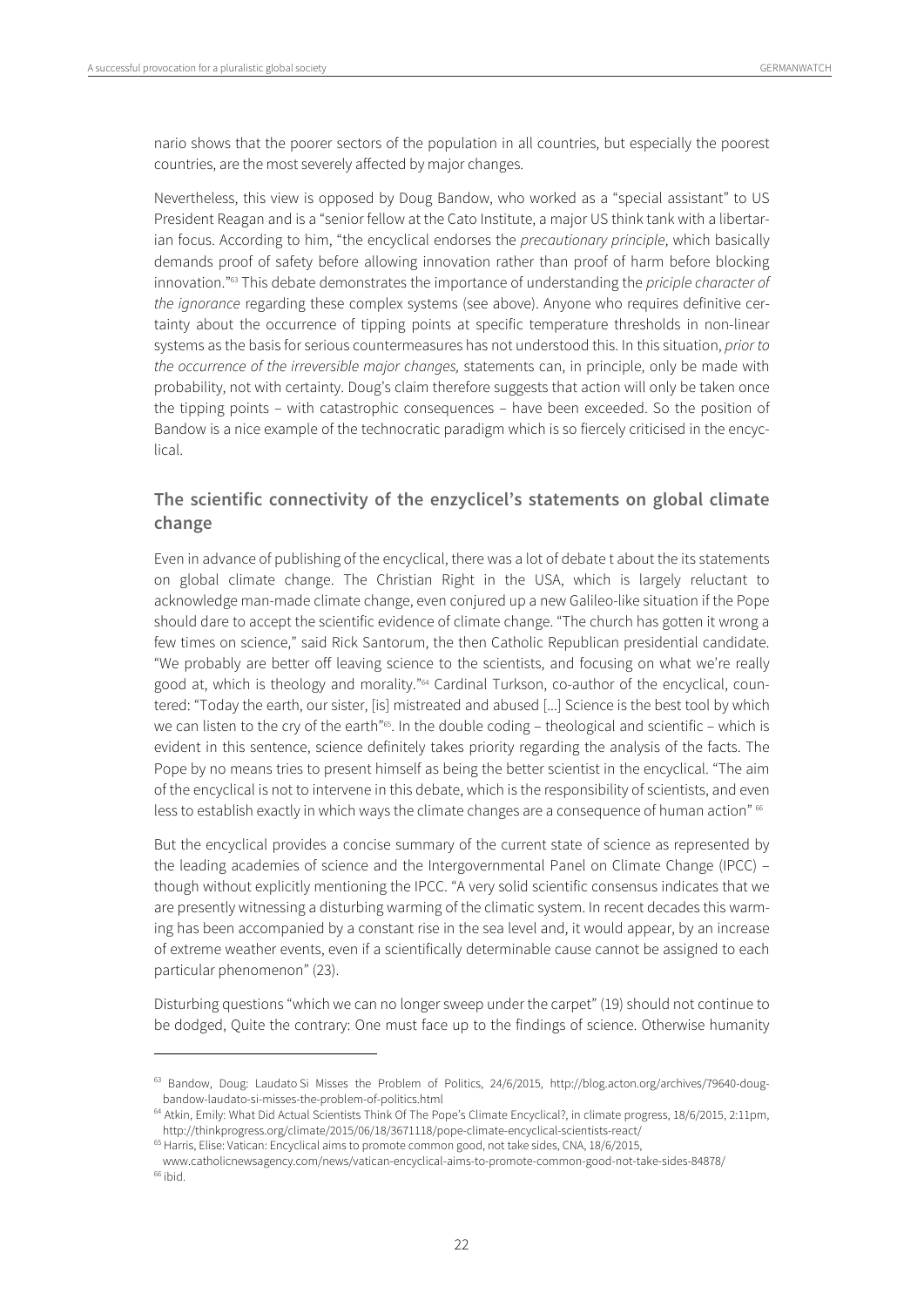$\overline{a}$ 

nario shows that the poorer sectors of the population in all countries, but especially the poorest countries, are the most severely affected by major changes.

Nevertheless, this view is opposed by Doug Bandow, who worked as a "special assistant" to US President Reagan and is a "senior fellow at the Cato Institute, a major US think tank with a libertarian focus. According to him, "the encyclical endorses the *precautionary principle*, which basically demands proof of safety before allowing innovation rather than proof of harm before blocking innovation."<sup>63</sup> This debate demonstrates the importance of understanding the *priciple character of* the ignorance regarding these complex systems (see above). Anyone who requires definitive certainty about the occurrence of tipping points at specific temperature thresholds in non-linear systems as the basis for serious countermeasures has not understood this. In this situation, prior to the occurrence of the irreversible major changes, statements can, in principle, only be made with probability, not with certainty. Doug's claim therefore suggests that action will only be taken once the tipping points – with catastrophic consequences – have been exceeded. So the position of Bandow is a nice example of the technocratic paradigm which is so fiercely criticised in the encyclical.

#### **The scientific connectivity of the enzyclicel's statements on global climate change**

Even in advance of publishing of the encyclical, there was a lot of debate t about the its statements on global climate change. The Christian Right in the USA, which is largely reluctant to acknowledge man-made climate change, even conjured up a new Galileo-like situation if the Pope should dare to accept the scientific evidence of climate change. "The church has gotten it wrong a few times on science," said Rick Santorum, the then Catholic Republican presidential candidate. "We probably are better off leaving science to the scientists, and focusing on what we're really good at, which is theology and morality."<sup>64</sup> Cardinal Turkson, co-author of the encyclical, countered: "Today the earth, our sister, [is] mistreated and abused [...] Science is the best tool by which we can listen to the cry of the earth"65. In the double coding – theological and scientific – which is evident in this sentence, science definitely takes priority regarding the analysis of the facts. The Pope by no means tries to present himself as being the better scientist in the encyclical. "The aim of the encyclical is not to intervene in this debate, which is the responsibility of scientists, and even less to establish exactly in which ways the climate changes are a consequence of human action" <sup>66</sup>

But the encyclical provides a concise summary of the current state of science as represented by the leading academies of science and the Intergovernmental Panel on Climate Change (IPCC) – though without explicitly mentioning the IPCC. "A very solid scientific consensus indicates that we are presently witnessing a disturbing warming of the climatic system. In recent decades this warming has been accompanied by a constant rise in the sea level and, it would appear, by an increase of extreme weather events, even if a scientifically determinable cause cannot be assigned to each particular phenomenon" (23).

Disturbing questions "which we can no longer sweep under the carpet" (19) should not continue to be dodged, Quite the contrary: One must face up to the findings of science. Otherwise humanity

<sup>&</sup>lt;sup>63</sup> Bandow, Doug: Laudato Si Misses the Problem of Politics, 24/6/2015, http://blog.acton.org/archives/79640-dougbandow-laudato-si-misses-the-problem-of-politics.html<br><sup>64</sup> Atkin, Emily: What Did Actual Scientists Think Of The Pope's Climate Encyclical?, in climate progress, 18/6/2015, 2:11pm,

http://thinkprogress.org/climate/2015/06/18/3671118/pope-climate-encyclical-scientists-react/ 65 Harris, Elise: Vatican: Encyclical aims to promote common good, not take sides, CNA, 18/6/2015,

www.catholicnewsagency.com/news/vatican-encyclical-aims-to-promote-common-good-not-take-sides-84878/  $66$  ibid.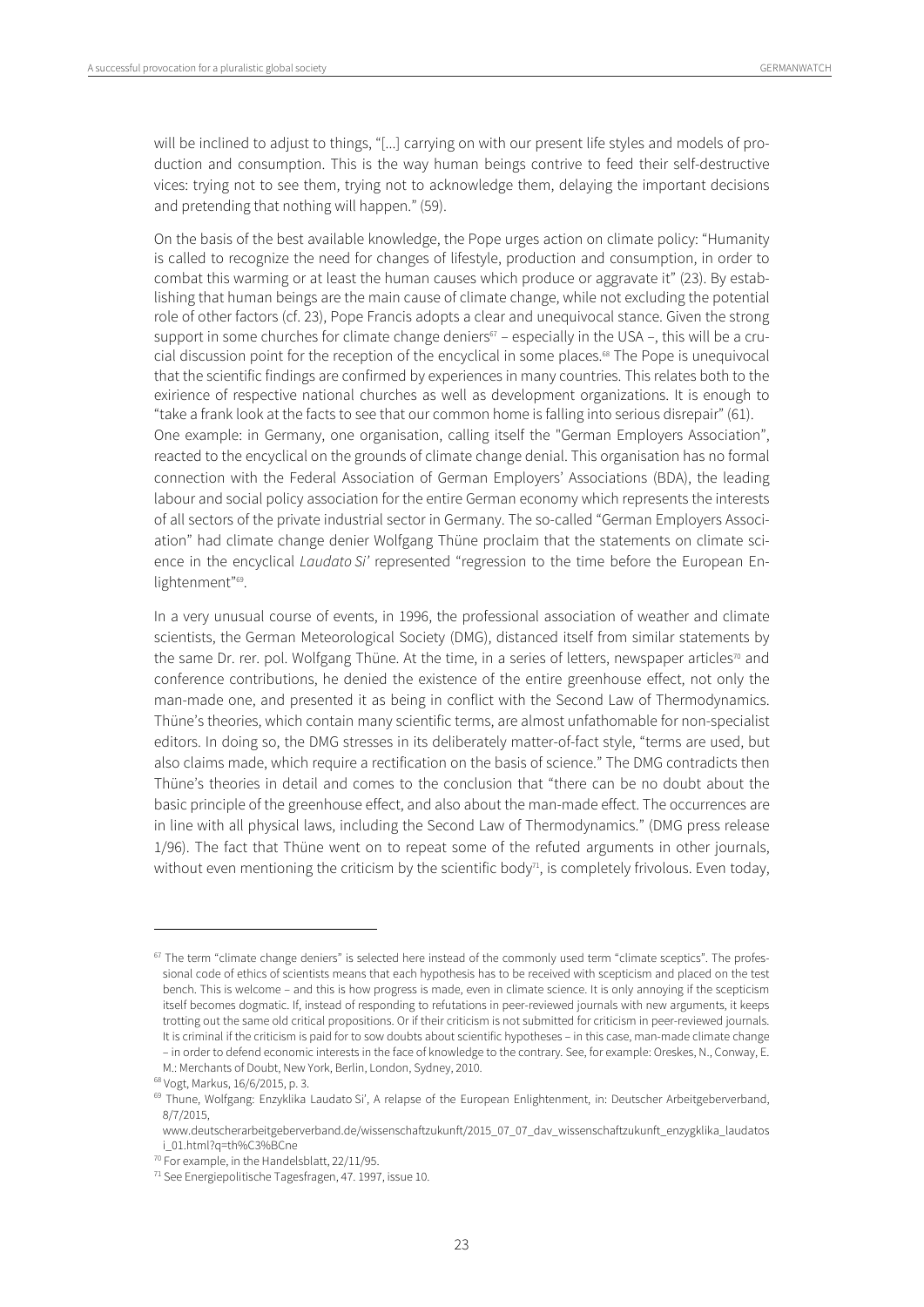will be inclined to adjust to things, "[...] carrying on with our present life styles and models of production and consumption. This is the way human beings contrive to feed their self-destructive vices: trying not to see them, trying not to acknowledge them, delaying the important decisions and pretending that nothing will happen." (59).

On the basis of the best available knowledge, the Pope urges action on climate policy: "Humanity is called to recognize the need for changes of lifestyle, production and consumption, in order to combat this warming or at least the human causes which produce or aggravate it" (23). By establishing that human beings are the main cause of climate change, while not excluding the potential role of other factors (cf. 23), Pope Francis adopts a clear and unequivocal stance. Given the strong support in some churches for climate change deniers $67 -$  especially in the USA –, this will be a crucial discussion point for the reception of the encyclical in some places.<sup>68</sup> The Pope is unequivocal that the scientific findings are confirmed by experiences in many countries. This relates both to the exirience of respective national churches as well as development organizations. It is enough to "take a frank look at the facts to see that our common home is falling into serious disrepair" (61). One example: in Germany, one organisation, calling itself the "German Employers Association", reacted to the encyclical on the grounds of climate change denial. This organisation has no formal connection with the Federal Association of German Employers' Associations (BDA), the leading labour and social policy association for the entire German economy which represents the interests of all sectors of the private industrial sector in Germany. The so-called "German Employers Association" had climate change denier Wolfgang Thüne proclaim that the statements on climate science in the encyclical *Laudato Si'* represented "regression to the time before the European Enlightenment"69.

In a very unusual course of events, in 1996, the professional association of weather and climate scientists, the German Meteorological Society (DMG), distanced itself from similar statements by the same Dr. rer. pol. Wolfgang Thüne. At the time, in a series of letters, newspaper articles<sup>70</sup> and conference contributions, he denied the existence of the entire greenhouse effect, not only the man-made one, and presented it as being in conflict with the Second Law of Thermodynamics. Thüne's theories, which contain many scientific terms, are almost unfathomable for non-specialist editors. In doing so, the DMG stresses in its deliberately matter-of-fact style, "terms are used, but also claims made, which require a rectification on the basis of science." The DMG contradicts then Thüne's theories in detail and comes to the conclusion that "there can be no doubt about the basic principle of the greenhouse effect, and also about the man-made effect. The occurrences are in line with all physical laws, including the Second Law of Thermodynamics." (DMG press release 1/96). The fact that Thüne went on to repeat some of the refuted arguments in other journals, without even mentioning the criticism by the scientific body<sup>1</sup>, is completely frivolous. Even today,

 $67$  The term "climate change deniers" is selected here instead of the commonly used term "climate sceptics". The professional code of ethics of scientists means that each hypothesis has to be received with scepticism and placed on the test bench. This is welcome – and this is how progress is made, even in climate science. It is only annoying if the scepticism itself becomes dogmatic. If, instead of responding to refutations in peer-reviewed journals with new arguments, it keeps trotting out the same old critical propositions. Or if their criticism is not submitted for criticism in peer-reviewed journals. It is criminal if the criticism is paid for to sow doubts about scientific hypotheses – in this case, man-made climate change – in order to defend economic interests in the face of knowledge to the contrary. See, for example: Oreskes, N., Conway, E.

M.: Merchants of Doubt, New York, Berlin, London, Sydney, 2010. 68 Vogt, Markus, 16/6/2015, p. 3.

<sup>&</sup>lt;sup>69</sup> Thune, Wolfgang: Enzyklika Laudato Si', A relapse of the European Enlightenment, in: Deutscher Arbeitgeberverband, 8/7/2015,

www.deutscherarbeitgeberverband.de/wissenschaftzukunft/2015\_07\_07\_dav\_wissenschaftzukunft\_enzygklika\_laudatos i\_01.html?q=th%C3%BCne

<sup>70</sup> For example, in the Handelsblatt, 22/11/95.

<sup>71</sup> See Energiepolitische Tagesfragen, 47. 1997, issue 10.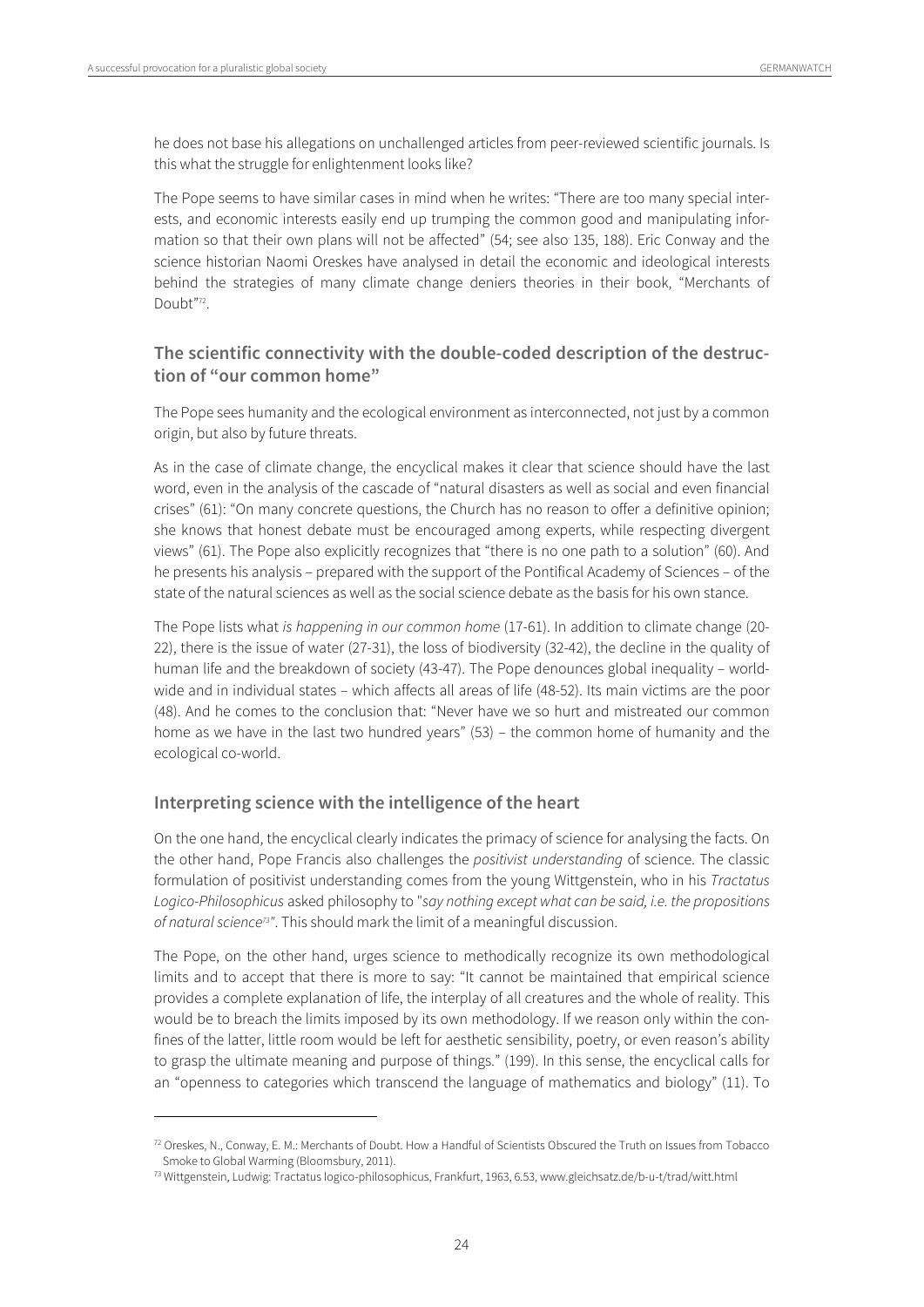$\overline{a}$ 

he does not base his allegations on unchallenged articles from peer-reviewed scientific journals. Is this what the struggle for enlightenment looks like?

The Pope seems to have similar cases in mind when he writes: "There are too many special interests, and economic interests easily end up trumping the common good and manipulating information so that their own plans will not be affected" (54; see also 135, 188). Eric Conway and the science historian Naomi Oreskes have analysed in detail the economic and ideological interests behind the strategies of many climate change deniers theories in their book, "Merchants of Doubt"72.

#### **The scientific connectivity with the double-coded description of the destruction of "our common home"**

The Pope sees humanity and the ecological environment as interconnected, not just by a common origin, but also by future threats.

As in the case of climate change, the encyclical makes it clear that science should have the last word, even in the analysis of the cascade of "natural disasters as well as social and even financial crises" (61): "On many concrete questions, the Church has no reason to offer a definitive opinion; she knows that honest debate must be encouraged among experts, while respecting divergent views" (61). The Pope also explicitly recognizes that "there is no one path to a solution" (60). And he presents his analysis – prepared with the support of the Pontifical Academy of Sciences – of the state of the natural sciences as well as the social science debate as the basis for his own stance.

The Pope lists what is happening in our common home (17-61). In addition to climate change (20- 22), there is the issue of water (27-31), the loss of biodiversity (32-42), the decline in the quality of human life and the breakdown of society (43-47). The Pope denounces global inequality – worldwide and in individual states – which affects all areas of life (48-52). Its main victims are the poor (48). And he comes to the conclusion that: "Never have we so hurt and mistreated our common home as we have in the last two hundred years" (53) – the common home of humanity and the ecological co-world.

#### **Interpreting science with the intelligence of the heart**

On the one hand, the encyclical clearly indicates the primacy of science for analysing the facts. On the other hand, Pope Francis also challenges the positivist understanding of science. The classic formulation of positivist understanding comes from the young Wittgenstein, who in his Tractatus Logico-Philosophicus asked philosophy to "say nothing except what can be said, i.e. the propositions of natural science<sup>73"</sup>. This should mark the limit of a meaningful discussion.

The Pope, on the other hand, urges science to methodically recognize its own methodological limits and to accept that there is more to say: "It cannot be maintained that empirical science provides a complete explanation of life, the interplay of all creatures and the whole of reality. This would be to breach the limits imposed by its own methodology. If we reason only within the confines of the latter, little room would be left for aesthetic sensibility, poetry, or even reason's ability to grasp the ultimate meaning and purpose of things." (199). In this sense, the encyclical calls for an "openness to categories which transcend the language of mathematics and biology" (11). To

 $72$  Oreskes, N., Conway, E. M.: Merchants of Doubt. How a Handful of Scientists Obscured the Truth on Issues from Tobacco Smoke to Global Warming (Bloomsbury, 2011).

<sup>73</sup> Wittgenstein, Ludwig: Tractatus logico-philosophicus, Frankfurt, 1963, 6.53, www.gleichsatz.de/b-u-t/trad/witt.html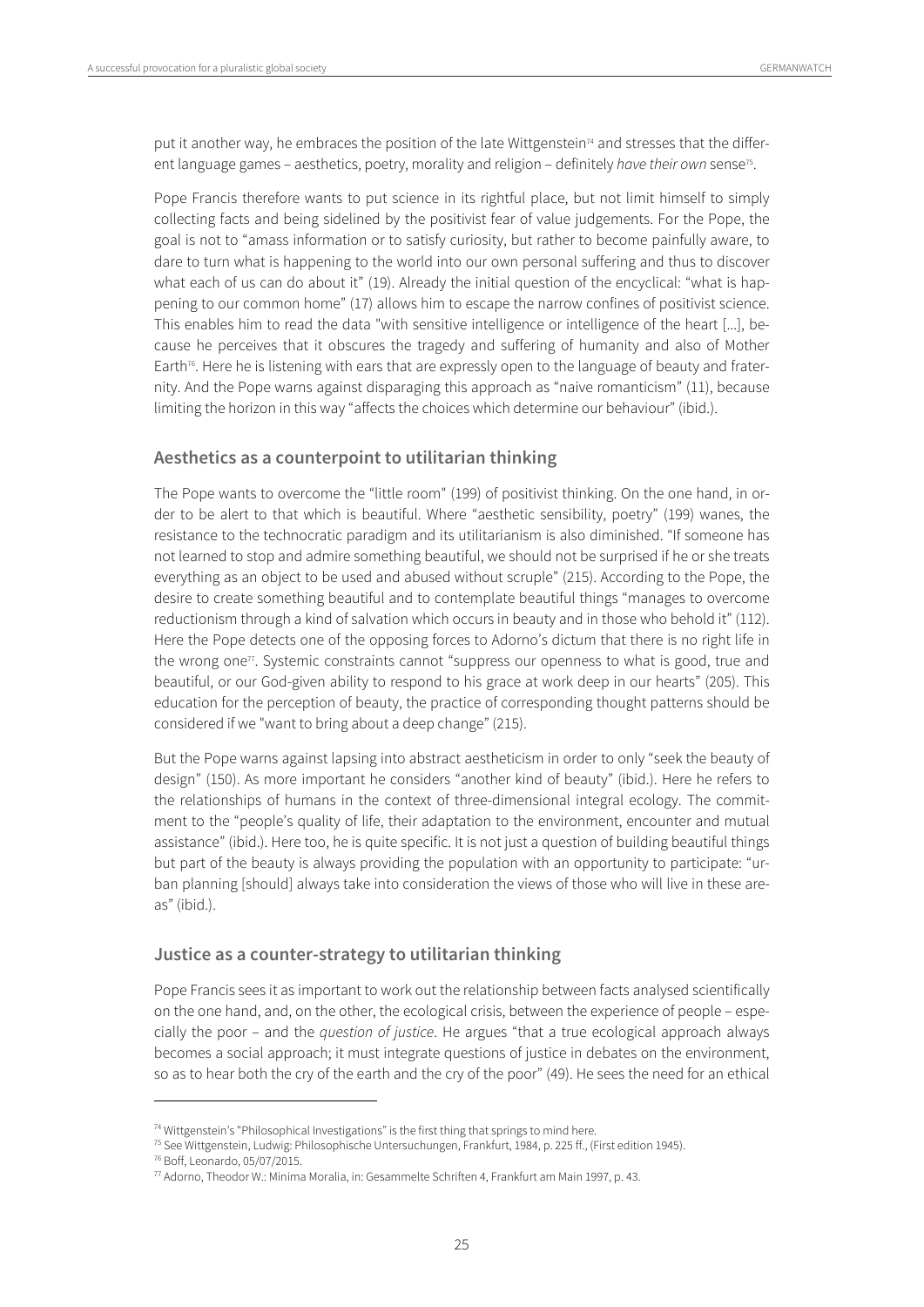put it another way, he embraces the position of the late Wittgenstein<sup>74</sup> and stresses that the different language games – aesthetics, poetry, morality and religion – definitely have their own sense<sup>75</sup>.

Pope Francis therefore wants to put science in its rightful place, but not limit himself to simply collecting facts and being sidelined by the positivist fear of value judgements. For the Pope, the goal is not to "amass information or to satisfy curiosity, but rather to become painfully aware, to dare to turn what is happening to the world into our own personal suffering and thus to discover what each of us can do about it" (19). Already the initial question of the encyclical: "what is happening to our common home" (17) allows him to escape the narrow confines of positivist science. This enables him to read the data "with sensitive intelligence or intelligence of the heart [...], because he perceives that it obscures the tragedy and suffering of humanity and also of Mother Earth<sup>76</sup>. Here he is listening with ears that are expressly open to the language of beauty and fraternity. And the Pope warns against disparaging this approach as "naive romanticism" (11), because limiting the horizon in this way "affects the choices which determine our behaviour" (ibid.).

#### **Aesthetics as a counterpoint to utilitarian thinking**

The Pope wants to overcome the "little room" (199) of positivist thinking. On the one hand, in order to be alert to that which is beautiful. Where "aesthetic sensibility, poetry" (199) wanes, the resistance to the technocratic paradigm and its utilitarianism is also diminished. "If someone has not learned to stop and admire something beautiful, we should not be surprised if he or she treats everything as an object to be used and abused without scruple" (215). According to the Pope, the desire to create something beautiful and to contemplate beautiful things "manages to overcome reductionism through a kind of salvation which occurs in beauty and in those who behold it" (112). Here the Pope detects one of the opposing forces to Adorno's dictum that there is no right life in the wrong one<sup>77</sup>. Systemic constraints cannot "suppress our openness to what is good, true and beautiful, or our God-given ability to respond to his grace at work deep in our hearts" (205). This education for the perception of beauty, the practice of corresponding thought patterns should be considered if we "want to bring about a deep change" (215).

But the Pope warns against lapsing into abstract aestheticism in order to only "seek the beauty of design" (150). As more important he considers "another kind of beauty" (ibid.). Here he refers to the relationships of humans in the context of three-dimensional integral ecology. The commitment to the "people's quality of life, their adaptation to the environment, encounter and mutual assistance" (ibid.). Here too, he is quite specific. It is not just a question of building beautiful things but part of the beauty is always providing the population with an opportunity to participate: "urban planning [should] always take into consideration the views of those who will live in these areas" (ibid.).

#### **Justice as a counter-strategy to utilitarian thinking**

Pope Francis sees it as important to work out the relationship between facts analysed scientifically on the one hand, and, on the other, the ecological crisis, between the experience of people – especially the poor – and the question of justice. He argues "that a true ecological approach always becomes a social approach; it must integrate questions of justice in debates on the environment, so as to hear both the cry of the earth and the cry of the poor" (49). He sees the need for an ethical

<sup>&</sup>lt;sup>74</sup> Wittgenstein's "Philosophical Investigations" is the first thing that springs to mind here.

<sup>&</sup>lt;sup>75</sup> See Wittgenstein, Ludwig: Philosophische Untersuchungen, Frankfurt, 1984, p. 225 ff., (First edition 1945).<br><sup>76</sup> Boff, Leonardo, 05/07/2015.<br><sup>77</sup> Adorno, Theodor W.: Minima Moralia, in: Gesammelte Schriften 4, Frankf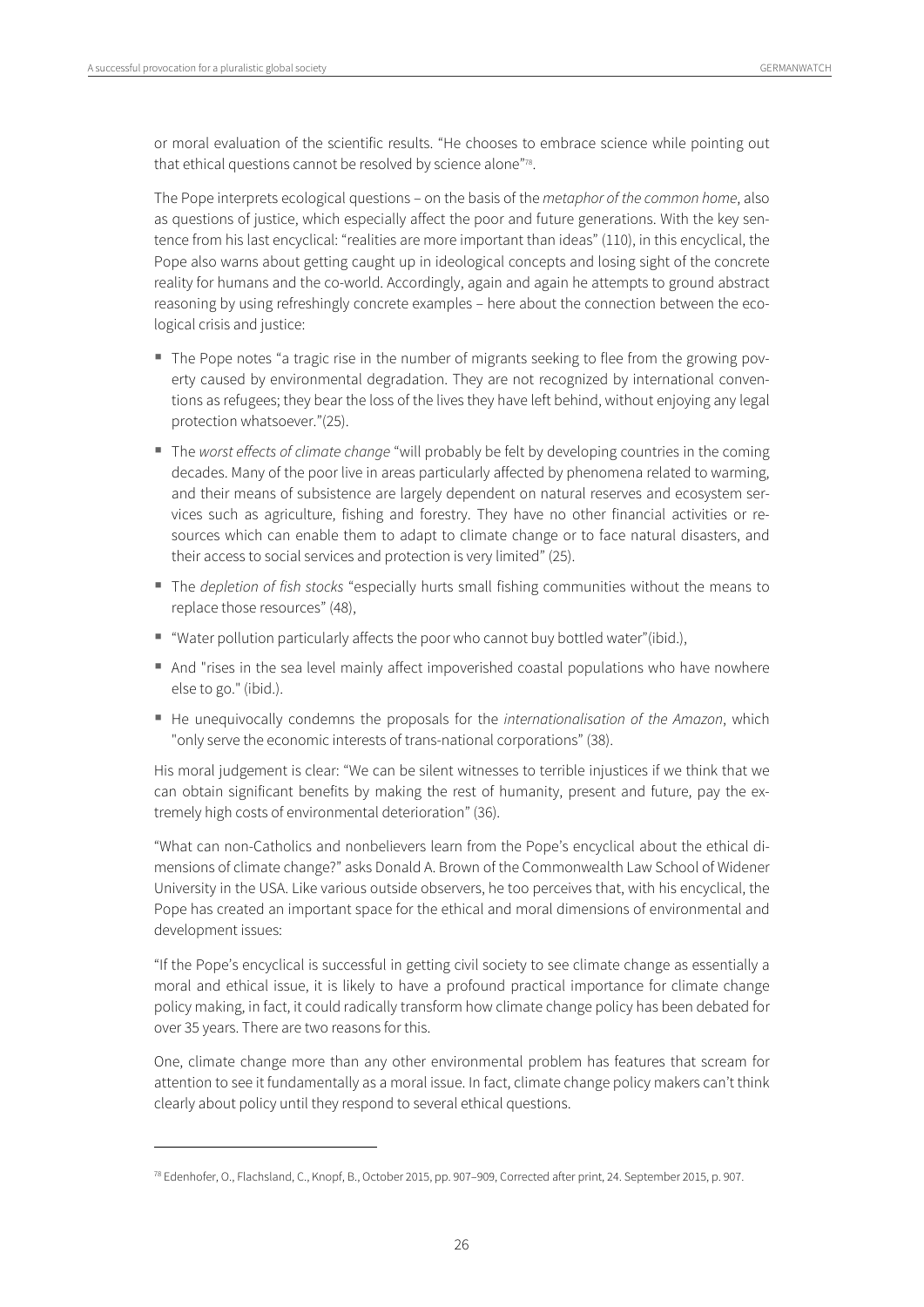$\overline{a}$ 

or moral evaluation of the scientific results. "He chooses to embrace science while pointing out that ethical questions cannot be resolved by science alone"78.

The Pope interprets ecological questions – on the basis of the metaphor of the common home, also as questions of justice, which especially affect the poor and future generations. With the key sentence from his last encyclical: "realities are more important than ideas" (110), in this encyclical, the Pope also warns about getting caught up in ideological concepts and losing sight of the concrete reality for humans and the co-world. Accordingly, again and again he attempts to ground abstract reasoning by using refreshingly concrete examples – here about the connection between the ecological crisis and justice:

- The Pope notes "a tragic rise in the number of migrants seeking to flee from the growing poverty caused by environmental degradation. They are not recognized by international conventions as refugees; they bear the loss of the lives they have left behind, without enjoying any legal protection whatsoever."(25).
- The worst effects of climate change "will probably be felt by developing countries in the coming decades. Many of the poor live in areas particularly affected by phenomena related to warming, and their means of subsistence are largely dependent on natural reserves and ecosystem services such as agriculture, fishing and forestry. They have no other financial activities or resources which can enable them to adapt to climate change or to face natural disasters, and their access to social services and protection is very limited" (25).
- The *depletion of fish stocks* "especially hurts small fishing communities without the means to replace those resources" (48),
- "Water pollution particularly affects the poor who cannot buy bottled water"(ibid.),
- And "rises in the sea level mainly affect impoverished coastal populations who have nowhere else to go." (ibid.).
- He unequivocally condemns the proposals for the internationalisation of the Amazon, which "only serve the economic interests of trans-national corporations" (38).

His moral judgement is clear: "We can be silent witnesses to terrible injustices if we think that we can obtain significant benefits by making the rest of humanity, present and future, pay the extremely high costs of environmental deterioration" (36).

"What can non-Catholics and nonbelievers learn from the Pope's encyclical about the ethical dimensions of climate change?" asks Donald A. Brown of the Commonwealth Law School of Widener University in the USA. Like various outside observers, he too perceives that, with his encyclical, the Pope has created an important space for the ethical and moral dimensions of environmental and development issues:

"If the Pope's encyclical is successful in getting civil society to see climate change as essentially a moral and ethical issue, it is likely to have a profound practical importance for climate change policy making, in fact, it could radically transform how climate change policy has been debated for over 35 years. There are two reasons for this.

One, climate change more than any other environmental problem has features that scream for attention to see it fundamentally as a moral issue. In fact, climate change policy makers can't think clearly about policy until they respond to several ethical questions.

<sup>78</sup> Edenhofer, O., Flachsland, C., Knopf, B., October 2015, pp. 907–909, Corrected after print, 24. September 2015, p. 907.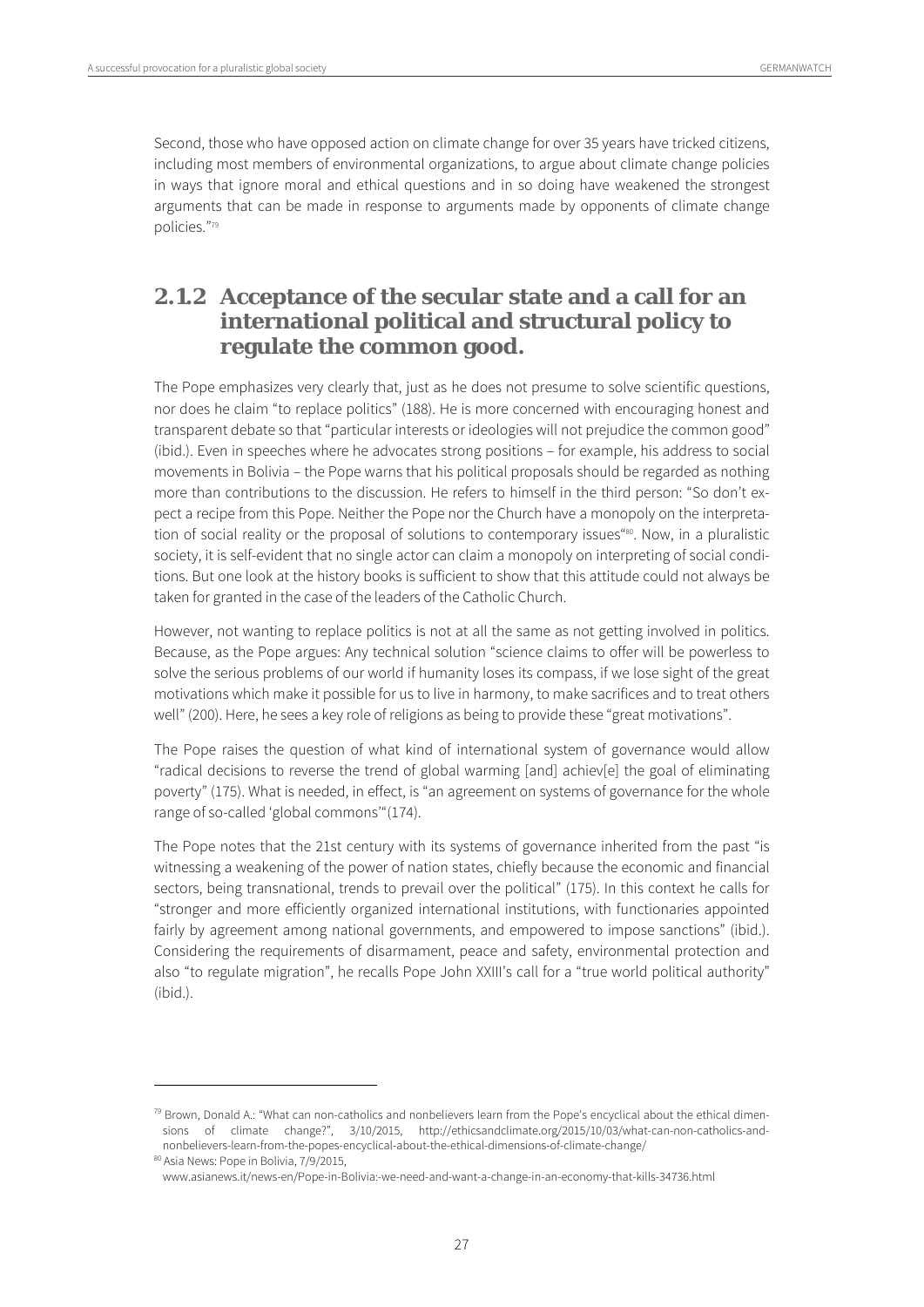Second, those who have opposed action on climate change for over 35 years have tricked citizens, including most members of environmental organizations, to argue about climate change policies in ways that ignore moral and ethical questions and in so doing have weakened the strongest arguments that can be made in response to arguments made by opponents of climate change policies."79

# **2.1.2 Acceptance of the secular state and a call for an international political and structural policy to regulate the common good.**

The Pope emphasizes very clearly that, just as he does not presume to solve scientific questions, nor does he claim "to replace politics" (188). He is more concerned with encouraging honest and transparent debate so that "particular interests or ideologies will not prejudice the common good" (ibid.). Even in speeches where he advocates strong positions – for example, his address to social movements in Bolivia – the Pope warns that his political proposals should be regarded as nothing more than contributions to the discussion. He refers to himself in the third person: "So don't expect a recipe from this Pope. Neither the Pope nor the Church have a monopoly on the interpretation of social reality or the proposal of solutions to contemporary issues"<sup>80</sup>. Now, in a pluralistic society, it is self-evident that no single actor can claim a monopoly on interpreting of social conditions. But one look at the history books is sufficient to show that this attitude could not always be taken for granted in the case of the leaders of the Catholic Church.

However, not wanting to replace politics is not at all the same as not getting involved in politics. Because, as the Pope argues: Any technical solution "science claims to offer will be powerless to solve the serious problems of our world if humanity loses its compass, if we lose sight of the great motivations which make it possible for us to live in harmony, to make sacrifices and to treat others well" (200). Here, he sees a key role of religions as being to provide these "great motivations".

The Pope raises the question of what kind of international system of governance would allow "radical decisions to reverse the trend of global warming [and] achiev[e] the goal of eliminating poverty" (175). What is needed, in effect, is "an agreement on systems of governance for the whole range of so-called 'global commons'"(174).

The Pope notes that the 21st century with its systems of governance inherited from the past "is witnessing a weakening of the power of nation states, chiefly because the economic and financial sectors, being transnational, trends to prevail over the political" (175). In this context he calls for "stronger and more efficiently organized international institutions, with functionaries appointed fairly by agreement among national governments, and empowered to impose sanctions" (ibid.). Considering the requirements of disarmament, peace and safety, environmental protection and also "to regulate migration", he recalls Pope John XXIII's call for a "true world political authority" (ibid.).

 $79$  Brown, Donald A.: "What can non-catholics and nonbelievers learn from the Pope's encyclical about the ethical dimensions of climate change?", 3/10/2015, http://ethicsandclimate.org/2015/10/03/what-can-non-catholics-andnonbelievers-learn-from-the-popes-encyclical-about-the-ethical-dimensions-of-climate-change/ 80 Asia News: Pope in Bolivia, 7/9/2015,

www.asianews.it/news-en/Pope-in-Bolivia:-we-need-and-want-a-change-in-an-economy-that-kills-34736.html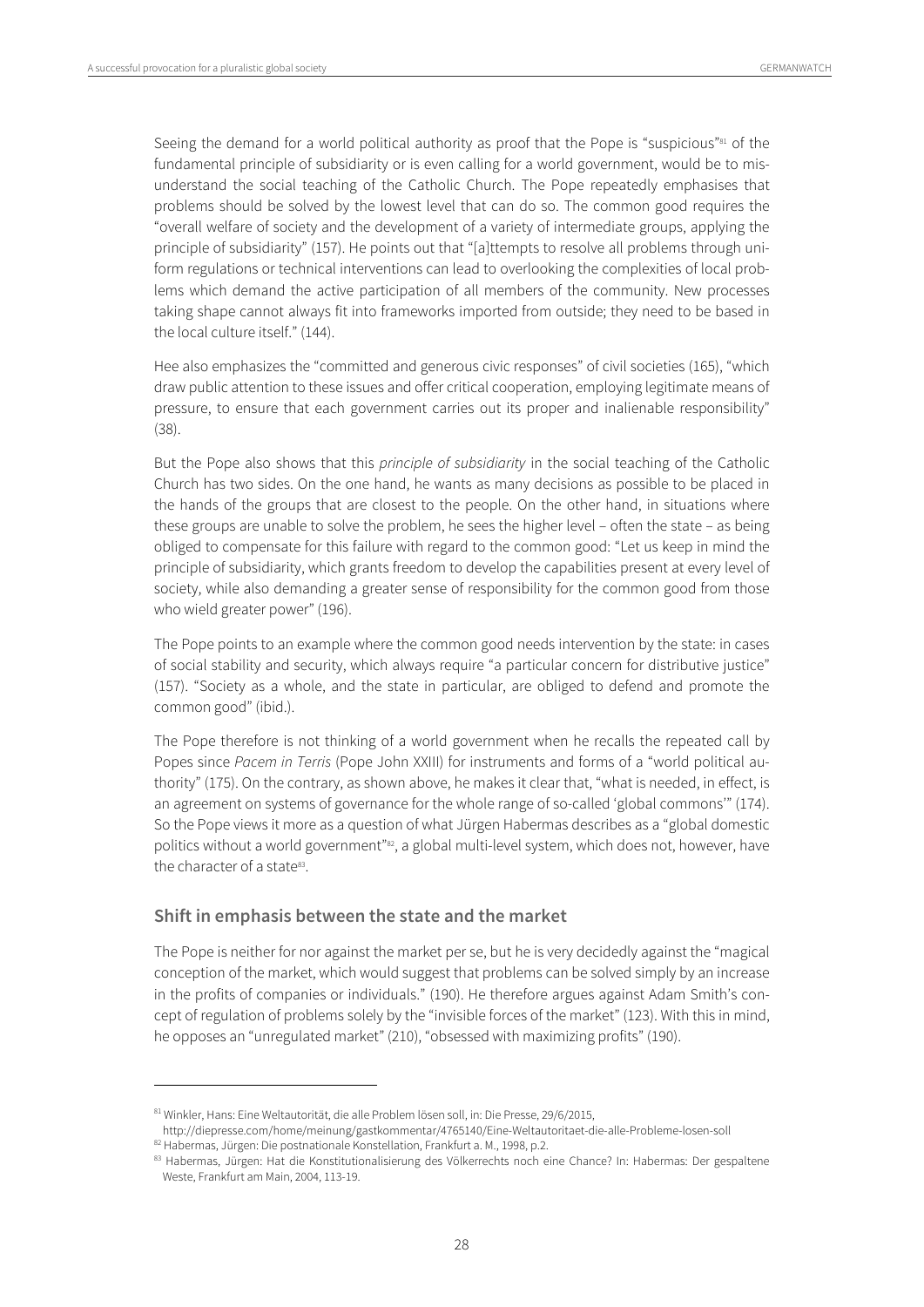Seeing the demand for a world political authority as proof that the Pope is "suspicious"<sup>81</sup> of the fundamental principle of subsidiarity or is even calling for a world government, would be to misunderstand the social teaching of the Catholic Church. The Pope repeatedly emphasises that problems should be solved by the lowest level that can do so. The common good requires the "overall welfare of society and the development of a variety of intermediate groups, applying the principle of subsidiarity" (157). He points out that "[a]ttempts to resolve all problems through uniform regulations or technical interventions can lead to overlooking the complexities of local problems which demand the active participation of all members of the community. New processes taking shape cannot always fit into frameworks imported from outside; they need to be based in the local culture itself." (144).

Hee also emphasizes the "committed and generous civic responses" of civil societies (165), "which draw public attention to these issues and offer critical cooperation, employing legitimate means of pressure, to ensure that each government carries out its proper and inalienable responsibility" (38).

But the Pope also shows that this *principle of subsidiarity* in the social teaching of the Catholic Church has two sides. On the one hand, he wants as many decisions as possible to be placed in the hands of the groups that are closest to the people. On the other hand, in situations where these groups are unable to solve the problem, he sees the higher level – often the state – as being obliged to compensate for this failure with regard to the common good: "Let us keep in mind the principle of subsidiarity, which grants freedom to develop the capabilities present at every level of society, while also demanding a greater sense of responsibility for the common good from those who wield greater power" (196).

The Pope points to an example where the common good needs intervention by the state: in cases of social stability and security, which always require "a particular concern for distributive justice" (157). "Society as a whole, and the state in particular, are obliged to defend and promote the common good" (ibid.).

The Pope therefore is not thinking of a world government when he recalls the repeated call by Popes since Pacem in Terris (Pope John XXIII) for instruments and forms of a "world political authority" (175). On the contrary, as shown above, he makes it clear that, "what is needed, in effect, is an agreement on systems of governance for the whole range of so-called 'global commons'" (174). So the Pope views it more as a question of what Jürgen Habermas describes as a "global domestic politics without a world government"<sup>82</sup>, a global multi-level system, which does not, however, have the character of a state<sup>83</sup>.

#### **Shift in emphasis between the state and the market**

The Pope is neither for nor against the market per se, but he is very decidedly against the "magical conception of the market, which would suggest that problems can be solved simply by an increase in the profits of companies or individuals." (190). He therefore argues against Adam Smith's concept of regulation of problems solely by the "invisible forces of the market" (123). With this in mind, he opposes an "unregulated market" (210), "obsessed with maximizing profits" (190).

<sup>81</sup> Winkler, Hans: Eine Weltautorität, die alle Problem lösen soll, in: Die Presse, 29/6/2015,

http://diepresse.com/home/meinung/gastkommentar/4765140/Eine-Weltautoritaet-die-alle-Probleme-losen-soll<br><sup>82</sup> Habermas, Jürgen: Die postnationale Konstellation, Frankfurt a. M., 1998, p.2.<br><sup>83</sup> Habermas, Jürgen: Hat die Ko

Weste, Frankfurt am Main, 2004, 113-19.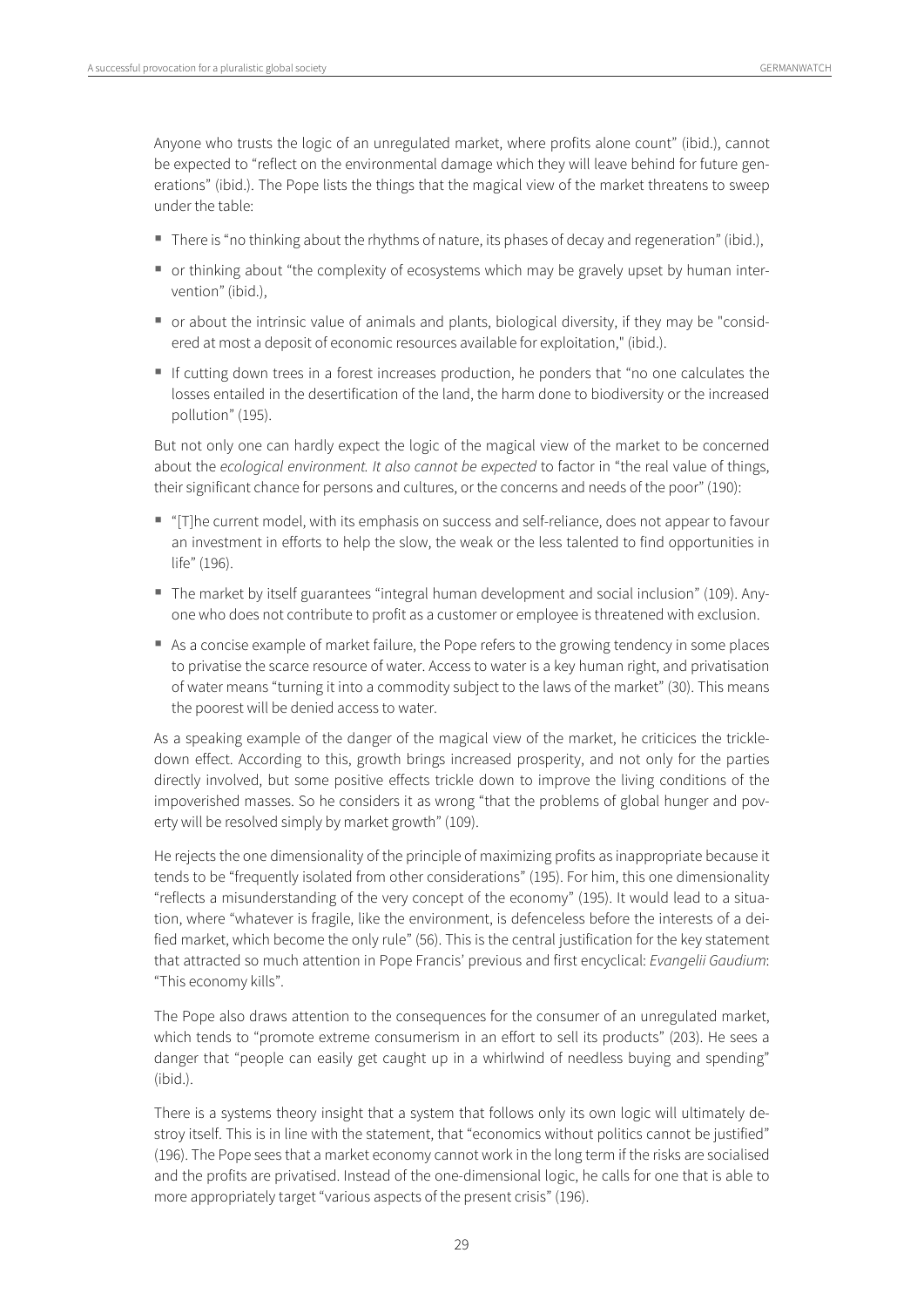Anyone who trusts the logic of an unregulated market, where profits alone count" (ibid.), cannot be expected to "reflect on the environmental damage which they will leave behind for future generations" (ibid.). The Pope lists the things that the magical view of the market threatens to sweep under the table:

- There is "no thinking about the rhythms of nature, its phases of decay and regeneration" (ibid.),
- or thinking about "the complexity of ecosystems which may be gravely upset by human intervention" (ibid.),
- or about the intrinsic value of animals and plants, biological diversity, if they may be "considered at most a deposit of economic resources available for exploitation," (ibid.).
- If cutting down trees in a forest increases production, he ponders that "no one calculates the losses entailed in the desertification of the land, the harm done to biodiversity or the increased pollution" (195).

But not only one can hardly expect the logic of the magical view of the market to be concerned about the ecological environment. It also cannot be expected to factor in "the real value of things, their significant chance for persons and cultures, or the concerns and needs of the poor" (190):

- "[T]he current model, with its emphasis on success and self-reliance, does not appear to favour an investment in efforts to help the slow, the weak or the less talented to find opportunities in life" (196).
- The market by itself guarantees "integral human development and social inclusion" (109). Anyone who does not contribute to profit as a customer or employee is threatened with exclusion.
- As a concise example of market failure, the Pope refers to the growing tendency in some places to privatise the scarce resource of water. Access to water is a key human right, and privatisation of water means "turning it into a commodity subject to the laws of the market" (30). This means the poorest will be denied access to water.

As a speaking example of the danger of the magical view of the market, he criticices the trickledown effect. According to this, growth brings increased prosperity, and not only for the parties directly involved, but some positive effects trickle down to improve the living conditions of the impoverished masses. So he considers it as wrong "that the problems of global hunger and poverty will be resolved simply by market growth" (109).

He rejects the one dimensionality of the principle of maximizing profits as inappropriate because it tends to be "frequently isolated from other considerations" (195). For him, this one dimensionality "reflects a misunderstanding of the very concept of the economy" (195). It would lead to a situation, where "whatever is fragile, like the environment, is defenceless before the interests of a deified market, which become the only rule" (56). This is the central justification for the key statement that attracted so much attention in Pope Francis' previous and first encyclical: Evangelii Gaudium: "This economy kills".

The Pope also draws attention to the consequences for the consumer of an unregulated market, which tends to "promote extreme consumerism in an effort to sell its products" (203). He sees a danger that "people can easily get caught up in a whirlwind of needless buying and spending" (ibid.).

There is a systems theory insight that a system that follows only its own logic will ultimately destroy itself. This is in line with the statement, that "economics without politics cannot be justified" (196). The Pope sees that a market economy cannot work in the long term if the risks are socialised and the profits are privatised. Instead of the one-dimensional logic, he calls for one that is able to more appropriately target "various aspects of the present crisis" (196).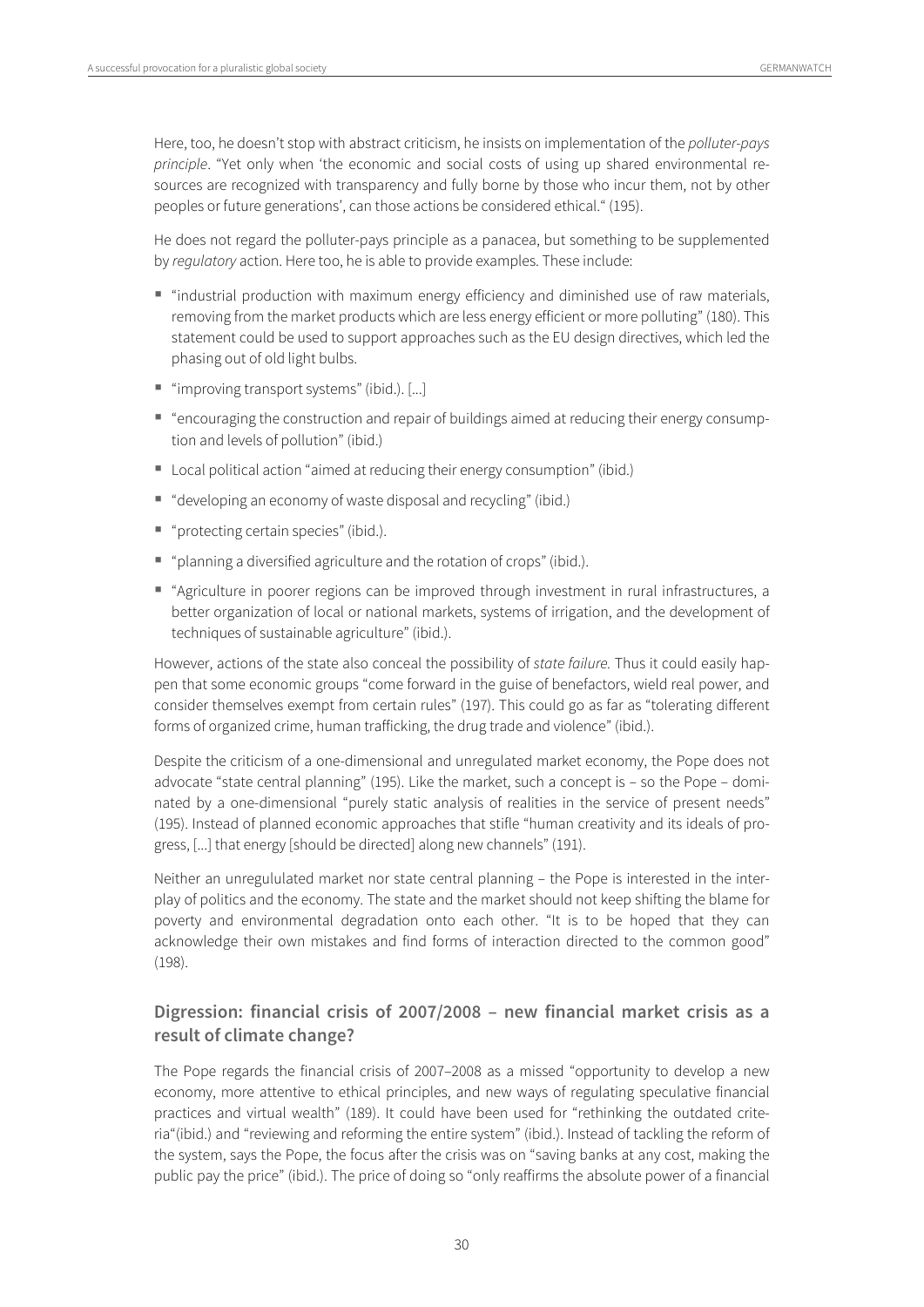Here, too, he doesn't stop with abstract criticism, he insists on implementation of the polluter-pays principle. "Yet only when 'the economic and social costs of using up shared environmental resources are recognized with transparency and fully borne by those who incur them, not by other peoples or future generations', can those actions be considered ethical." (195).

He does not regard the polluter-pays principle as a panacea, but something to be supplemented by regulatory action. Here too, he is able to provide examples. These include:

- "industrial production with maximum energy efficiency and diminished use of raw materials, removing from the market products which are less energy efficient or more polluting" (180). This statement could be used to support approaches such as the EU design directives, which led the phasing out of old light bulbs.
- "improving transport systems" (ibid.). [...]
- "encouraging the construction and repair of buildings aimed at reducing their energy consumption and levels of pollution" (ibid.)
- Local political action "aimed at reducing their energy consumption" (ibid.)
- "developing an economy of waste disposal and recycling" (ibid.)
- "protecting certain species" (ibid.).
- "planning a diversified agriculture and the rotation of crops" (ibid.).
- "Agriculture in poorer regions can be improved through investment in rural infrastructures, a better organization of local or national markets, systems of irrigation, and the development of techniques of sustainable agriculture" (ibid.).

However, actions of the state also conceal the possibility of state failure. Thus it could easily happen that some economic groups "come forward in the guise of benefactors, wield real power, and consider themselves exempt from certain rules" (197). This could go as far as "tolerating different forms of organized crime, human trafficking, the drug trade and violence" (ibid.).

Despite the criticism of a one-dimensional and unregulated market economy, the Pope does not advocate "state central planning" (195). Like the market, such a concept is – so the Pope – dominated by a one-dimensional "purely static analysis of realities in the service of present needs" (195). Instead of planned economic approaches that stifle "human creativity and its ideals of progress, [...] that energy [should be directed] along new channels" (191).

Neither an unregululated market nor state central planning – the Pope is interested in the interplay of politics and the economy. The state and the market should not keep shifting the blame for poverty and environmental degradation onto each other. "It is to be hoped that they can acknowledge their own mistakes and find forms of interaction directed to the common good" (198).

#### **Digression: financial crisis of 2007/2008 – new financial market crisis as a result of climate change?**

The Pope regards the financial crisis of 2007–2008 as a missed "opportunity to develop a new economy, more attentive to ethical principles, and new ways of regulating speculative financial practices and virtual wealth" (189). It could have been used for "rethinking the outdated criteria"(ibid.) and "reviewing and reforming the entire system" (ibid.). Instead of tackling the reform of the system, says the Pope, the focus after the crisis was on "saving banks at any cost, making the public pay the price" (ibid.). The price of doing so "only reaffirms the absolute power of a financial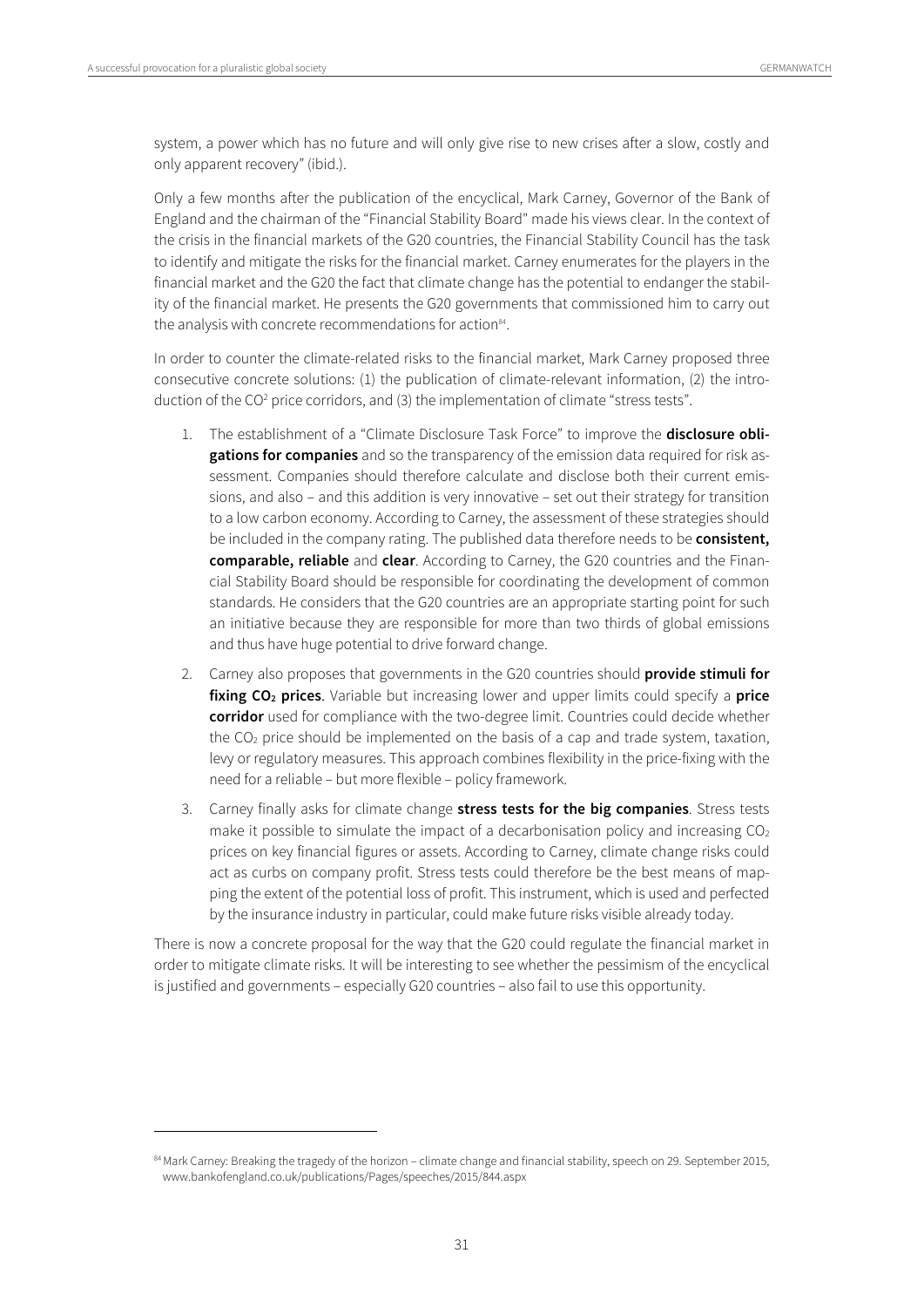$\overline{a}$ 

system, a power which has no future and will only give rise to new crises after a slow, costly and only apparent recovery" (ibid.).

Only a few months after the publication of the encyclical, Mark Carney, Governor of the Bank of England and the chairman of the "Financial Stability Board" made his views clear. In the context of the crisis in the financial markets of the G20 countries, the Financial Stability Council has the task to identify and mitigate the risks for the financial market. Carney enumerates for the players in the financial market and the G20 the fact that climate change has the potential to endanger the stability of the financial market. He presents the G20 governments that commissioned him to carry out the analysis with concrete recommendations for action<sup>84</sup>.

In order to counter the climate-related risks to the financial market, Mark Carney proposed three consecutive concrete solutions: (1) the publication of climate-relevant information, (2) the introduction of the CO<sup>2</sup> price corridors, and (3) the implementation of climate "stress tests".

- 1. The establishment of a "Climate Disclosure Task Force" to improve the **disclosure obligations for companies** and so the transparency of the emission data required for risk assessment. Companies should therefore calculate and disclose both their current emissions, and also – and this addition is very innovative – set out their strategy for transition to a low carbon economy. According to Carney, the assessment of these strategies should be included in the company rating. The published data therefore needs to be **consistent, comparable, reliable** and **clear**. According to Carney, the G20 countries and the Financial Stability Board should be responsible for coordinating the development of common standards. He considers that the G20 countries are an appropriate starting point for such an initiative because they are responsible for more than two thirds of global emissions and thus have huge potential to drive forward change.
- 2. Carney also proposes that governments in the G20 countries should **provide stimuli for fixing CO2 prices**. Variable but increasing lower and upper limits could specify a **price corridor** used for compliance with the two-degree limit. Countries could decide whether the  $CO<sub>2</sub>$  price should be implemented on the basis of a cap and trade system, taxation, levy or regulatory measures. This approach combines flexibility in the price-fixing with the need for a reliable – but more flexible – policy framework.
- 3. Carney finally asks for climate change **stress tests for the big companies**. Stress tests make it possible to simulate the impact of a decarbonisation policy and increasing  $CO<sub>2</sub>$ prices on key financial figures or assets. According to Carney, climate change risks could act as curbs on company profit. Stress tests could therefore be the best means of mapping the extent of the potential loss of profit. This instrument, which is used and perfected by the insurance industry in particular, could make future risks visible already today.

There is now a concrete proposal for the way that the G20 could regulate the financial market in order to mitigate climate risks. It will be interesting to see whether the pessimism of the encyclical is justified and governments – especially G20 countries – also fail to use this opportunity.

<sup>84</sup> Mark Carney: Breaking the tragedy of the horizon - climate change and financial stability, speech on 29. September 2015, www.bankofengland.co.uk/publications/Pages/speeches/2015/844.aspx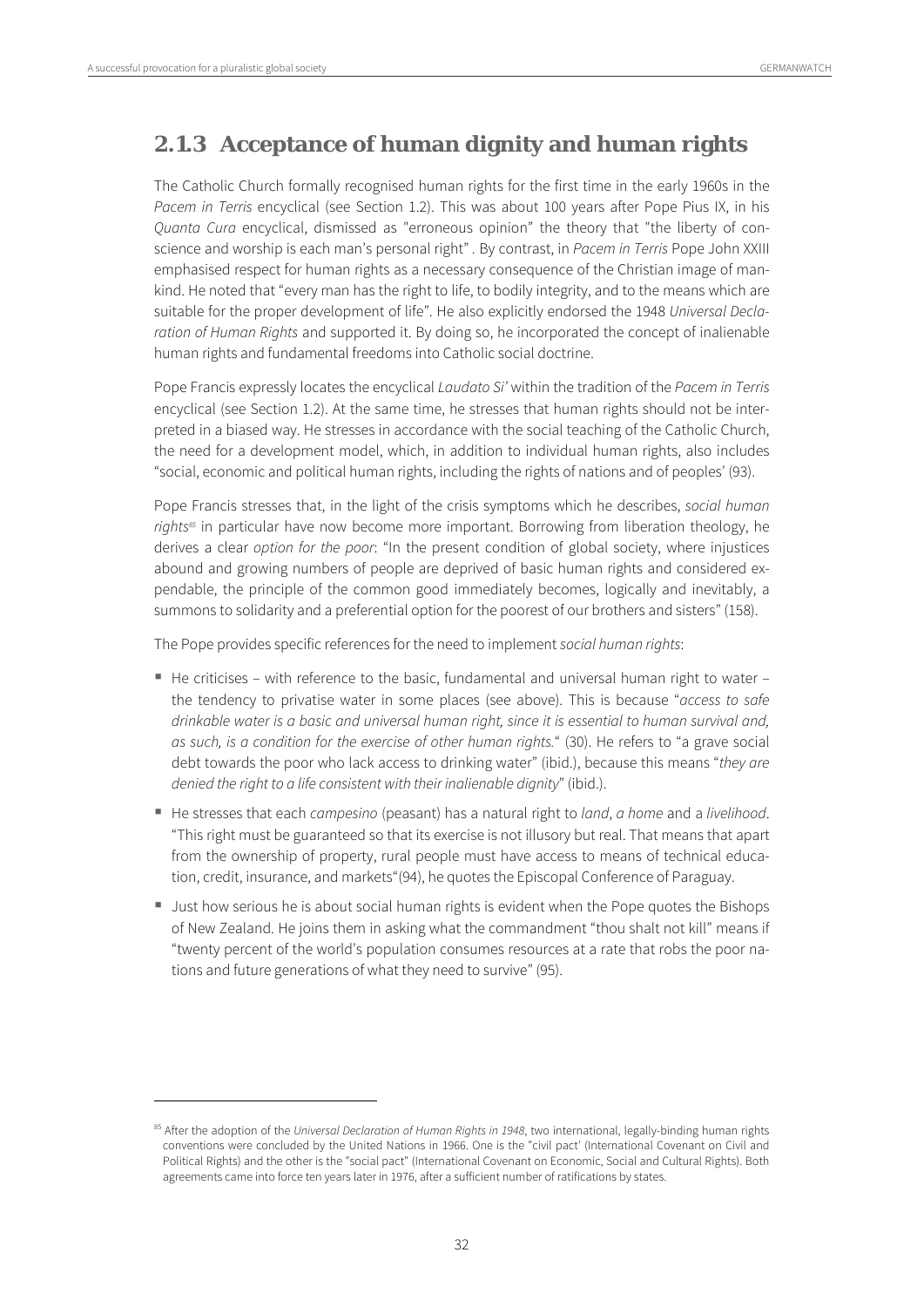$\overline{a}$ 

### **2.1.3 Acceptance of human dignity and human rights**

The Catholic Church formally recognised human rights for the first time in the early 1960s in the Pacem in Terris encyclical (see Section 1.2). This was about 100 years after Pope Pius IX, in his Quanta Cura encyclical, dismissed as "erroneous opinion" the theory that "the liberty of conscience and worship is each man's personal right". By contrast, in Pacem in Terris Pope John XXIII emphasised respect for human rights as a necessary consequence of the Christian image of mankind. He noted that "every man has the right to life, to bodily integrity, and to the means which are suitable for the proper development of life". He also explicitly endorsed the 1948 Universal Declaration of Human Rights and supported it. By doing so, he incorporated the concept of inalienable human rights and fundamental freedoms into Catholic social doctrine.

Pope Francis expressly locates the encyclical Laudato Si' within the tradition of the Pacem in Terris encyclical (see Section 1.2). At the same time, he stresses that human rights should not be interpreted in a biased way. He stresses in accordance with the social teaching of the Catholic Church, the need for a development model, which, in addition to individual human rights, also includes "social, economic and political human rights, including the rights of nations and of peoples' (93).

Pope Francis stresses that, in the light of the crisis symptoms which he describes, social human rights<sup>85</sup> in particular have now become more important. Borrowing from liberation theology, he derives a clear option for the poor: "In the present condition of global society, where injustices abound and growing numbers of people are deprived of basic human rights and considered expendable, the principle of the common good immediately becomes, logically and inevitably, a summons to solidarity and a preferential option for the poorest of our brothers and sisters" (158).

The Pope provides specific references for the need to implement social human rights:

- $\blacksquare$  He criticises with reference to the basic, fundamental and universal human right to water the tendency to privatise water in some places (see above). This is because "access to safe drinkable water is a basic and universal human right, since it is essential to human survival and, as such, is a condition for the exercise of other human rights." (30). He refers to "a grave social debt towards the poor who lack access to drinking water" (ibid.), because this means "they are denied the right to a life consistent with their inalienable dignity" (ibid.).
- He stresses that each *campesino* (peasant) has a natural right to *land*, a home and a livelihood. "This right must be guaranteed so that its exercise is not illusory but real. That means that apart from the ownership of property, rural people must have access to means of technical education, credit, insurance, and markets"(94), he quotes the Episcopal Conference of Paraguay.
- Uust how serious he is about social human rights is evident when the Pope quotes the Bishops of New Zealand. He joins them in asking what the commandment "thou shalt not kill" means if "twenty percent of the world's population consumes resources at a rate that robs the poor nations and future generations of what they need to survive" (95).

<sup>&</sup>lt;sup>85</sup> After the adoption of the Universal Declaration of Human Rights in 1948, two international, legally-binding human rights conventions were concluded by the United Nations in 1966. One is the "civil pact' (International Covenant on Civil and Political Rights) and the other is the "social pact" (International Covenant on Economic, Social and Cultural Rights). Both agreements came into force ten years later in 1976, after a sufficient number of ratifications by states.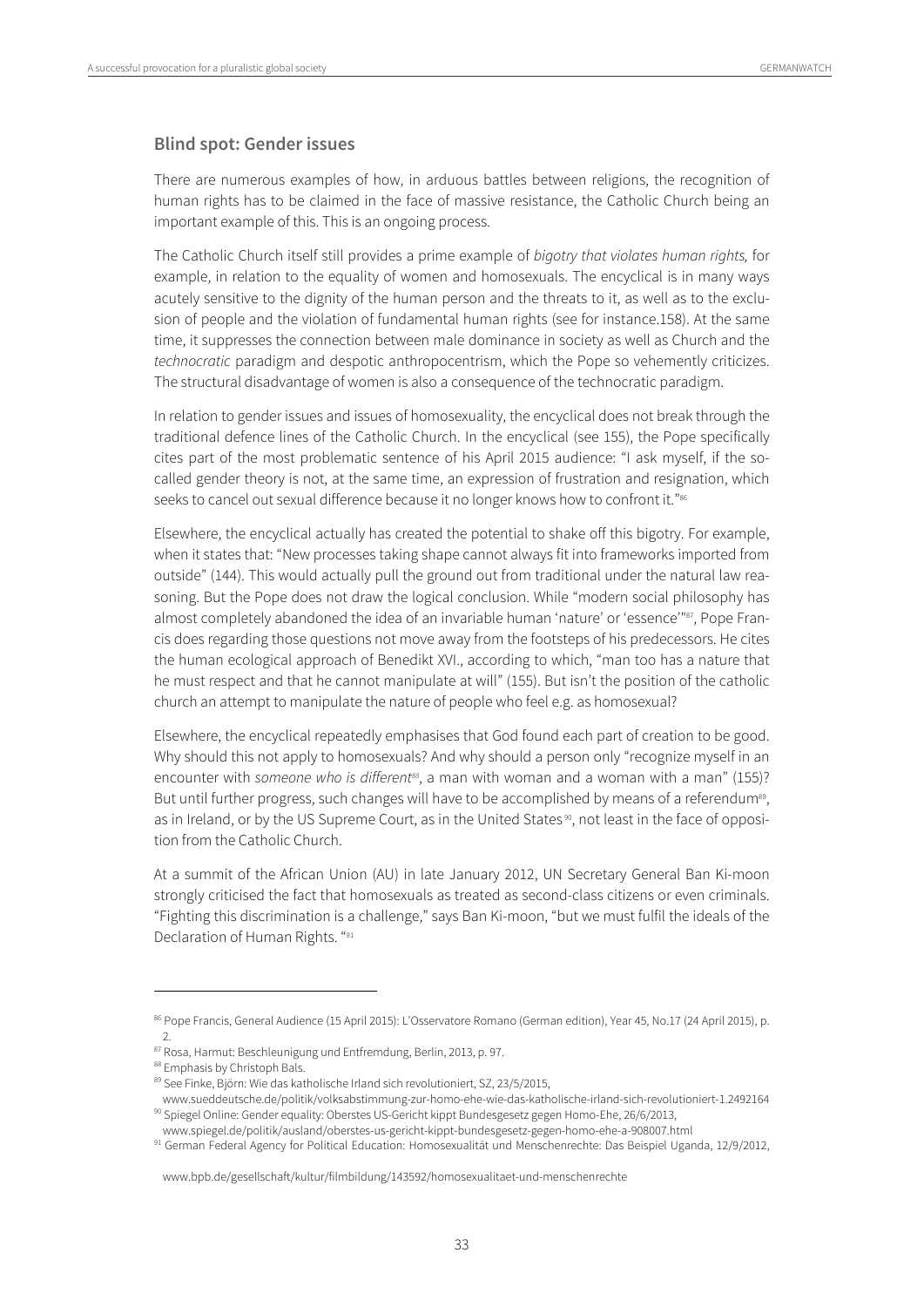#### **Blind spot: Gender issues**

There are numerous examples of how, in arduous battles between religions, the recognition of human rights has to be claimed in the face of massive resistance, the Catholic Church being an important example of this. This is an ongoing process.

The Catholic Church itself still provides a prime example of bigotry that violates human rights, for example, in relation to the equality of women and homosexuals. The encyclical is in many ways acutely sensitive to the dignity of the human person and the threats to it, as well as to the exclusion of people and the violation of fundamental human rights (see for instance.158). At the same time, it suppresses the connection between male dominance in society as well as Church and the technocratic paradigm and despotic anthropocentrism, which the Pope so vehemently criticizes. The structural disadvantage of women is also a consequence of the technocratic paradigm.

In relation to gender issues and issues of homosexuality, the encyclical does not break through the traditional defence lines of the Catholic Church. In the encyclical (see 155), the Pope specifically cites part of the most problematic sentence of his April 2015 audience: "I ask myself, if the socalled gender theory is not, at the same time, an expression of frustration and resignation, which seeks to cancel out sexual difference because it no longer knows how to confront it."<sup>86</sup>

Elsewhere, the encyclical actually has created the potential to shake off this bigotry. For example, when it states that: "New processes taking shape cannot always fit into frameworks imported from outside" (144). This would actually pull the ground out from traditional under the natural law reasoning. But the Pope does not draw the logical conclusion. While "modern social philosophy has almost completely abandoned the idea of an invariable human 'nature' or 'essence'"87, Pope Francis does regarding those questions not move away from the footsteps of his predecessors. He cites the human ecological approach of Benedikt XVI., according to which, "man too has a nature that he must respect and that he cannot manipulate at will" (155). But isn't the position of the catholic church an attempt to manipulate the nature of people who feel e.g. as homosexual?

Elsewhere, the encyclical repeatedly emphasises that God found each part of creation to be good. Why should this not apply to homosexuals? And why should a person only "recognize myself in an encounter with someone who is different<sup>88</sup>, a man with woman and a woman with a man" (155)? But until further progress, such changes will have to be accomplished by means of a referendum<sup>89</sup>, as in Ireland, or by the US Supreme Court, as in the United States<sup>90</sup>, not least in the face of opposition from the Catholic Church.

At a summit of the African Union (AU) in late January 2012, UN Secretary General Ban Ki-moon strongly criticised the fact that homosexuals as treated as second-class citizens or even criminals. "Fighting this discrimination is a challenge," says Ban Ki-moon, "but we must fulfil the ideals of the Declaration of Human Rights. "91

<sup>86</sup> Pope Francis, General Audience (15 April 2015): L'Osservatore Romano (German edition), Year 45, No.17 (24 April 2015), p. 2.

<sup>&</sup>lt;sup>87</sup> Rosa, Harmut: Beschleunigung und Entfremdung, Berlin, 2013, p. 97.<br><sup>88</sup> Emphasis by Christoph Bals.

<sup>89</sup> See Finke, Björn: Wie das katholische Irland sich revolutioniert, SZ, 23/5/2015,

www.sueddeutsche.de/politik/volksabstimmung-zur-homo-ehe-wie-das-katholische-irland-sich-revolutioniert-1.2492164 90 Spiegel Online: Gender equality: Oberstes US-Gericht kippt Bundesgesetz gegen Homo-Ehe, 26/6/2013,

www.spiegel.de/politik/ausland/oberstes-us-gericht-kippt-bundesgesetz-gegen-homo-ehe-a-908007.html<br><sup>91</sup> German Federal Agency for Political Education: Homosexualität und Menschenrechte: Das Beispiel Uganda, 12/9/2012,

www.bpb.de/gesellschaft/kultur/filmbildung/143592/homosexualitaet-und-menschenrechte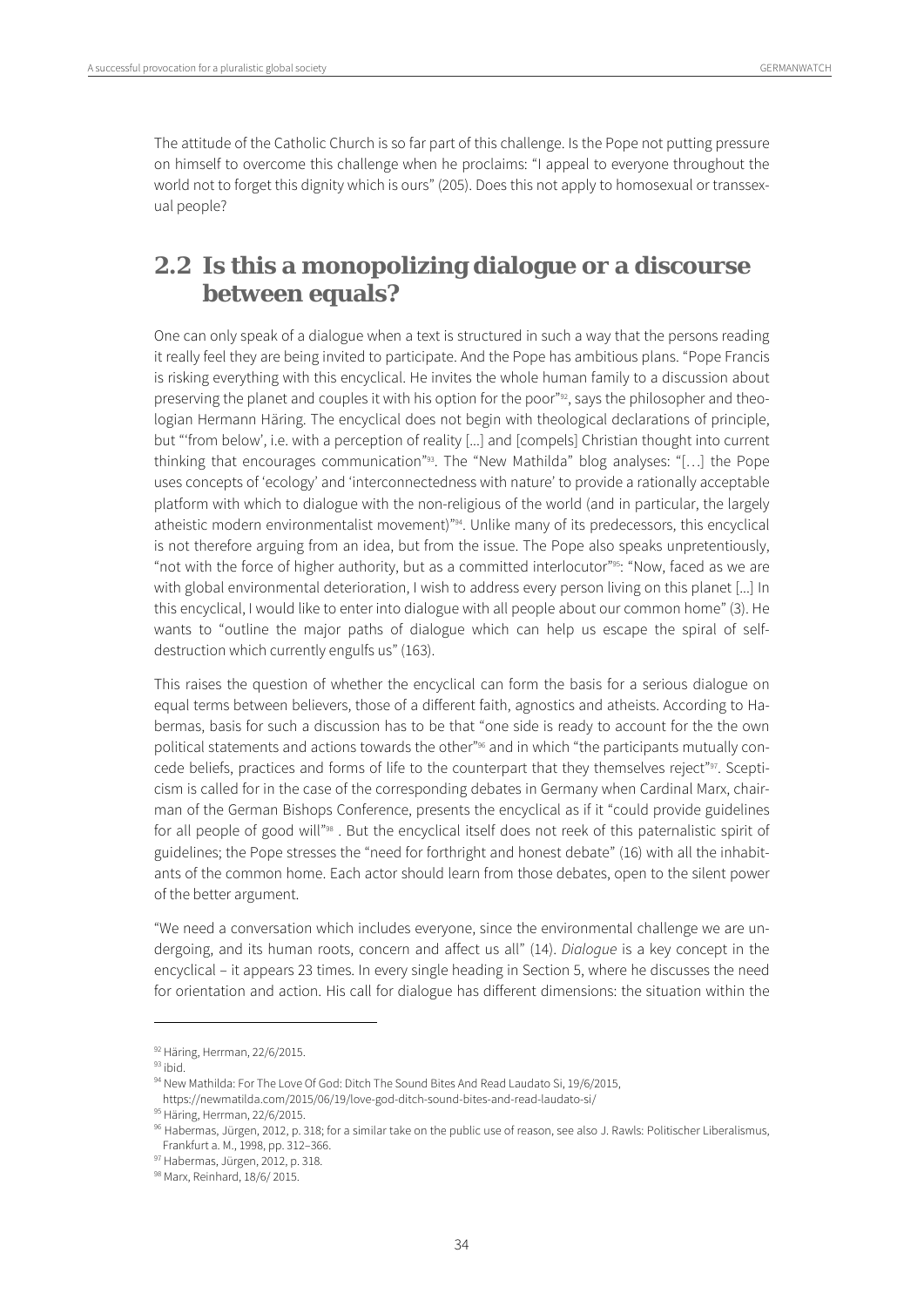The attitude of the Catholic Church is so far part of this challenge. Is the Pope not putting pressure on himself to overcome this challenge when he proclaims: "I appeal to everyone throughout the world not to forget this dignity which is ours" (205). Does this not apply to homosexual or transsexual people?

# **2.2 Is this a monopolizing dialogue or a discourse between equals?**

One can only speak of a dialogue when a text is structured in such a way that the persons reading it really feel they are being invited to participate. And the Pope has ambitious plans. "Pope Francis is risking everything with this encyclical. He invites the whole human family to a discussion about preserving the planet and couples it with his option for the poor" $92$ , says the philosopher and theologian Hermann Häring. The encyclical does not begin with theological declarations of principle, but "'from below', i.e. with a perception of reality [...] and [compels] Christian thought into current thinking that encourages communication"93. The "New Mathilda" blog analyses: "[…] the Pope uses concepts of 'ecology' and 'interconnectedness with nature' to provide a rationally acceptable platform with which to dialogue with the non-religious of the world (and in particular, the largely atheistic modern environmentalist movement)"94. Unlike many of its predecessors, this encyclical is not therefore arguing from an idea, but from the issue. The Pope also speaks unpretentiously, "not with the force of higher authority, but as a committed interlocutor"<sup>95</sup>: "Now, faced as we are with global environmental deterioration, I wish to address every person living on this planet [...] In this encyclical, I would like to enter into dialogue with all people about our common home" (3). He wants to "outline the major paths of dialogue which can help us escape the spiral of selfdestruction which currently engulfs us" (163).

This raises the question of whether the encyclical can form the basis for a serious dialogue on equal terms between believers, those of a different faith, agnostics and atheists. According to Habermas, basis for such a discussion has to be that "one side is ready to account for the the own political statements and actions towards the other"<sup>96</sup> and in which "the participants mutually concede beliefs, practices and forms of life to the counterpart that they themselves reject"<sup>97</sup>. Scepticism is called for in the case of the corresponding debates in Germany when Cardinal Marx, chairman of the German Bishops Conference, presents the encyclical as if it "could provide guidelines for all people of good will"<sup>98</sup>. But the encyclical itself does not reek of this paternalistic spirit of guidelines; the Pope stresses the "need for forthright and honest debate" (16) with all the inhabitants of the common home. Each actor should learn from those debates, open to the silent power of the better argument.

"We need a conversation which includes everyone, since the environmental challenge we are undergoing, and its human roots, concern and affect us all" (14). Dialogue is a key concept in the encyclical – it appears 23 times. In every single heading in Section 5, where he discusses the need for orientation and action. His call for dialogue has different dimensions: the situation within the

<sup>92</sup> Häring, Herrman, 22/6/2015.

 $93$  ibid.

<sup>94</sup> New Mathilda: For The Love Of God: Ditch The Sound Bites And Read Laudato Si, 19/6/2015,

https://newmatilda.com/2015/06/19/love-god-ditch-sound-bites-and-read-laudato-si/  $^{95}$  Häring, Herrman, 22/6/2015.

<sup>96</sup> Habermas, Jürgen, 2012, p. 318; for a similar take on the public use of reason, see also J. Rawls: Politischer Liberalismus, Frankfurt a. M., 1998, pp. 312–366.

<sup>97</sup> Habermas, Jürgen, 2012, p. 318.

<sup>98</sup> Marx, Reinhard, 18/6/2015.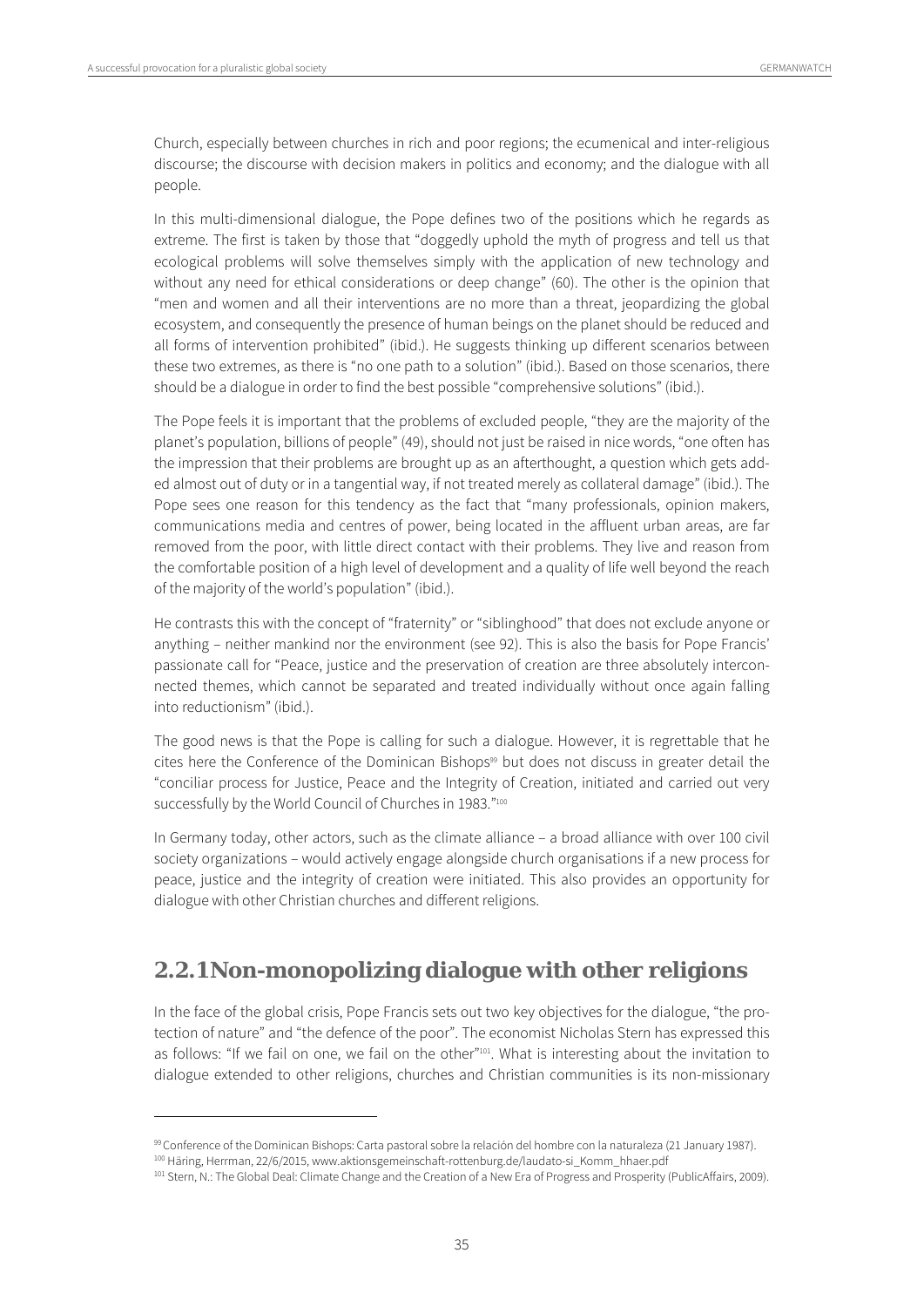$\overline{a}$ 

Church, especially between churches in rich and poor regions; the ecumenical and inter-religious discourse; the discourse with decision makers in politics and economy; and the dialogue with all people.

In this multi-dimensional dialogue, the Pope defines two of the positions which he regards as extreme. The first is taken by those that "doggedly uphold the myth of progress and tell us that ecological problems will solve themselves simply with the application of new technology and without any need for ethical considerations or deep change" (60). The other is the opinion that "men and women and all their interventions are no more than a threat, jeopardizing the global ecosystem, and consequently the presence of human beings on the planet should be reduced and all forms of intervention prohibited" (ibid.). He suggests thinking up different scenarios between these two extremes, as there is "no one path to a solution" (ibid.). Based on those scenarios, there should be a dialogue in order to find the best possible "comprehensive solutions" (ibid.).

The Pope feels it is important that the problems of excluded people, "they are the majority of the planet's population, billions of people" (49), should not just be raised in nice words, "one often has the impression that their problems are brought up as an afterthought, a question which gets added almost out of duty or in a tangential way, if not treated merely as collateral damage" (ibid.). The Pope sees one reason for this tendency as the fact that "many professionals, opinion makers, communications media and centres of power, being located in the affluent urban areas, are far removed from the poor, with little direct contact with their problems. They live and reason from the comfortable position of a high level of development and a quality of life well beyond the reach of the majority of the world's population" (ibid.).

He contrasts this with the concept of "fraternity" or "siblinghood" that does not exclude anyone or anything – neither mankind nor the environment (see 92). This is also the basis for Pope Francis' passionate call for "Peace, justice and the preservation of creation are three absolutely interconnected themes, which cannot be separated and treated individually without once again falling into reductionism" (ibid.).

The good news is that the Pope is calling for such a dialogue. However, it is regrettable that he cites here the Conference of the Dominican Bishops<sup>99</sup> but does not discuss in greater detail the "conciliar process for Justice, Peace and the Integrity of Creation, initiated and carried out very successfully by the World Council of Churches in 1983."100

In Germany today, other actors, such as the climate alliance – a broad alliance with over 100 civil society organizations – would actively engage alongside church organisations if a new process for peace, justice and the integrity of creation were initiated. This also provides an opportunity for dialogue with other Christian churches and different religions.

# **2.2.1 Non-monopolizing dialogue with other religions**

In the face of the global crisis, Pope Francis sets out two key objectives for the dialogue, "the protection of nature" and "the defence of the poor". The economist Nicholas Stern has expressed this as follows: "If we fail on one, we fail on the other"101. What is interesting about the invitation to dialogue extended to other religions, churches and Christian communities is its non-missionary

<sup>&</sup>lt;sup>99</sup> Conference of the Dominican Bishops: Carta pastoral sobre la relación del hombre con la naturaleza (21 January 1987).<br><sup>100</sup> Häring, Herrman, 22/6/2015, www.aktionsgemeinschaft-rottenburg.de/laudato-si\_Komm\_hhaer.pdf<br><sup></sup>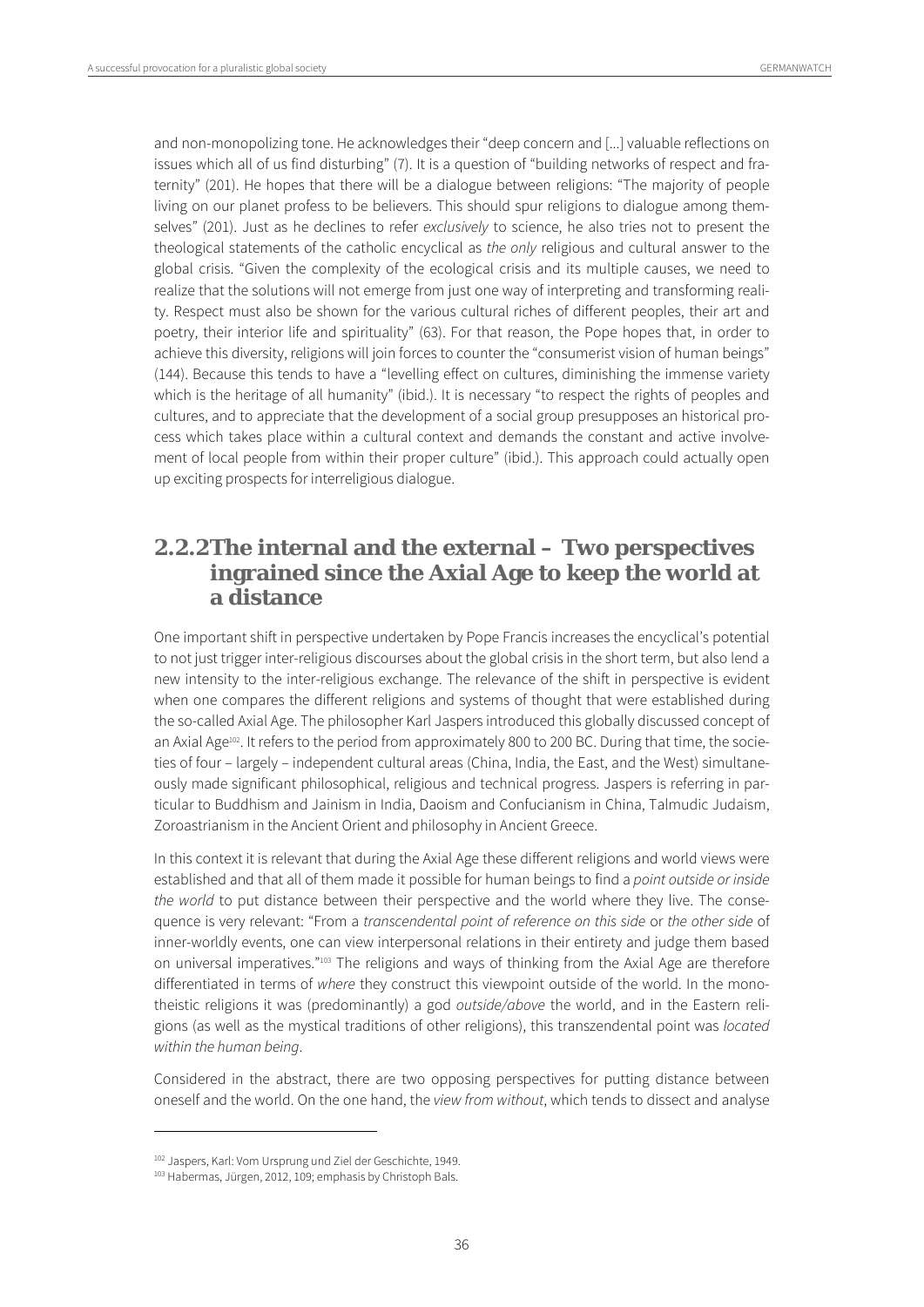and non-monopolizing tone. He acknowledges their "deep concern and [...] valuable reflections on issues which all of us find disturbing" (7). It is a question of "building networks of respect and fraternity" (201). He hopes that there will be a dialogue between religions: "The majority of people living on our planet profess to be believers. This should spur religions to dialogue among themselves" (201). Just as he declines to refer exclusively to science, he also tries not to present the theological statements of the catholic encyclical as the only religious and cultural answer to the global crisis. "Given the complexity of the ecological crisis and its multiple causes, we need to realize that the solutions will not emerge from just one way of interpreting and transforming reality. Respect must also be shown for the various cultural riches of different peoples, their art and poetry, their interior life and spirituality" (63). For that reason, the Pope hopes that, in order to achieve this diversity, religions will join forces to counter the "consumerist vision of human beings" (144). Because this tends to have a "levelling effect on cultures, diminishing the immense variety which is the heritage of all humanity" (ibid.). It is necessary "to respect the rights of peoples and cultures, and to appreciate that the development of a social group presupposes an historical process which takes place within a cultural context and demands the constant and active involvement of local people from within their proper culture" (ibid.). This approach could actually open up exciting prospects for interreligious dialogue.

# **2.2.2The internal and the external – Two perspectives ingrained since the Axial Age to keep the world at a distance**

One important shift in perspective undertaken by Pope Francis increases the encyclical's potential to not just trigger inter-religious discourses about the global crisis in the short term, but also lend a new intensity to the inter-religious exchange. The relevance of the shift in perspective is evident when one compares the different religions and systems of thought that were established during the so-called Axial Age. The philosopher Karl Jaspers introduced this globally discussed concept of an Axial Age<sup>102</sup>. It refers to the period from approximately 800 to 200 BC. During that time, the societies of four – largely – independent cultural areas (China, India, the East, and the West) simultaneously made significant philosophical, religious and technical progress. Jaspers is referring in particular to Buddhism and Jainism in India, Daoism and Confucianism in China, Talmudic Judaism, Zoroastrianism in the Ancient Orient and philosophy in Ancient Greece.

In this context it is relevant that during the Axial Age these different religions and world views were established and that all of them made it possible for human beings to find a point outside or inside the world to put distance between their perspective and the world where they live. The consequence is very relevant: "From a transcendental point of reference on this side or the other side of inner-worldly events, one can view interpersonal relations in their entirety and judge them based on universal imperatives."103 The religions and ways of thinking from the Axial Age are therefore differentiated in terms of where they construct this viewpoint outside of the world. In the monotheistic religions it was (predominantly) a god outside/above the world, and in the Eastern religions (as well as the mystical traditions of other religions), this transzendental point was located within the human being.

Considered in the abstract, there are two opposing perspectives for putting distance between oneself and the world. On the one hand, the view from without, which tends to dissect and analyse

<sup>&</sup>lt;sup>102</sup> Jaspers, Karl: Vom Ursprung und Ziel der Geschichte, 1949.<br><sup>103</sup> Habermas, Jürgen, 2012, 109; emphasis by Christoph Bals.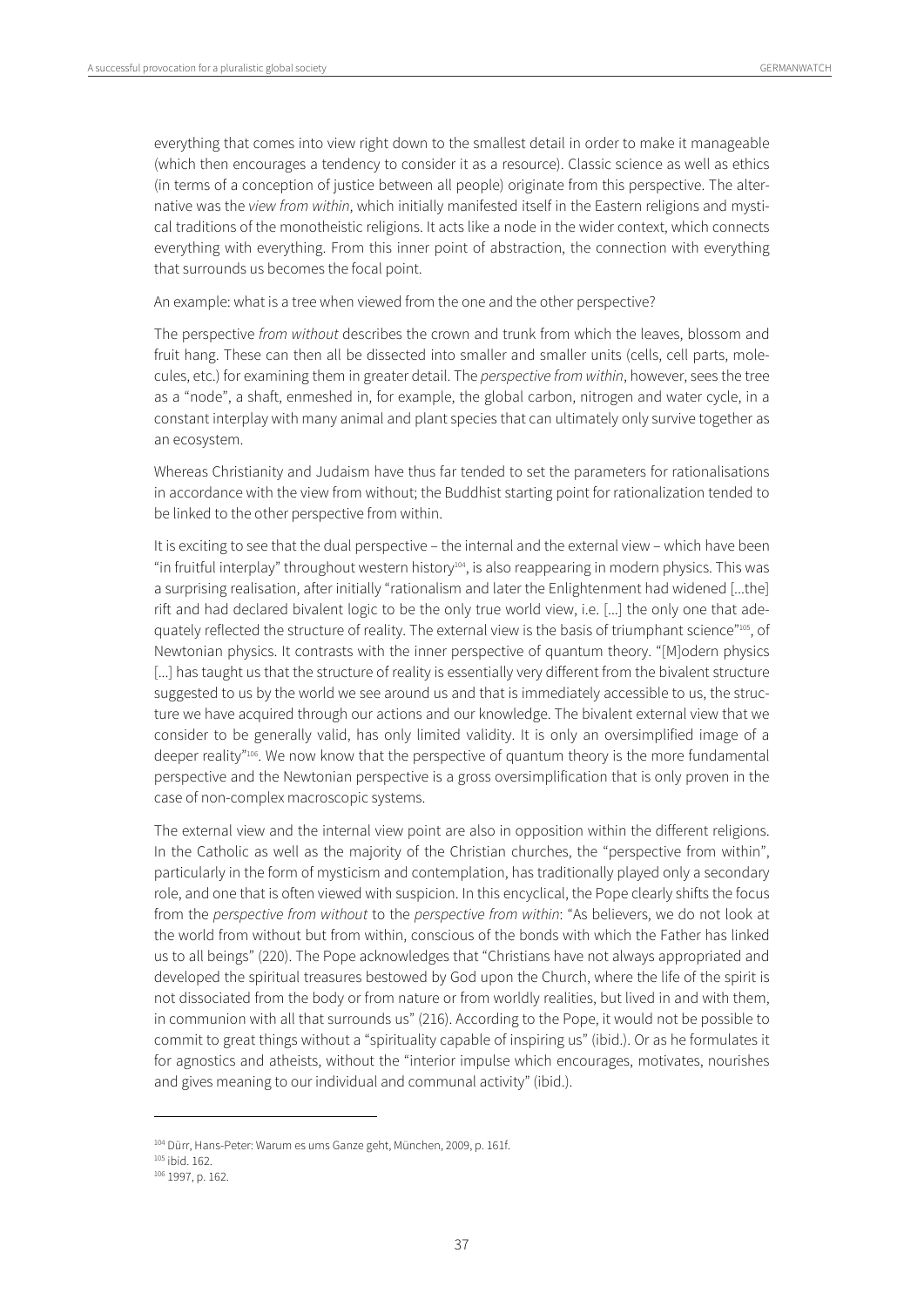everything that comes into view right down to the smallest detail in order to make it manageable (which then encourages a tendency to consider it as a resource). Classic science as well as ethics (in terms of a conception of justice between all people) originate from this perspective. The alternative was the view from within, which initially manifested itself in the Eastern religions and mystical traditions of the monotheistic religions. It acts like a node in the wider context, which connects everything with everything. From this inner point of abstraction, the connection with everything that surrounds us becomes the focal point.

An example: what is a tree when viewed from the one and the other perspective?

The perspective from without describes the crown and trunk from which the leaves, blossom and fruit hang. These can then all be dissected into smaller and smaller units (cells, cell parts, molecules, etc.) for examining them in greater detail. The perspective from within, however, sees the tree as a "node", a shaft, enmeshed in, for example, the global carbon, nitrogen and water cycle, in a constant interplay with many animal and plant species that can ultimately only survive together as an ecosystem.

Whereas Christianity and Judaism have thus far tended to set the parameters for rationalisations in accordance with the view from without; the Buddhist starting point for rationalization tended to be linked to the other perspective from within.

It is exciting to see that the dual perspective – the internal and the external view – which have been "in fruitful interplay" throughout western history104, is also reappearing in modern physics. This was a surprising realisation, after initially "rationalism and later the Enlightenment had widened [...the] rift and had declared bivalent logic to be the only true world view, i.e. [...] the only one that adequately reflected the structure of reality. The external view is the basis of triumphant science"105, of Newtonian physics. It contrasts with the inner perspective of quantum theory. "[M]odern physics [...] has taught us that the structure of reality is essentially very different from the bivalent structure suggested to us by the world we see around us and that is immediately accessible to us, the structure we have acquired through our actions and our knowledge. The bivalent external view that we consider to be generally valid, has only limited validity. It is only an oversimplified image of a deeper reality"<sup>106</sup>. We now know that the perspective of quantum theory is the more fundamental perspective and the Newtonian perspective is a gross oversimplification that is only proven in the case of non-complex macroscopic systems.

The external view and the internal view point are also in opposition within the different religions. In the Catholic as well as the majority of the Christian churches, the "perspective from within", particularly in the form of mysticism and contemplation, has traditionally played only a secondary role, and one that is often viewed with suspicion. In this encyclical, the Pope clearly shifts the focus from the perspective from without to the perspective from within: "As believers, we do not look at the world from without but from within, conscious of the bonds with which the Father has linked us to all beings" (220). The Pope acknowledges that "Christians have not always appropriated and developed the spiritual treasures bestowed by God upon the Church, where the life of the spirit is not dissociated from the body or from nature or from worldly realities, but lived in and with them, in communion with all that surrounds us" (216). According to the Pope, it would not be possible to commit to great things without a "spirituality capable of inspiring us" (ibid.). Or as he formulates it for agnostics and atheists, without the "interior impulse which encourages, motivates, nourishes and gives meaning to our individual and communal activity" (ibid.).

<sup>&</sup>lt;sup>104</sup> Dürr, Hans-Peter: Warum es ums Ganze geht, München, 2009, p. 161f.<br><sup>105</sup> ibid. 162.<br><sup>106</sup> 1997, p. 162.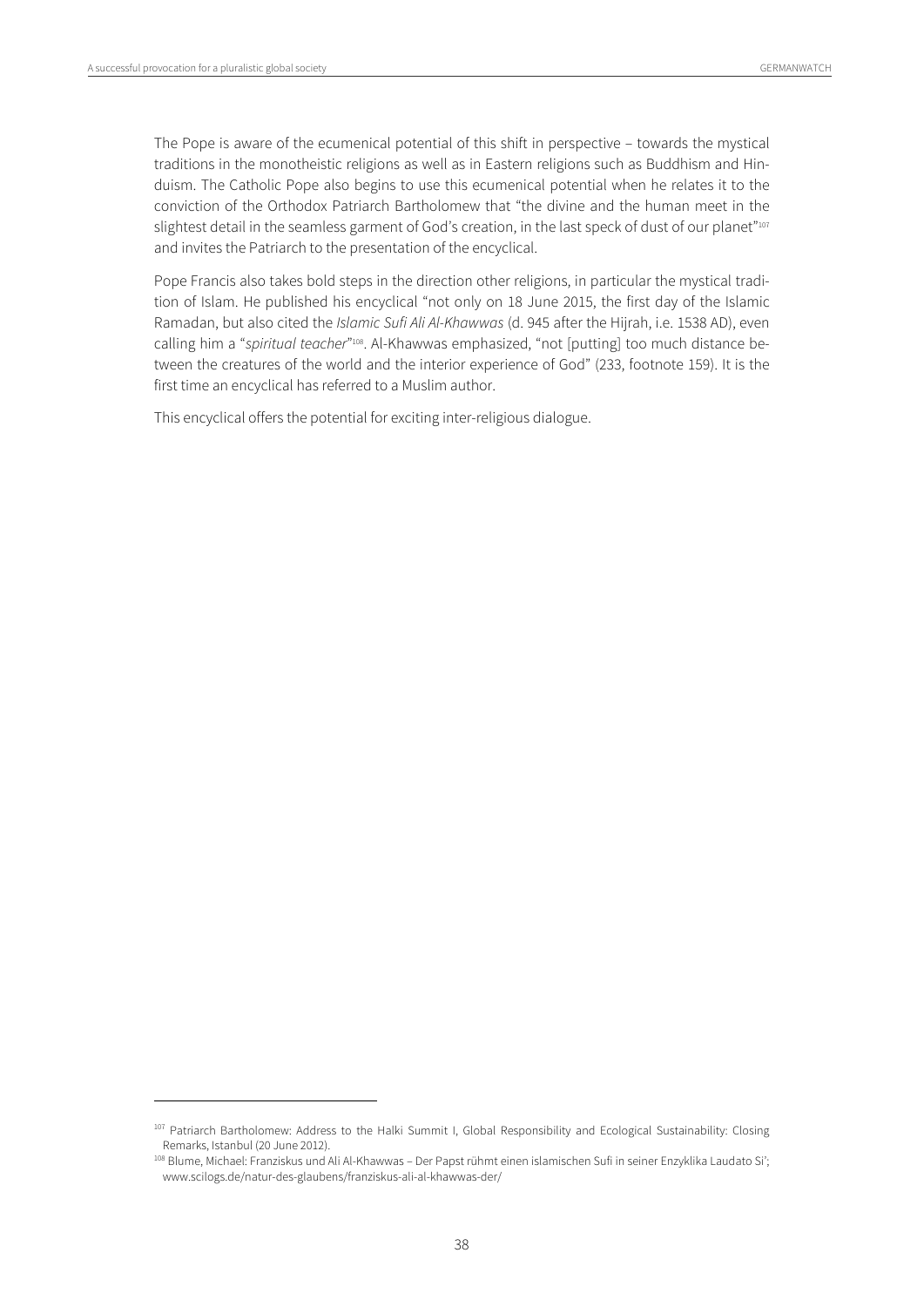$\overline{a}$ 

The Pope is aware of the ecumenical potential of this shift in perspective – towards the mystical traditions in the monotheistic religions as well as in Eastern religions such as Buddhism and Hinduism. The Catholic Pope also begins to use this ecumenical potential when he relates it to the conviction of the Orthodox Patriarch Bartholomew that "the divine and the human meet in the slightest detail in the seamless garment of God's creation, in the last speck of dust of our planet"107 and invites the Patriarch to the presentation of the encyclical.

Pope Francis also takes bold steps in the direction other religions, in particular the mystical tradition of Islam. He published his encyclical "not only on 18 June 2015, the first day of the Islamic Ramadan, but also cited the Islamic Sufi Ali Al-Khawwas (d. 945 after the Hijrah, i.e. 1538 AD), even calling him a "spiritual teacher"<sup>108</sup>. Al-Khawwas emphasized, "not [putting] too much distance between the creatures of the world and the interior experience of God" (233, footnote 159). It is the first time an encyclical has referred to a Muslim author.

This encyclical offers the potential for exciting inter-religious dialogue.

<sup>107</sup> Patriarch Bartholomew: Address to the Halki Summit I, Global Responsibility and Ecological Sustainability: Closing Remarks, Istanbul (20 June 2012).

<sup>108</sup> Blume, Michael: Franziskus und Ali Al-Khawwas – Der Papst rühmt einen islamischen Sufi in seiner Enzyklika Laudato Si'; www.scilogs.de/natur-des-glaubens/franziskus-ali-al-khawwas-der/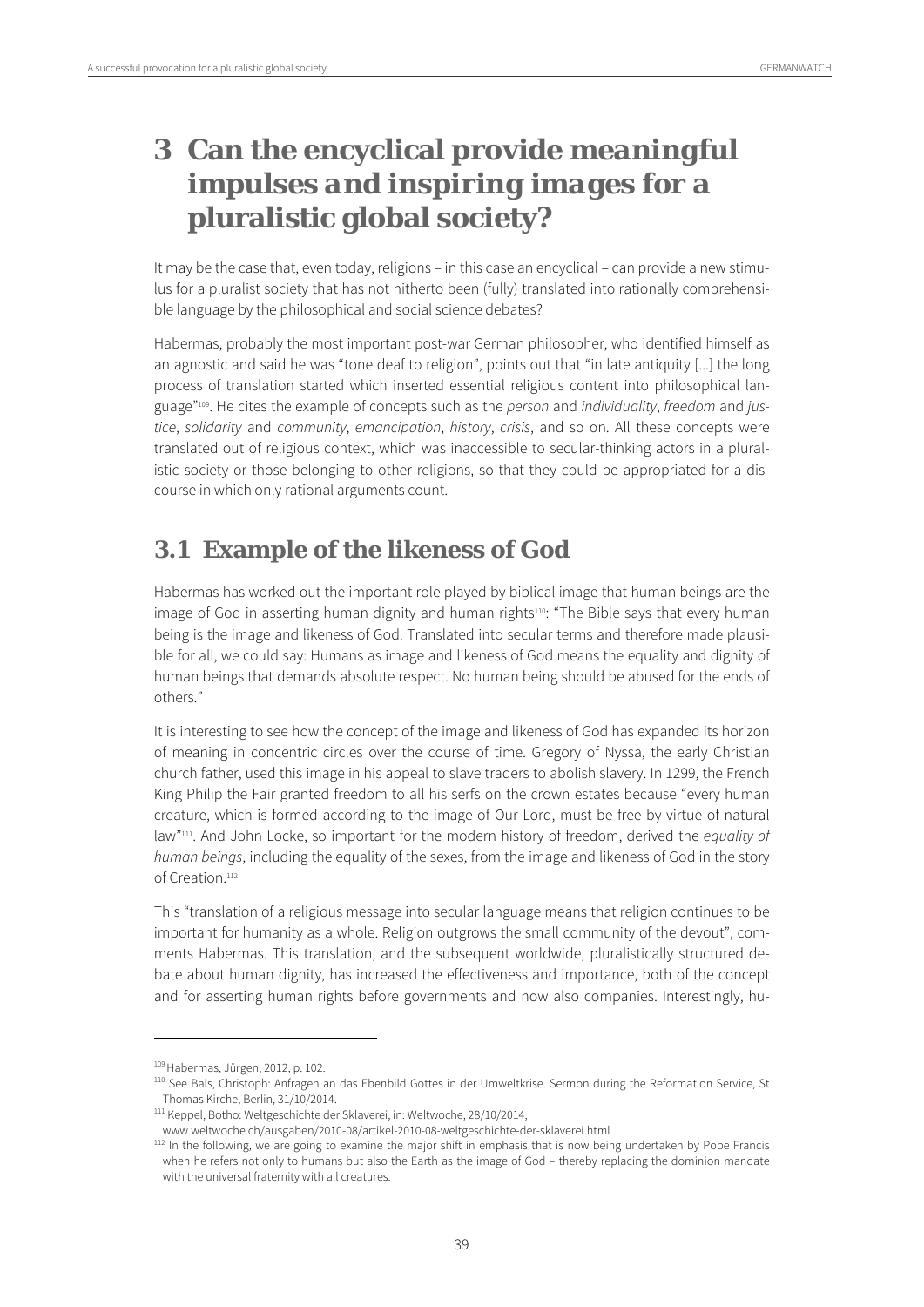# **3 Can the encyclical provide** *meaningful impulses and inspiring images* **for a pluralistic global society?**

It may be the case that, even today, religions – in this case an encyclical – can provide a new stimulus for a pluralist society that has not hitherto been (fully) translated into rationally comprehensible language by the philosophical and social science debates?

Habermas, probably the most important post-war German philosopher, who identified himself as an agnostic and said he was "tone deaf to religion", points out that "in late antiquity [...] the long process of translation started which inserted essential religious content into philosophical language"<sup>109</sup>. He cites the example of concepts such as the *person* and *individuality*, freedom and justice, solidarity and community, emancipation, history, crisis, and so on. All these concepts were translated out of religious context, which was inaccessible to secular-thinking actors in a pluralistic society or those belonging to other religions, so that they could be appropriated for a discourse in which only rational arguments count.

## **3.1 Example of the likeness of God**

Habermas has worked out the important role played by biblical image that human beings are the image of God in asserting human dignity and human rights<sup>110</sup>: "The Bible says that every human being is the image and likeness of God. Translated into secular terms and therefore made plausible for all, we could say: Humans as image and likeness of God means the equality and dignity of human beings that demands absolute respect. No human being should be abused for the ends of others."

It is interesting to see how the concept of the image and likeness of God has expanded its horizon of meaning in concentric circles over the course of time. Gregory of Nyssa, the early Christian church father, used this image in his appeal to slave traders to abolish slavery. In 1299, the French King Philip the Fair granted freedom to all his serfs on the crown estates because "every human creature, which is formed according to the image of Our Lord, must be free by virtue of natural law"<sup>111</sup>. And John Locke, so important for the modern history of freedom, derived the equality of human beings, including the equality of the sexes, from the image and likeness of God in the story of Creation.<sup>112</sup>

This "translation of a religious message into secular language means that religion continues to be important for humanity as a whole. Religion outgrows the small community of the devout", comments Habermas. This translation, and the subsequent worldwide, pluralistically structured debate about human dignity, has increased the effectiveness and importance, both of the concept and for asserting human rights before governments and now also companies. Interestingly, hu-

<sup>&</sup>lt;sup>109</sup> Habermas, Jürgen, 2012, p. 102.<br><sup>110</sup> See Bals, Christoph: Anfragen an das Ebenbild Gottes in der Umweltkrise. Sermon during the Reformation Service, St Thomas Kirche, Berlin, 31/10/2014.

<sup>111</sup> Keppel, Botho: Weltgeschichte der Sklaverei, in: Weltwoche, 28/10/2014,

www.weltwoche.ch/ausgaben/2010-08/artikel-2010-08-weltgeschichte-der-sklaverei.html 112 In the following, we are going to examine the major shift in emphasis that is now being undertaken by Pope Francis when he refers not only to humans but also the Earth as the image of God – thereby replacing the dominion mandate with the universal fraternity with all creatures.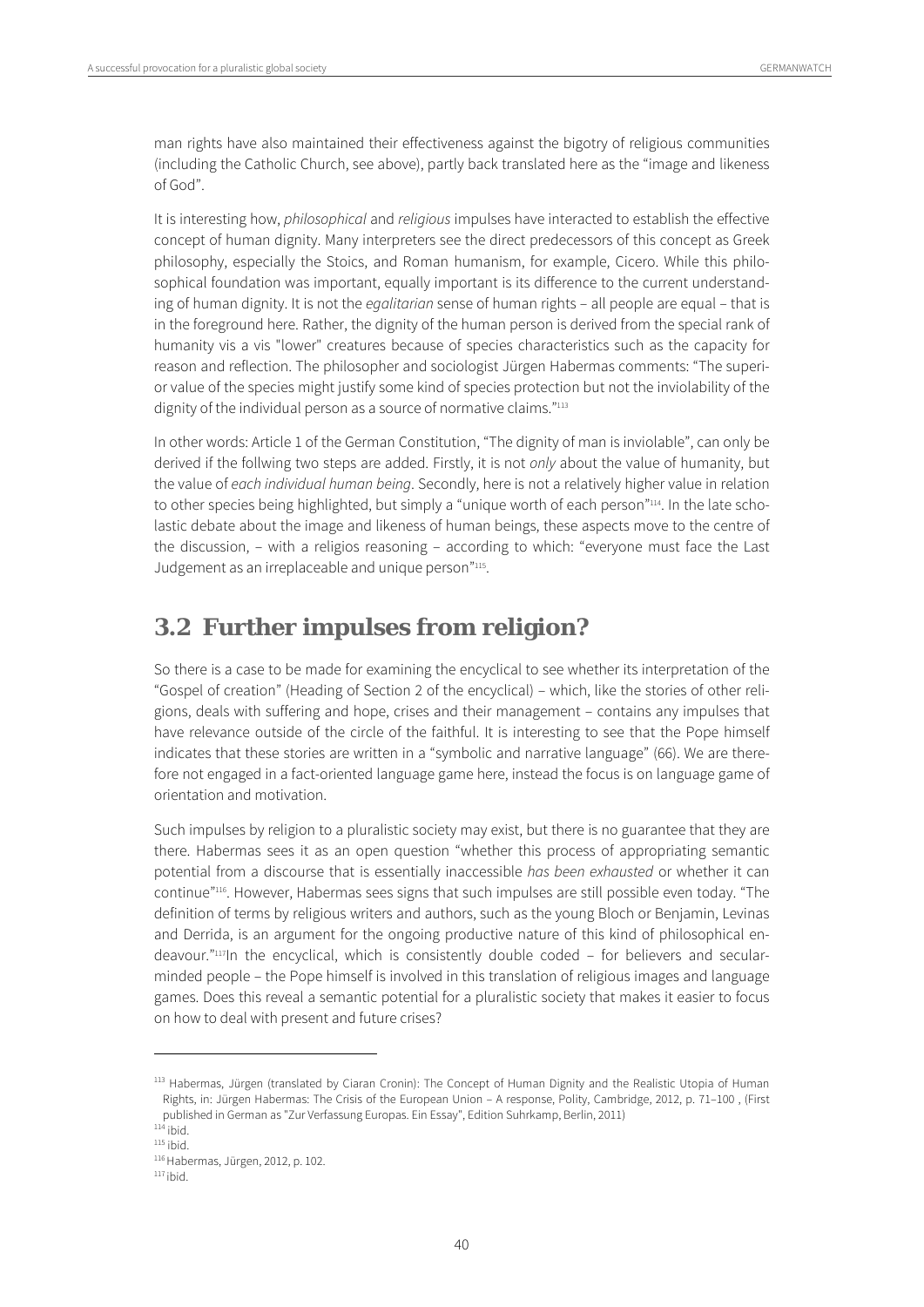man rights have also maintained their effectiveness against the bigotry of religious communities (including the Catholic Church, see above), partly back translated here as the "image and likeness of God".

It is interesting how, philosophical and religious impulses have interacted to establish the effective concept of human dignity. Many interpreters see the direct predecessors of this concept as Greek philosophy, especially the Stoics, and Roman humanism, for example, Cicero. While this philosophical foundation was important, equally important is its difference to the current understanding of human dignity. It is not the egalitarian sense of human rights - all people are equal - that is in the foreground here. Rather, the dignity of the human person is derived from the special rank of humanity vis a vis "lower" creatures because of species characteristics such as the capacity for reason and reflection. The philosopher and sociologist Jürgen Habermas comments: "The superior value of the species might justify some kind of species protection but not the inviolability of the dignity of the individual person as a source of normative claims."<sup>113</sup>

In other words: Article 1 of the German Constitution, "The dignity of man is inviolable", can only be derived if the follwing two steps are added. Firstly, it is not only about the value of humanity, but the value of each individual human being. Secondly, here is not a relatively higher value in relation to other species being highlighted, but simply a "unique worth of each person"<sup>114</sup>. In the late scholastic debate about the image and likeness of human beings, these aspects move to the centre of the discussion, – with a religios reasoning – according to which: "everyone must face the Last Judgement as an irreplaceable and unique person"<sup>115</sup>.

## **3.2 Further impulses from religion?**

So there is a case to be made for examining the encyclical to see whether its interpretation of the "Gospel of creation" (Heading of Section 2 of the encyclical) – which, like the stories of other religions, deals with suffering and hope, crises and their management – contains any impulses that have relevance outside of the circle of the faithful. It is interesting to see that the Pope himself indicates that these stories are written in a "symbolic and narrative language" (66). We are therefore not engaged in a fact-oriented language game here, instead the focus is on language game of orientation and motivation.

Such impulses by religion to a pluralistic society may exist, but there is no guarantee that they are there. Habermas sees it as an open question "whether this process of appropriating semantic potential from a discourse that is essentially inaccessible has been exhausted or whether it can continue"116. However, Habermas sees signs that such impulses are still possible even today. "The definition of terms by religious writers and authors, such as the young Bloch or Benjamin, Levinas and Derrida, is an argument for the ongoing productive nature of this kind of philosophical endeavour."117In the encyclical, which is consistently double coded – for believers and secularminded people – the Pope himself is involved in this translation of religious images and language games. Does this reveal a semantic potential for a pluralistic society that makes it easier to focus on how to deal with present and future crises?

<sup>113</sup> Habermas, Jürgen (translated by Ciaran Cronin): The Concept of Human Dignity and the Realistic Utopia of Human Rights, in: Jürgen Habermas: The Crisis of the European Union – A response, Polity, Cambridge, 2012, p. 71–100 , (First published in German as "Zur Verfassung Europas. Ein Essay", Edition Suhrkamp, Berlin, 2011)<br><sup>114</sup> ibid. <sup>115</sup> ibid.<br><sup>116</sup> Habermas, Jürgen, 2012, p. 102. 117 ibid.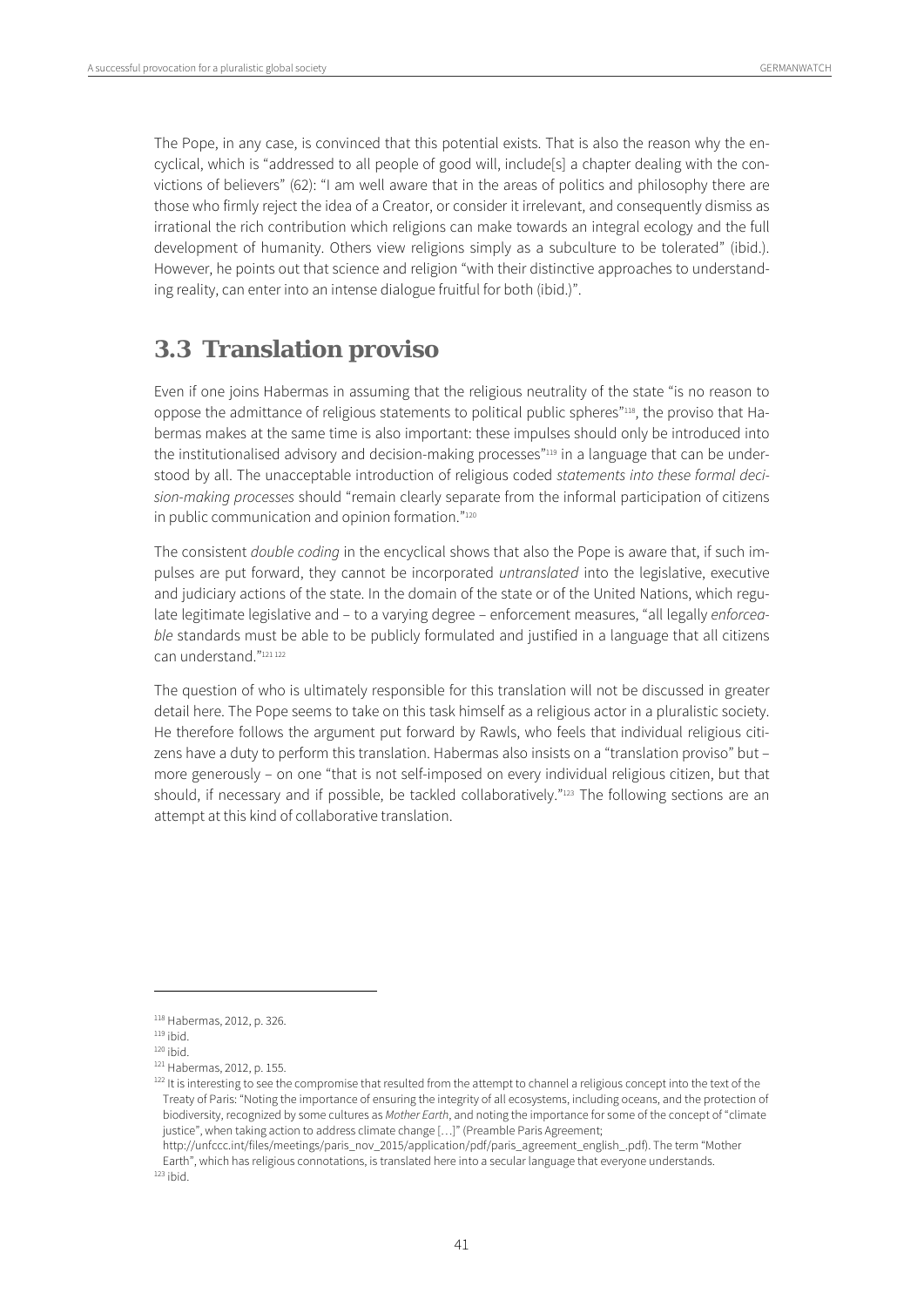The Pope, in any case, is convinced that this potential exists. That is also the reason why the encyclical, which is "addressed to all people of good will, include[s] a chapter dealing with the convictions of believers" (62): "I am well aware that in the areas of politics and philosophy there are those who firmly reject the idea of a Creator, or consider it irrelevant, and consequently dismiss as irrational the rich contribution which religions can make towards an integral ecology and the full development of humanity. Others view religions simply as a subculture to be tolerated" (ibid.). However, he points out that science and religion "with their distinctive approaches to understanding reality, can enter into an intense dialogue fruitful for both (ibid.)".

## **3.3 Translation proviso**

Even if one joins Habermas in assuming that the religious neutrality of the state "is no reason to oppose the admittance of religious statements to political public spheres"118, the proviso that Habermas makes at the same time is also important: these impulses should only be introduced into the institutionalised advisory and decision-making processes"<sup>119</sup> in a language that can be understood by all. The unacceptable introduction of religious coded statements into these formal decision-making processes should "remain clearly separate from the informal participation of citizens in public communication and opinion formation."<sup>120</sup>

The consistent *double coding* in the encyclical shows that also the Pope is aware that, if such impulses are put forward, they cannot be incorporated untranslated into the legislative, executive and judiciary actions of the state. In the domain of the state or of the United Nations, which regulate legitimate legislative and – to a varying degree – enforcement measures, "all legally enforceable standards must be able to be publicly formulated and justified in a language that all citizens can understand."<sup>121 122</sup>

The question of who is ultimately responsible for this translation will not be discussed in greater detail here. The Pope seems to take on this task himself as a religious actor in a pluralistic society. He therefore follows the argument put forward by Rawls, who feels that individual religious citizens have a duty to perform this translation. Habermas also insists on a "translation proviso" but – more generously – on one "that is not self-imposed on every individual religious citizen, but that should, if necessary and if possible, be tackled collaboratively."<sup>123</sup> The following sections are an attempt at this kind of collaborative translation.

<sup>118</sup> Habermas, 2012, p. 326.<br><sup>119</sup> ibid.<br><sup>120</sup> ibid. <sup>120</sup> ibid.<br><sup>121</sup> Habermas, 2012, p. 155.<br><sup>122</sup> It is interesting to see the compromise that resulted from the attempt to channel a religious concept into the text of the Treaty of Paris: "Noting the importance of ensuring the integrity of all ecosystems, including oceans, and the protection of biodiversity, recognized by some cultures as Mother Earth, and noting the importance for some of the concept of "climate justice", when taking action to address climate change [...]" (Preamble Paris Agreement;

http://unfccc.int/files/meetings/paris\_nov\_2015/application/pdf/paris\_agreement\_english\_.pdf). The term "Mother Earth", which has religious connotations, is translated here into a secular language that everyone understands.  $123$  ibid.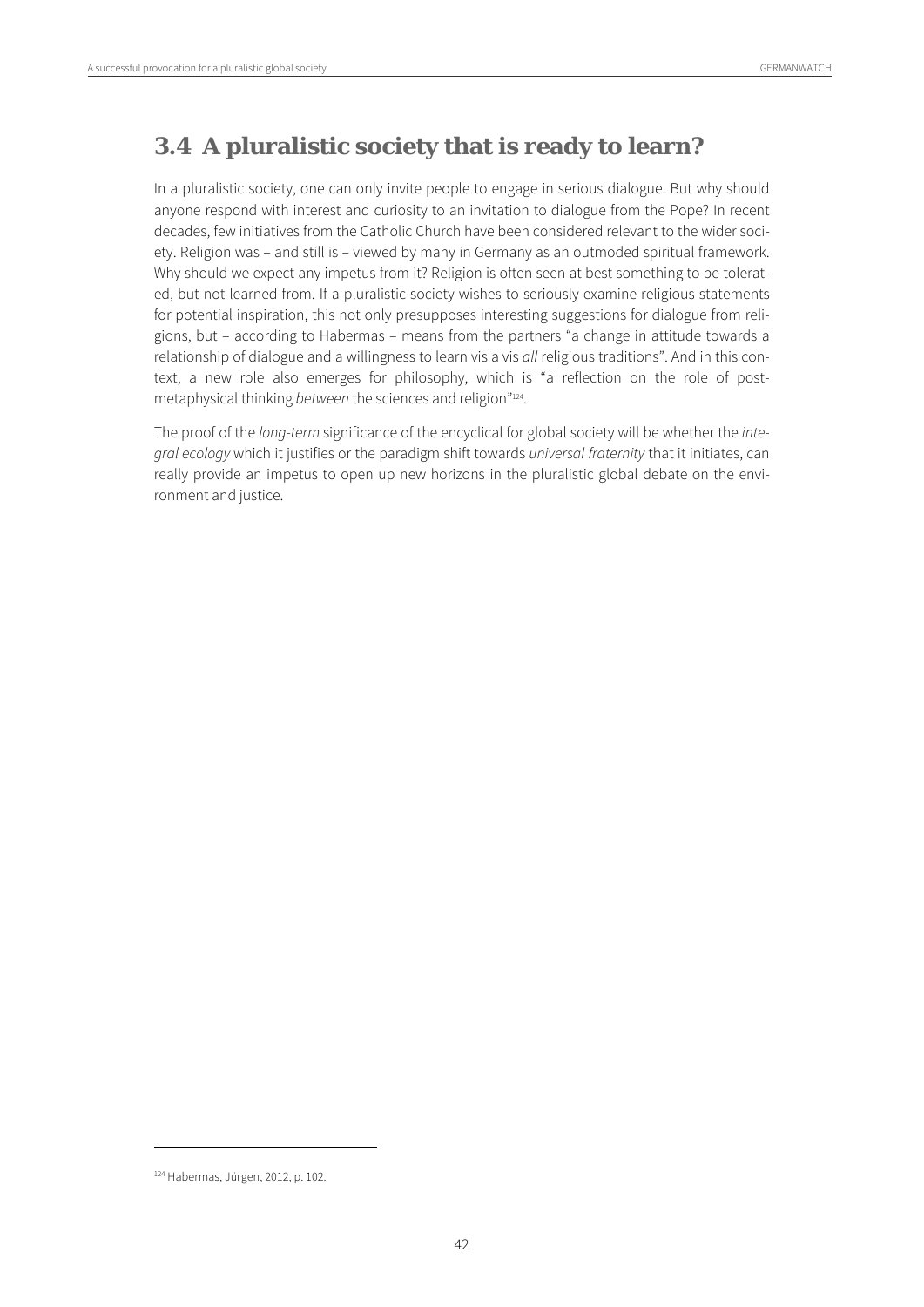## **3.4 A pluralistic society that is ready to learn?**

In a pluralistic society, one can only invite people to engage in serious dialogue. But why should anyone respond with interest and curiosity to an invitation to dialogue from the Pope? In recent decades, few initiatives from the Catholic Church have been considered relevant to the wider society. Religion was – and still is – viewed by many in Germany as an outmoded spiritual framework. Why should we expect any impetus from it? Religion is often seen at best something to be tolerated, but not learned from. If a pluralistic society wishes to seriously examine religious statements for potential inspiration, this not only presupposes interesting suggestions for dialogue from religions, but – according to Habermas – means from the partners "a change in attitude towards a relationship of dialogue and a willingness to learn vis a vis all religious traditions". And in this context, a new role also emerges for philosophy, which is "a reflection on the role of postmetaphysical thinking between the sciences and religion"<sup>124</sup>.

The proof of the long-term significance of the encyclical for global society will be whether the intearal ecology which it justifies or the paradigm shift towards universal fraternity that it initiates, can really provide an impetus to open up new horizons in the pluralistic global debate on the environment and justice.

<sup>124</sup> Habermas, Jürgen, 2012, p. 102.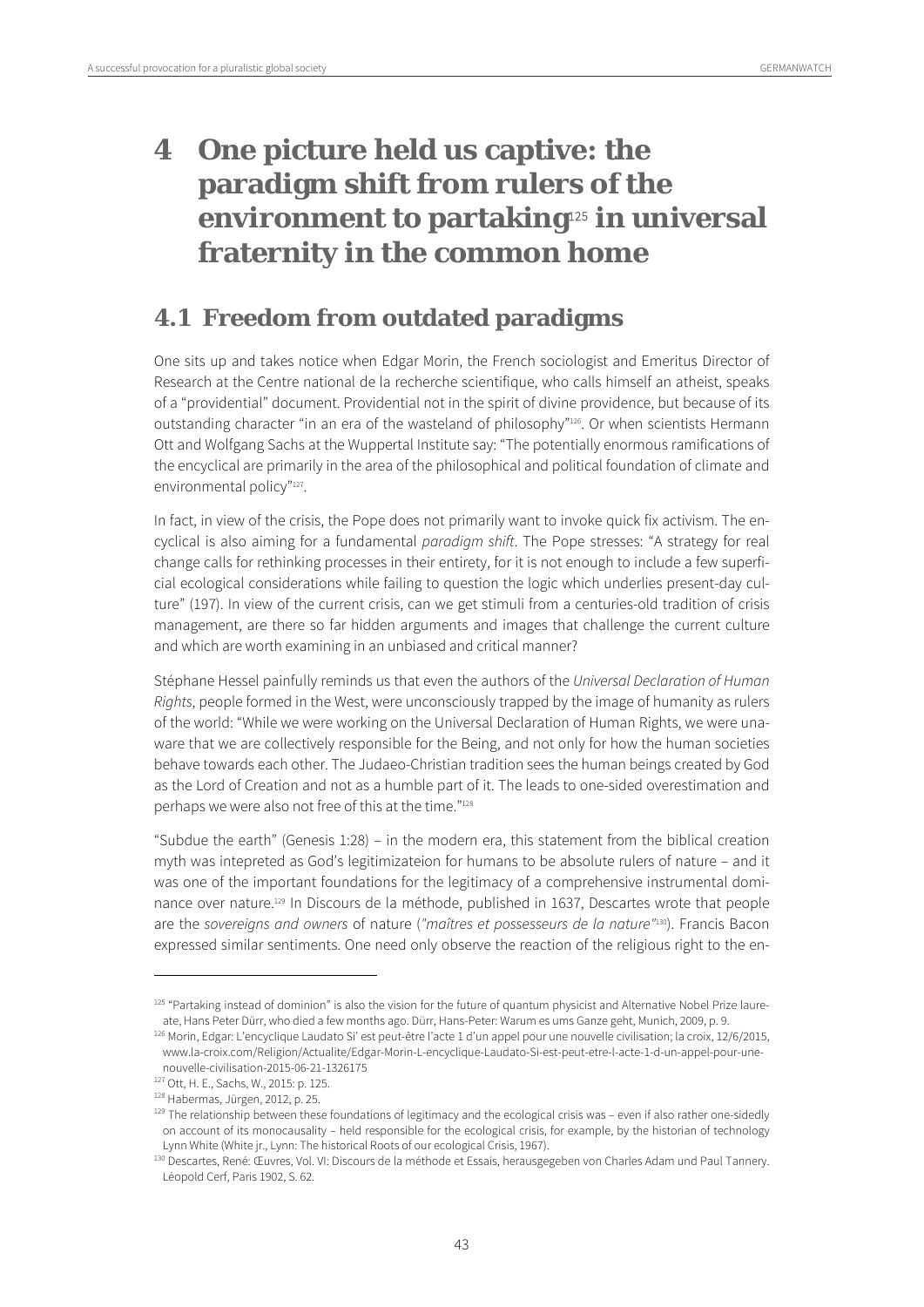# **4 One picture held us captive: the paradigm shift from rulers of the environment to partaking**125 **in universal fraternity in the common home**

## **4.1 Freedom from outdated paradigms**

One sits up and takes notice when Edgar Morin, the French sociologist and Emeritus Director of Research at the Centre national de la recherche scientifique, who calls himself an atheist, speaks of a "providential" document. Providential not in the spirit of divine providence, but because of its outstanding character "in an era of the wasteland of philosophy"<sup>126</sup>. Or when scientists Hermann Ott and Wolfgang Sachs at the Wuppertal Institute say: "The potentially enormous ramifications of the encyclical are primarily in the area of the philosophical and political foundation of climate and environmental policy"<sup>127</sup>.

In fact, in view of the crisis, the Pope does not primarily want to invoke quick fix activism. The encyclical is also aiming for a fundamental paradigm shift. The Pope stresses: "A strategy for real change calls for rethinking processes in their entirety, for it is not enough to include a few superficial ecological considerations while failing to question the logic which underlies present-day culture" (197). In view of the current crisis, can we get stimuli from a centuries-old tradition of crisis management, are there so far hidden arguments and images that challenge the current culture and which are worth examining in an unbiased and critical manner?

Stéphane Hessel painfully reminds us that even the authors of the Universal Declaration of Human Rights, people formed in the West, were unconsciously trapped by the image of humanity as rulers of the world: "While we were working on the Universal Declaration of Human Rights, we were unaware that we are collectively responsible for the Being, and not only for how the human societies behave towards each other. The Judaeo-Christian tradition sees the human beings created by God as the Lord of Creation and not as a humble part of it. The leads to one-sided overestimation and perhaps we were also not free of this at the time."128

"Subdue the earth" (Genesis 1:28) – in the modern era, this statement from the biblical creation myth was intepreted as God's legitimizateion for humans to be absolute rulers of nature – and it was one of the important foundations for the legitimacy of a comprehensive instrumental dominance over nature.129 In Discours de la méthode, published in 1637, Descartes wrote that people are the sovereigns and owners of nature ("maîtres et possesseurs de la nature"130). Francis Bacon expressed similar sentiments. One need only observe the reaction of the religious right to the en-

<sup>&</sup>lt;sup>125</sup> "Partaking instead of dominion" is also the vision for the future of quantum physicist and Alternative Nobel Prize laure-<br>125 "Partaking instead of dominion" is also the vision for the future of quantum es ums Ganze

<sup>126</sup> Morin, Edgar: L'encyclique Laudato Si' est peut-être l'acte 1 d'un appel pour une nouvelle civilisation; la croix, 12/6/2015, www.la-croix.com/Religion/Actualite/Edgar-Morin-L-encyclique-Laudato-Si-est-peut-etre-l-acte-1-d-un-appel-pour-une-

nouvelle-civilisation-2015-06-21-1326175<br><sup>127</sup> Ott, H. E., Sachs, W., 2015: p. 125.

<sup>&</sup>lt;sup>128</sup> Habermas, Jürgen, 2012, p. 25.<br><sup>129</sup> The relationship between these foundations of legitimacy and the ecological crisis was – even if also rather one-sidedly on account of its monocausality – held responsible for the ecological crisis, for example, by the historian of technology

Lynn White (White jr., Lynn: The historical Roots of our ecological Crisis, 1967).<br><sup>130</sup> Descartes, René: Œuvres, Vol. VI: Discours de la méthode et Essais, herausgegeben von Charles Adam und Paul Tannery. Léopold Cerf, Paris 1902, S. 62.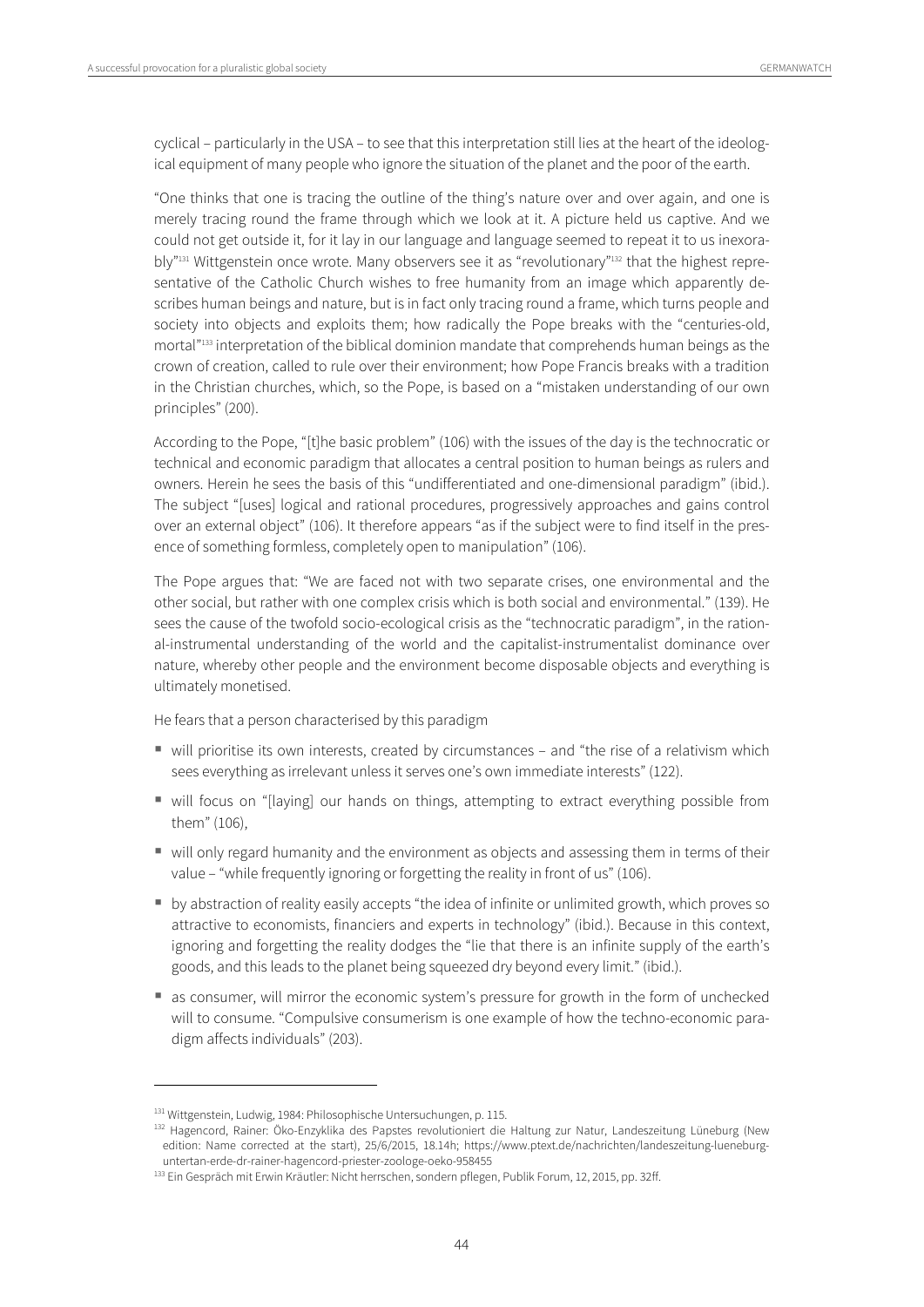cyclical – particularly in the USA – to see that this interpretation still lies at the heart of the ideological equipment of many people who ignore the situation of the planet and the poor of the earth.

"One thinks that one is tracing the outline of the thing's nature over and over again, and one is merely tracing round the frame through which we look at it. A picture held us captive. And we could not get outside it, for it lay in our language and language seemed to repeat it to us inexora $b$ ly"<sup>131</sup> Wittgenstein once wrote. Many observers see it as "revolutionary"<sup>132</sup> that the highest representative of the Catholic Church wishes to free humanity from an image which apparently describes human beings and nature, but is in fact only tracing round a frame, which turns people and society into objects and exploits them; how radically the Pope breaks with the "centuries-old, mortal"133 interpretation of the biblical dominion mandate that comprehends human beings as the crown of creation, called to rule over their environment; how Pope Francis breaks with a tradition in the Christian churches, which, so the Pope, is based on a "mistaken understanding of our own principles" (200).

According to the Pope, "[t]he basic problem" (106) with the issues of the day is the technocratic or technical and economic paradigm that allocates a central position to human beings as rulers and owners. Herein he sees the basis of this "undifferentiated and one-dimensional paradigm" (ibid.). The subject "[uses] logical and rational procedures, progressively approaches and gains control over an external object" (106). It therefore appears "as if the subject were to find itself in the presence of something formless, completely open to manipulation" (106).

The Pope argues that: "We are faced not with two separate crises, one environmental and the other social, but rather with one complex crisis which is both social and environmental." (139). He sees the cause of the twofold socio-ecological crisis as the "technocratic paradigm", in the rational-instrumental understanding of the world and the capitalist-instrumentalist dominance over nature, whereby other people and the environment become disposable objects and everything is ultimately monetised.

He fears that a person characterised by this paradigm

- will prioritise its own interests, created by circumstances and "the rise of a relativism which sees everything as irrelevant unless it serves one's own immediate interests" (122).
- will focus on "[laying] our hands on things, attempting to extract everything possible from them" (106),
- will only regard humanity and the environment as objects and assessing them in terms of their value – "while frequently ignoring or forgetting the reality in front of us" (106).
- by abstraction of reality easily accepts "the idea of infinite or unlimited growth, which proves so attractive to economists, financiers and experts in technology" (ibid.). Because in this context, ignoring and forgetting the reality dodges the "lie that there is an infinite supply of the earth's goods, and this leads to the planet being squeezed dry beyond every limit." (ibid.).
- as consumer, will mirror the economic system's pressure for growth in the form of unchecked will to consume. "Compulsive consumerism is one example of how the techno-economic paradigm affects individuals" (203).

<sup>&</sup>lt;sup>131</sup> Wittgenstein, Ludwig, 1984: Philosophische Untersuchungen, p. 115.<br><sup>132</sup> Hagencord, Rainer: Öko-Enzyklika des Papstes revolutioniert die Haltung zur Natur, Landeszeitung Lüneburg (New edition: Name corrected at the start), 25/6/2015, 18.14h; https://www.ptext.de/nachrichten/landeszeitung-lueneburg-

untertan-erde-dr-rainer-hagencord-priester-zoologe-oeko-958455<br><sup>133</sup> Ein Gespräch mit Erwin Kräutler: Nicht herrschen, sondern pflegen, Publik Forum, 12, 2015, pp. 32ff.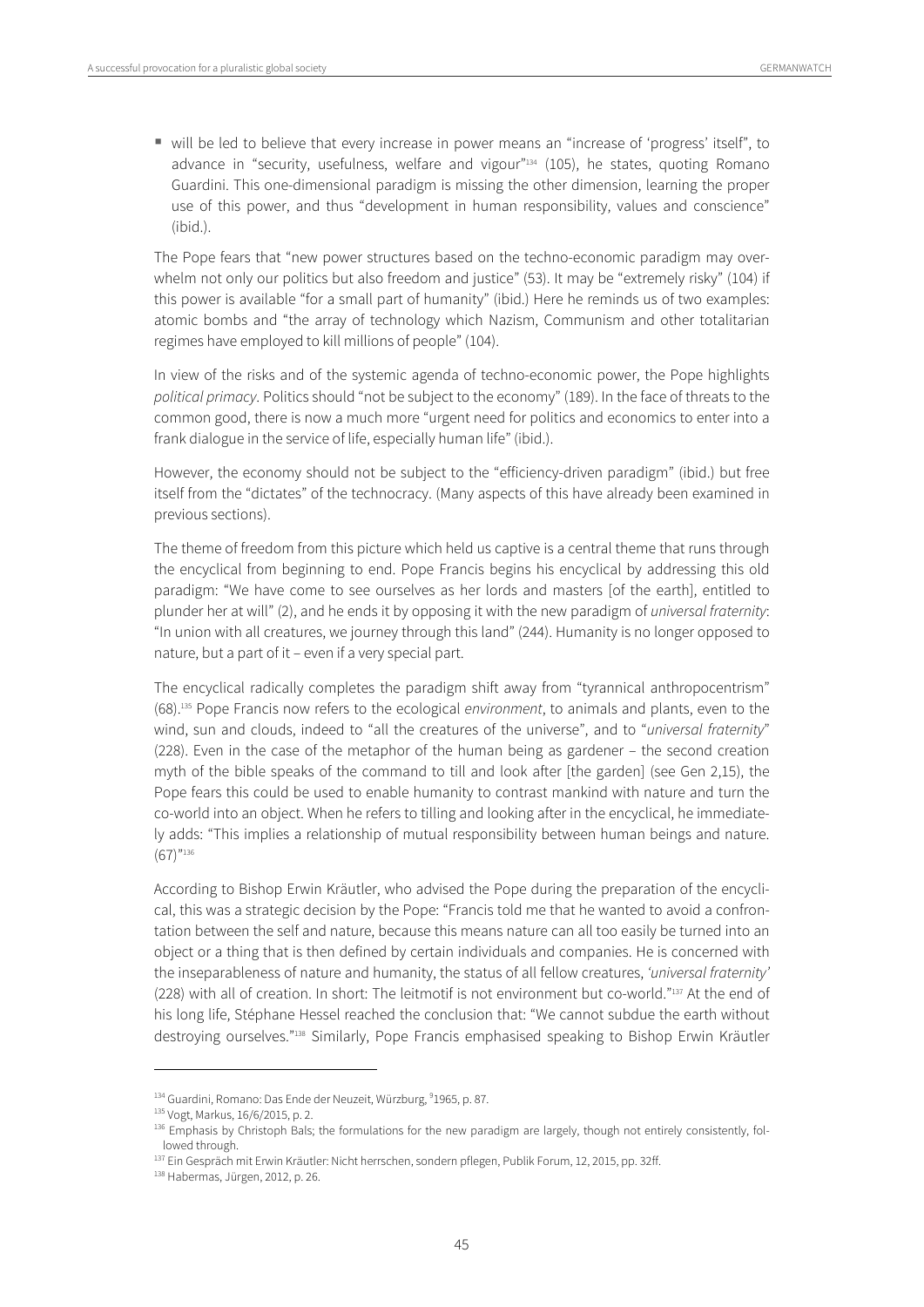will be led to believe that every increase in power means an "increase of 'progress' itself", to advance in "security, usefulness, welfare and vigour"134 (105), he states, quoting Romano Guardini. This one-dimensional paradigm is missing the other dimension, learning the proper use of this power, and thus "development in human responsibility, values and conscience" (ibid.).

The Pope fears that "new power structures based on the techno-economic paradigm may overwhelm not only our politics but also freedom and justice" (53). It may be "extremely risky" (104) if this power is available "for a small part of humanity" (ibid.) Here he reminds us of two examples: atomic bombs and "the array of technology which Nazism, Communism and other totalitarian regimes have employed to kill millions of people" (104).

In view of the risks and of the systemic agenda of techno-economic power, the Pope highlights political primacy. Politics should "not be subject to the economy" (189). In the face of threats to the common good, there is now a much more "urgent need for politics and economics to enter into a frank dialogue in the service of life, especially human life" (ibid.).

However, the economy should not be subject to the "efficiency-driven paradigm" (ibid.) but free itself from the "dictates" of the technocracy. (Many aspects of this have already been examined in previous sections).

The theme of freedom from this picture which held us captive is a central theme that runs through the encyclical from beginning to end. Pope Francis begins his encyclical by addressing this old paradigm: "We have come to see ourselves as her lords and masters [of the earth], entitled to plunder her at will" (2), and he ends it by opposing it with the new paradigm of universal fraternity: "In union with all creatures, we journey through this land" (244). Humanity is no longer opposed to nature, but a part of it – even if a very special part.

The encyclical radically completes the paradigm shift away from "tyrannical anthropocentrism" (68).135 Pope Francis now refers to the ecological environment, to animals and plants, even to the wind, sun and clouds, indeed to "all the creatures of the universe", and to "universal fraternity" (228). Even in the case of the metaphor of the human being as gardener – the second creation myth of the bible speaks of the command to till and look after [the garden] (see Gen 2,15), the Pope fears this could be used to enable humanity to contrast mankind with nature and turn the co-world into an object. When he refers to tilling and looking after in the encyclical, he immediately adds: "This implies a relationship of mutual responsibility between human beings and nature. (67)"136

According to Bishop Erwin Kräutler, who advised the Pope during the preparation of the encyclical, this was a strategic decision by the Pope: "Francis told me that he wanted to avoid a confrontation between the self and nature, because this means nature can all too easily be turned into an object or a thing that is then defined by certain individuals and companies. He is concerned with the inseparableness of nature and humanity, the status of all fellow creatures, 'universal fraternity' (228) with all of creation. In short: The leitmotif is not environment but co-world."137 At the end of his long life, Stéphane Hessel reached the conclusion that: "We cannot subdue the earth without destroying ourselves."138 Similarly, Pope Francis emphasised speaking to Bishop Erwin Kräutler

<sup>&</sup>lt;sup>134</sup> Guardini, Romano: Das Ende der Neuzeit, Würzburg, <sup>9</sup>1965, p. 87.<br><sup>135</sup> Vogt, Markus, 16/6/2015, p. 2.

<sup>136</sup> Emphasis by Christoph Bals; the formulations for the new paradigm are largely, though not entirely consistently, followed through.

<sup>&</sup>lt;sup>137</sup> Ein Gespräch mit Erwin Kräutler: Nicht herrschen, sondern pflegen, Publik Forum, 12, 2015, pp. 32ff.<br><sup>138</sup> Habermas, Jürgen, 2012, p. 26.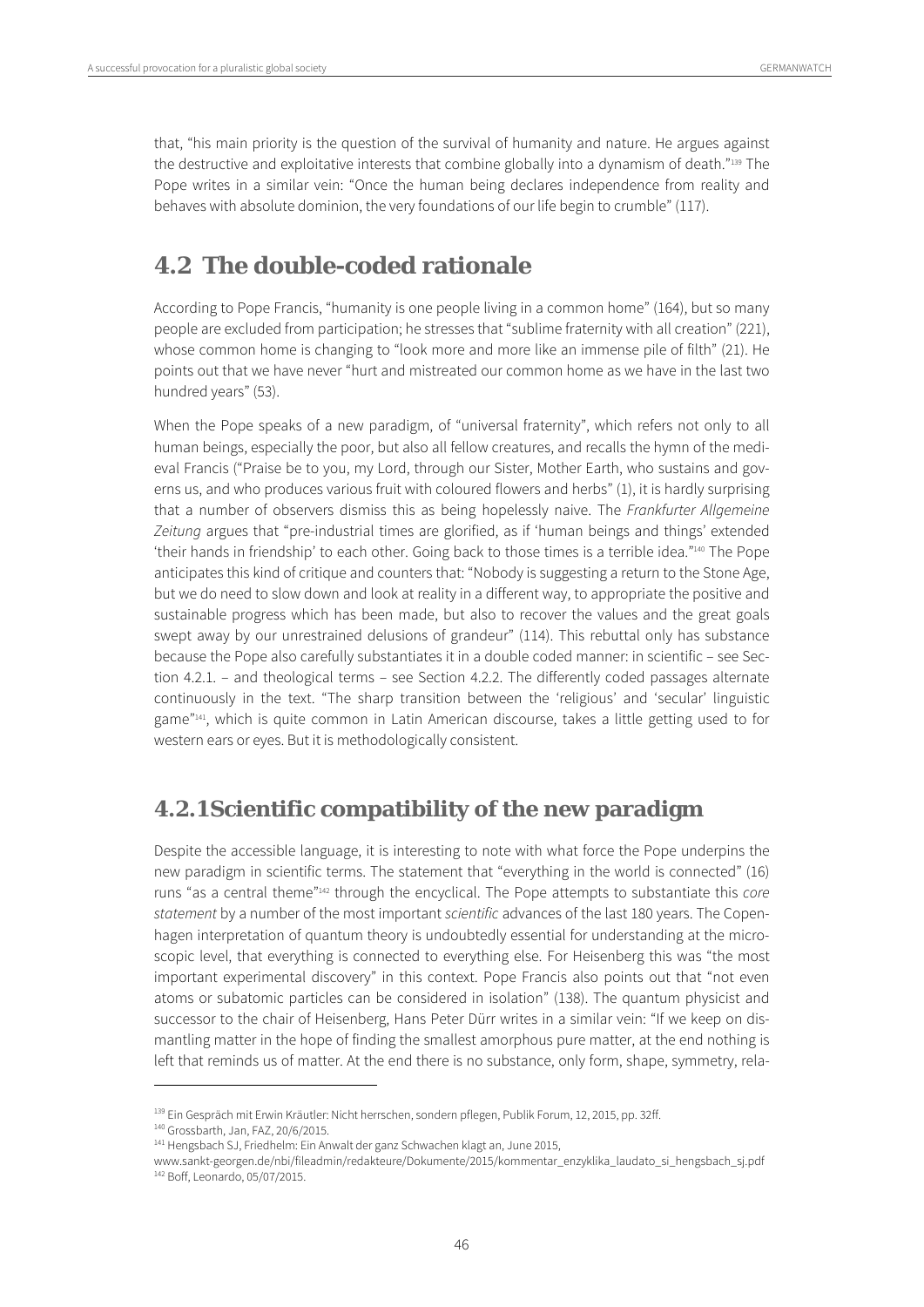that, "his main priority is the question of the survival of humanity and nature. He argues against the destructive and exploitative interests that combine globally into a dynamism of death."139 The Pope writes in a similar vein: "Once the human being declares independence from reality and behaves with absolute dominion, the very foundations of our life begin to crumble" (117).

## **4.2 The double-coded rationale**

According to Pope Francis, "humanity is one people living in a common home" (164), but so many people are excluded from participation; he stresses that "sublime fraternity with all creation" (221), whose common home is changing to "look more and more like an immense pile of filth" (21). He points out that we have never "hurt and mistreated our common home as we have in the last two hundred years" (53).

When the Pope speaks of a new paradigm, of "universal fraternity", which refers not only to all human beings, especially the poor, but also all fellow creatures, and recalls the hymn of the medieval Francis ("Praise be to you, my Lord, through our Sister, Mother Earth, who sustains and governs us, and who produces various fruit with coloured flowers and herbs" (1), it is hardly surprising that a number of observers dismiss this as being hopelessly naive. The Frankfurter Allgemeine Zeitung argues that "pre-industrial times are glorified, as if 'human beings and things' extended 'their hands in friendship' to each other. Going back to those times is a terrible idea."140 The Pope anticipates this kind of critique and counters that: "Nobody is suggesting a return to the Stone Age, but we do need to slow down and look at reality in a different way, to appropriate the positive and sustainable progress which has been made, but also to recover the values and the great goals swept away by our unrestrained delusions of grandeur" (114). This rebuttal only has substance because the Pope also carefully substantiates it in a double coded manner: in scientific – see Section 4.2.1. – and theological terms – see Section 4.2.2. The differently coded passages alternate continuously in the text. "The sharp transition between the 'religious' and 'secular' linguistic game"<sup>141</sup>, which is quite common in Latin American discourse, takes a little getting used to for western ears or eyes. But it is methodologically consistent.

### **4.2.1Scientific compatibility of the new paradigm**

Despite the accessible language, it is interesting to note with what force the Pope underpins the new paradigm in scientific terms. The statement that "everything in the world is connected" (16) runs "as a central theme"142 through the encyclical. The Pope attempts to substantiate this core statement by a number of the most important scientific advances of the last 180 years. The Copenhagen interpretation of quantum theory is undoubtedly essential for understanding at the microscopic level, that everything is connected to everything else. For Heisenberg this was "the most important experimental discovery" in this context. Pope Francis also points out that "not even atoms or subatomic particles can be considered in isolation" (138). The quantum physicist and successor to the chair of Heisenberg, Hans Peter Dürr writes in a similar vein: "If we keep on dismantling matter in the hope of finding the smallest amorphous pure matter, at the end nothing is left that reminds us of matter. At the end there is no substance, only form, shape, symmetry, rela-

<sup>&</sup>lt;sup>139</sup> Ein Gespräch mit Erwin Kräutler: Nicht herrschen, sondern pflegen, Publik Forum, 12, 2015, pp. 32ff.<br><sup>140</sup> Grossbarth, Jan, FAZ, 20/6/2015.<br><sup>141</sup> Hengsbach SJ, Friedhelm: Ein Anwalt der ganz Schwachen klagt an, June

www.sankt-georgen.de/nbi/fileadmin/redakteure/Dokumente/2015/kommentar\_enzyklika\_laudato\_si\_hengsbach\_sj.pdf<br><sup>142</sup> Boff, Leonardo, 05/07/2015.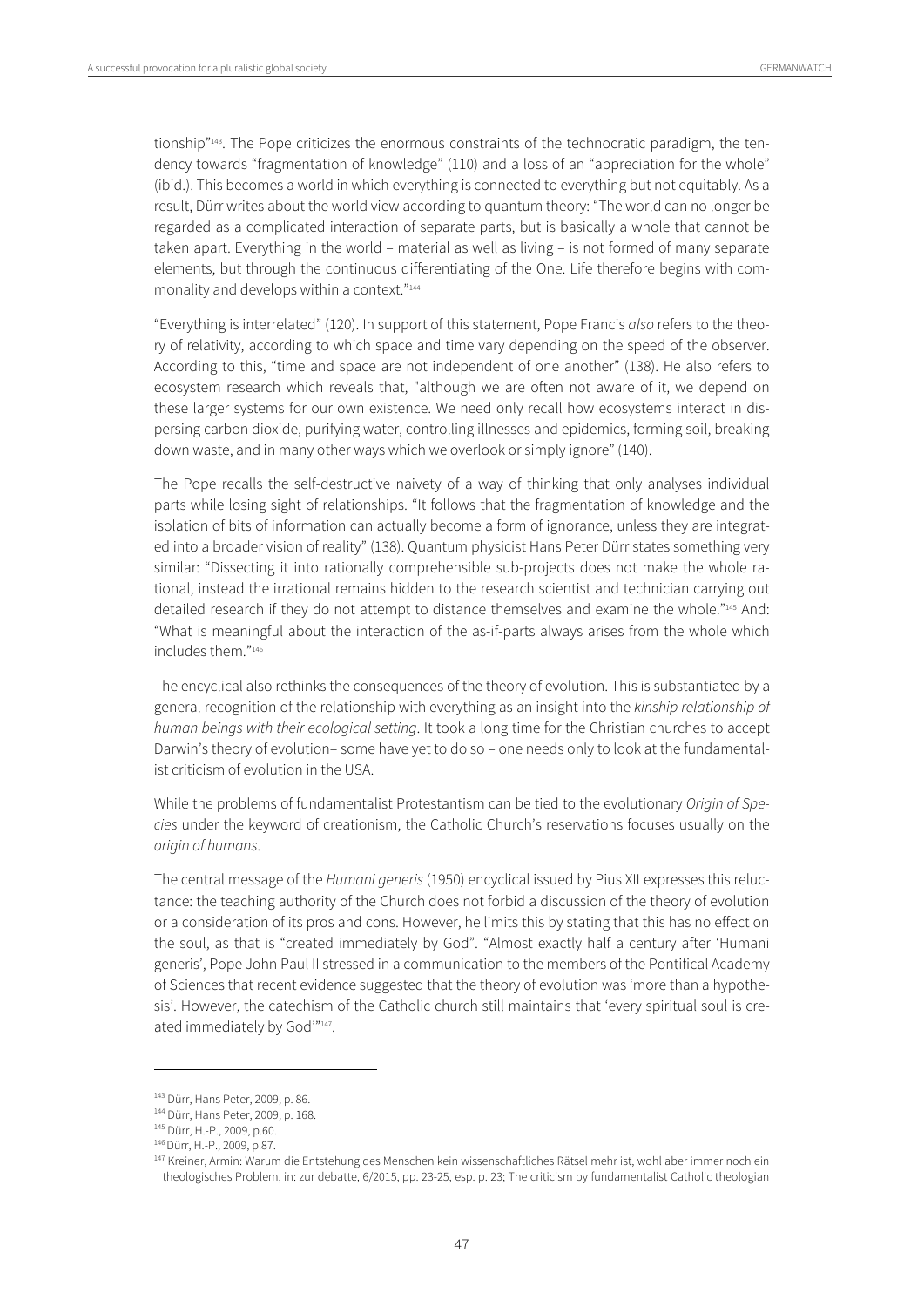tionship"<sup>143</sup>. The Pope criticizes the enormous constraints of the technocratic paradigm, the tendency towards "fragmentation of knowledge" (110) and a loss of an "appreciation for the whole" (ibid.). This becomes a world in which everything is connected to everything but not equitably. As a result, Dürr writes about the world view according to quantum theory: "The world can no longer be regarded as a complicated interaction of separate parts, but is basically a whole that cannot be taken apart. Everything in the world – material as well as living – is not formed of many separate elements, but through the continuous differentiating of the One. Life therefore begins with commonality and develops within a context."144

"Everything is interrelated" (120). In support of this statement, Pope Francis also refers to the theory of relativity, according to which space and time vary depending on the speed of the observer. According to this, "time and space are not independent of one another" (138). He also refers to ecosystem research which reveals that, "although we are often not aware of it, we depend on these larger systems for our own existence. We need only recall how ecosystems interact in dispersing carbon dioxide, purifying water, controlling illnesses and epidemics, forming soil, breaking down waste, and in many other ways which we overlook or simply ignore" (140).

The Pope recalls the self-destructive naivety of a way of thinking that only analyses individual parts while losing sight of relationships. "It follows that the fragmentation of knowledge and the isolation of bits of information can actually become a form of ignorance, unless they are integrated into a broader vision of reality" (138). Quantum physicist Hans Peter Dürr states something very similar: "Dissecting it into rationally comprehensible sub-projects does not make the whole rational, instead the irrational remains hidden to the research scientist and technician carrying out detailed research if they do not attempt to distance themselves and examine the whole."<sup>145</sup> And: "What is meaningful about the interaction of the as-if-parts always arises from the whole which includes them "146

The encyclical also rethinks the consequences of the theory of evolution. This is substantiated by a general recognition of the relationship with everything as an insight into the kinship relationship of human beings with their ecological setting. It took a long time for the Christian churches to accept Darwin's theory of evolution– some have yet to do so – one needs only to look at the fundamentalist criticism of evolution in the USA.

While the problems of fundamentalist Protestantism can be tied to the evolutionary Origin of Species under the keyword of creationism, the Catholic Church's reservations focuses usually on the origin of humans.

The central message of the Humani generis (1950) encyclical issued by Pius XII expresses this reluctance: the teaching authority of the Church does not forbid a discussion of the theory of evolution or a consideration of its pros and cons. However, he limits this by stating that this has no effect on the soul, as that is "created immediately by God". "Almost exactly half a century after 'Humani generis', Pope John Paul II stressed in a communication to the members of the Pontifical Academy of Sciences that recent evidence suggested that the theory of evolution was 'more than a hypothesis'. However, the catechism of the Catholic church still maintains that 'every spiritual soul is created immediately by God"147.

<sup>&</sup>lt;sup>143</sup> Dürr, Hans Peter, 2009, p. 86.<br><sup>144</sup> Dürr, Hans Peter, 2009, p. 168.<br><sup>145</sup> Dürr, H.-P., 2009, p.60.<br><sup>146</sup> Dürr, H.-P., 2009, p.87.<br><sup>146</sup> Dürr, H.-P., 2009, p.87.<br><sup>147</sup> Kreiner, Armin: Warum die Entstehung des Mensche theologisches Problem, in: zur debatte, 6/2015, pp. 23-25, esp. p. 23; The criticism by fundamentalist Catholic theologian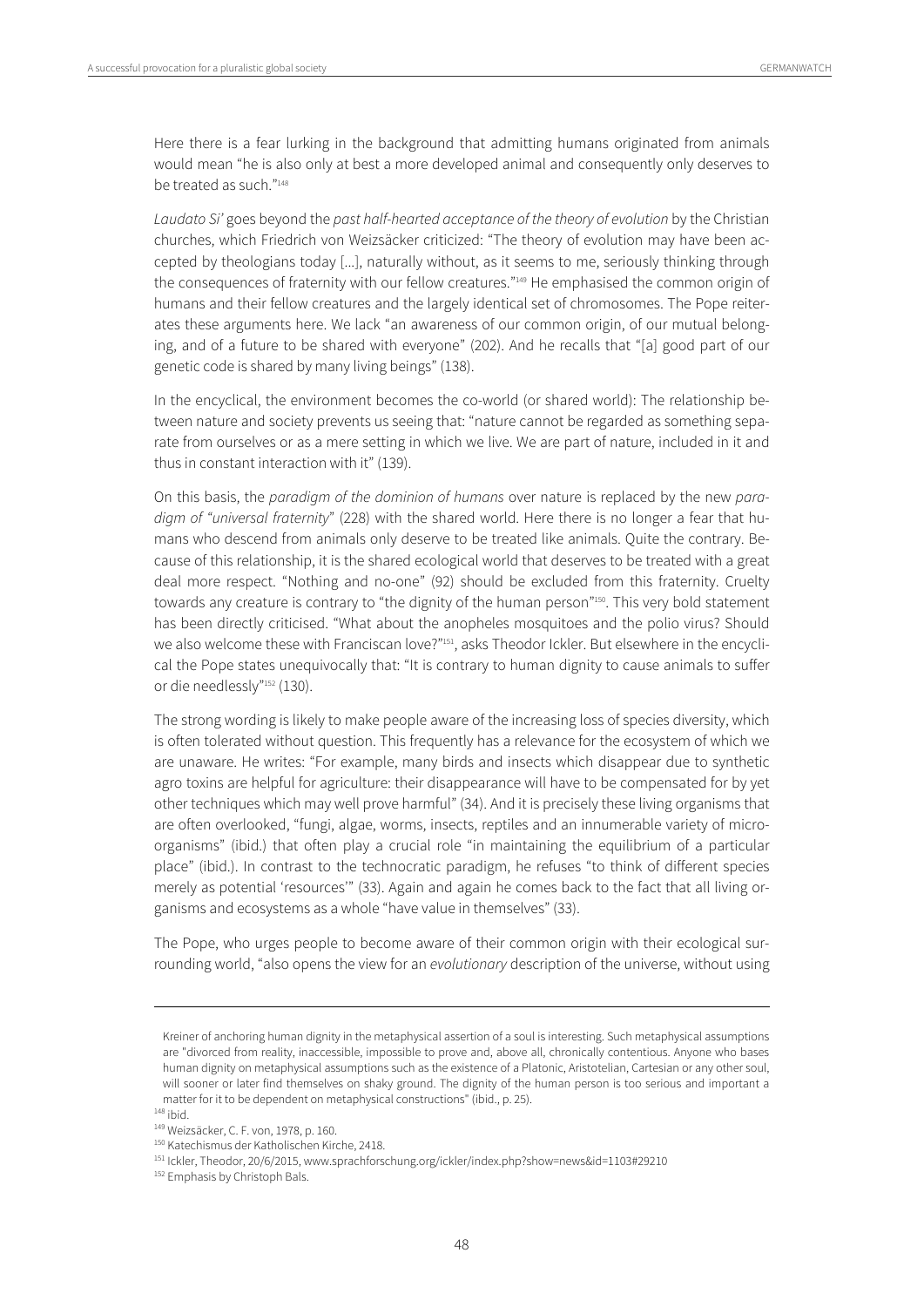Here there is a fear lurking in the background that admitting humans originated from animals would mean "he is also only at best a more developed animal and consequently only deserves to be treated as such."148

Laudato Si' goes beyond the past half-hearted acceptance of the theory of evolution by the Christian churches, which Friedrich von Weizsäcker criticized: "The theory of evolution may have been accepted by theologians today [...], naturally without, as it seems to me, seriously thinking through the consequences of fraternity with our fellow creatures."<sup>149</sup> He emphasised the common origin of humans and their fellow creatures and the largely identical set of chromosomes. The Pope reiterates these arguments here. We lack "an awareness of our common origin, of our mutual belonging, and of a future to be shared with everyone" (202). And he recalls that "[a] good part of our genetic code is shared by many living beings" (138).

In the encyclical, the environment becomes the co-world (or shared world): The relationship between nature and society prevents us seeing that: "nature cannot be regarded as something separate from ourselves or as a mere setting in which we live. We are part of nature, included in it and thus in constant interaction with it" (139).

On this basis, the paradigm of the dominion of humans over nature is replaced by the new paradigm of "universal fraternity" (228) with the shared world. Here there is no longer a fear that humans who descend from animals only deserve to be treated like animals. Quite the contrary. Because of this relationship, it is the shared ecological world that deserves to be treated with a great deal more respect. "Nothing and no-one" (92) should be excluded from this fraternity. Cruelty towards any creature is contrary to "the dignity of the human person"<sup>150</sup>. This very bold statement has been directly criticised. "What about the anopheles mosquitoes and the polio virus? Should we also welcome these with Franciscan love?"<sup>151</sup>, asks Theodor Ickler. But elsewhere in the encyclical the Pope states unequivocally that: "It is contrary to human dignity to cause animals to suffer or die needlessly"152 (130).

The strong wording is likely to make people aware of the increasing loss of species diversity, which is often tolerated without question. This frequently has a relevance for the ecosystem of which we are unaware. He writes: "For example, many birds and insects which disappear due to synthetic agro toxins are helpful for agriculture: their disappearance will have to be compensated for by yet other techniques which may well prove harmful" (34). And it is precisely these living organisms that are often overlooked, "fungi, algae, worms, insects, reptiles and an innumerable variety of microorganisms" (ibid.) that often play a crucial role "in maintaining the equilibrium of a particular place" (ibid.). In contrast to the technocratic paradigm, he refuses "to think of different species merely as potential 'resources'" (33). Again and again he comes back to the fact that all living organisms and ecosystems as a whole "have value in themselves" (33).

The Pope, who urges people to become aware of their common origin with their ecological surrounding world, "also opens the view for an evolutionary description of the universe, without using

1

Kreiner of anchoring human dignity in the metaphysical assertion of a soul is interesting. Such metaphysical assumptions are "divorced from reality, inaccessible, impossible to prove and, above all, chronically contentious. Anyone who bases human dignity on metaphysical assumptions such as the existence of a Platonic, Aristotelian, Cartesian or any other soul, will sooner or later find themselves on shaky ground. The dignity of the human person is too serious and important a matter for it to be dependent on metaphysical constructions" (ibid., p. 25).<br><sup>148</sup> ibid

<sup>&</sup>lt;sup>149</sup> Weizsäcker, C. F. von, 1978, p. 160.<br><sup>150</sup> Katechismus der Katholischen Kirche, 2418.<br><sup>151</sup> Ickler, Theodor, 20/6/2015, www.sprachforschung.org/ickler/index.php?show=news&id=1103#29210<br><sup>152</sup> Emphasis by Christoph Bal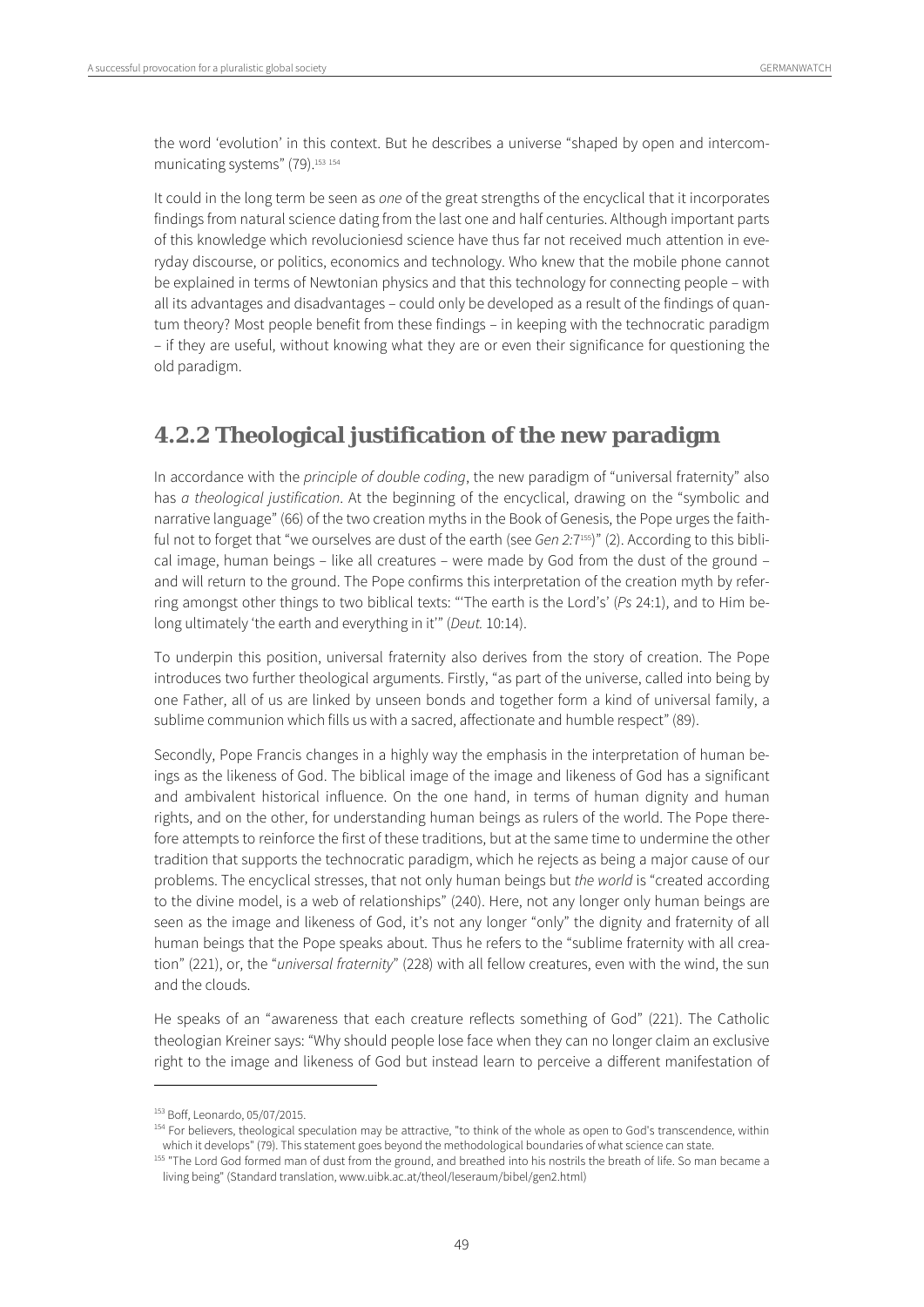the word 'evolution' in this context. But he describes a universe "shaped by open and intercommunicating systems" (79).<sup>153 154</sup>

It could in the long term be seen as one of the great strengths of the encyclical that it incorporates findings from natural science dating from the last one and half centuries. Although important parts of this knowledge which revolucioniesd science have thus far not received much attention in everyday discourse, or politics, economics and technology. Who knew that the mobile phone cannot be explained in terms of Newtonian physics and that this technology for connecting people – with all its advantages and disadvantages – could only be developed as a result of the findings of quantum theory? Most people benefit from these findings – in keeping with the technocratic paradigm – if they are useful, without knowing what they are or even their significance for questioning the old paradigm.

### **4.2.2 Theological justification of the new paradigm**

In accordance with the principle of double coding, the new paradigm of "universal fraternity" also has a theological justification. At the beginning of the encyclical, drawing on the "symbolic and narrative language" (66) of the two creation myths in the Book of Genesis, the Pope urges the faithful not to forget that "we ourselves are dust of the earth (see Gen 2:7<sup>155)</sup>" (2). According to this biblical image, human beings – like all creatures – were made by God from the dust of the ground – and will return to the ground. The Pope confirms this interpretation of the creation myth by referring amongst other things to two biblical texts: "'The earth is the Lord's' (Ps 24:1), and to Him belong ultimately 'the earth and everything in it" (Deut. 10:14).

To underpin this position, universal fraternity also derives from the story of creation. The Pope introduces two further theological arguments. Firstly, "as part of the universe, called into being by one Father, all of us are linked by unseen bonds and together form a kind of universal family, a sublime communion which fills us with a sacred, affectionate and humble respect" (89).

Secondly, Pope Francis changes in a highly way the emphasis in the interpretation of human beings as the likeness of God. The biblical image of the image and likeness of God has a significant and ambivalent historical influence. On the one hand, in terms of human dignity and human rights, and on the other, for understanding human beings as rulers of the world. The Pope therefore attempts to reinforce the first of these traditions, but at the same time to undermine the other tradition that supports the technocratic paradigm, which he rejects as being a major cause of our problems. The encyclical stresses, that not only human beings but the world is "created according to the divine model, is a web of relationships" (240). Here, not any longer only human beings are seen as the image and likeness of God, it's not any longer "only" the dignity and fraternity of all human beings that the Pope speaks about. Thus he refers to the "sublime fraternity with all creation" (221), or, the "universal fraternity" (228) with all fellow creatures, even with the wind, the sun and the clouds.

He speaks of an "awareness that each creature reflects something of God" (221). The Catholic theologian Kreiner says: "Why should people lose face when they can no longer claim an exclusive right to the image and likeness of God but instead learn to perceive a different manifestation of

 $\overline{a}$ 

<sup>153</sup> Boff, Leonardo, 05/07/2015.<br><sup>154</sup> For believers, theological speculation may be attractive, "to think of the whole as open to God's transcendence, within which it develops" (79). This statement goes beyond the methodological boundaries of what science can state.

<sup>&</sup>lt;sup>155</sup> "The Lord God formed man of dust from the ground, and breathed into his nostrils the breath of life. So man became a living being" (Standard translation, www.uibk.ac.at/theol/leseraum/bibel/gen2.html)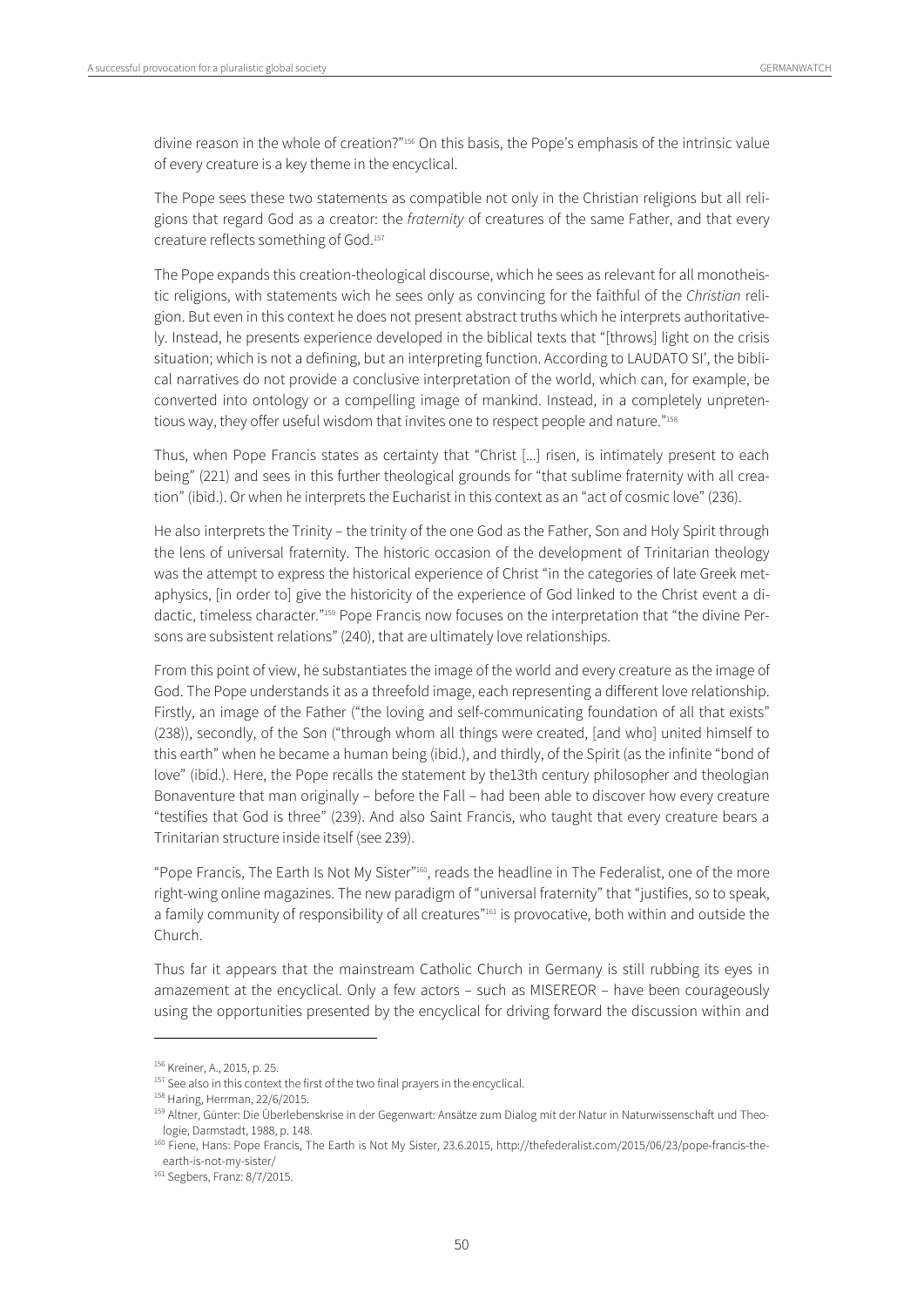divine reason in the whole of creation?"<sup>156</sup> On this basis, the Pope's emphasis of the intrinsic value of every creature is a key theme in the encyclical.

The Pope sees these two statements as compatible not only in the Christian religions but all religions that regard God as a creator: the fraternity of creatures of the same Father, and that every creature reflects something of God.157

The Pope expands this creation-theological discourse, which he sees as relevant for all monotheistic religions, with statements wich he sees only as convincing for the faithful of the Christian religion. But even in this context he does not present abstract truths which he interprets authoritatively. Instead, he presents experience developed in the biblical texts that "[throws] light on the crisis situation; which is not a defining, but an interpreting function. According to LAUDATO SI', the biblical narratives do not provide a conclusive interpretation of the world, which can, for example, be converted into ontology or a compelling image of mankind. Instead, in a completely unpretentious way, they offer useful wisdom that invites one to respect people and nature."158

Thus, when Pope Francis states as certainty that "Christ [...] risen, is intimately present to each being" (221) and sees in this further theological grounds for "that sublime fraternity with all creation" (ibid.). Or when he interprets the Eucharist in this context as an "act of cosmic love" (236).

He also interprets the Trinity – the trinity of the one God as the Father, Son and Holy Spirit through the lens of universal fraternity. The historic occasion of the development of Trinitarian theology was the attempt to express the historical experience of Christ "in the categories of late Greek metaphysics, [in order to] give the historicity of the experience of God linked to the Christ event a didactic, timeless character."159 Pope Francis now focuses on the interpretation that "the divine Persons are subsistent relations" (240), that are ultimately love relationships.

From this point of view, he substantiates the image of the world and every creature as the image of God. The Pope understands it as a threefold image, each representing a different love relationship. Firstly, an image of the Father ("the loving and self-communicating foundation of all that exists" (238)), secondly, of the Son ("through whom all things were created, [and who] united himself to this earth" when he became a human being (ibid.), and thirdly, of the Spirit (as the infinite "bond of love" (ibid.). Here, the Pope recalls the statement by the13th century philosopher and theologian Bonaventure that man originally – before the Fall – had been able to discover how every creature "testifies that God is three" (239). And also Saint Francis, who taught that every creature bears a Trinitarian structure inside itself (see 239).

"Pope Francis, The Earth Is Not My Sister"160, reads the headline in The Federalist, one of the more right-wing online magazines. The new paradigm of "universal fraternity" that "justifies, so to speak, a family community of responsibility of all creatures"<sup>161</sup> is provocative, both within and outside the Church.

Thus far it appears that the mainstream Catholic Church in Germany is still rubbing its eyes in amazement at the encyclical. Only a few actors – such as MISEREOR – have been courageously using the opportunities presented by the encyclical for driving forward the discussion within and

<sup>&</sup>lt;sup>156</sup> Kreiner, A., 2015, p. 25.<br><sup>157</sup> See also in this context the first of the two final prayers in the encyclical.<br><sup>158</sup> Haring, Herrman, 22/6/2015.<br><sup>159</sup> Altner, Günter: Die Überlebenskrise in der Gegenwart: Ansätze zum logie, Darmstadt, 1988, p. 148.

<sup>160</sup> Fiene, Hans: Pope Francis, The Earth is Not My Sister, 23.6.2015, http://thefederalist.com/2015/06/23/pope-francis-theearth-is-not-my-sister/

<sup>161</sup> Segbers, Franz: 8/7/2015.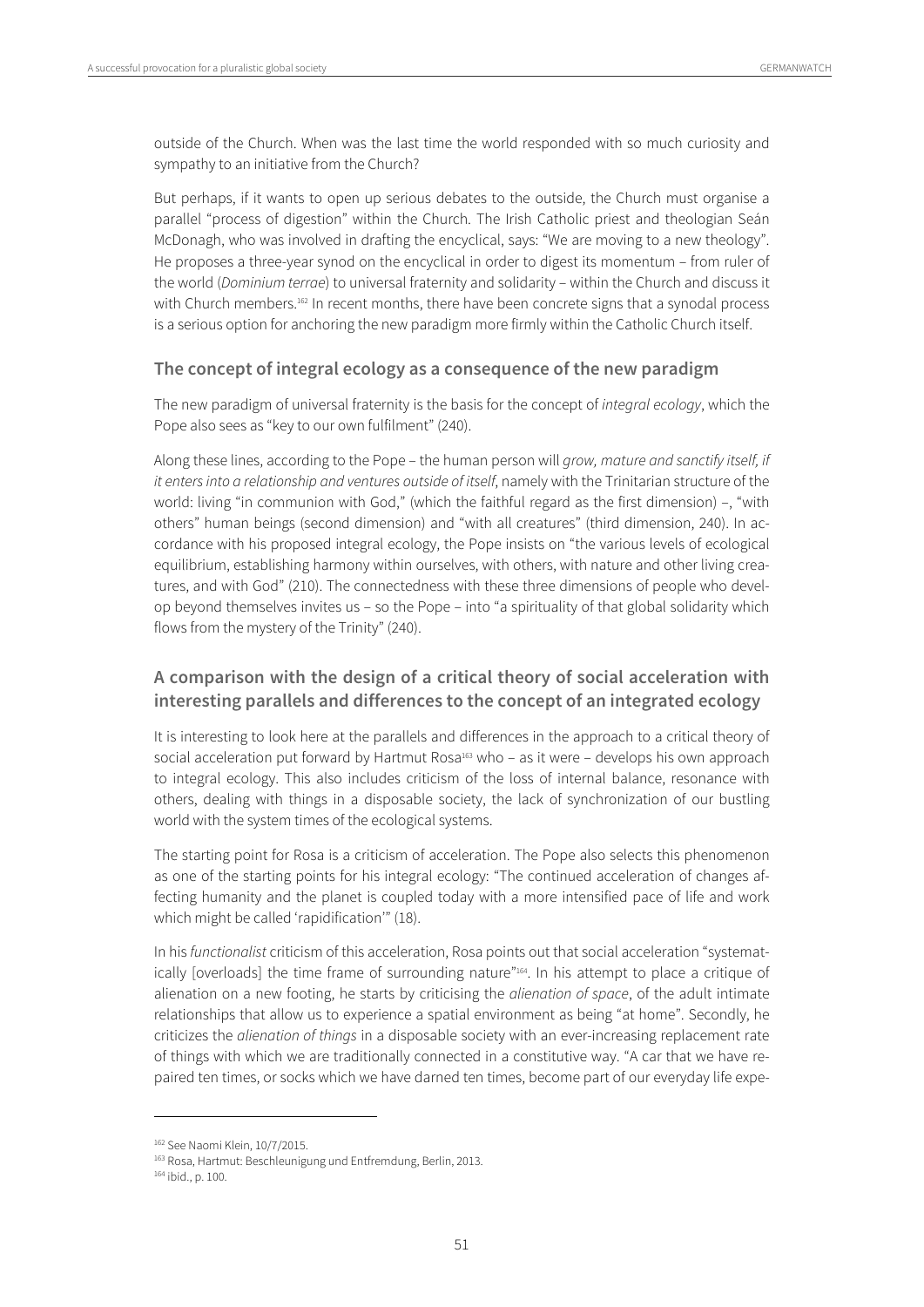outside of the Church. When was the last time the world responded with so much curiosity and sympathy to an initiative from the Church?

But perhaps, if it wants to open up serious debates to the outside, the Church must organise a parallel "process of digestion" within the Church. The Irish Catholic priest and theologian Seán McDonagh, who was involved in drafting the encyclical, says: "We are moving to a new theology". He proposes a three-year synod on the encyclical in order to digest its momentum – from ruler of the world (Dominium terrae) to universal fraternity and solidarity – within the Church and discuss it with Church members.<sup>162</sup> In recent months, there have been concrete signs that a synodal process is a serious option for anchoring the new paradigm more firmly within the Catholic Church itself.

#### **The concept of integral ecology as a consequence of the new paradigm**

The new paradigm of universal fraternity is the basis for the concept of integral ecology, which the Pope also sees as "key to our own fulfilment" (240).

Along these lines, according to the Pope – the human person will grow, mature and sanctify itself, if it enters into a relationship and ventures outside of itself, namely with the Trinitarian structure of the world: living "in communion with God," (which the faithful regard as the first dimension) -, "with others" human beings (second dimension) and "with all creatures" (third dimension, 240). In accordance with his proposed integral ecology, the Pope insists on "the various levels of ecological equilibrium, establishing harmony within ourselves, with others, with nature and other living creatures, and with God" (210). The connectedness with these three dimensions of people who develop beyond themselves invites us – so the Pope – into "a spirituality of that global solidarity which flows from the mystery of the Trinity" (240).

#### **A comparison with the design of a critical theory of social acceleration with interesting parallels and differences to the concept of an integrated ecology**

It is interesting to look here at the parallels and differences in the approach to a critical theory of social acceleration put forward by Hartmut Rosa $163$  who – as it were – develops his own approach to integral ecology. This also includes criticism of the loss of internal balance, resonance with others, dealing with things in a disposable society, the lack of synchronization of our bustling world with the system times of the ecological systems.

The starting point for Rosa is a criticism of acceleration. The Pope also selects this phenomenon as one of the starting points for his integral ecology: "The continued acceleration of changes affecting humanity and the planet is coupled today with a more intensified pace of life and work which might be called 'rapidification'" (18).

In his functionalist criticism of this acceleration, Rosa points out that social acceleration "systematically [overloads] the time frame of surrounding nature"164. In his attempt to place a critique of alienation on a new footing, he starts by criticising the *alienation of space*, of the adult intimate relationships that allow us to experience a spatial environment as being "at home". Secondly, he criticizes the *alienation of things* in a disposable society with an ever-increasing replacement rate of things with which we are traditionally connected in a constitutive way. "A car that we have repaired ten times, or socks which we have darned ten times, become part of our everyday life expe-

<sup>&</sup>lt;sup>162</sup> See Naomi Klein, 10/7/2015.<br><sup>163</sup> Rosa, Hartmut: Beschleunigung und Entfremdung, Berlin, 2013.<br><sup>164</sup> ibid., p. 100.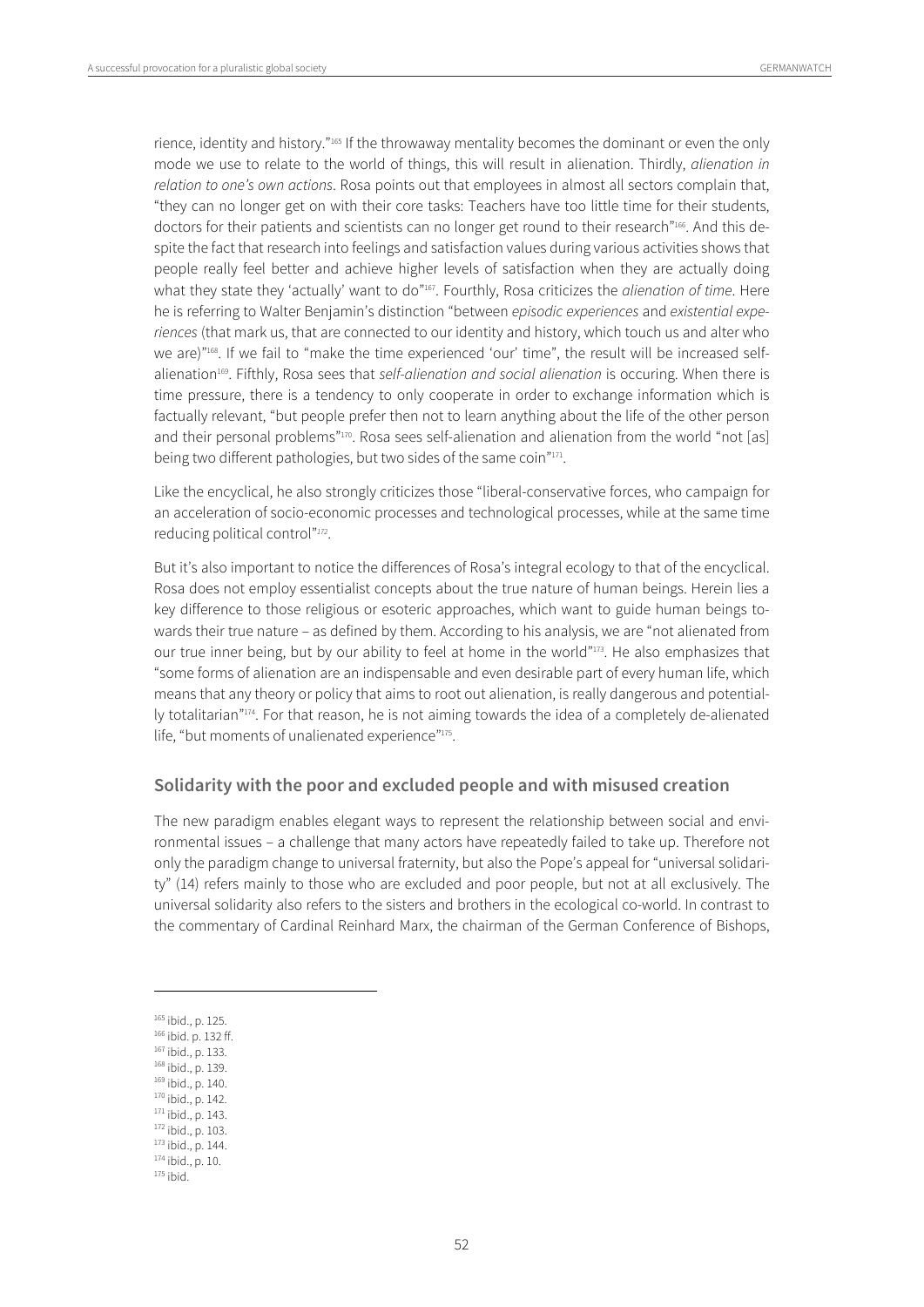rience, identity and history."165 If the throwaway mentality becomes the dominant or even the only mode we use to relate to the world of things, this will result in alienation. Thirdly, *alienation in* relation to one's own actions. Rosa points out that employees in almost all sectors complain that, "they can no longer get on with their core tasks: Teachers have too little time for their students, doctors for their patients and scientists can no longer get round to their research"166. And this despite the fact that research into feelings and satisfaction values during various activities shows that people really feel better and achieve higher levels of satisfaction when they are actually doing what they state they 'actually' want to do"<sup>167</sup>. Fourthly, Rosa criticizes the *alienation of time*. Here he is referring to Walter Benjamin's distinction "between episodic experiences and existential experiences (that mark us, that are connected to our identity and history, which touch us and alter who we are)"168. If we fail to "make the time experienced 'our' time", the result will be increased selfalienation<sup>169</sup>. Fifthly, Rosa sees that self-alienation and social alienation is occuring. When there is time pressure, there is a tendency to only cooperate in order to exchange information which is factually relevant, "but people prefer then not to learn anything about the life of the other person and their personal problems"<sup>170</sup>. Rosa sees self-alienation and alienation from the world "not [as] being two different pathologies, but two sides of the same coin"<sup>171</sup>.

Like the encyclical, he also strongly criticizes those "liberal-conservative forces, who campaign for an acceleration of socio-economic processes and technological processes, while at the same time reducing political control"<sup>172</sup>.

But it's also important to notice the differences of Rosa's integral ecology to that of the encyclical. Rosa does not employ essentialist concepts about the true nature of human beings. Herein lies a key difference to those religious or esoteric approaches, which want to guide human beings towards their true nature – as defined by them. According to his analysis, we are "not alienated from our true inner being, but by our ability to feel at home in the world"173. He also emphasizes that "some forms of alienation are an indispensable and even desirable part of every human life, which means that any theory or policy that aims to root out alienation, is really dangerous and potentially totalitarian"<sup>174</sup>. For that reason, he is not aiming towards the idea of a completely de-alienated life, "but moments of unalienated experience"175.

#### **Solidarity with the poor and excluded people and with misused creation**

The new paradigm enables elegant ways to represent the relationship between social and environmental issues – a challenge that many actors have repeatedly failed to take up. Therefore not only the paradigm change to universal fraternity, but also the Pope's appeal for "universal solidarity" (14) refers mainly to those who are excluded and poor people, but not at all exclusively. The universal solidarity also refers to the sisters and brothers in the ecological co-world. In contrast to the commentary of Cardinal Reinhard Marx, the chairman of the German Conference of Bishops,

- 
- 
- 
- 

<sup>&</sup>lt;sup>165</sup> ibid., p. 125.<br><sup>166</sup> ibid., p. 133.<br><sup>168</sup> ibid., p. 133.<br><sup>169</sup> ibid., p. 140.<br><sup>170</sup> ibid., p. 142.<br><sup>171</sup> ibid., p. 143.<br><sup>173</sup> ibid., p. 103.<br><sup>173</sup> ibid., p. 10. <sup>175</sup> ibid.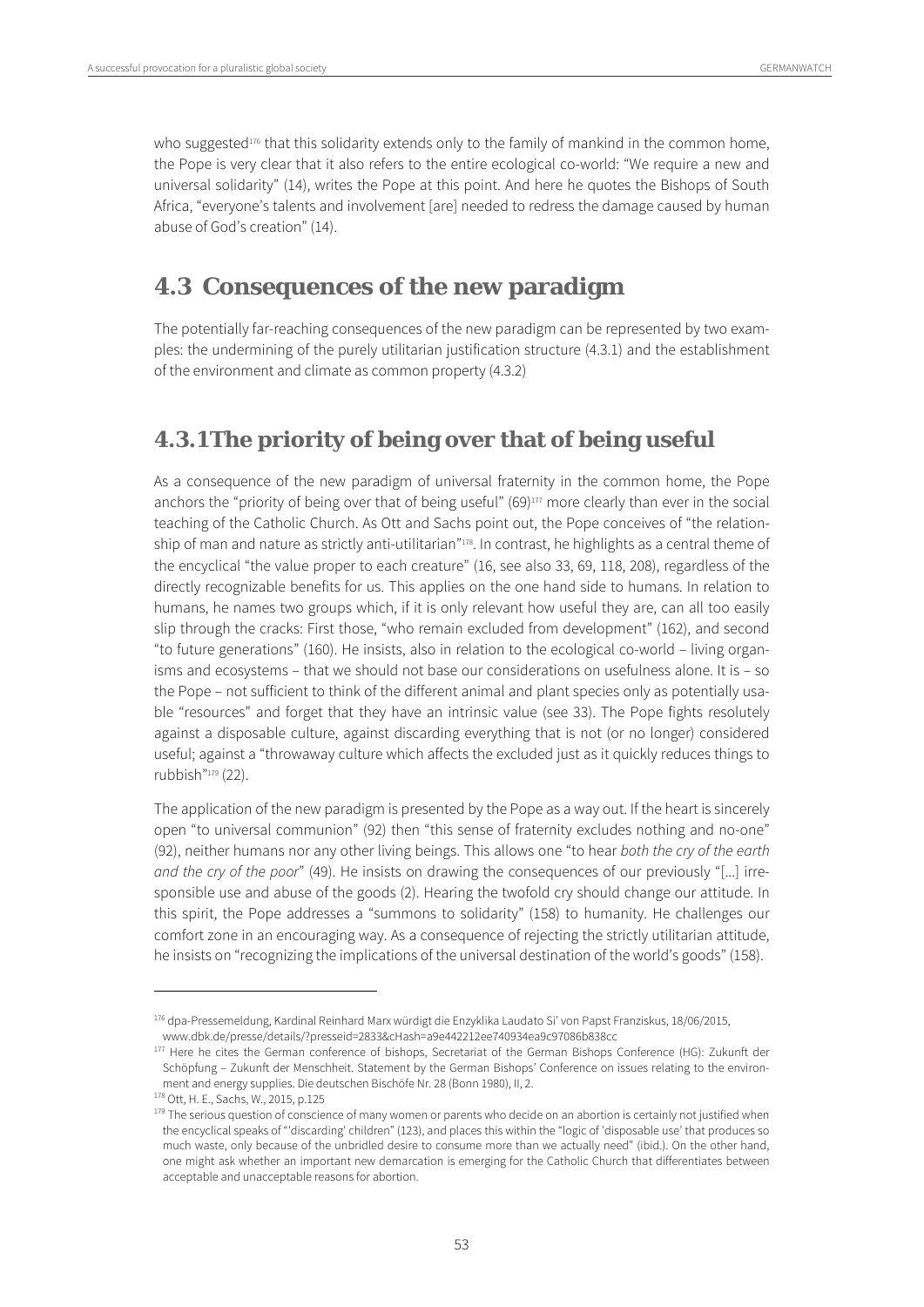who suggested<sup>176</sup> that this solidarity extends only to the family of mankind in the common home, the Pope is very clear that it also refers to the entire ecological co-world: "We require a new and universal solidarity" (14), writes the Pope at this point. And here he quotes the Bishops of South Africa, "everyone's talents and involvement [are] needed to redress the damage caused by human abuse of God's creation" (14).

## **4.3 Consequences of the new paradigm**

The potentially far-reaching consequences of the new paradigm can be represented by two examples: the undermining of the purely utilitarian justification structure (4.3.1) and the establishment of the environment and climate as common property (4.3.2)

### **4.3.1The priority of being over that of being useful**

As a consequence of the new paradigm of universal fraternity in the common home, the Pope anchors the "priority of being over that of being useful" (69)<sup>177</sup> more clearly than ever in the social teaching of the Catholic Church. As Ott and Sachs point out, the Pope conceives of "the relationship of man and nature as strictly anti-utilitarian"<sup>178</sup>. In contrast, he highlights as a central theme of the encyclical "the value proper to each creature" (16, see also 33, 69, 118, 208), regardless of the directly recognizable benefits for us. This applies on the one hand side to humans. In relation to humans, he names two groups which, if it is only relevant how useful they are, can all too easily slip through the cracks: First those, "who remain excluded from development" (162), and second "to future generations" (160). He insists, also in relation to the ecological co-world – living organisms and ecosystems – that we should not base our considerations on usefulness alone. It is – so the Pope – not sufficient to think of the different animal and plant species only as potentially usable "resources" and forget that they have an intrinsic value (see 33). The Pope fights resolutely against a disposable culture, against discarding everything that is not (or no longer) considered useful; against a "throwaway culture which affects the excluded just as it quickly reduces things to rubbish"179 (22).

The application of the new paradigm is presented by the Pope as a way out. If the heart is sincerely open "to universal communion" (92) then "this sense of fraternity excludes nothing and no-one" (92), neither humans nor any other living beings. This allows one "to hear both the cry of the earth and the cry of the poor" (49). He insists on drawing the consequences of our previously "[...] irresponsible use and abuse of the goods (2). Hearing the twofold cry should change our attitude. In this spirit, the Pope addresses a "summons to solidarity" (158) to humanity. He challenges our comfort zone in an encouraging way. As a consequence of rejecting the strictly utilitarian attitude, he insists on "recognizing the implications of the universal destination of the world's goods" (158).

<sup>176</sup> dpa-Pressemeldung, Kardinal Reinhard Marx würdigt die Enzyklika Laudato Si' von Papst Franziskus, 18/06/2015,

www.dbk.de/presse/details/?presseid=2833&cHash=a9e442212ee740934ea9c97086b838cc 177 Here he cites the German conference of bishops, Secretariat of the German Bishops Conference (HG): Zukunft der Schöpfung – Zukunft der Menschheit. Statement by the German Bishops' Conference on issues relating to the environment and energy supplies. Die deutschen Bischöfe Nr. 28 (Bonn 1980), II, 2.<br><sup>178</sup> Ott, H. E., Sachs, W., 2015, p.125<br><sup>179</sup> The serious question of conscience of many women or parents who decide on an abortion is certainly

the encyclical speaks of "'discarding' children" (123), and places this within the "logic of 'disposable use' that produces so much waste, only because of the unbridled desire to consume more than we actually need" (ibid.). On the other hand, one might ask whether an important new demarcation is emerging for the Catholic Church that differentiates between acceptable and unacceptable reasons for abortion.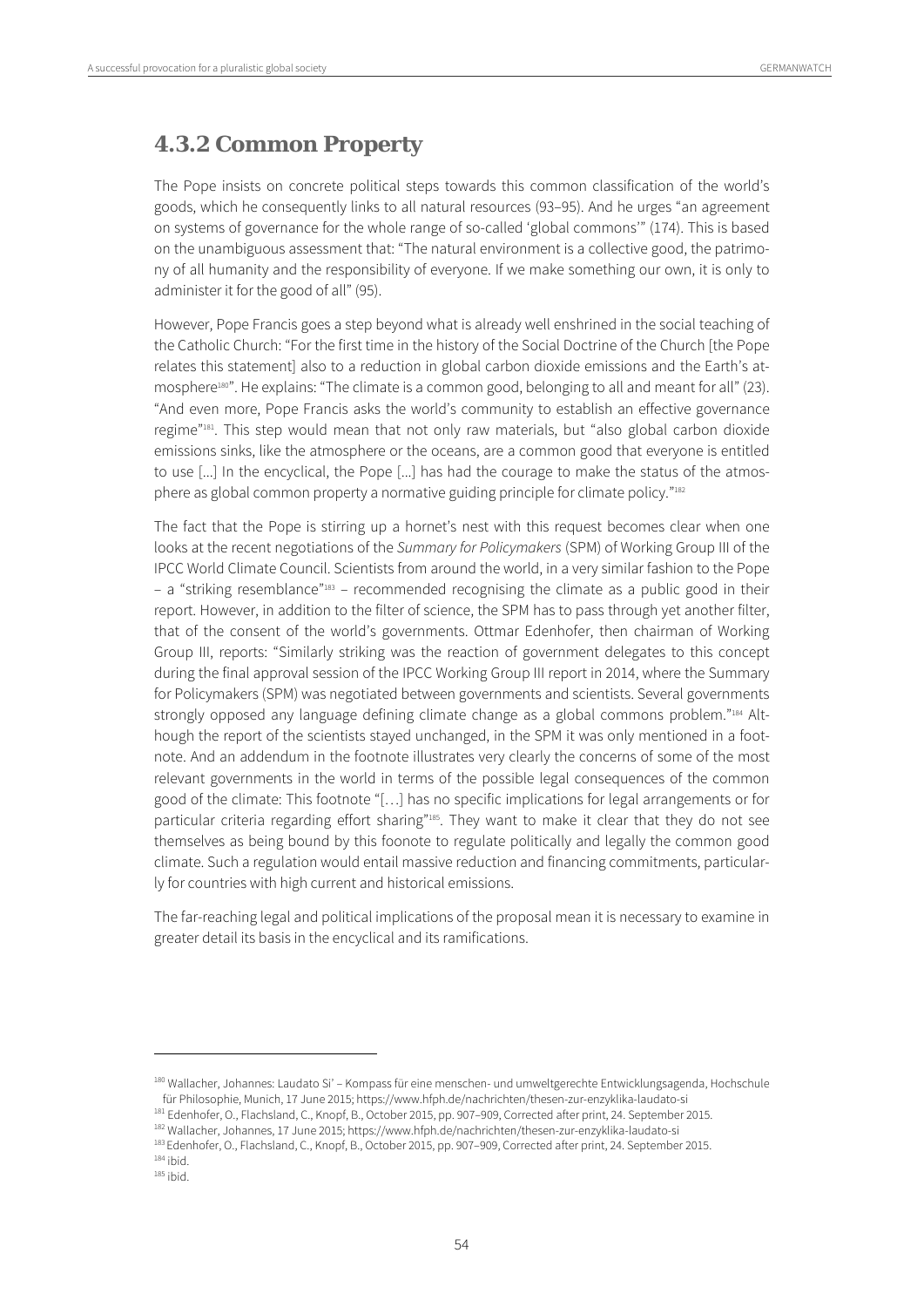### **4.3.2 Common Property**

The Pope insists on concrete political steps towards this common classification of the world's goods, which he consequently links to all natural resources (93–95). And he urges "an agreement on systems of governance for the whole range of so-called 'global commons'" (174). This is based on the unambiguous assessment that: "The natural environment is a collective good, the patrimony of all humanity and the responsibility of everyone. If we make something our own, it is only to administer it for the good of all" (95).

However, Pope Francis goes a step beyond what is already well enshrined in the social teaching of the Catholic Church: "For the first time in the history of the Social Doctrine of the Church [the Pope relates this statement] also to a reduction in global carbon dioxide emissions and the Earth's atmosphere<sup>180"</sup>. He explains: "The climate is a common good, belonging to all and meant for all" (23). "And even more, Pope Francis asks the world's community to establish an effective governance regime"181. This step would mean that not only raw materials, but "also global carbon dioxide emissions sinks, like the atmosphere or the oceans, are a common good that everyone is entitled to use [...] In the encyclical, the Pope [...] has had the courage to make the status of the atmosphere as global common property a normative guiding principle for climate policy."182

The fact that the Pope is stirring up a hornet's nest with this request becomes clear when one looks at the recent negotiations of the Summary for Policymakers (SPM) of Working Group III of the IPCC World Climate Council. Scientists from around the world, in a very similar fashion to the Pope – a "striking resemblance"183 – recommended recognising the climate as a public good in their report. However, in addition to the filter of science, the SPM has to pass through yet another filter, that of the consent of the world's governments. Ottmar Edenhofer, then chairman of Working Group III, reports: "Similarly striking was the reaction of government delegates to this concept during the final approval session of the IPCC Working Group III report in 2014, where the Summary for Policymakers (SPM) was negotiated between governments and scientists. Several governments strongly opposed any language defining climate change as a global commons problem."<sup>184</sup> Although the report of the scientists stayed unchanged, in the SPM it was only mentioned in a footnote. And an addendum in the footnote illustrates very clearly the concerns of some of the most relevant governments in the world in terms of the possible legal consequences of the common good of the climate: This footnote "[…] has no specific implications for legal arrangements or for particular criteria regarding effort sharing"<sup>185</sup>. They want to make it clear that they do not see themselves as being bound by this foonote to regulate politically and legally the common good climate. Such a regulation would entail massive reduction and financing commitments, particularly for countries with high current and historical emissions.

The far-reaching legal and political implications of the proposal mean it is necessary to examine in greater detail its basis in the encyclical and its ramifications.

<sup>&</sup>lt;sup>180</sup> Wallacher, Johannes: Laudato Si' – Kompass für eine menschen- und umweltgerechte Entwicklungsagenda, Hochschule<br>für Philosophie, Munich, 17 June 2015; https://www.hfph.de/nachrichten/thesen-zur-enzyklika-laudato-si

<sup>&</sup>lt;sup>181</sup> Edenhofer, O., Flachsland, C., Knopf, B., October 2015, pp. 907–909, Corrected after print, 24. September 2015.<br><sup>182</sup> Wallacher, Johannes, 17 June 2015; https://www.hfph.de/nachrichten/thesen-zur-enzyklika-laudato-s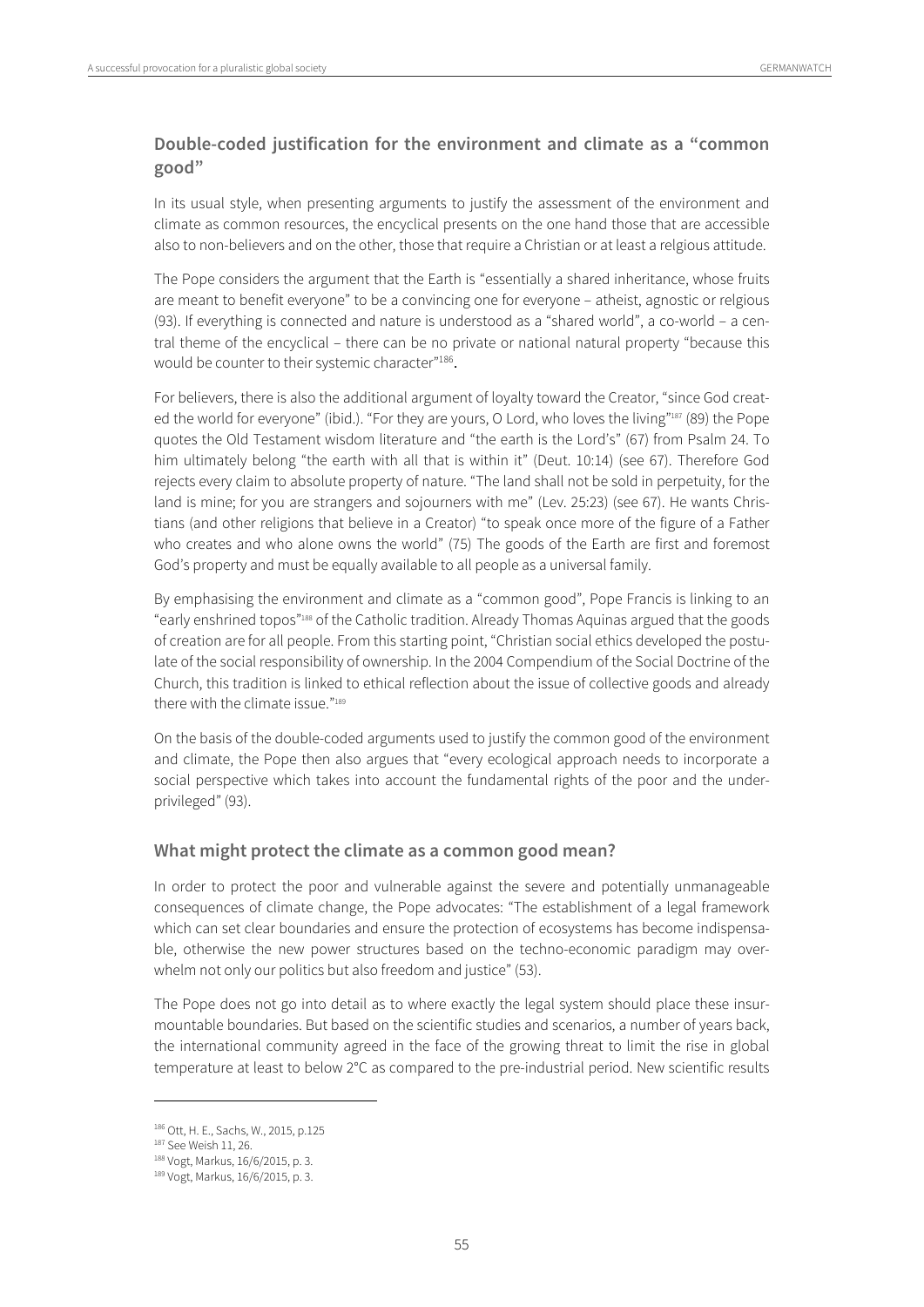#### **Double-coded justification for the environment and climate as a "common good"**

In its usual style, when presenting arguments to justify the assessment of the environment and climate as common resources, the encyclical presents on the one hand those that are accessible also to non-believers and on the other, those that require a Christian or at least a relgious attitude.

The Pope considers the argument that the Earth is "essentially a shared inheritance, whose fruits are meant to benefit everyone" to be a convincing one for everyone – atheist, agnostic or relgious (93). If everything is connected and nature is understood as a "shared world", a co-world – a central theme of the encyclical – there can be no private or national natural property "because this would be counter to their systemic character"<sup>186</sup>.

For believers, there is also the additional argument of loyalty toward the Creator, "since God created the world for everyone" (ibid.). "For they are yours, O Lord, who loves the living"187 (89) the Pope quotes the Old Testament wisdom literature and "the earth is the Lord's" (67) from Psalm 24. To him ultimately belong "the earth with all that is within it" (Deut. 10:14) (see 67). Therefore God rejects every claim to absolute property of nature. "The land shall not be sold in perpetuity, for the land is mine; for you are strangers and sojourners with me" (Lev. 25:23) (see 67). He wants Christians (and other religions that believe in a Creator) "to speak once more of the figure of a Father who creates and who alone owns the world" (75) The goods of the Earth are first and foremost God's property and must be equally available to all people as a universal family.

By emphasising the environment and climate as a "common good", Pope Francis is linking to an "early enshrined topos"188 of the Catholic tradition. Already Thomas Aquinas argued that the goods of creation are for all people. From this starting point, "Christian social ethics developed the postulate of the social responsibility of ownership. In the 2004 Compendium of the Social Doctrine of the Church, this tradition is linked to ethical reflection about the issue of collective goods and already there with the climate issue  $"189"$ 

On the basis of the double-coded arguments used to justify the common good of the environment and climate, the Pope then also argues that "every ecological approach needs to incorporate a social perspective which takes into account the fundamental rights of the poor and the underprivileged" (93).

#### **What might protect the climate as a common good mean?**

In order to protect the poor and vulnerable against the severe and potentially unmanageable consequences of climate change, the Pope advocates: "The establishment of a legal framework which can set clear boundaries and ensure the protection of ecosystems has become indispensable, otherwise the new power structures based on the techno-economic paradigm may overwhelm not only our politics but also freedom and justice" (53).

The Pope does not go into detail as to where exactly the legal system should place these insurmountable boundaries. But based on the scientific studies and scenarios, a number of years back, the international community agreed in the face of the growing threat to limit the rise in global temperature at least to below 2°C as compared to the pre-industrial period. New scientific results

<sup>&</sup>lt;sup>186</sup> Ott, H. E., Sachs, W., 2015, p.125<br><sup>187</sup> See Weish 11, 26.<br><sup>188</sup> Vogt, Markus, 16/6/2015, p. 3.

<sup>189</sup> Vogt, Markus, 16/6/2015, p. 3.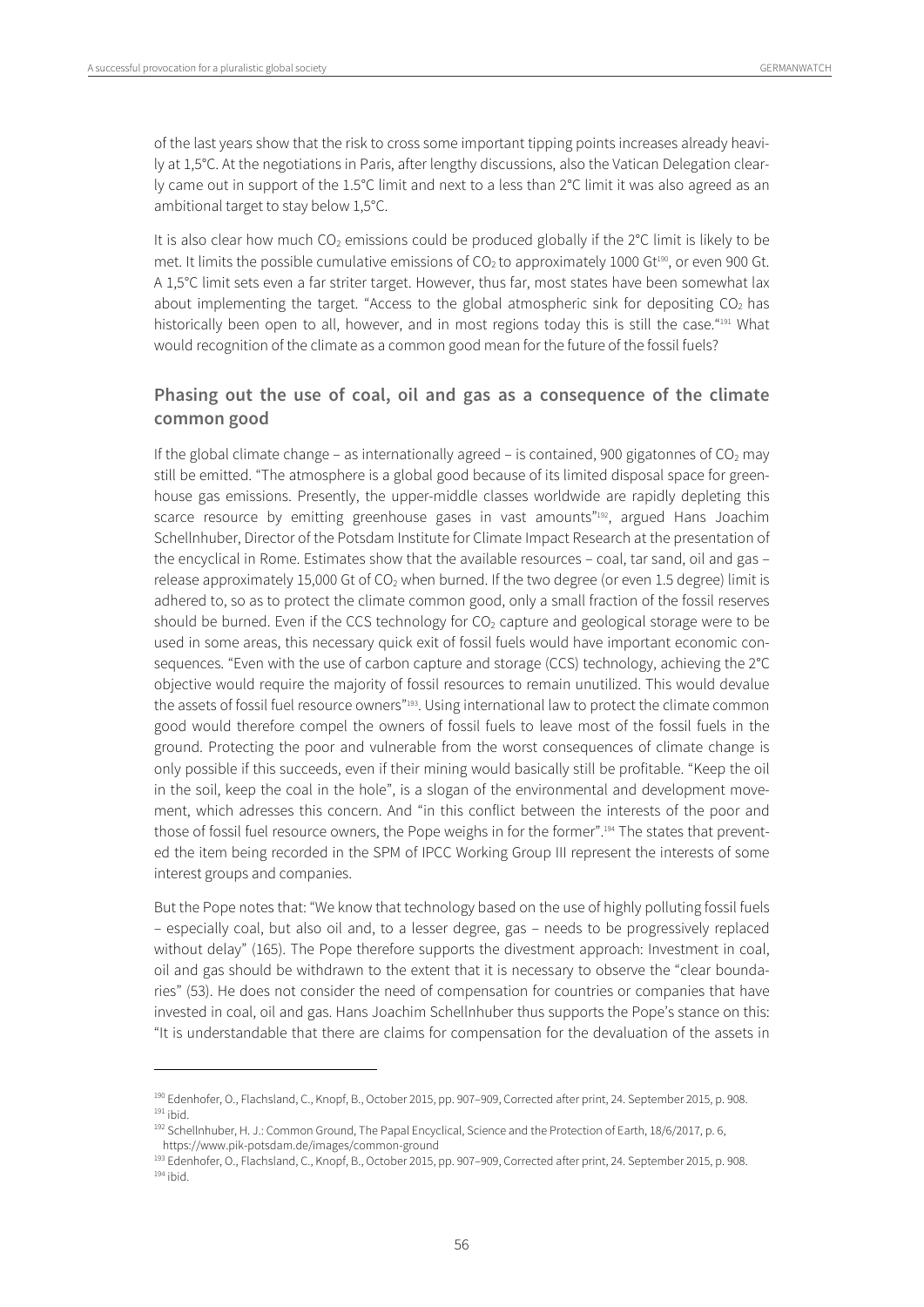$\overline{a}$ 

of the last years show that the risk to cross some important tipping points increases already heavily at 1,5°C. At the negotiations in Paris, after lengthy discussions, also the Vatican Delegation clearly came out in support of the 1.5°C limit and next to a less than 2°C limit it was also agreed as an ambitional target to stay below 1,5°C.

It is also clear how much  $CO<sub>2</sub>$  emissions could be produced globally if the  $2^{\circ}$ C limit is likely to be met. It limits the possible cumulative emissions of  $CO<sub>2</sub>$  to approximately 1000 Gt<sup>190</sup>, or even 900 Gt. A 1,5°C limit sets even a far striter target. However, thus far, most states have been somewhat lax about implementing the target. "Access to the global atmospheric sink for depositing  $CO<sub>2</sub>$  has historically been open to all, however, and in most regions today this is still the case."<sup>191</sup> What would recognition of the climate as a common good mean for the future of the fossil fuels?

#### **Phasing out the use of coal, oil and gas as a consequence of the climate common good**

If the global climate change – as internationally agreed – is contained, 900 gigatonnes of  $CO<sub>2</sub>$  may still be emitted. "The atmosphere is a global good because of its limited disposal space for greenhouse gas emissions. Presently, the upper-middle classes worldwide are rapidly depleting this scarce resource by emitting greenhouse gases in vast amounts"<sup>192</sup>, argued Hans Joachim Schellnhuber, Director of the Potsdam Institute for Climate Impact Research at the presentation of the encyclical in Rome. Estimates show that the available resources – coal, tar sand, oil and gas – release approximately 15,000 Gt of  $CO<sub>2</sub>$  when burned. If the two degree (or even 1.5 degree) limit is adhered to, so as to protect the climate common good, only a small fraction of the fossil reserves should be burned. Even if the CCS technology for  $CO<sub>2</sub>$  capture and geological storage were to be used in some areas, this necessary quick exit of fossil fuels would have important economic consequences. "Even with the use of carbon capture and storage (CCS) technology, achieving the 2°C objective would require the majority of fossil resources to remain unutilized. This would devalue the assets of fossil fuel resource owners"<sup>193</sup>. Using international law to protect the climate common good would therefore compel the owners of fossil fuels to leave most of the fossil fuels in the ground. Protecting the poor and vulnerable from the worst consequences of climate change is only possible if this succeeds, even if their mining would basically still be profitable. "Keep the oil in the soil, keep the coal in the hole", is a slogan of the environmental and development movement, which adresses this concern. And "in this conflict between the interests of the poor and those of fossil fuel resource owners, the Pope weighs in for the former".194 The states that prevented the item being recorded in the SPM of IPCC Working Group III represent the interests of some interest groups and companies.

But the Pope notes that: "We know that technology based on the use of highly polluting fossil fuels – especially coal, but also oil and, to a lesser degree, gas – needs to be progressively replaced without delay" (165). The Pope therefore supports the divestment approach: Investment in coal, oil and gas should be withdrawn to the extent that it is necessary to observe the "clear boundaries" (53). He does not consider the need of compensation for countries or companies that have invested in coal, oil and gas. Hans Joachim Schellnhuber thus supports the Pope's stance on this: "It is understandable that there are claims for compensation for the devaluation of the assets in

<sup>&</sup>lt;sup>190</sup> Edenhofer, O., Flachsland, C., Knopf, B., October 2015, pp. 907–909, Corrected after print, 24. September 2015, p. 908.<br><sup>191</sup> ihid

<sup>&</sup>lt;sup>192</sup> Schellnhuber, H. J.: Common Ground, The Papal Encyclical, Science and the Protection of Earth, 18/6/2017, p. 6, https://www.pik-potsdam.de/images/common-ground

<sup>&</sup>lt;sup>193</sup> Edenhofer, O., Flachsland, C., Knopf, B., October 2015, pp. 907–909, Corrected after print, 24. September 2015, p. 908.<br><sup>194</sup> ibid.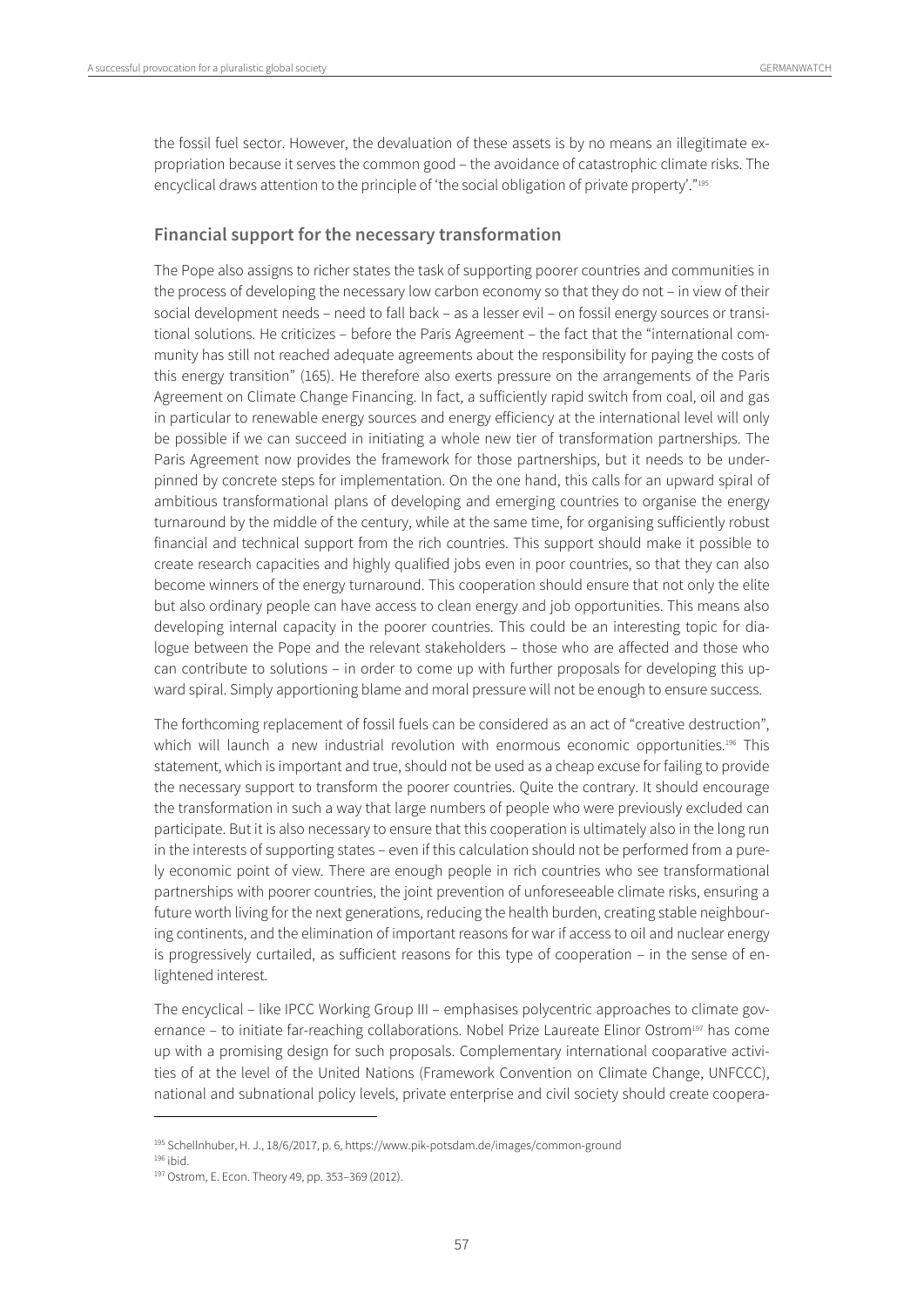the fossil fuel sector. However, the devaluation of these assets is by no means an illegitimate expropriation because it serves the common good – the avoidance of catastrophic climate risks. The encyclical draws attention to the principle of 'the social obligation of private property'."195

#### **Financial support for the necessary transformation**

The Pope also assigns to richer states the task of supporting poorer countries and communities in the process of developing the necessary low carbon economy so that they do not – in view of their social development needs – need to fall back – as a lesser evil – on fossil energy sources or transitional solutions. He criticizes – before the Paris Agreement – the fact that the "international community has still not reached adequate agreements about the responsibility for paying the costs of this energy transition" (165). He therefore also exerts pressure on the arrangements of the Paris Agreement on Climate Change Financing. In fact, a sufficiently rapid switch from coal, oil and gas in particular to renewable energy sources and energy efficiency at the international level will only be possible if we can succeed in initiating a whole new tier of transformation partnerships. The Paris Agreement now provides the framework for those partnerships, but it needs to be underpinned by concrete steps for implementation. On the one hand, this calls for an upward spiral of ambitious transformational plans of developing and emerging countries to organise the energy turnaround by the middle of the century, while at the same time, for organising sufficiently robust financial and technical support from the rich countries. This support should make it possible to create research capacities and highly qualified jobs even in poor countries, so that they can also become winners of the energy turnaround. This cooperation should ensure that not only the elite but also ordinary people can have access to clean energy and job opportunities. This means also developing internal capacity in the poorer countries. This could be an interesting topic for dialogue between the Pope and the relevant stakeholders – those who are affected and those who can contribute to solutions – in order to come up with further proposals for developing this upward spiral. Simply apportioning blame and moral pressure will not be enough to ensure success.

The forthcoming replacement of fossil fuels can be considered as an act of "creative destruction", which will launch a new industrial revolution with enormous economic opportunities.<sup>196</sup> This statement, which is important and true, should not be used as a cheap excuse for failing to provide the necessary support to transform the poorer countries. Quite the contrary. It should encourage the transformation in such a way that large numbers of people who were previously excluded can participate. But it is also necessary to ensure that this cooperation is ultimately also in the long run in the interests of supporting states – even if this calculation should not be performed from a purely economic point of view. There are enough people in rich countries who see transformational partnerships with poorer countries, the joint prevention of unforeseeable climate risks, ensuring a future worth living for the next generations, reducing the health burden, creating stable neighbouring continents, and the elimination of important reasons for war if access to oil and nuclear energy is progressively curtailed, as sufficient reasons for this type of cooperation – in the sense of enlightened interest.

The encyclical – like IPCC Working Group III – emphasises polycentric approaches to climate governance – to initiate far-reaching collaborations. Nobel Prize Laureate Elinor Ostrom<sup>197</sup> has come up with a promising design for such proposals. Complementary international cooparative activities of at the level of the United Nations (Framework Convention on Climate Change, UNFCCC), national and subnational policy levels, private enterprise and civil society should create coopera-

<sup>&</sup>lt;sup>195</sup> Schellnhuber, H. J., 18/6/2017, p. 6, https://www.pik-potsdam.de/images/common-ground<br><sup>196</sup> ibid.<br><sup>197</sup> Ostrom, E. Econ. Theory 49, pp. 353–369 (2012).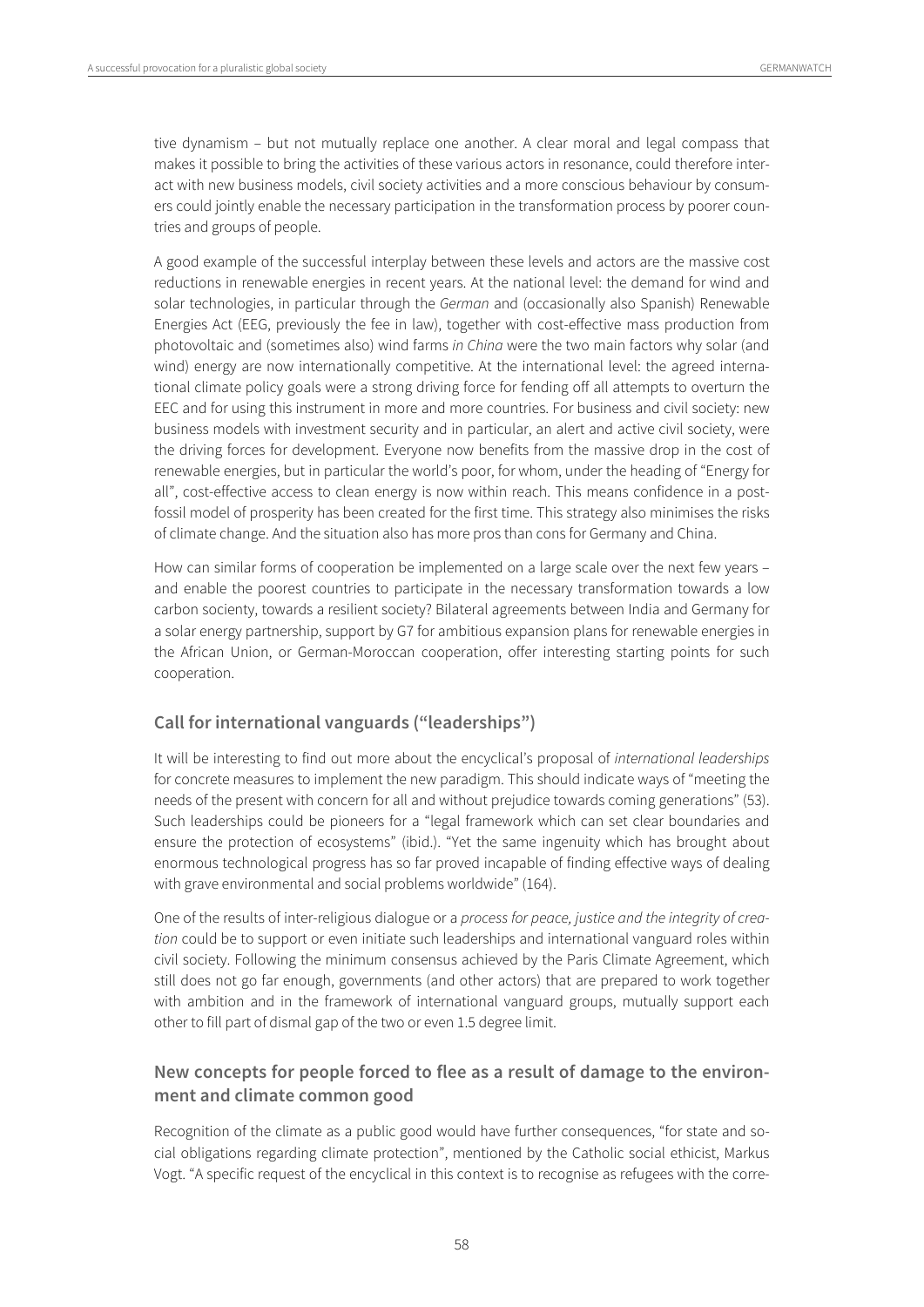tive dynamism – but not mutually replace one another. A clear moral and legal compass that makes it possible to bring the activities of these various actors in resonance, could therefore interact with new business models, civil society activities and a more conscious behaviour by consumers could jointly enable the necessary participation in the transformation process by poorer countries and groups of people.

A good example of the successful interplay between these levels and actors are the massive cost reductions in renewable energies in recent years. At the national level: the demand for wind and solar technologies, in particular through the German and (occasionally also Spanish) Renewable Energies Act (EEG, previously the fee in law), together with cost-effective mass production from photovoltaic and (sometimes also) wind farms in China were the two main factors why solar (and wind) energy are now internationally competitive. At the international level: the agreed international climate policy goals were a strong driving force for fending off all attempts to overturn the EEC and for using this instrument in more and more countries. For business and civil society: new business models with investment security and in particular, an alert and active civil society, were the driving forces for development. Everyone now benefits from the massive drop in the cost of renewable energies, but in particular the world's poor, for whom, under the heading of "Energy for all", cost-effective access to clean energy is now within reach. This means confidence in a postfossil model of prosperity has been created for the first time. This strategy also minimises the risks of climate change. And the situation also has more pros than cons for Germany and China.

How can similar forms of cooperation be implemented on a large scale over the next few years – and enable the poorest countries to participate in the necessary transformation towards a low carbon socienty, towards a resilient society? Bilateral agreements between India and Germany for a solar energy partnership, support by G7 for ambitious expansion plans for renewable energies in the African Union, or German-Moroccan cooperation, offer interesting starting points for such cooperation.

#### **Call for international vanguards ("leaderships")**

It will be interesting to find out more about the encyclical's proposal of international leaderships for concrete measures to implement the new paradigm. This should indicate ways of "meeting the needs of the present with concern for all and without prejudice towards coming generations" (53). Such leaderships could be pioneers for a "legal framework which can set clear boundaries and ensure the protection of ecosystems" (ibid.). "Yet the same ingenuity which has brought about enormous technological progress has so far proved incapable of finding effective ways of dealing with grave environmental and social problems worldwide" (164).

One of the results of inter-religious dialogue or a process for peace, justice and the integrity of creation could be to support or even initiate such leaderships and international vanguard roles within civil society. Following the minimum consensus achieved by the Paris Climate Agreement, which still does not go far enough, governments (and other actors) that are prepared to work together with ambition and in the framework of international vanguard groups, mutually support each other to fill part of dismal gap of the two or even 1.5 degree limit.

#### **New concepts for people forced to flee as a result of damage to the environment and climate common good**

Recognition of the climate as a public good would have further consequences, "for state and social obligations regarding climate protection", mentioned by the Catholic social ethicist, Markus Vogt. "A specific request of the encyclical in this context is to recognise as refugees with the corre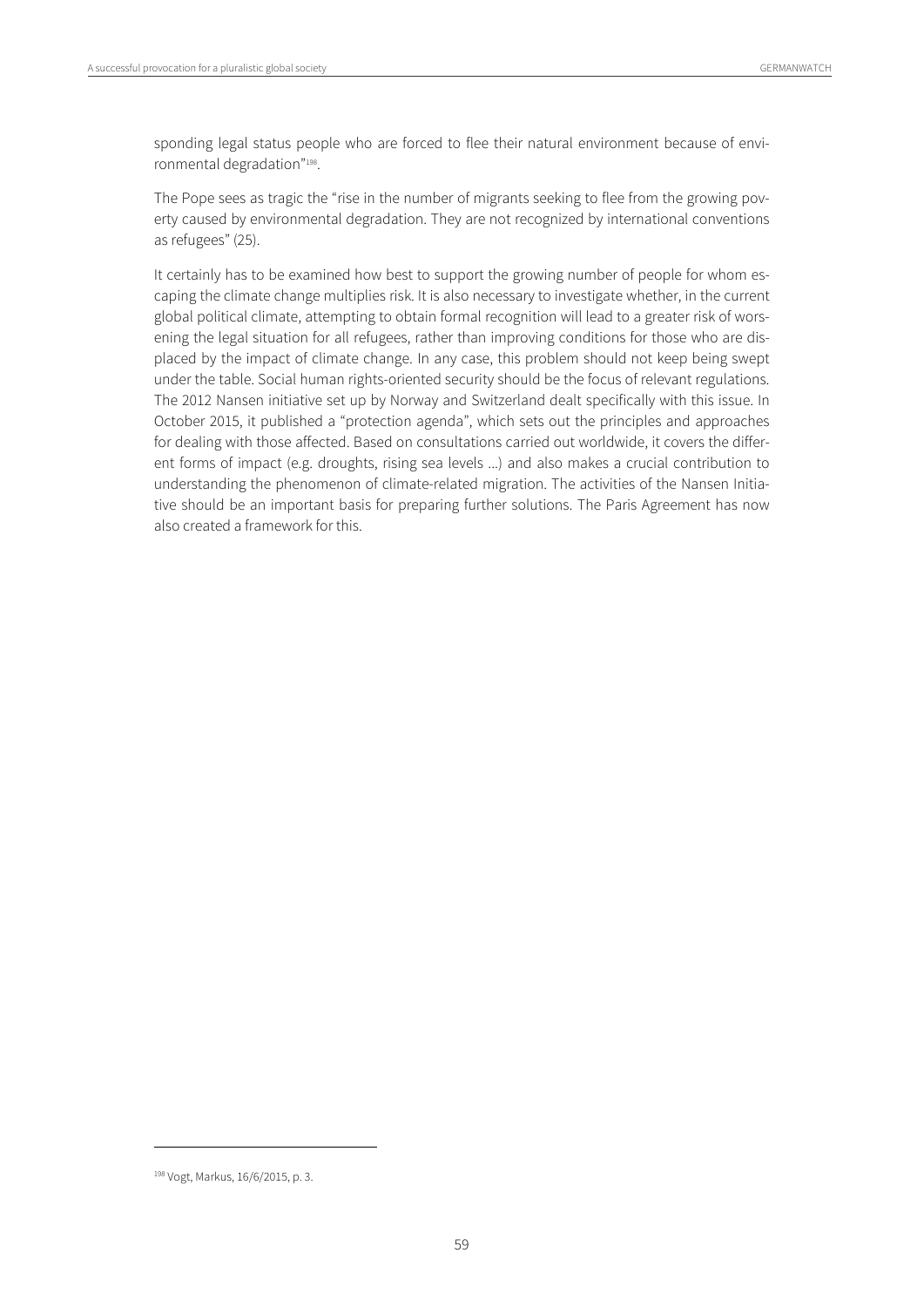sponding legal status people who are forced to flee their natural environment because of environmental degradation"198.

The Pope sees as tragic the "rise in the number of migrants seeking to flee from the growing poverty caused by environmental degradation. They are not recognized by international conventions as refugees" (25).

It certainly has to be examined how best to support the growing number of people for whom escaping the climate change multiplies risk. It is also necessary to investigate whether, in the current global political climate, attempting to obtain formal recognition will lead to a greater risk of worsening the legal situation for all refugees, rather than improving conditions for those who are displaced by the impact of climate change. In any case, this problem should not keep being swept under the table. Social human rights-oriented security should be the focus of relevant regulations. The 2012 Nansen initiative set up by Norway and Switzerland dealt specifically with this issue. In October 2015, it published a "protection agenda", which sets out the principles and approaches for dealing with those affected. Based on consultations carried out worldwide, it covers the different forms of impact (e.g. droughts, rising sea levels ...) and also makes a crucial contribution to understanding the phenomenon of climate-related migration. The activities of the Nansen Initiative should be an important basis for preparing further solutions. The Paris Agreement has now also created a framework for this.

<sup>198</sup> Vogt, Markus, 16/6/2015, p. 3.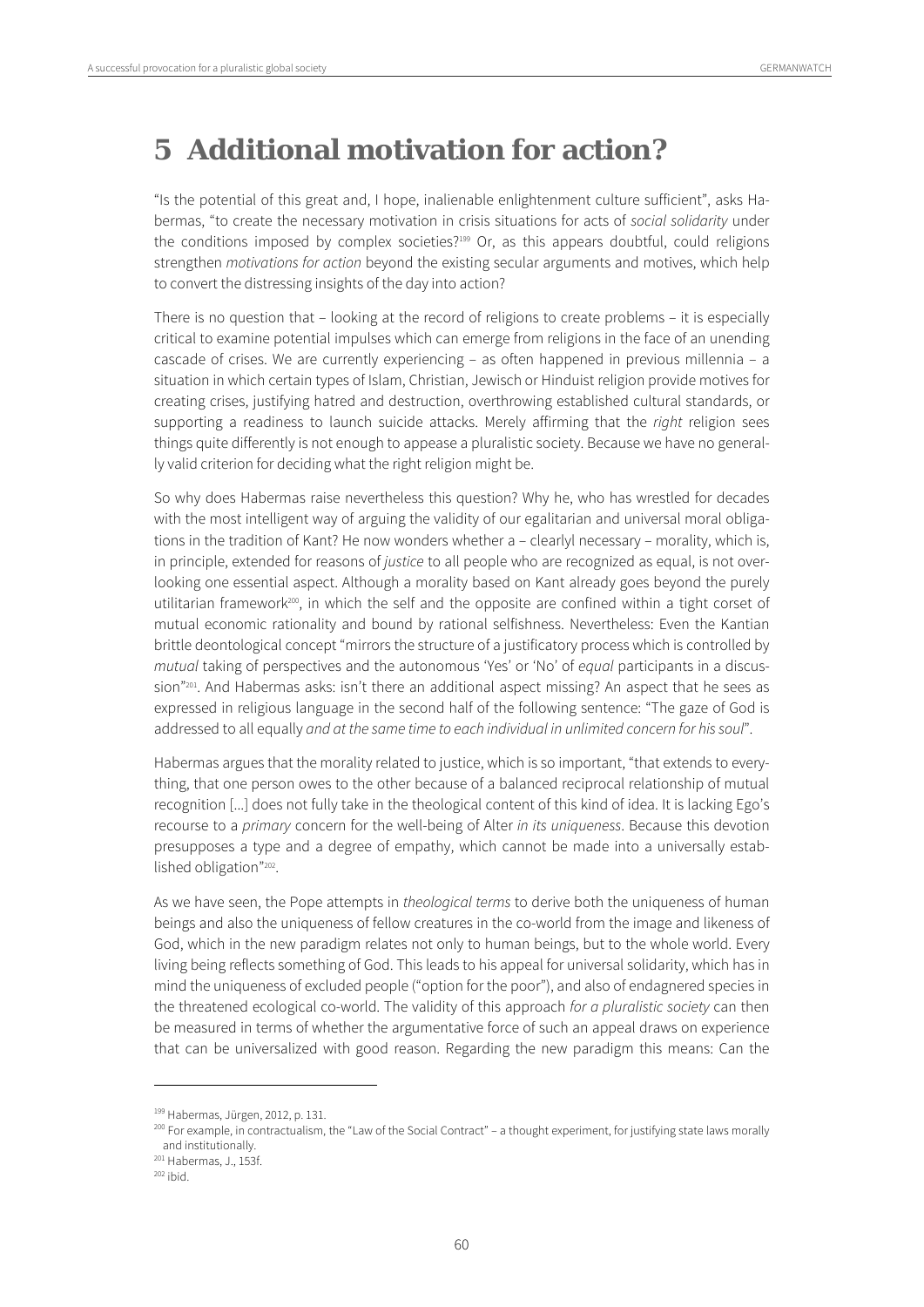## **5 Additional motivation for action?**

"Is the potential of this great and, I hope, inalienable enlightenment culture sufficient", asks Habermas, "to create the necessary motivation in crisis situations for acts of social solidarity under the conditions imposed by complex societies?199 Or, as this appears doubtful, could religions strengthen motivations for action beyond the existing secular arguments and motives, which help to convert the distressing insights of the day into action?

There is no question that – looking at the record of religions to create problems – it is especially critical to examine potential impulses which can emerge from religions in the face of an unending cascade of crises. We are currently experiencing – as often happened in previous millennia – a situation in which certain types of Islam, Christian, Jewisch or Hinduist religion provide motives for creating crises, justifying hatred and destruction, overthrowing established cultural standards, or supporting a readiness to launch suicide attacks. Merely affirming that the *right* religion sees things quite differently is not enough to appease a pluralistic society. Because we have no generally valid criterion for deciding what the right religion might be.

So why does Habermas raise nevertheless this question? Why he, who has wrestled for decades with the most intelligent way of arguing the validity of our egalitarian and universal moral obligations in the tradition of Kant? He now wonders whether a – clearlyl necessary – morality, which is, in principle, extended for reasons of justice to all people who are recognized as equal, is not overlooking one essential aspect. Although a morality based on Kant already goes beyond the purely utilitarian framework<sup>200</sup>, in which the self and the opposite are confined within a tight corset of mutual economic rationality and bound by rational selfishness. Nevertheless: Even the Kantian brittle deontological concept "mirrors the structure of a justificatory process which is controlled by mutual taking of perspectives and the autonomous 'Yes' or 'No' of equal participants in a discussion"201. And Habermas asks: isn't there an additional aspect missing? An aspect that he sees as expressed in religious language in the second half of the following sentence: "The gaze of God is addressed to all equally and at the same time to each individual in unlimited concern for his soul".

Habermas argues that the morality related to justice, which is so important, "that extends to everything, that one person owes to the other because of a balanced reciprocal relationship of mutual recognition [...] does not fully take in the theological content of this kind of idea. It is lacking Ego's recourse to a primary concern for the well-being of Alter in its uniqueness. Because this devotion presupposes a type and a degree of empathy, which cannot be made into a universally established obligation"202.

As we have seen, the Pope attempts in theological terms to derive both the uniqueness of human beings and also the uniqueness of fellow creatures in the co-world from the image and likeness of God, which in the new paradigm relates not only to human beings, but to the whole world. Every living being reflects something of God. This leads to his appeal for universal solidarity, which has in mind the uniqueness of excluded people ("option for the poor"), and also of endagnered species in the threatened ecological co-world. The validity of this approach for a pluralistic society can then be measured in terms of whether the argumentative force of such an appeal draws on experience that can be universalized with good reason. Regarding the new paradigm this means: Can the

<sup>&</sup>lt;sup>199</sup> Habermas, Jürgen, 2012, p. 131.<br><sup>200</sup> For example, in contractualism, the "Law of the Social Contract" – a thought experiment, for justifying state laws morally and institutionally.

 $201$  Habermas, J., 153f.<br> $202$  ibid.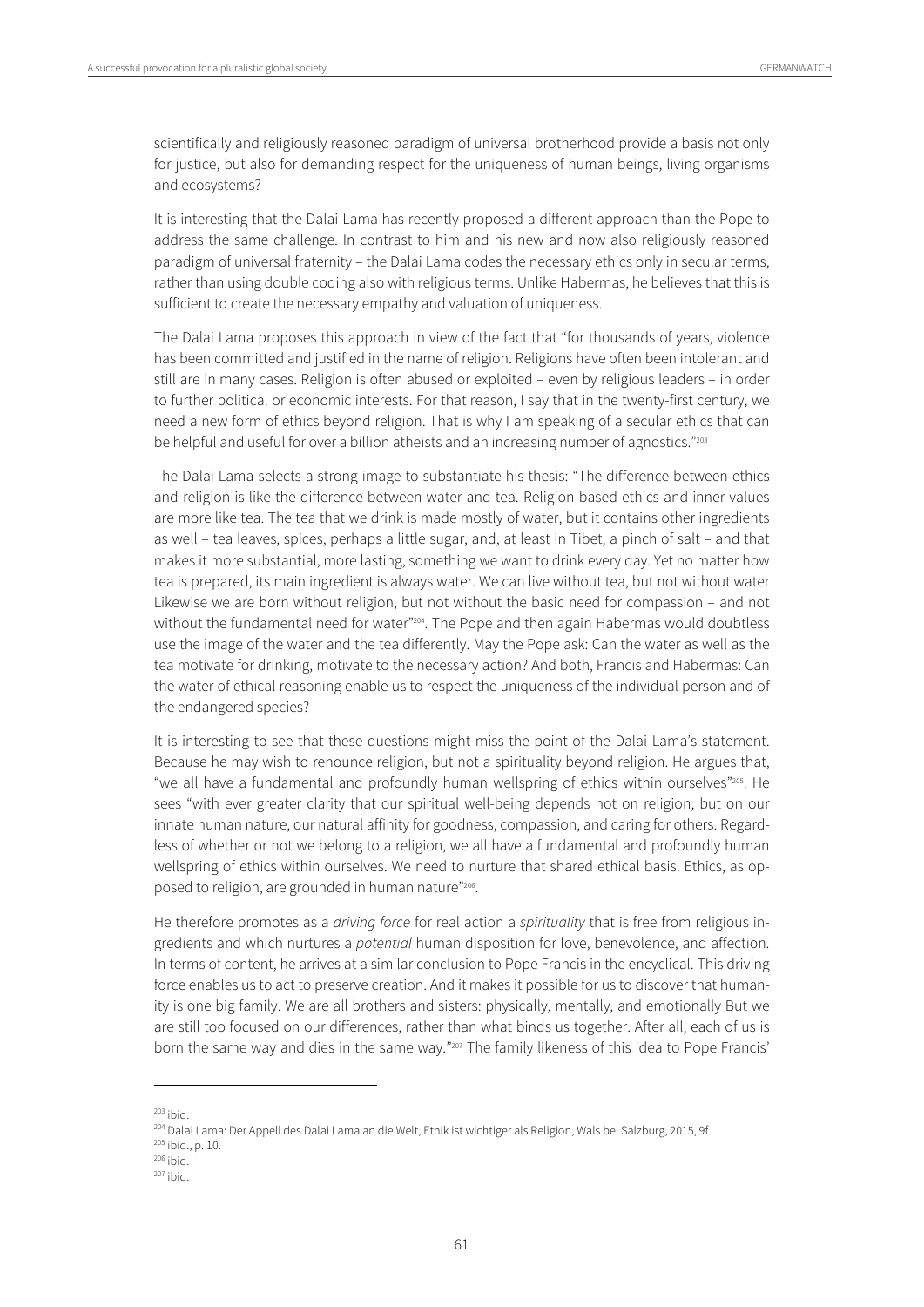scientifically and religiously reasoned paradigm of universal brotherhood provide a basis not only for justice, but also for demanding respect for the uniqueness of human beings, living organisms and ecosystems?

It is interesting that the Dalai Lama has recently proposed a different approach than the Pope to address the same challenge. In contrast to him and his new and now also religiously reasoned paradigm of universal fraternity – the Dalai Lama codes the necessary ethics only in secular terms, rather than using double coding also with religious terms. Unlike Habermas, he believes that this is sufficient to create the necessary empathy and valuation of uniqueness.

The Dalai Lama proposes this approach in view of the fact that "for thousands of years, violence has been committed and justified in the name of religion. Religions have often been intolerant and still are in many cases. Religion is often abused or exploited – even by religious leaders – in order to further political or economic interests. For that reason, I say that in the twenty-first century, we need a new form of ethics beyond religion. That is why I am speaking of a secular ethics that can be helpful and useful for over a billion atheists and an increasing number of agnostics."<sup>203</sup>

The Dalai Lama selects a strong image to substantiate his thesis: "The difference between ethics and religion is like the difference between water and tea. Religion-based ethics and inner values are more like tea. The tea that we drink is made mostly of water, but it contains other ingredients as well – tea leaves, spices, perhaps a little sugar, and, at least in Tibet, a pinch of salt – and that makes it more substantial, more lasting, something we want to drink every day. Yet no matter how tea is prepared, its main ingredient is always water. We can live without tea, but not without water Likewise we are born without religion, but not without the basic need for compassion – and not without the fundamental need for water"<sup>204</sup>. The Pope and then again Habermas would doubtless use the image of the water and the tea differently. May the Pope ask: Can the water as well as the tea motivate for drinking, motivate to the necessary action? And both, Francis and Habermas: Can the water of ethical reasoning enable us to respect the uniqueness of the individual person and of the endangered species?

It is interesting to see that these questions might miss the point of the Dalai Lama's statement. Because he may wish to renounce religion, but not a spirituality beyond religion. He argues that, "we all have a fundamental and profoundly human wellspring of ethics within ourselves"205. He sees "with ever greater clarity that our spiritual well-being depends not on religion, but on our innate human nature, our natural affinity for goodness, compassion, and caring for others. Regardless of whether or not we belong to a religion, we all have a fundamental and profoundly human wellspring of ethics within ourselves. We need to nurture that shared ethical basis. Ethics, as opposed to religion, are grounded in human nature"206.

He therefore promotes as a driving force for real action a spirituality that is free from religious ingredients and which nurtures a potential human disposition for love, benevolence, and affection. In terms of content, he arrives at a similar conclusion to Pope Francis in the encyclical. This driving force enables us to act to preserve creation. And it makes it possible for us to discover that humanity is one big family. We are all brothers and sisters: physically, mentally, and emotionally But we are still too focused on our differences, rather than what binds us together. After all, each of us is born the same way and dies in the same way."<sup>207</sup> The family likeness of this idea to Pope Francis'

<sup>&</sup>lt;sup>203</sup> ibid.<br><sup>204</sup> Dalai Lama: Der Appell des Dalai Lama an die Welt, Ethik ist wichtiger als Religion, Wals bei Salzburg, 2015, 9f.<br><sup>205</sup> ibid., p. 10.<br><sup>206</sup> ibid.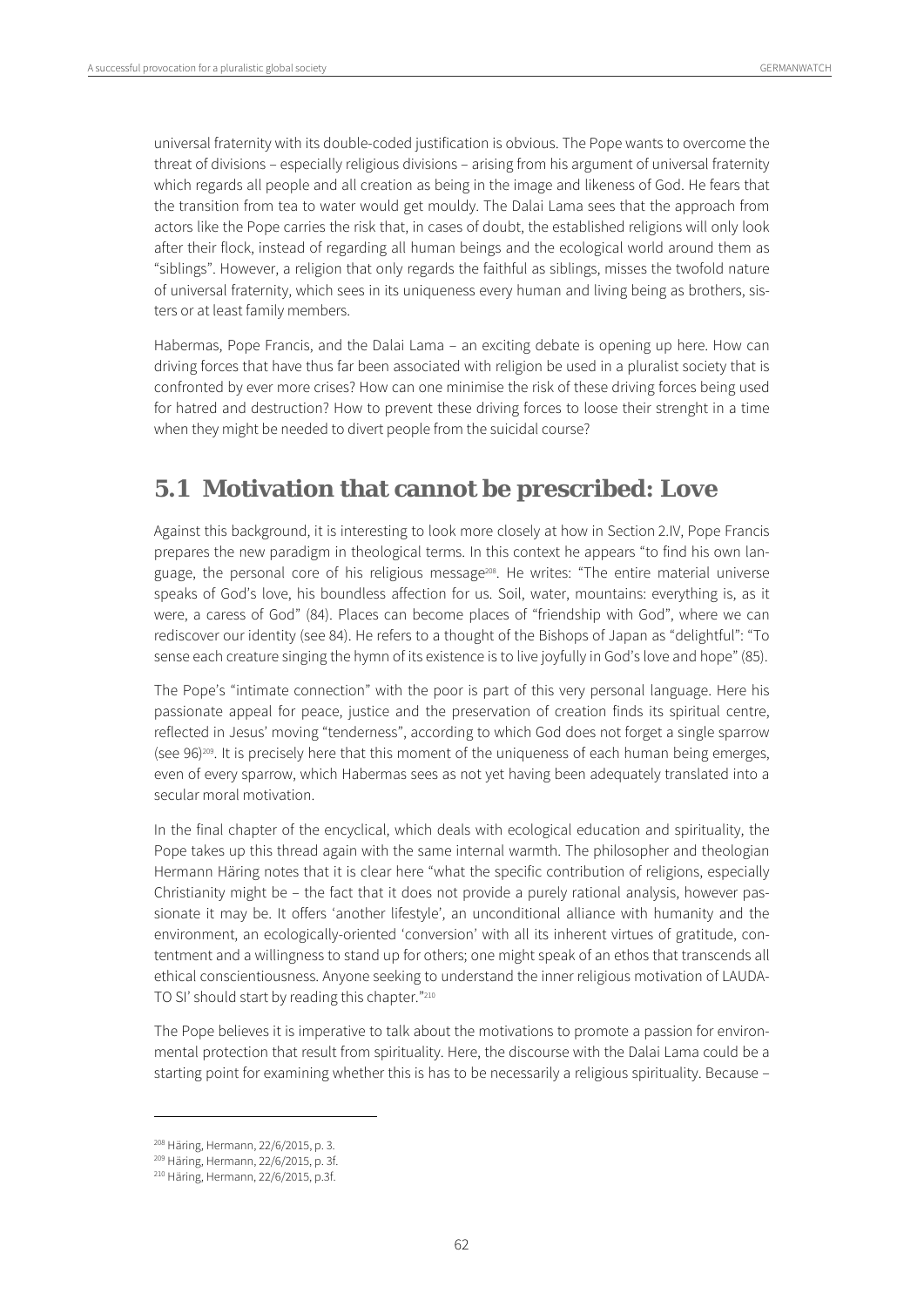universal fraternity with its double-coded justification is obvious. The Pope wants to overcome the threat of divisions – especially religious divisions – arising from his argument of universal fraternity which regards all people and all creation as being in the image and likeness of God. He fears that the transition from tea to water would get mouldy. The Dalai Lama sees that the approach from actors like the Pope carries the risk that, in cases of doubt, the established religions will only look after their flock, instead of regarding all human beings and the ecological world around them as "siblings". However, a religion that only regards the faithful as siblings, misses the twofold nature of universal fraternity, which sees in its uniqueness every human and living being as brothers, sisters or at least family members.

Habermas, Pope Francis, and the Dalai Lama – an exciting debate is opening up here. How can driving forces that have thus far been associated with religion be used in a pluralist society that is confronted by ever more crises? How can one minimise the risk of these driving forces being used for hatred and destruction? How to prevent these driving forces to loose their strenght in a time when they might be needed to divert people from the suicidal course?

## **5.1 Motivation that cannot be prescribed: Love**

Against this background, it is interesting to look more closely at how in Section 2.IV, Pope Francis prepares the new paradigm in theological terms. In this context he appears "to find his own language, the personal core of his religious message<sup>208</sup>. He writes: "The entire material universe speaks of God's love, his boundless affection for us. Soil, water, mountains: everything is, as it were, a caress of God" (84). Places can become places of "friendship with God", where we can rediscover our identity (see 84). He refers to a thought of the Bishops of Japan as "delightful": "To sense each creature singing the hymn of its existence is to live joyfully in God's love and hope" (85).

The Pope's "intimate connection" with the poor is part of this very personal language. Here his passionate appeal for peace, justice and the preservation of creation finds its spiritual centre, reflected in Jesus' moving "tenderness", according to which God does not forget a single sparrow (see 96)209. It is precisely here that this moment of the uniqueness of each human being emerges, even of every sparrow, which Habermas sees as not yet having been adequately translated into a secular moral motivation.

In the final chapter of the encyclical, which deals with ecological education and spirituality, the Pope takes up this thread again with the same internal warmth. The philosopher and theologian Hermann Häring notes that it is clear here "what the specific contribution of religions, especially Christianity might be – the fact that it does not provide a purely rational analysis, however passionate it may be. It offers 'another lifestyle', an unconditional alliance with humanity and the environment, an ecologically-oriented 'conversion' with all its inherent virtues of gratitude, contentment and a willingness to stand up for others; one might speak of an ethos that transcends all ethical conscientiousness. Anyone seeking to understand the inner religious motivation of LAUDA-TO SI' should start by reading this chapter."210

The Pope believes it is imperative to talk about the motivations to promote a passion for environmental protection that result from spirituality. Here, the discourse with the Dalai Lama could be a starting point for examining whether this is has to be necessarily a religious spirituality. Because –

<sup>&</sup>lt;sup>208</sup> Häring, Hermann, 22/6/2015, p. 3.<br><sup>209</sup> Häring, Hermann, 22/6/2015, p. 3f.<br><sup>210</sup> Häring, Hermann, 22/6/2015, p.3f.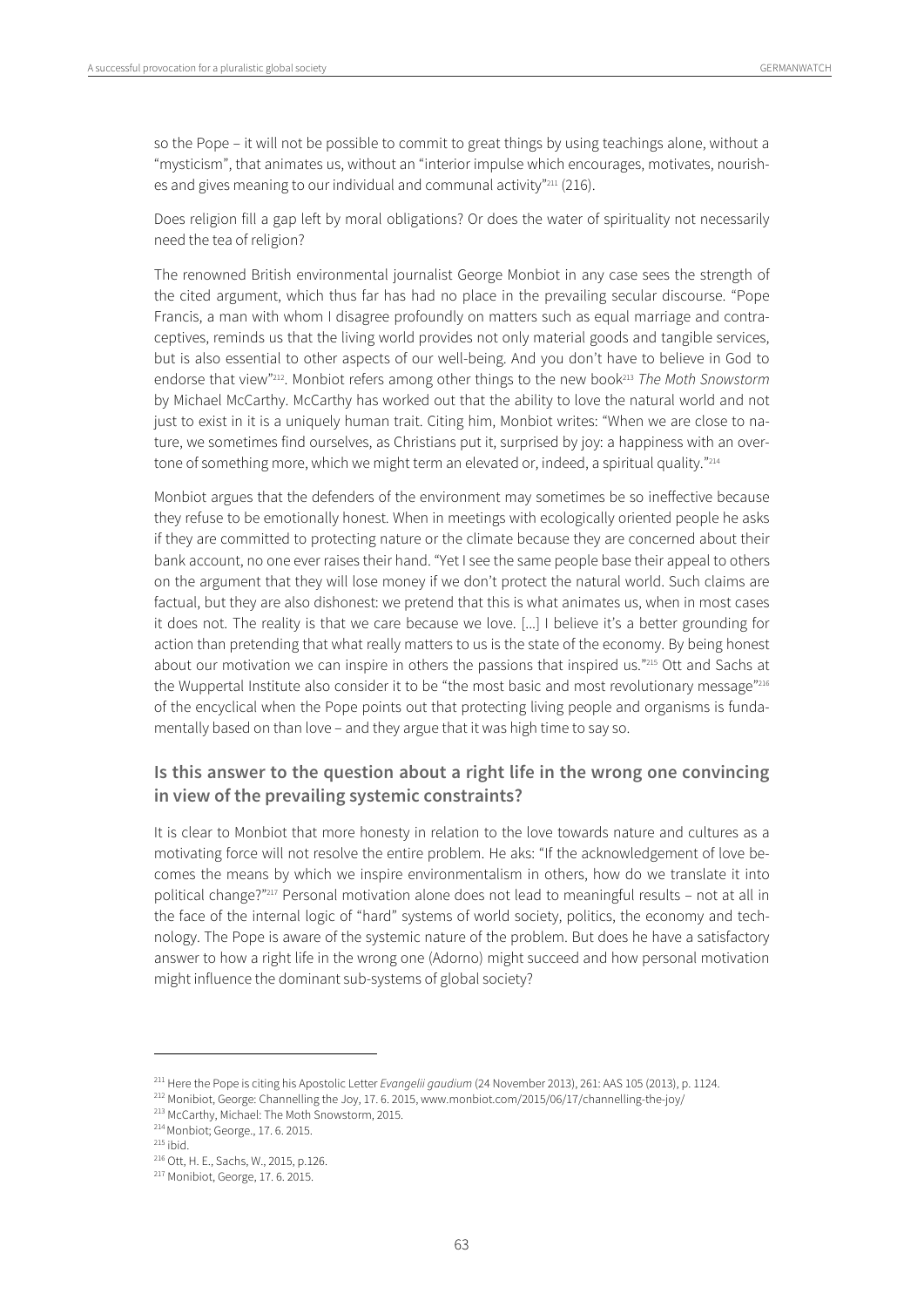so the Pope – it will not be possible to commit to great things by using teachings alone, without a "mysticism", that animates us, without an "interior impulse which encourages, motivates, nourishes and gives meaning to our individual and communal activity"<sup>211</sup> (216).

Does religion fill a gap left by moral obligations? Or does the water of spirituality not necessarily need the tea of religion?

The renowned British environmental journalist George Monbiot in any case sees the strength of the cited argument, which thus far has had no place in the prevailing secular discourse. "Pope Francis, a man with whom I disagree profoundly on matters such as equal marriage and contraceptives, reminds us that the living world provides not only material goods and tangible services, but is also essential to other aspects of our well-being. And you don't have to believe in God to endorse that view"<sup>212</sup>. Monbiot refers among other things to the new book<sup>213</sup> The Moth Snowstorm by Michael McCarthy. McCarthy has worked out that the ability to love the natural world and not just to exist in it is a uniquely human trait. Citing him, Monbiot writes: "When we are close to nature, we sometimes find ourselves, as Christians put it, surprised by joy: a happiness with an overtone of something more, which we might term an elevated or, indeed, a spiritual quality."214

Monbiot argues that the defenders of the environment may sometimes be so ineffective because they refuse to be emotionally honest. When in meetings with ecologically oriented people he asks if they are committed to protecting nature or the climate because they are concerned about their bank account, no one ever raises their hand. "Yet I see the same people base their appeal to others on the argument that they will lose money if we don't protect the natural world. Such claims are factual, but they are also dishonest: we pretend that this is what animates us, when in most cases it does not. The reality is that we care because we love. [...] I believe it's a better grounding for action than pretending that what really matters to us is the state of the economy. By being honest about our motivation we can inspire in others the passions that inspired us."215 Ott and Sachs at the Wuppertal Institute also consider it to be "the most basic and most revolutionary message"216 of the encyclical when the Pope points out that protecting living people and organisms is fundamentally based on than love – and they argue that it was high time to say so.

#### **Is this answer to the question about a right life in the wrong one convincing in view of the prevailing systemic constraints?**

It is clear to Monbiot that more honesty in relation to the love towards nature and cultures as a motivating force will not resolve the entire problem. He aks: "If the acknowledgement of love becomes the means by which we inspire environmentalism in others, how do we translate it into political change?"217 Personal motivation alone does not lead to meaningful results – not at all in the face of the internal logic of "hard" systems of world society, politics, the economy and technology. The Pope is aware of the systemic nature of the problem. But does he have a satisfactory answer to how a right life in the wrong one (Adorno) might succeed and how personal motivation might influence the dominant sub-systems of global society?

<sup>&</sup>lt;sup>211</sup> Here the Pope is citing his Apostolic Letter *Evangelii gaudium* (24 November 2013), 261: AAS 105 (2013), p. 1124.<br><sup>212</sup> Monibiot, George: Channelling the Joy, 17. 6. 2015, www.monbiot.com/2015/06/17/channelling-the

<sup>216</sup> Ott, H. E., Sachs, W., 2015, p.126. 217 Monibiot, George, 17. 6. 2015.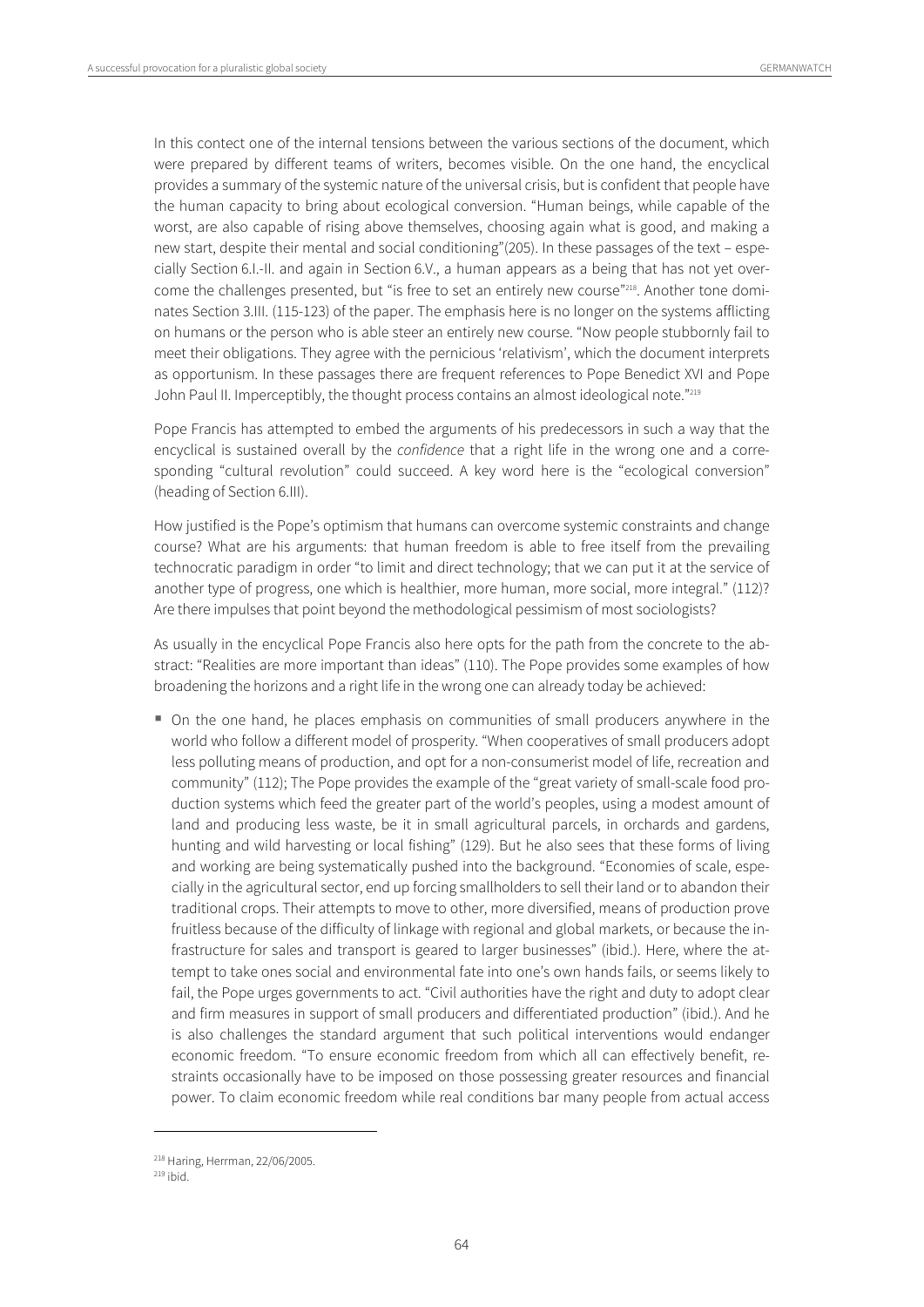In this contect one of the internal tensions between the various sections of the document, which were prepared by different teams of writers, becomes visible. On the one hand, the encyclical provides a summary of the systemic nature of the universal crisis, but is confident that people have the human capacity to bring about ecological conversion. "Human beings, while capable of the worst, are also capable of rising above themselves, choosing again what is good, and making a new start, despite their mental and social conditioning"(205). In these passages of the text – especially Section 6.I.-II. and again in Section 6.V., a human appears as a being that has not yet overcome the challenges presented, but "is free to set an entirely new course"<sup>218</sup>. Another tone dominates Section 3.III. (115-123) of the paper. The emphasis here is no longer on the systems afflicting on humans or the person who is able steer an entirely new course. "Now people stubbornly fail to meet their obligations. They agree with the pernicious 'relativism', which the document interprets as opportunism. In these passages there are frequent references to Pope Benedict XVI and Pope John Paul II. Imperceptibly, the thought process contains an almost ideological note."219

Pope Francis has attempted to embed the arguments of his predecessors in such a way that the encyclical is sustained overall by the *confidence* that a right life in the wrong one and a corresponding "cultural revolution" could succeed. A key word here is the "ecological conversion" (heading of Section 6.III).

How justified is the Pope's optimism that humans can overcome systemic constraints and change course? What are his arguments: that human freedom is able to free itself from the prevailing technocratic paradigm in order "to limit and direct technology; that we can put it at the service of another type of progress, one which is healthier, more human, more social, more integral." (112)? Are there impulses that point beyond the methodological pessimism of most sociologists?

As usually in the encyclical Pope Francis also here opts for the path from the concrete to the abstract: "Realities are more important than ideas" (110). The Pope provides some examples of how broadening the horizons and a right life in the wrong one can already today be achieved:

 On the one hand, he places emphasis on communities of small producers anywhere in the world who follow a different model of prosperity. "When cooperatives of small producers adopt less polluting means of production, and opt for a non-consumerist model of life, recreation and community" (112); The Pope provides the example of the "great variety of small-scale food production systems which feed the greater part of the world's peoples, using a modest amount of land and producing less waste, be it in small agricultural parcels, in orchards and gardens, hunting and wild harvesting or local fishing" (129). But he also sees that these forms of living and working are being systematically pushed into the background. "Economies of scale, especially in the agricultural sector, end up forcing smallholders to sell their land or to abandon their traditional crops. Their attempts to move to other, more diversified, means of production prove fruitless because of the difficulty of linkage with regional and global markets, or because the infrastructure for sales and transport is geared to larger businesses" (ibid.). Here, where the attempt to take ones social and environmental fate into one's own hands fails, or seems likely to fail, the Pope urges governments to act. "Civil authorities have the right and duty to adopt clear and firm measures in support of small producers and differentiated production" (ibid.). And he is also challenges the standard argument that such political interventions would endanger economic freedom. "To ensure economic freedom from which all can effectively benefit, restraints occasionally have to be imposed on those possessing greater resources and financial power. To claim economic freedom while real conditions bar many people from actual access

 $^{218}$  Haring, Herrman, 22/06/2005.<br> $^{219}$  ibid.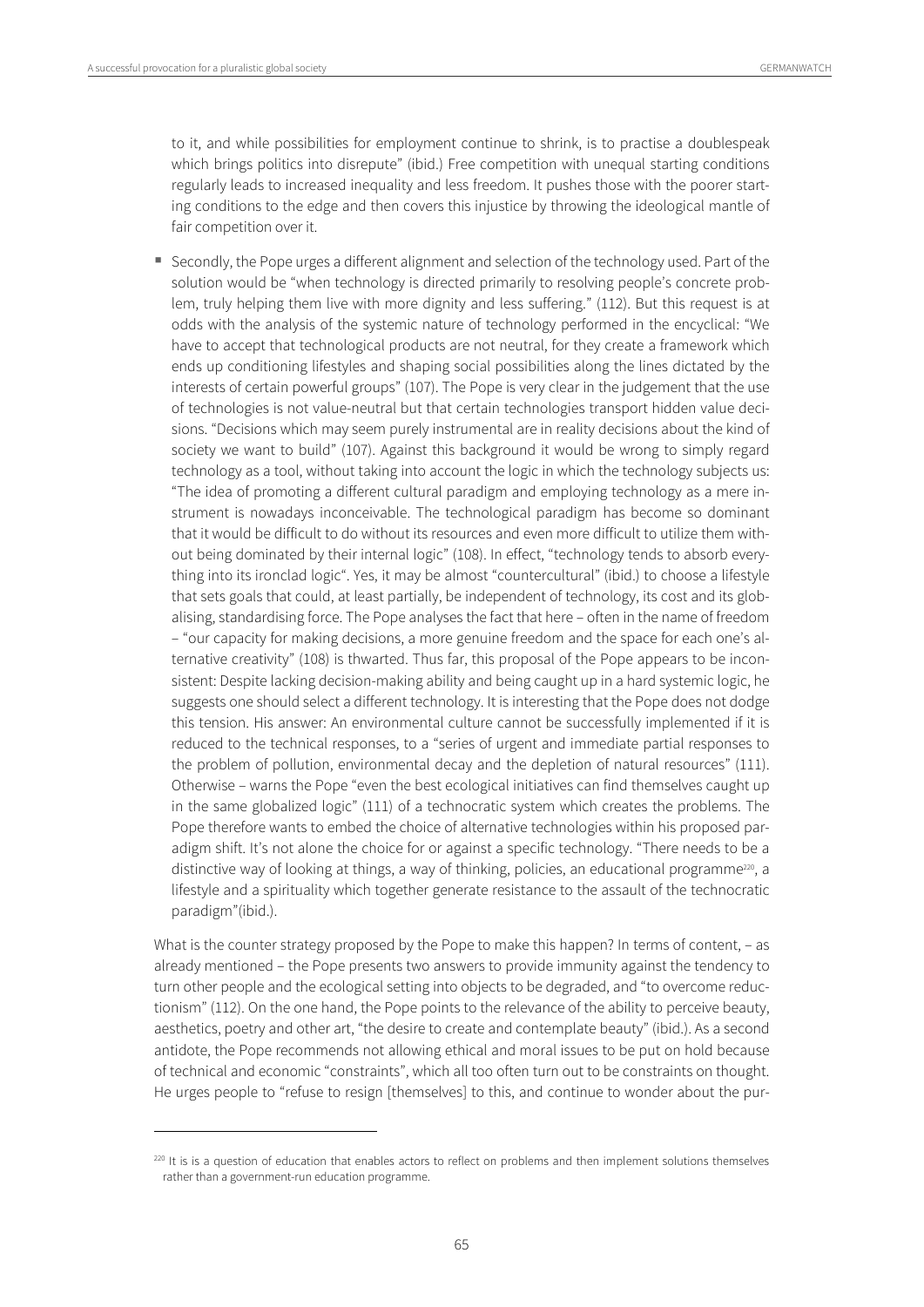$\overline{a}$ 

to it, and while possibilities for employment continue to shrink, is to practise a doublespeak which brings politics into disrepute" (ibid.) Free competition with unequal starting conditions regularly leads to increased inequality and less freedom. It pushes those with the poorer starting conditions to the edge and then covers this injustice by throwing the ideological mantle of fair competition over it.

 Secondly, the Pope urges a different alignment and selection of the technology used. Part of the solution would be "when technology is directed primarily to resolving people's concrete problem, truly helping them live with more dignity and less suffering." (112). But this request is at odds with the analysis of the systemic nature of technology performed in the encyclical: "We have to accept that technological products are not neutral, for they create a framework which ends up conditioning lifestyles and shaping social possibilities along the lines dictated by the interests of certain powerful groups" (107). The Pope is very clear in the judgement that the use of technologies is not value-neutral but that certain technologies transport hidden value decisions. "Decisions which may seem purely instrumental are in reality decisions about the kind of society we want to build" (107). Against this background it would be wrong to simply regard technology as a tool, without taking into account the logic in which the technology subjects us: "The idea of promoting a different cultural paradigm and employing technology as a mere instrument is nowadays inconceivable. The technological paradigm has become so dominant that it would be difficult to do without its resources and even more difficult to utilize them without being dominated by their internal logic" (108). In effect, "technology tends to absorb everything into its ironclad logic". Yes, it may be almost "countercultural" (ibid.) to choose a lifestyle that sets goals that could, at least partially, be independent of technology, its cost and its globalising, standardising force. The Pope analyses the fact that here – often in the name of freedom – "our capacity for making decisions, a more genuine freedom and the space for each one's alternative creativity" (108) is thwarted. Thus far, this proposal of the Pope appears to be inconsistent: Despite lacking decision-making ability and being caught up in a hard systemic logic, he suggests one should select a different technology. It is interesting that the Pope does not dodge this tension. His answer: An environmental culture cannot be successfully implemented if it is reduced to the technical responses, to a "series of urgent and immediate partial responses to the problem of pollution, environmental decay and the depletion of natural resources" (111). Otherwise – warns the Pope "even the best ecological initiatives can find themselves caught up in the same globalized logic" (111) of a technocratic system which creates the problems. The Pope therefore wants to embed the choice of alternative technologies within his proposed paradigm shift. It's not alone the choice for or against a specific technology. "There needs to be a distinctive way of looking at things, a way of thinking, policies, an educational programme<sup>220</sup>, a lifestyle and a spirituality which together generate resistance to the assault of the technocratic paradigm"(ibid.).

What is the counter strategy proposed by the Pope to make this happen? In terms of content, – as already mentioned – the Pope presents two answers to provide immunity against the tendency to turn other people and the ecological setting into objects to be degraded, and "to overcome reductionism" (112). On the one hand, the Pope points to the relevance of the ability to perceive beauty, aesthetics, poetry and other art, "the desire to create and contemplate beauty" (ibid.). As a second antidote, the Pope recommends not allowing ethical and moral issues to be put on hold because of technical and economic "constraints", which all too often turn out to be constraints on thought. He urges people to "refuse to resign [themselves] to this, and continue to wonder about the pur-

 $220$  It is is a question of education that enables actors to reflect on problems and then implement solutions themselves rather than a government-run education programme.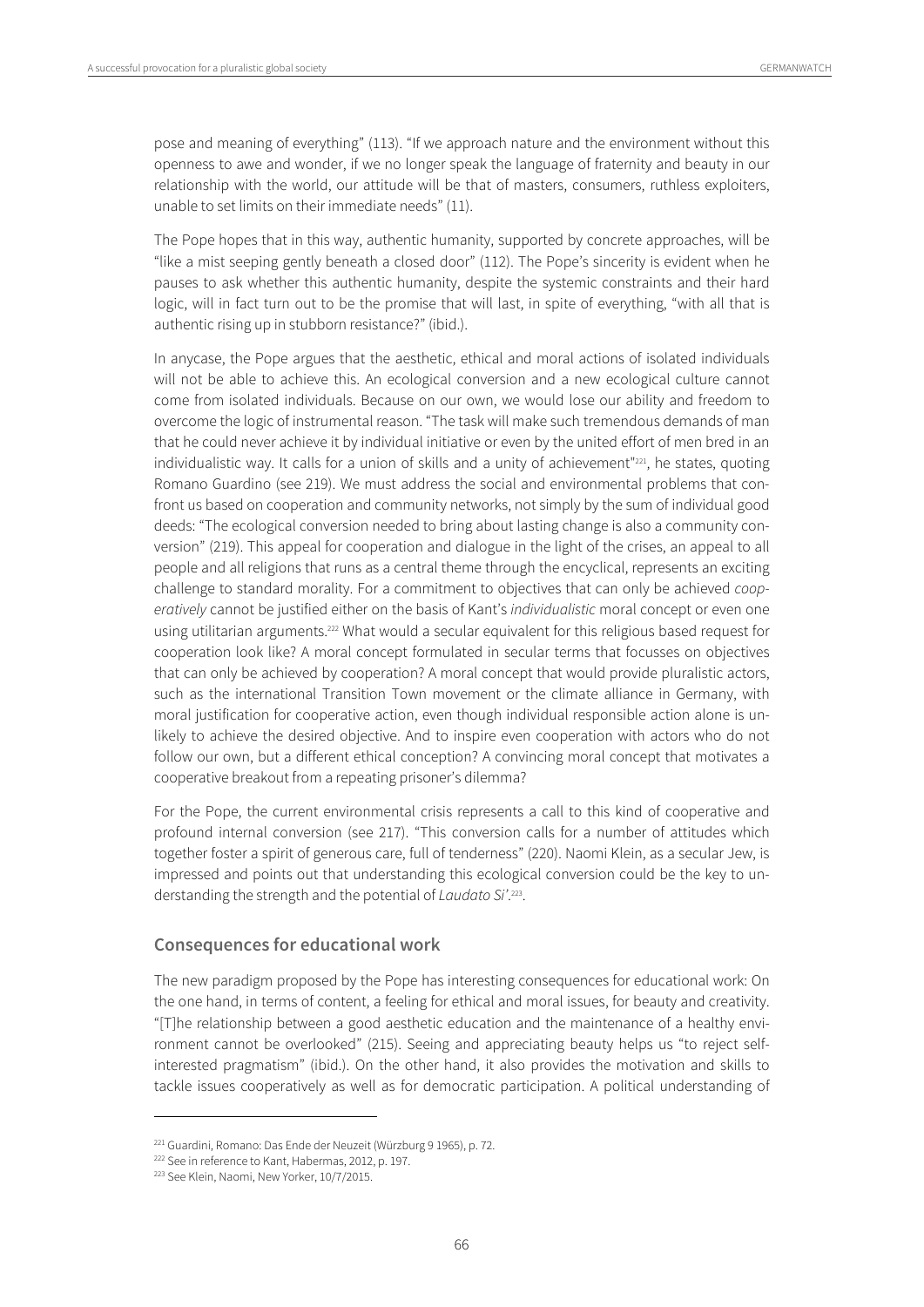pose and meaning of everything" (113). "If we approach nature and the environment without this openness to awe and wonder, if we no longer speak the language of fraternity and beauty in our relationship with the world, our attitude will be that of masters, consumers, ruthless exploiters, unable to set limits on their immediate needs" (11).

The Pope hopes that in this way, authentic humanity, supported by concrete approaches, will be "like a mist seeping gently beneath a closed door" (112). The Pope's sincerity is evident when he pauses to ask whether this authentic humanity, despite the systemic constraints and their hard logic, will in fact turn out to be the promise that will last, in spite of everything, "with all that is authentic rising up in stubborn resistance?" (ibid.).

In anycase, the Pope argues that the aesthetic, ethical and moral actions of isolated individuals will not be able to achieve this. An ecological conversion and a new ecological culture cannot come from isolated individuals. Because on our own, we would lose our ability and freedom to overcome the logic of instrumental reason. "The task will make such tremendous demands of man that he could never achieve it by individual initiative or even by the united effort of men bred in an individualistic way. It calls for a union of skills and a unity of achievement"<sup>221</sup>, he states, quoting Romano Guardino (see 219). We must address the social and environmental problems that confront us based on cooperation and community networks, not simply by the sum of individual good deeds: "The ecological conversion needed to bring about lasting change is also a community conversion" (219). This appeal for cooperation and dialogue in the light of the crises, an appeal to all people and all religions that runs as a central theme through the encyclical, represents an exciting challenge to standard morality. For a commitment to objectives that can only be achieved cooperatively cannot be justified either on the basis of Kant's individualistic moral concept or even one using utilitarian arguments.222 What would a secular equivalent for this religious based request for cooperation look like? A moral concept formulated in secular terms that focusses on objectives that can only be achieved by cooperation? A moral concept that would provide pluralistic actors, such as the international Transition Town movement or the climate alliance in Germany, with moral justification for cooperative action, even though individual responsible action alone is unlikely to achieve the desired objective. And to inspire even cooperation with actors who do not follow our own, but a different ethical conception? A convincing moral concept that motivates a cooperative breakout from a repeating prisoner's dilemma?

For the Pope, the current environmental crisis represents a call to this kind of cooperative and profound internal conversion (see 217). "This conversion calls for a number of attitudes which together foster a spirit of generous care, full of tenderness" (220). Naomi Klein, as a secular Jew, is impressed and points out that understanding this ecological conversion could be the key to understanding the strength and the potential of Laudato Si'.<sup>223</sup>.

#### **Consequences for educational work**

The new paradigm proposed by the Pope has interesting consequences for educational work: On the one hand, in terms of content, a feeling for ethical and moral issues, for beauty and creativity. "[T]he relationship between a good aesthetic education and the maintenance of a healthy environment cannot be overlooked" (215). Seeing and appreciating beauty helps us "to reject selfinterested pragmatism" (ibid.). On the other hand, it also provides the motivation and skills to tackle issues cooperatively as well as for democratic participation. A political understanding of

<sup>&</sup>lt;sup>221</sup> Guardini, Romano: Das Ende der Neuzeit (Würzburg 9 1965), p. 72.<br><sup>222</sup> See in reference to Kant, Habermas, 2012, p. 197.<br><sup>223</sup> See Klein, Naomi, New Yorker, 10/7/2015.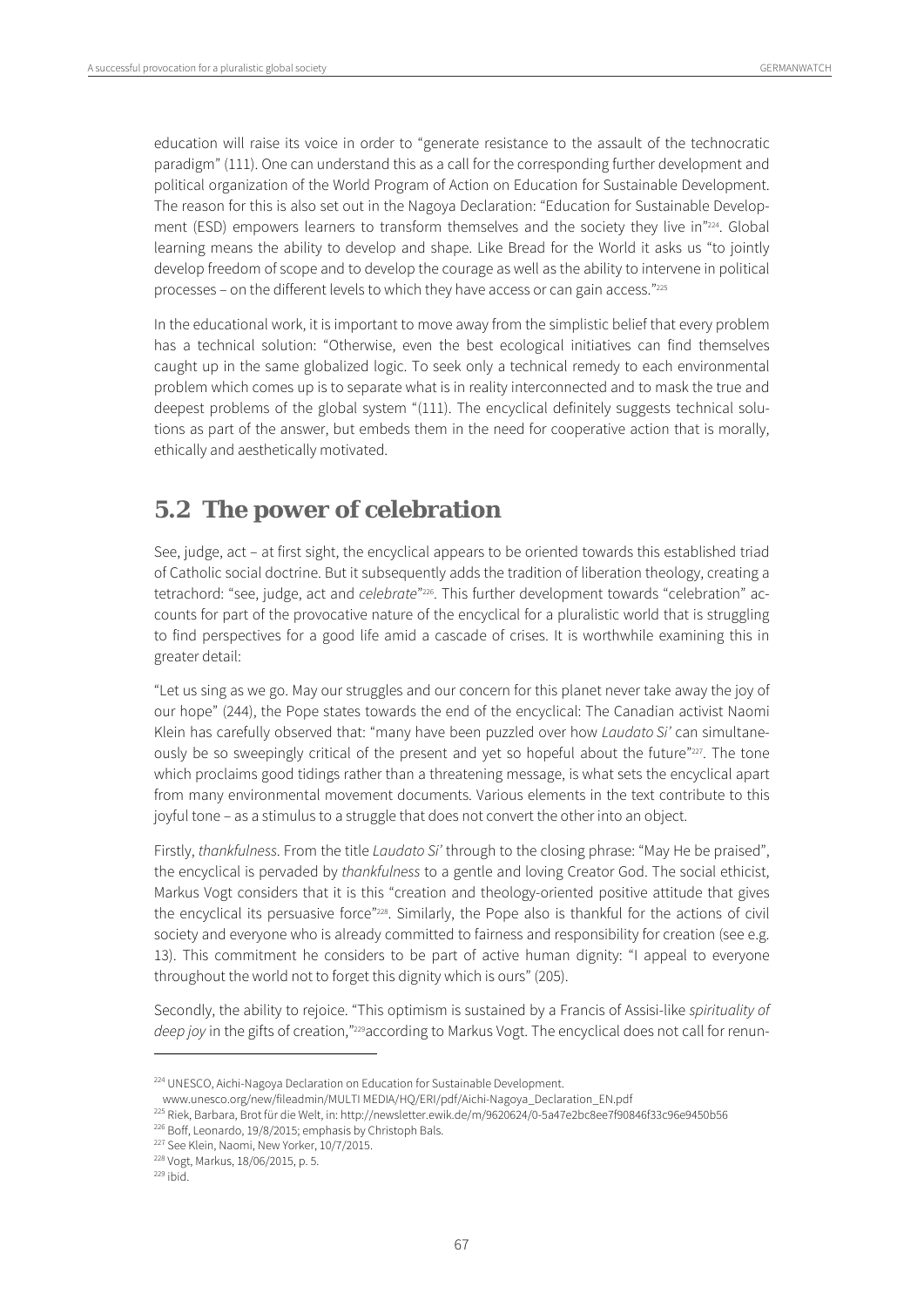education will raise its voice in order to "generate resistance to the assault of the technocratic paradigm" (111). One can understand this as a call for the corresponding further development and political organization of the World Program of Action on Education for Sustainable Development. The reason for this is also set out in the Nagoya Declaration: "Education for Sustainable Development (ESD) empowers learners to transform themselves and the society they live in"224. Global learning means the ability to develop and shape. Like Bread for the World it asks us "to jointly develop freedom of scope and to develop the courage as well as the ability to intervene in political processes – on the different levels to which they have access or can gain access."225

In the educational work, it is important to move away from the simplistic belief that every problem has a technical solution: "Otherwise, even the best ecological initiatives can find themselves caught up in the same globalized logic. To seek only a technical remedy to each environmental problem which comes up is to separate what is in reality interconnected and to mask the true and deepest problems of the global system "(111). The encyclical definitely suggests technical solutions as part of the answer, but embeds them in the need for cooperative action that is morally, ethically and aesthetically motivated.

## **5.2 The power of celebration**

See, judge, act – at first sight, the encyclical appears to be oriented towards this established triad of Catholic social doctrine. But it subsequently adds the tradition of liberation theology, creating a tetrachord: "see, judge, act and *celebrate"*<sup>226</sup>. This further development towards "celebration" accounts for part of the provocative nature of the encyclical for a pluralistic world that is struggling to find perspectives for a good life amid a cascade of crises. It is worthwhile examining this in greater detail:

"Let us sing as we go. May our struggles and our concern for this planet never take away the joy of our hope" (244), the Pope states towards the end of the encyclical: The Canadian activist Naomi Klein has carefully observed that: "many have been puzzled over how Laudato Si' can simultaneously be so sweepingly critical of the present and yet so hopeful about the future"227. The tone which proclaims good tidings rather than a threatening message, is what sets the encyclical apart from many environmental movement documents. Various elements in the text contribute to this joyful tone – as a stimulus to a struggle that does not convert the other into an object.

Firstly, thankfulness. From the title Laudato Si' through to the closing phrase: "May He be praised", the encyclical is pervaded by thankfulness to a gentle and loving Creator God. The social ethicist, Markus Vogt considers that it is this "creation and theology-oriented positive attitude that gives the encyclical its persuasive force"228. Similarly, the Pope also is thankful for the actions of civil society and everyone who is already committed to fairness and responsibility for creation (see e.g. 13). This commitment he considers to be part of active human dignity: "I appeal to everyone throughout the world not to forget this dignity which is ours" (205).

Secondly, the ability to rejoice. "This optimism is sustained by a Francis of Assisi-like spirituality of deep joy in the gifts of creation,"<sup>229</sup>according to Markus Vogt. The encyclical does not call for renun-

<sup>&</sup>lt;sup>224</sup> UNESCO, Aichi-Nagoya Declaration on Education for Sustainable Development.

www.unesco.org/new/fileadmin/MULTI MEDIA/HQ/ERI/pdf/Aichi-Nagoya\_Declaration\_EN.pdf<br><sup>225</sup> Riek, Barbara, Brot für die Welt, in: http://newsletter.ewik.de/m/9620624/0-5a47e2bc8ee7f90846f33c96e9450b56<br><sup>226</sup> Boff, Leonardo, 1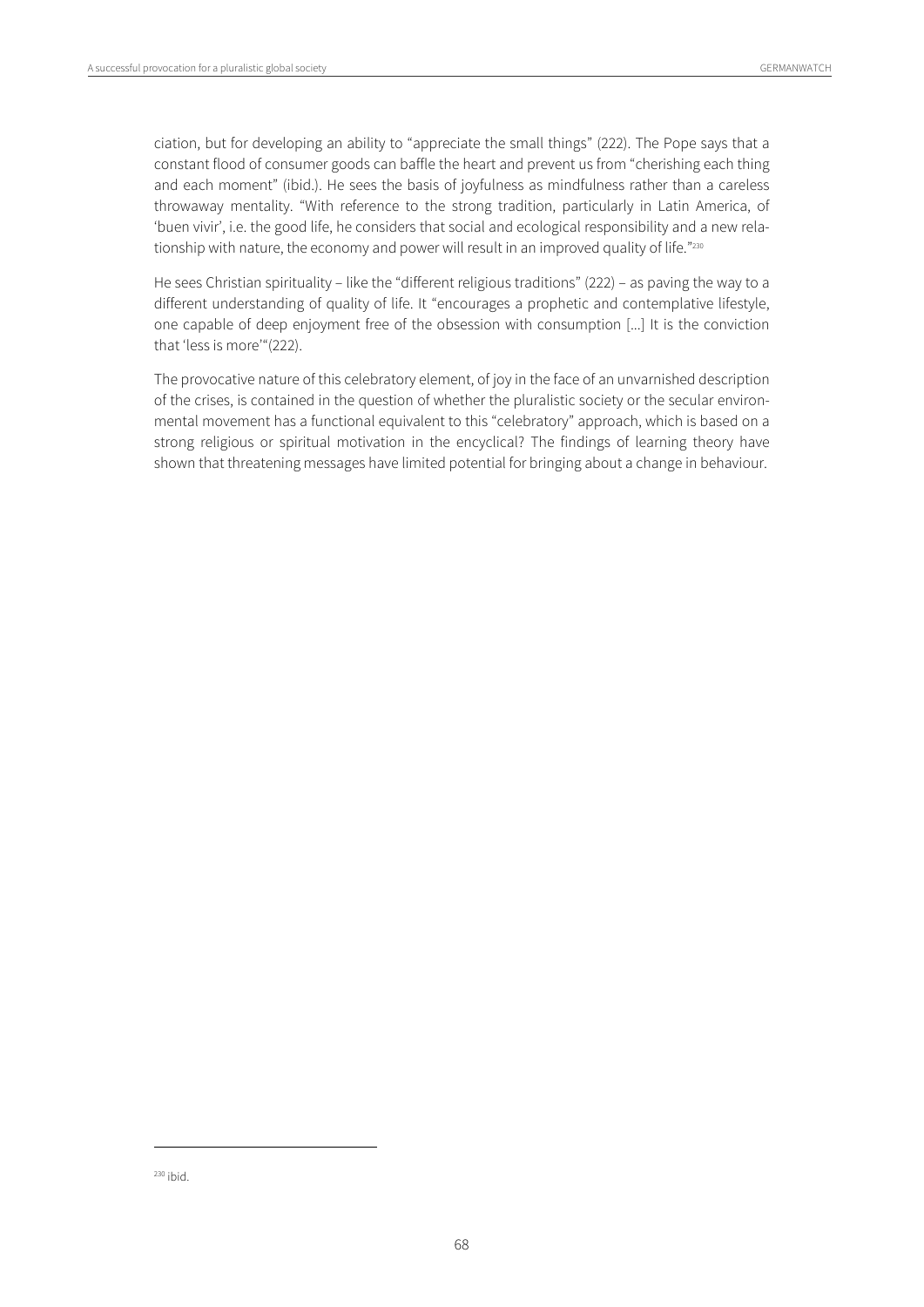ciation, but for developing an ability to "appreciate the small things" (222). The Pope says that a constant flood of consumer goods can baffle the heart and prevent us from "cherishing each thing and each moment" (ibid.). He sees the basis of joyfulness as mindfulness rather than a careless throwaway mentality. "With reference to the strong tradition, particularly in Latin America, of 'buen vivir', i.e. the good life, he considers that social and ecological responsibility and a new relationship with nature, the economy and power will result in an improved quality of life."230

He sees Christian spirituality – like the "different religious traditions" (222) – as paving the way to a different understanding of quality of life. It "encourages a prophetic and contemplative lifestyle, one capable of deep enjoyment free of the obsession with consumption [...] It is the conviction that 'less is more'"(222).

The provocative nature of this celebratory element, of joy in the face of an unvarnished description of the crises, is contained in the question of whether the pluralistic society or the secular environmental movement has a functional equivalent to this "celebratory" approach, which is based on a strong religious or spiritual motivation in the encyclical? The findings of learning theory have shown that threatening messages have limited potential for bringing about a change in behaviour.

 $230$  ibid.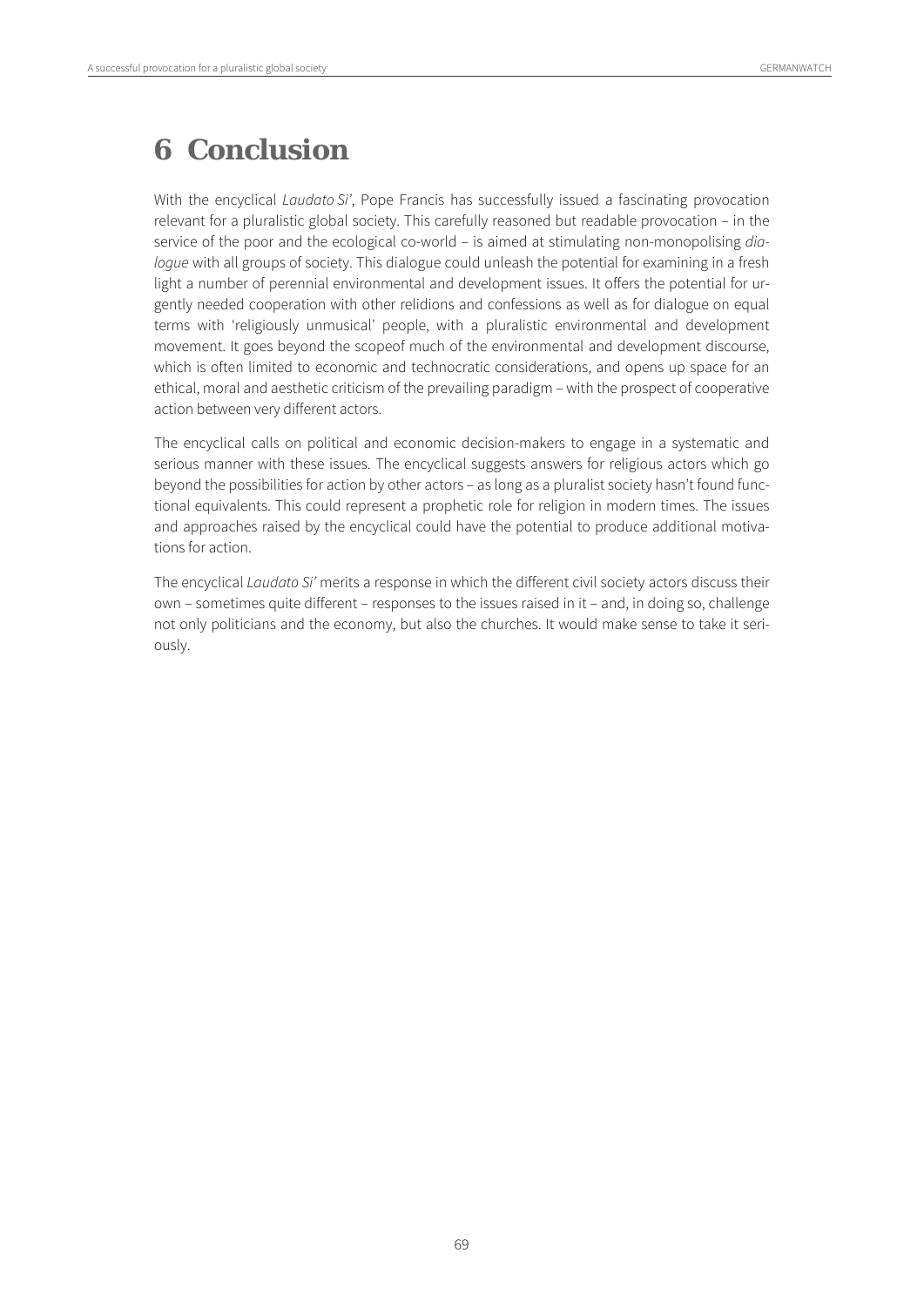## **6 Conclusion**

With the encyclical *Laudato Si'*, Pope Francis has successfully issued a fascinating provocation relevant for a pluralistic global society. This carefully reasoned but readable provocation – in the service of the poor and the ecological co-world – is aimed at stimulating non-monopolising dialoque with all groups of society. This dialogue could unleash the potential for examining in a fresh light a number of perennial environmental and development issues. It offers the potential for urgently needed cooperation with other relidions and confessions as well as for dialogue on equal terms with 'religiously unmusical' people, with a pluralistic environmental and development movement. It goes beyond the scopeof much of the environmental and development discourse, which is often limited to economic and technocratic considerations, and opens up space for an ethical, moral and aesthetic criticism of the prevailing paradigm – with the prospect of cooperative action between very different actors.

The encyclical calls on political and economic decision-makers to engage in a systematic and serious manner with these issues. The encyclical suggests answers for religious actors which go beyond the possibilities for action by other actors – as long as a pluralist society hasn't found functional equivalents. This could represent a prophetic role for religion in modern times. The issues and approaches raised by the encyclical could have the potential to produce additional motivations for action.

The encyclical Laudato Si' merits a response in which the different civil society actors discuss their own – sometimes quite different – responses to the issues raised in it – and, in doing so, challenge not only politicians and the economy, but also the churches. It would make sense to take it seriously.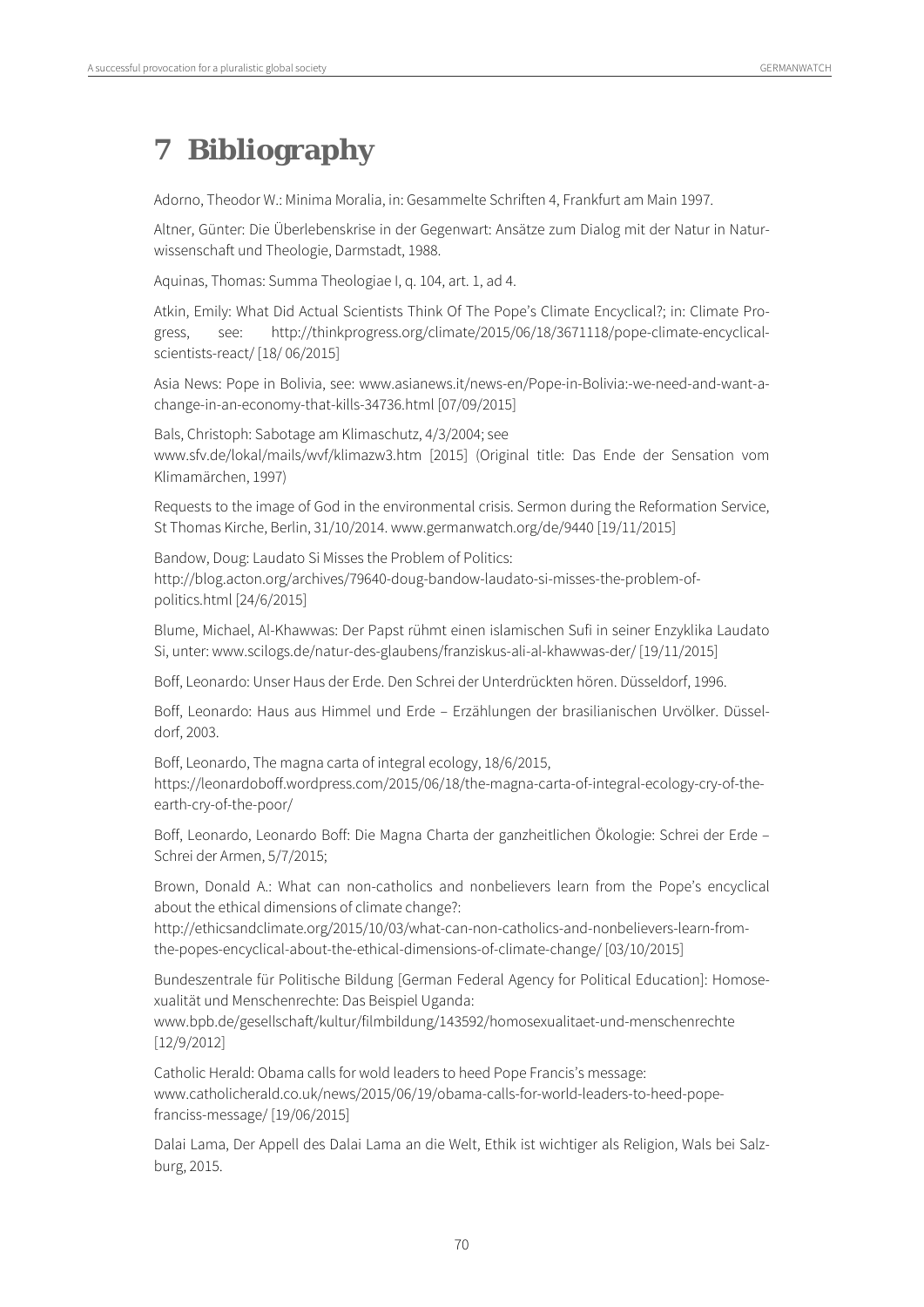# **7 Bibliography**

Adorno, Theodor W.: Minima Moralia, in: Gesammelte Schriften 4, Frankfurt am Main 1997.

Altner, Günter: Die Überlebenskrise in der Gegenwart: Ansätze zum Dialog mit der Natur in Naturwissenschaft und Theologie, Darmstadt, 1988.

Aquinas, Thomas: Summa Theologiae I, q. 104, art. 1, ad 4.

Atkin, Emily: What Did Actual Scientists Think Of The Pope's Climate Encyclical?; in: Climate Progress, see: http://thinkprogress.org/climate/2015/06/18/3671118/pope-climate-encyclicalscientists-react/ [18/ 06/2015]

Asia News: Pope in Bolivia, see: www.asianews.it/news-en/Pope-in-Bolivia:-we-need-and-want-achange-in-an-economy-that-kills-34736.html [07/09/2015]

Bals, Christoph: Sabotage am Klimaschutz, 4/3/2004; see www.sfv.de/lokal/mails/wvf/klimazw3.htm [2015] (Original title: Das Ende der Sensation vom Klimamärchen, 1997)

Requests to the image of God in the environmental crisis. Sermon during the Reformation Service, St Thomas Kirche, Berlin, 31/10/2014. www.germanwatch.org/de/9440 [19/11/2015]

Bandow, Doug: Laudato Si Misses the Problem of Politics: http://blog.acton.org/archives/79640-doug-bandow-laudato-si-misses-the-problem-ofpolitics.html [24/6/2015]

Blume, Michael, Al-Khawwas: Der Papst rühmt einen islamischen Sufi in seiner Enzyklika Laudato Si, unter: www.scilogs.de/natur-des-glaubens/franziskus-ali-al-khawwas-der/ [19/11/2015]

Boff, Leonardo: Unser Haus der Erde. Den Schrei der Unterdrückten hören. Düsseldorf, 1996.

Boff, Leonardo: Haus aus Himmel und Erde – Erzählungen der brasilianischen Urvölker. Düsseldorf, 2003.

Boff, Leonardo, The magna carta of integral ecology, 18/6/2015, https://leonardoboff.wordpress.com/2015/06/18/the-magna-carta-of-integral-ecology-cry-of-theearth-cry-of-the-poor/

Boff, Leonardo, Leonardo Boff: Die Magna Charta der ganzheitlichen Ökologie: Schrei der Erde – Schrei der Armen, 5/7/2015;

Brown, Donald A.: What can non-catholics and nonbelievers learn from the Pope's encyclical about the ethical dimensions of climate change?:

http://ethicsandclimate.org/2015/10/03/what-can-non-catholics-and-nonbelievers-learn-fromthe-popes-encyclical-about-the-ethical-dimensions-of-climate-change/ [03/10/2015]

Bundeszentrale für Politische Bildung [German Federal Agency for Political Education]: Homosexualität und Menschenrechte: Das Beispiel Uganda:

www.bpb.de/gesellschaft/kultur/filmbildung/143592/homosexualitaet-und-menschenrechte [12/9/2012]

Catholic Herald: Obama calls for wold leaders to heed Pope Francis's message: www.catholicherald.co.uk/news/2015/06/19/obama-calls-for-world-leaders-to-heed-popefranciss-message/ [19/06/2015]

Dalai Lama, Der Appell des Dalai Lama an die Welt, Ethik ist wichtiger als Religion, Wals bei Salzburg, 2015.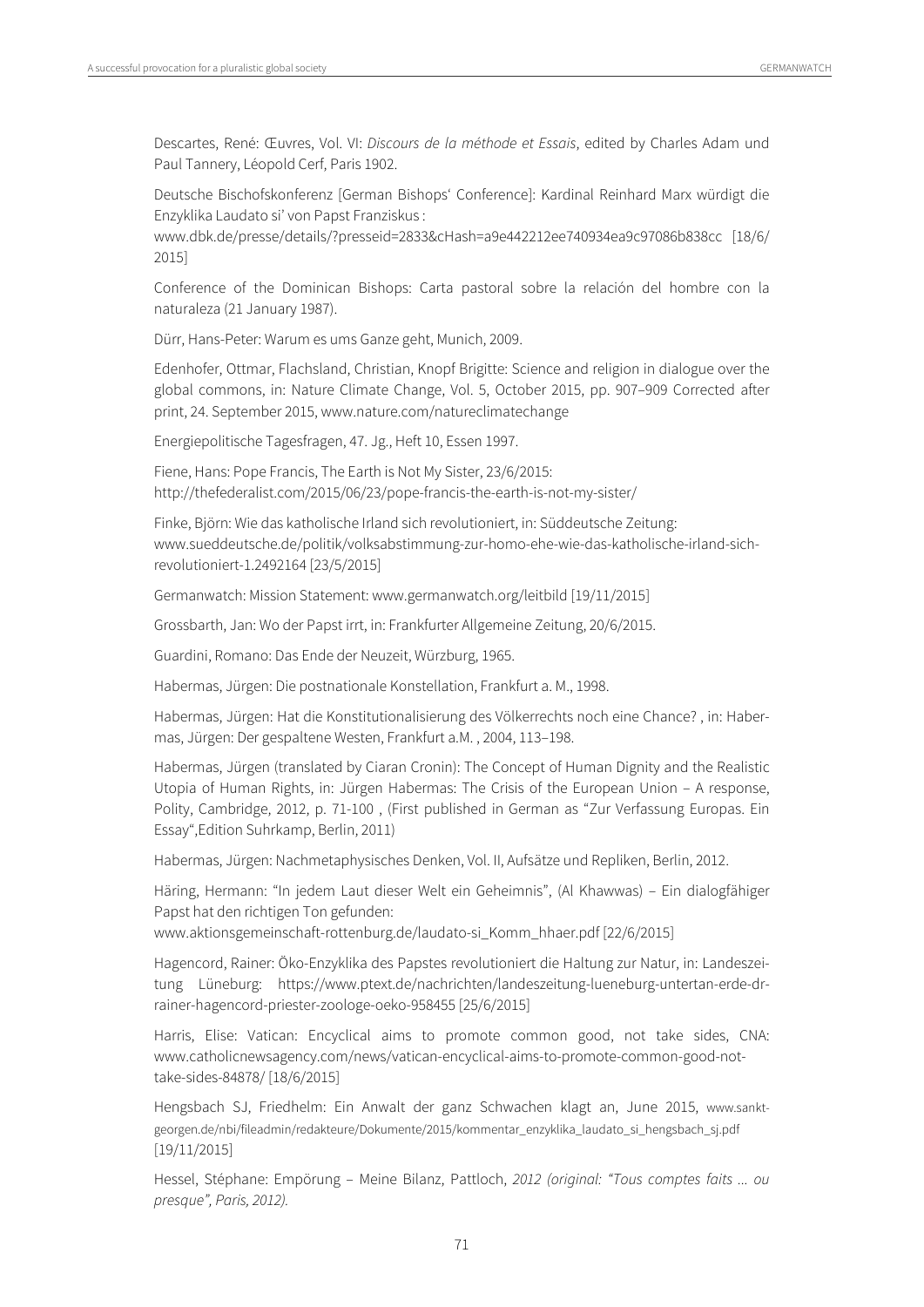Descartes, René: Œuvres, Vol. VI: Discours de la méthode et Essais, edited by Charles Adam und Paul Tannery, Léopold Cerf, Paris 1902.

Deutsche Bischofskonferenz [German Bishops' Conference]: Kardinal Reinhard Marx würdigt die Enzyklika Laudato si' von Papst Franziskus :

www.dbk.de/presse/details/?presseid=2833&cHash=a9e442212ee740934ea9c97086b838cc [18/6/ 2015]

Conference of the Dominican Bishops: Carta pastoral sobre la relación del hombre con la naturaleza (21 January 1987).

Dürr, Hans-Peter: Warum es ums Ganze geht, Munich, 2009.

Edenhofer, Ottmar, Flachsland, Christian, Knopf Brigitte: Science and religion in dialogue over the global commons, in: Nature Climate Change, Vol. 5, October 2015, pp. 907–909 Corrected after print, 24. September 2015, www.nature.com/natureclimatechange

Energiepolitische Tagesfragen, 47. Jg., Heft 10, Essen 1997.

Fiene, Hans: Pope Francis, The Earth is Not My Sister, 23/6/2015: http://thefederalist.com/2015/06/23/pope-francis-the-earth-is-not-my-sister/

Finke, Björn: Wie das katholische Irland sich revolutioniert, in: Süddeutsche Zeitung: www.sueddeutsche.de/politik/volksabstimmung-zur-homo-ehe-wie-das-katholische-irland-sichrevolutioniert-1.2492164 [23/5/2015]

Germanwatch: Mission Statement: www.germanwatch.org/leitbild [19/11/2015]

Grossbarth, Jan: Wo der Papst irrt, in: Frankfurter Allgemeine Zeitung, 20/6/2015.

Guardini, Romano: Das Ende der Neuzeit, Würzburg, 1965.

Habermas, Jürgen: Die postnationale Konstellation, Frankfurt a. M., 1998.

Habermas, Jürgen: Hat die Konstitutionalisierung des Völkerrechts noch eine Chance? , in: Habermas, Jürgen: Der gespaltene Westen, Frankfurt a.M. , 2004, 113–198.

Habermas, Jürgen (translated by Ciaran Cronin): The Concept of Human Dignity and the Realistic Utopia of Human Rights, in: Jürgen Habermas: The Crisis of the European Union – A response, Polity, Cambridge, 2012, p. 71-100 , (First published in German as "Zur Verfassung Europas. Ein Essay",Edition Suhrkamp, Berlin, 2011)

Habermas, Jürgen: Nachmetaphysisches Denken, Vol. II, Aufsätze und Repliken, Berlin, 2012.

Häring, Hermann: "In jedem Laut dieser Welt ein Geheimnis", (Al Khawwas) – Ein dialogfähiger Papst hat den richtigen Ton gefunden:

www.aktionsgemeinschaft-rottenburg.de/laudato-si\_Komm\_hhaer.pdf [22/6/2015]

Hagencord, Rainer: Öko-Enzyklika des Papstes revolutioniert die Haltung zur Natur, in: Landeszeitung Lüneburg: https://www.ptext.de/nachrichten/landeszeitung-lueneburg-untertan-erde-drrainer-hagencord-priester-zoologe-oeko-958455 [25/6/2015]

Harris, Elise: Vatican: Encyclical aims to promote common good, not take sides, CNA: www.catholicnewsagency.com/news/vatican-encyclical-aims-to-promote-common-good-nottake-sides-84878/ [18/6/2015]

Hengsbach SJ, Friedhelm: Ein Anwalt der ganz Schwachen klagt an, June 2015, www.sanktgeorgen.de/nbi/fileadmin/redakteure/Dokumente/2015/kommentar\_enzyklika\_laudato\_si\_hengsbach\_sj.pdf [19/11/2015]

Hessel, Stéphane: Empörung – Meine Bilanz, Pattloch, 2012 (original: "Tous comptes faits ... ou presque", Paris, 2012).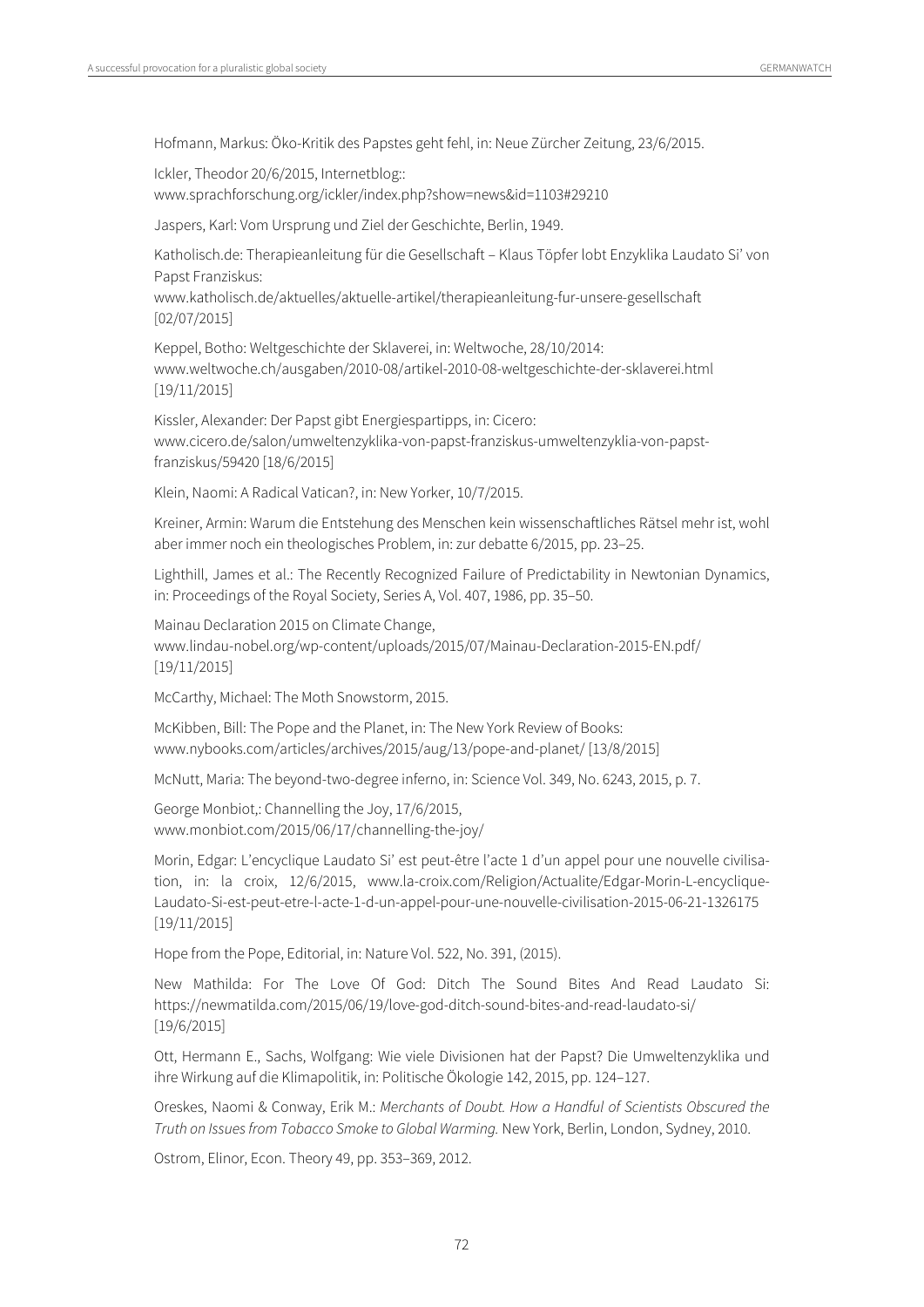Hofmann, Markus: Öko-Kritik des Papstes geht fehl, in: Neue Zürcher Zeitung, 23/6/2015.

Ickler, Theodor 20/6/2015, Internetblog:: www.sprachforschung.org/ickler/index.php?show=news&id=1103#29210

Jaspers, Karl: Vom Ursprung und Ziel der Geschichte, Berlin, 1949.

Katholisch.de: Therapieanleitung für die Gesellschaft – Klaus Töpfer lobt Enzyklika Laudato Si' von Papst Franziskus:

www.katholisch.de/aktuelles/aktuelle-artikel/therapieanleitung-fur-unsere-gesellschaft [02/07/2015]

Keppel, Botho: Weltgeschichte der Sklaverei, in: Weltwoche, 28/10/2014: www.weltwoche.ch/ausgaben/2010-08/artikel-2010-08-weltgeschichte-der-sklaverei.html [19/11/2015]

Kissler, Alexander: Der Papst gibt Energiespartipps, in: Cicero: www.cicero.de/salon/umweltenzyklika-von-papst-franziskus-umweltenzyklia-von-papstfranziskus/59420 [18/6/2015]

Klein, Naomi: A Radical Vatican?, in: New Yorker, 10/7/2015.

Kreiner, Armin: Warum die Entstehung des Menschen kein wissenschaftliches Rätsel mehr ist, wohl aber immer noch ein theologisches Problem, in: zur debatte 6/2015, pp. 23–25.

Lighthill, James et al.: The Recently Recognized Failure of Predictability in Newtonian Dynamics, in: Proceedings of the Royal Society, Series A, Vol. 407, 1986, pp. 35–50.

Mainau Declaration 2015 on Climate Change, www.lindau-nobel.org/wp-content/uploads/2015/07/Mainau-Declaration-2015-EN.pdf/ [19/11/2015]

McCarthy, Michael: The Moth Snowstorm, 2015.

McKibben, Bill: The Pope and the Planet, in: The New York Review of Books: www.nybooks.com/articles/archives/2015/aug/13/pope-and-planet/ [13/8/2015]

McNutt, Maria: The beyond-two-degree inferno, in: Science Vol. 349, No. 6243, 2015, p. 7.

George Monbiot,: Channelling the Joy, 17/6/2015, www.monbiot.com/2015/06/17/channelling-the-joy/

Morin, Edgar: L'encyclique Laudato Si' est peut-être l'acte 1 d'un appel pour une nouvelle civilisation, in: la croix, 12/6/2015, www.la-croix.com/Religion/Actualite/Edgar-Morin-L-encyclique-Laudato-Si-est-peut-etre-l-acte-1-d-un-appel-pour-une-nouvelle-civilisation-2015-06-21-1326175 [19/11/2015]

Hope from the Pope, Editorial, in: Nature Vol. 522, No. 391, (2015).

New Mathilda: For The Love Of God: Ditch The Sound Bites And Read Laudato Si: https://newmatilda.com/2015/06/19/love-god-ditch-sound-bites-and-read-laudato-si/ [19/6/2015]

Ott, Hermann E., Sachs, Wolfgang: Wie viele Divisionen hat der Papst? Die Umweltenzyklika und ihre Wirkung auf die Klimapolitik, in: Politische Ökologie 142, 2015, pp. 124–127.

Oreskes, Naomi & Conway, Erik M.: Merchants of Doubt. How a Handful of Scientists Obscured the Truth on Issues from Tobacco Smoke to Global Warming. New York, Berlin, London, Sydney, 2010.

Ostrom, Elinor, Econ. Theory 49, pp. 353–369, 2012.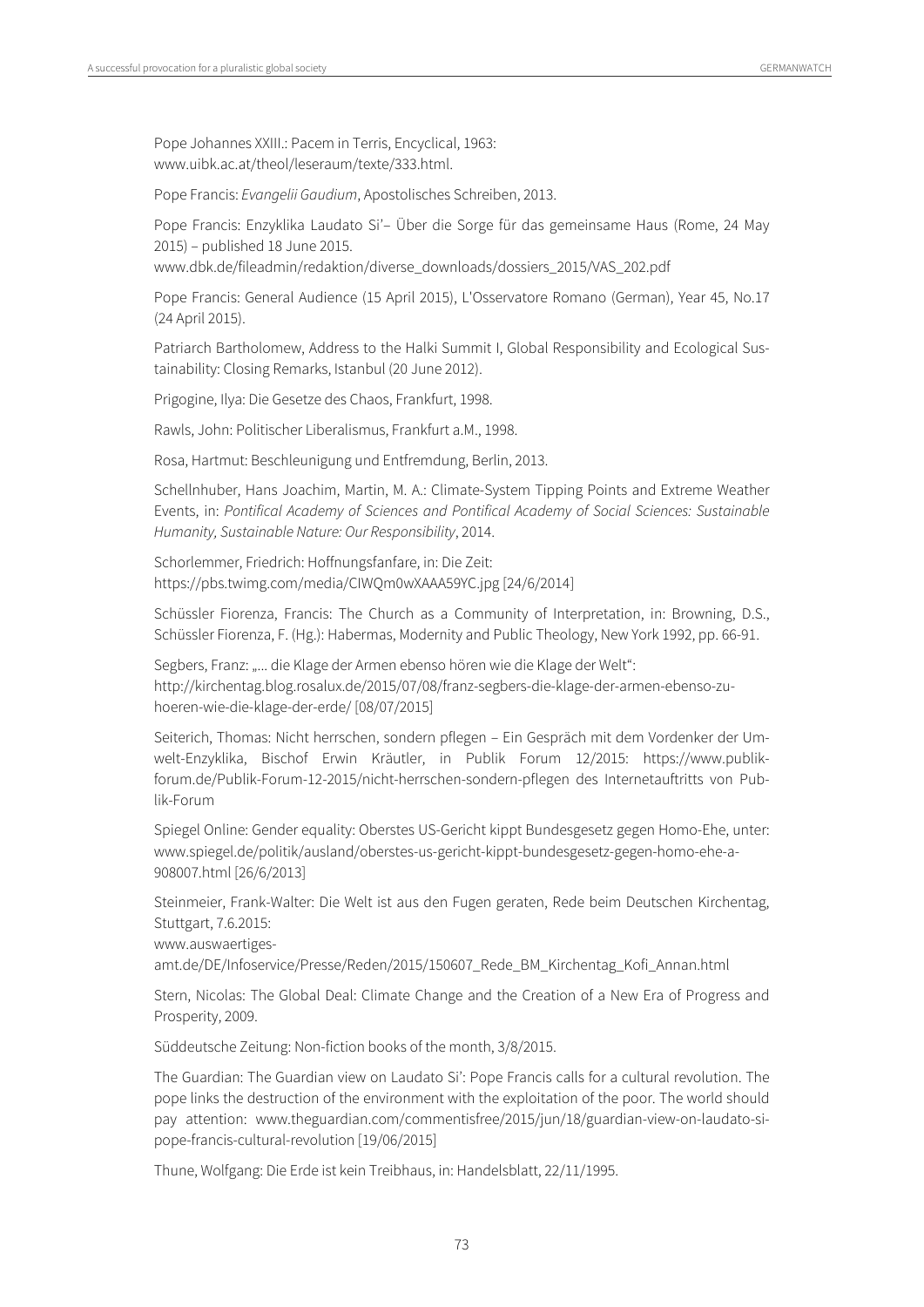Pope Johannes XXIII.: Pacem in Terris, Encyclical, 1963: www.uibk.ac.at/theol/leseraum/texte/333.html.

Pope Francis: Evangelii Gaudium, Apostolisches Schreiben, 2013.

Pope Francis: Enzyklika Laudato Si'– Über die Sorge für das gemeinsame Haus (Rome, 24 May 2015) – published 18 June 2015.

www.dbk.de/fileadmin/redaktion/diverse\_downloads/dossiers\_2015/VAS\_202.pdf

Pope Francis: General Audience (15 April 2015), L'Osservatore Romano (German), Year 45, No.17 (24 April 2015).

Patriarch Bartholomew, Address to the Halki Summit I, Global Responsibility and Ecological Sustainability: Closing Remarks, Istanbul (20 June 2012).

Prigogine, Ilya: Die Gesetze des Chaos, Frankfurt, 1998.

Rawls, John: Politischer Liberalismus, Frankfurt a.M., 1998.

Rosa, Hartmut: Beschleunigung und Entfremdung, Berlin, 2013.

Schellnhuber, Hans Joachim, Martin, M. A.: Climate-System Tipping Points and Extreme Weather Events, in: Pontifical Academy of Sciences and Pontifical Academy of Social Sciences: Sustainable Humanity, Sustainable Nature: Our Responsibility, 2014.

Schorlemmer, Friedrich: Hoffnungsfanfare, in: Die Zeit: https://pbs.twimg.com/media/CIWQm0wXAAA59YC.jpg [24/6/2014]

Schüssler Fiorenza, Francis: The Church as a Community of Interpretation, in: Browning, D.S., Schüssler Fiorenza, F. (Hg.): Habermas, Modernity and Public Theology, New York 1992, pp. 66-91.

Segbers, Franz: "... die Klage der Armen ebenso hören wie die Klage der Welt": http://kirchentag.blog.rosalux.de/2015/07/08/franz-segbers-die-klage-der-armen-ebenso-zuhoeren-wie-die-klage-der-erde/ [08/07/2015]

Seiterich, Thomas: Nicht herrschen, sondern pflegen – Ein Gespräch mit dem Vordenker der Umwelt-Enzyklika, Bischof Erwin Kräutler, in Publik Forum 12/2015: https://www.publikforum.de/Publik-Forum-12-2015/nicht-herrschen-sondern-pflegen des Internetauftritts von Publik-Forum

Spiegel Online: Gender equality: Oberstes US-Gericht kippt Bundesgesetz gegen Homo-Ehe, unter: www.spiegel.de/politik/ausland/oberstes-us-gericht-kippt-bundesgesetz-gegen-homo-ehe-a-908007.html [26/6/2013]

Steinmeier, Frank-Walter: Die Welt ist aus den Fugen geraten, Rede beim Deutschen Kirchentag, Stuttgart, 7.6.2015:

www.auswaertiges-

amt.de/DE/Infoservice/Presse/Reden/2015/150607\_Rede\_BM\_Kirchentag\_Kofi\_Annan.html

Stern, Nicolas: The Global Deal: Climate Change and the Creation of a New Era of Progress and Prosperity, 2009.

Süddeutsche Zeitung: Non-fiction books of the month, 3/8/2015.

The Guardian: The Guardian view on Laudato Si': Pope Francis calls for a cultural revolution. The pope links the destruction of the environment with the exploitation of the poor. The world should pay attention: www.theguardian.com/commentisfree/2015/jun/18/guardian-view-on-laudato-sipope-francis-cultural-revolution [19/06/2015]

Thune, Wolfgang: Die Erde ist kein Treibhaus, in: Handelsblatt, 22/11/1995.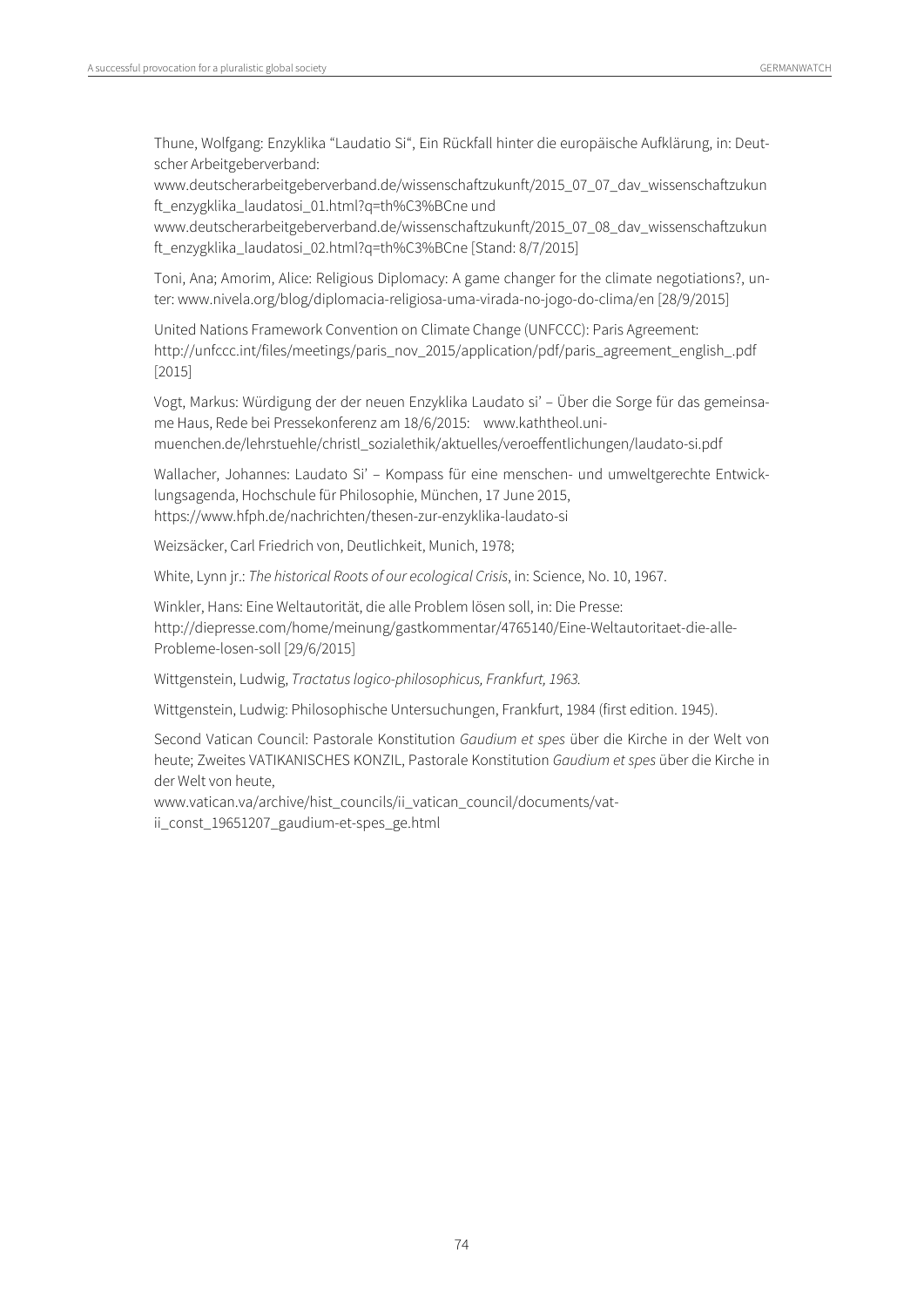Thune, Wolfgang: Enzyklika "Laudatio Si", Ein Rückfall hinter die europäische Aufklärung, in: Deutscher Arbeitgeberverband:

www.deutscherarbeitgeberverband.de/wissenschaftzukunft/2015\_07\_07\_dav\_wissenschaftzukun ft\_enzygklika\_laudatosi\_01.html?q=th%C3%BCne und

www.deutscherarbeitgeberverband.de/wissenschaftzukunft/2015\_07\_08\_dav\_wissenschaftzukun ft\_enzygklika\_laudatosi\_02.html?q=th%C3%BCne [Stand: 8/7/2015]

Toni, Ana; Amorim, Alice: Religious Diplomacy: A game changer for the climate negotiations?, unter: www.nivela.org/blog/diplomacia-religiosa-uma-virada-no-jogo-do-clima/en [28/9/2015]

United Nations Framework Convention on Climate Change (UNFCCC): Paris Agreement: http://unfccc.int/files/meetings/paris\_nov\_2015/application/pdf/paris\_agreement\_english\_.pdf [2015]

Vogt, Markus: Würdigung der der neuen Enzyklika Laudato si' – Über die Sorge für das gemeinsame Haus, Rede bei Pressekonferenz am 18/6/2015: www.kaththeol.unimuenchen.de/lehrstuehle/christl\_sozialethik/aktuelles/veroeffentlichungen/laudato-si.pdf

Wallacher, Johannes: Laudato Si' – Kompass für eine menschen- und umweltgerechte Entwicklungsagenda, Hochschule für Philosophie, München, 17 June 2015, https://www.hfph.de/nachrichten/thesen-zur-enzyklika-laudato-si

Weizsäcker, Carl Friedrich von, Deutlichkeit, Munich, 1978;

White, Lynn jr.: The historical Roots of our ecological Crisis, in: Science, No. 10, 1967.

Winkler, Hans: Eine Weltautorität, die alle Problem lösen soll, in: Die Presse: http://diepresse.com/home/meinung/gastkommentar/4765140/Eine-Weltautoritaet-die-alle-Probleme-losen-soll [29/6/2015]

Wittgenstein, Ludwig, Tractatus logico-philosophicus, Frankfurt, 1963.

Wittgenstein, Ludwig: Philosophische Untersuchungen, Frankfurt, 1984 (first edition. 1945).

Second Vatican Council: Pastorale Konstitution Gaudium et spes über die Kirche in der Welt von heute; Zweites VATIKANISCHES KONZIL, Pastorale Konstitution Gaudium et spes über die Kirche in der Welt von heute,

www.vatican.va/archive/hist\_councils/ii\_vatican\_council/documents/vatii\_const\_19651207\_gaudium-et-spes\_ge.html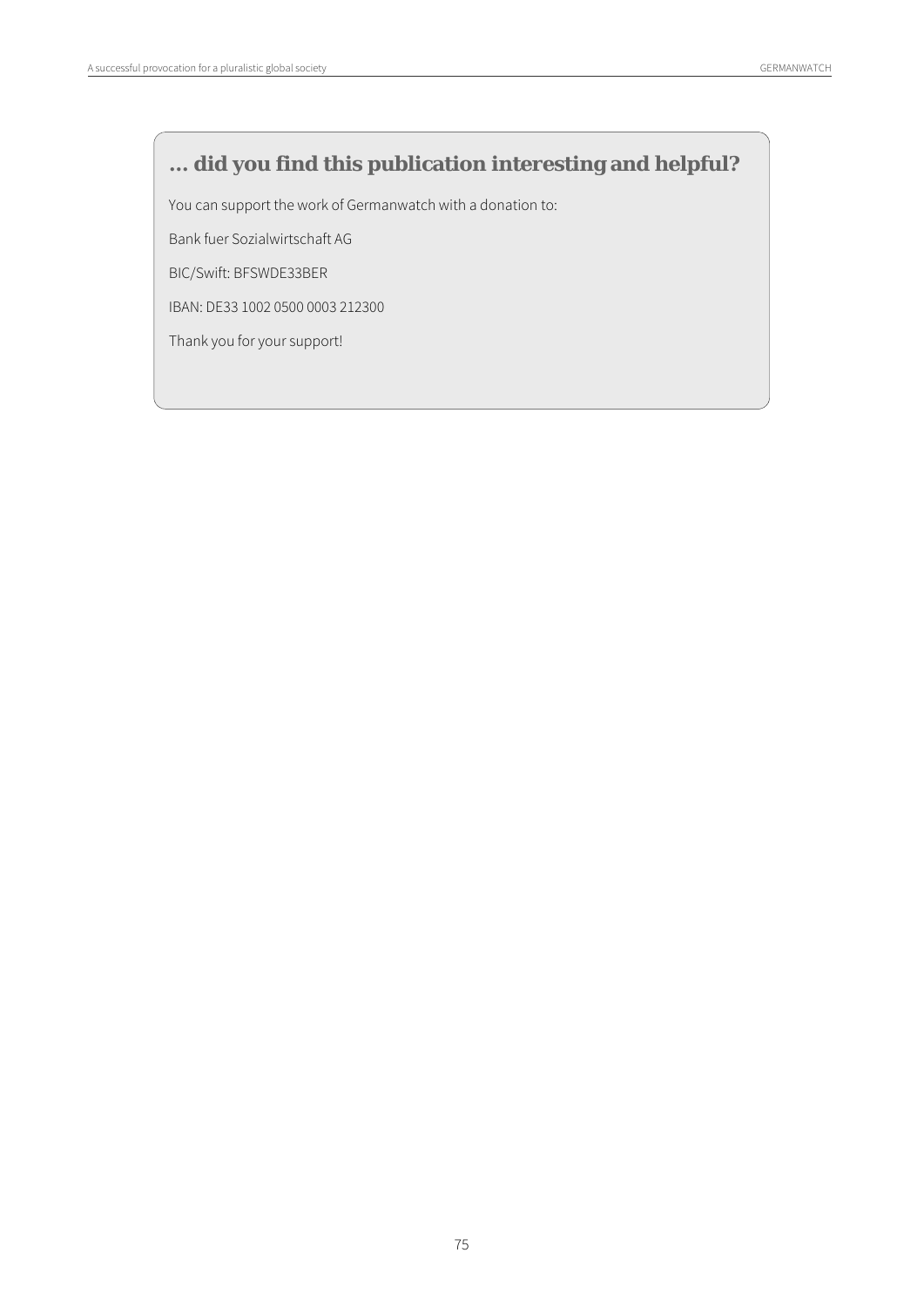## **... did you find this publication interesting and helpful?**

You can support the work of Germanwatch with a donation to:

Bank fuer Sozialwirtschaft AG

BIC/Swift: BFSWDE33BER

IBAN: DE33 1002 0500 0003 212300

Thank you for your support!